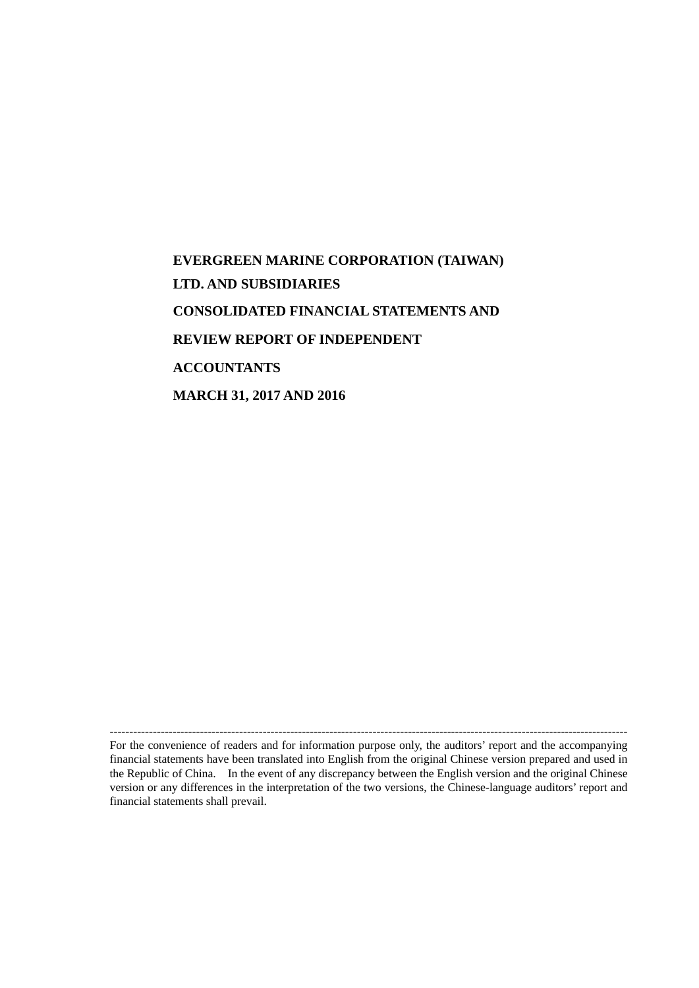# **EVERGREEN MARINE CORPORATION (TAIWAN) LTD. AND SUBSIDIARIES CONSOLIDATED FINANCIAL STATEMENTS AND REVIEW REPORT OF INDEPENDENT ACCOUNTANTS MARCH 31, 2017 AND 2016**

For the convenience of readers and for information purpose only, the auditors' report and the accompanying financial statements have been translated into English from the original Chinese version prepared and used in the Republic of China. In the event of any discrepancy between the English version and the original Chinese version or any differences in the interpretation of the two versions, the Chinese-language auditors' report and financial statements shall prevail.

------------------------------------------------------------------------------------------------------------------------------------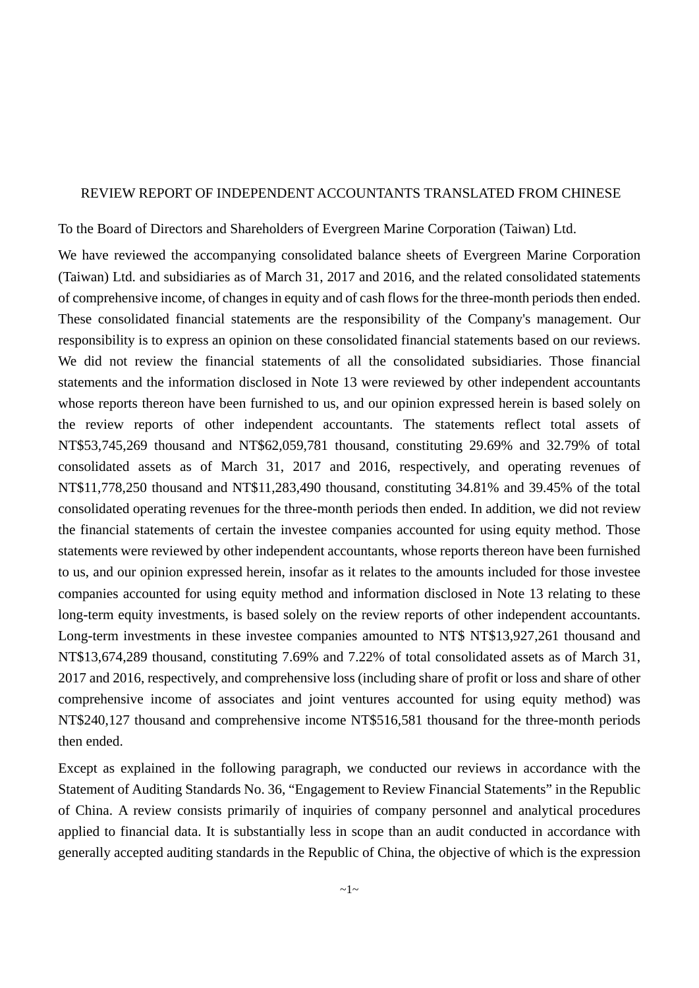#### REVIEW REPORT OF INDEPENDENT ACCOUNTANTS TRANSLATED FROM CHINESE

To the Board of Directors and Shareholders of Evergreen Marine Corporation (Taiwan) Ltd.

We have reviewed the accompanying consolidated balance sheets of Evergreen Marine Corporation (Taiwan) Ltd. and subsidiaries as of March 31, 2017 and 2016, and the related consolidated statements of comprehensive income, of changes in equity and of cash flows for the three-month periods then ended. These consolidated financial statements are the responsibility of the Company's management. Our responsibility is to express an opinion on these consolidated financial statements based on our reviews. We did not review the financial statements of all the consolidated subsidiaries. Those financial statements and the information disclosed in Note 13 were reviewed by other independent accountants whose reports thereon have been furnished to us, and our opinion expressed herein is based solely on the review reports of other independent accountants. The statements reflect total assets of NT\$53,745,269 thousand and NT\$62,059,781 thousand, constituting 29.69% and 32.79% of total consolidated assets as of March 31, 2017 and 2016, respectively, and operating revenues of NT\$11,778,250 thousand and NT\$11,283,490 thousand, constituting 34.81% and 39.45% of the total consolidated operating revenues for the three-month periods then ended. In addition, we did not review the financial statements of certain the investee companies accounted for using equity method. Those statements were reviewed by other independent accountants, whose reports thereon have been furnished to us, and our opinion expressed herein, insofar as it relates to the amounts included for those investee companies accounted for using equity method and information disclosed in Note 13 relating to these long-term equity investments, is based solely on the review reports of other independent accountants. Long-term investments in these investee companies amounted to NT\$ NT\$13,927,261 thousand and NT\$13,674,289 thousand, constituting 7.69% and 7.22% of total consolidated assets as of March 31, 2017 and 2016, respectively, and comprehensive loss (including share of profit or loss and share of other comprehensive income of associates and joint ventures accounted for using equity method) was NT\$240,127 thousand and comprehensive income NT\$516,581 thousand for the three-month periods then ended.

Except as explained in the following paragraph, we conducted our reviews in accordance with the Statement of Auditing Standards No. 36, "Engagement to Review Financial Statements" in the Republic of China. A review consists primarily of inquiries of company personnel and analytical procedures applied to financial data. It is substantially less in scope than an audit conducted in accordance with generally accepted auditing standards in the Republic of China, the objective of which is the expression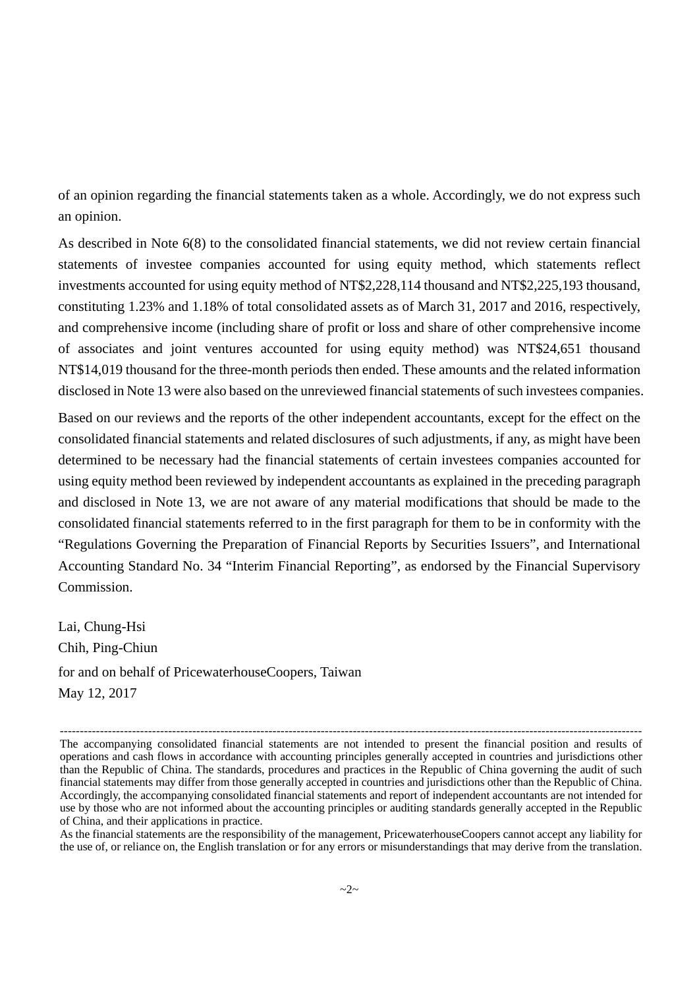of an opinion regarding the financial statements taken as a whole. Accordingly, we do not express such an opinion.

As described in Note 6(8) to the consolidated financial statements, we did not review certain financial statements of investee companies accounted for using equity method, which statements reflect investments accounted for using equity method of NT\$2,228,114 thousand and NT\$2,225,193 thousand, constituting 1.23% and 1.18% of total consolidated assets as of March 31, 2017 and 2016, respectively, and comprehensive income (including share of profit or loss and share of other comprehensive income of associates and joint ventures accounted for using equity method) was NT\$24,651 thousand NT\$14,019 thousand for the three-month periods then ended. These amounts and the related information disclosed in Note 13 were also based on the unreviewed financial statements of such investees companies.

Based on our reviews and the reports of the other independent accountants, except for the effect on the consolidated financial statements and related disclosures of such adjustments, if any, as might have been determined to be necessary had the financial statements of certain investees companies accounted for using equity method been reviewed by independent accountants as explained in the preceding paragraph and disclosed in Note 13, we are not aware of any material modifications that should be made to the consolidated financial statements referred to in the first paragraph for them to be in conformity with the "Regulations Governing the Preparation of Financial Reports by Securities Issuers", and International Accounting Standard No. 34 "Interim Financial Reporting", as endorsed by the Financial Supervisory Commission.

Lai, Chung-Hsi Chih, Ping-Chiun for and on behalf of PricewaterhouseCoopers, Taiwan May 12, 2017

<sup>-------------------------------------------------------------------------------------------------------------------------------------------------</sup> The accompanying consolidated financial statements are not intended to present the financial position and results of operations and cash flows in accordance with accounting principles generally accepted in countries and jurisdictions other than the Republic of China. The standards, procedures and practices in the Republic of China governing the audit of such financial statements may differ from those generally accepted in countries and jurisdictions other than the Republic of China. Accordingly, the accompanying consolidated financial statements and report of independent accountants are not intended for use by those who are not informed about the accounting principles or auditing standards generally accepted in the Republic of China, and their applications in practice.

As the financial statements are the responsibility of the management, PricewaterhouseCoopers cannot accept any liability for the use of, or reliance on, the English translation or for any errors or misunderstandings that may derive from the translation.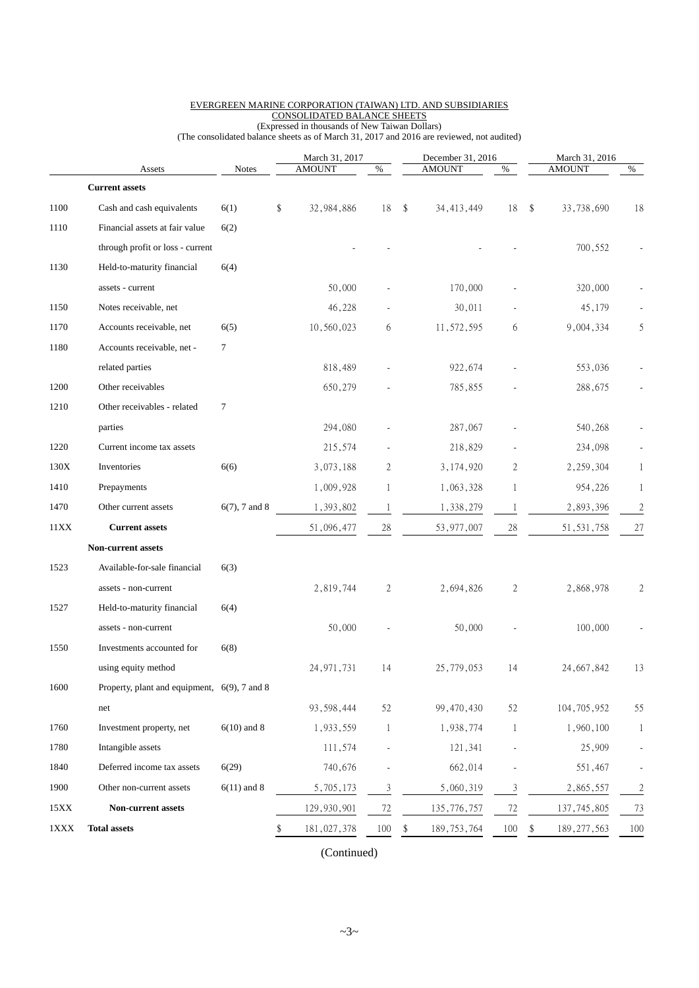|      |                                              |                  | March 31, 2017    |                          |     | December 31, 2016 |                | March 31, 2016      |              |
|------|----------------------------------------------|------------------|-------------------|--------------------------|-----|-------------------|----------------|---------------------|--------------|
|      | Assets                                       | <b>Notes</b>     | <b>AMOUNT</b>     | %                        |     | <b>AMOUNT</b>     | %              | <b>AMOUNT</b>       | %            |
|      | <b>Current assets</b>                        |                  |                   |                          |     |                   |                |                     |              |
| 1100 | Cash and cash equivalents                    | 6(1)             | \$<br>32,984,886  | 18                       | -\$ | 34, 413, 449      | 18             | \$<br>33,738,690    | 18           |
| 1110 | Financial assets at fair value               | 6(2)             |                   |                          |     |                   |                |                     |              |
|      | through profit or loss - current             |                  |                   |                          |     |                   |                | 700,552             |              |
| 1130 | Held-to-maturity financial                   | 6(4)             |                   |                          |     |                   |                |                     |              |
|      | assets - current                             |                  | 50,000            |                          |     | 170,000           |                | 320,000             |              |
| 1150 | Notes receivable, net                        |                  | 46,228            |                          |     | 30,011            |                | 45,179              |              |
| 1170 | Accounts receivable, net                     | 6(5)             | 10,560,023        | 6                        |     | 11,572,595        | 6              | 9,004,334           | 5            |
| 1180 | Accounts receivable, net -                   | $\tau$           |                   |                          |     |                   |                |                     |              |
|      | related parties                              |                  | 818,489           |                          |     | 922,674           |                | 553,036             |              |
| 1200 | Other receivables                            |                  | 650,279           |                          |     | 785,855           |                | 288,675             |              |
| 1210 | Other receivables - related                  | 7                |                   |                          |     |                   |                |                     |              |
|      | parties                                      |                  | 294,080           |                          |     | 287,067           |                | 540,268             |              |
| 1220 | Current income tax assets                    |                  | 215,574           |                          |     | 218,829           |                | 234,098             |              |
| 130X | Inventories                                  | 6(6)             | 3,073,188         | 2                        |     | 3, 174, 920       | $\overline{2}$ | 2,259,304           | 1            |
| 1410 | Prepayments                                  |                  | 1,009,928         | 1                        |     | 1,063,328         | 1              | 954,226             | 1            |
| 1470 | Other current assets                         | $6(7)$ , 7 and 8 | 1,393,802         | $\mathbf{1}$             |     | 1,338,279         | $\mathbf{1}$   | 2,893,396           | 2            |
| 11XX | <b>Current assets</b>                        |                  | 51,096,477        | $28\,$                   |     | 53,977,007        | 28             | 51, 531, 758        | $27\,$       |
|      | <b>Non-current assets</b>                    |                  |                   |                          |     |                   |                |                     |              |
| 1523 | Available-for-sale financial                 | 6(3)             |                   |                          |     |                   |                |                     |              |
|      | assets - non-current                         |                  | 2,819,744         | 2                        |     | 2,694,826         | $\overline{2}$ | 2,868,978           | 2            |
| 1527 | Held-to-maturity financial                   | 6(4)             |                   |                          |     |                   |                |                     |              |
|      | assets - non-current                         |                  | 50,000            |                          |     | 50,000            |                | 100,000             |              |
| 1550 | Investments accounted for                    | 6(8)             |                   |                          |     |                   |                |                     |              |
|      | using equity method                          |                  | 24, 971, 731      | 14                       |     | 25,779,053        | 14             | 24, 667, 842        | 13           |
| 1600 | Property, plant and equipment, 6(9), 7 and 8 |                  |                   |                          |     |                   |                |                     |              |
|      | net                                          |                  | 93, 598, 444      | 52                       |     | 99,470,430        | 52             | 104,705,952         | 55           |
| 1760 | Investment property, net                     | $6(10)$ and 8    | 1,933,559         | $\mathbf{1}$             |     | 1,938,774         | $\mathbf{1}$   | 1,960,100           | $\mathbf{1}$ |
| 1780 | Intangible assets                            |                  | 111,574           | $\overline{\phantom{a}}$ |     | 121,341           |                | 25,909              |              |
| 1840 | Deferred income tax assets                   | 6(29)            | 740,676           |                          |     | 662,014           |                | 551,467             |              |
| 1900 | Other non-current assets                     | $6(11)$ and 8    | 5,705,173         | $\mathfrak{Z}$           |     | 5,060,319         | $\mathfrak{Z}$ | 2,865,557           | 2            |
| 15XX | Non-current assets                           |                  | 129,930,901       | $72\,$                   |     | 135,776,757       | $72\,$         | 137, 745, 805       | 73           |
| 1XXX | <b>Total assets</b>                          |                  | \$<br>181,027,378 | 100                      |     | 189, 753, 764     | $100\,$        | \$<br>189, 277, 563 | 100          |
|      |                                              |                  |                   |                          |     |                   |                |                     |              |

#### EVERGREEN MARINE CORPORATION (TAIWAN) LTD. AND SUBSIDIARIES CONSOLIDATED BALANCE SHEETS

(Expressed in thousands of New Taiwan Dollars) (The consolidated balance sheets as of March 31, 2017 and 2016 are reviewed, not audited)

(Continued)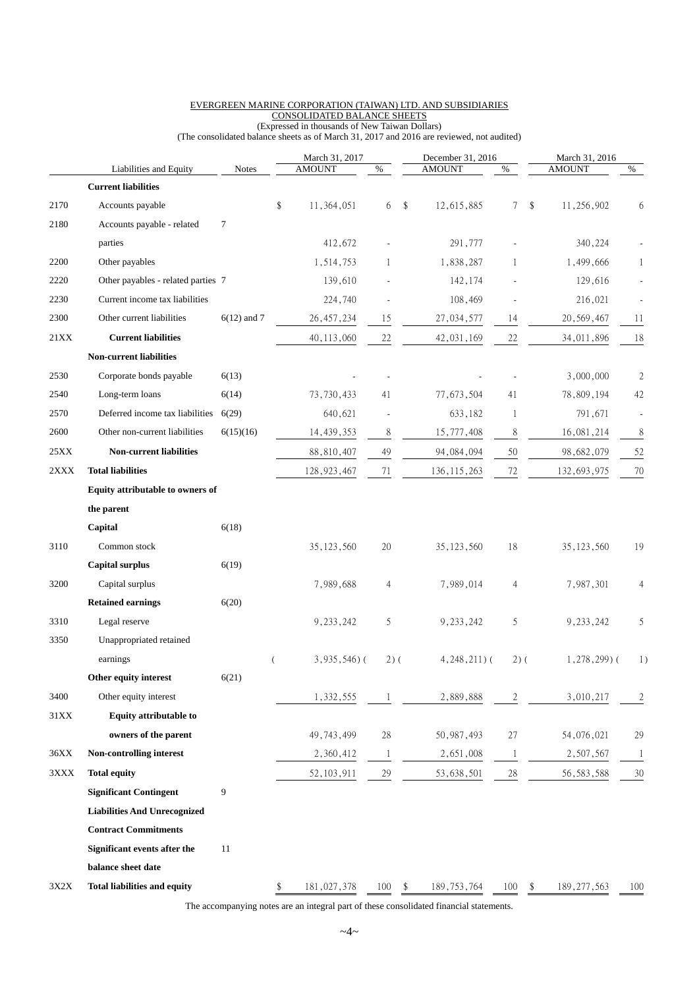|        |                                     |               |                | March 31, 2017  |        | December 31, 2016   |                | March 31, 2016      |                |
|--------|-------------------------------------|---------------|----------------|-----------------|--------|---------------------|----------------|---------------------|----------------|
|        | Liabilities and Equity              | <b>Notes</b>  |                | <b>AMOUNT</b>   | %      | <b>AMOUNT</b>       | $\%$           | <b>AMOUNT</b>       | %              |
|        | <b>Current liabilities</b>          |               |                |                 |        |                     |                |                     |                |
| 2170   | Accounts payable                    |               | \$             | 11,364,051      | 6      | \$<br>12,615,885    | $7\phantom{.}$ | \$<br>11,256,902    | 6              |
| 2180   | Accounts payable - related          | 7             |                |                 |        |                     |                |                     |                |
|        | parties                             |               |                | 412,672         |        | 291,777             |                | 340,224             |                |
| 2200   | Other payables                      |               |                | 1,514,753       | 1      | 1,838,287           | 1              | 1,499,666           | 1              |
| 2220   | Other payables - related parties 7  |               |                | 139,610         |        | 142,174             |                | 129,616             |                |
| 2230   | Current income tax liabilities      |               |                | 224,740         |        | 108,469             |                | 216,021             |                |
| 2300   | Other current liabilities           | $6(12)$ and 7 |                | 26, 457, 234    | 15     | 27,034,577          | 14             | 20, 569, 467        | 11             |
| 21XX   | <b>Current liabilities</b>          |               |                | 40, 113, 060    | 22     | 42, 031, 169        | 22             | 34,011,896          | 18             |
|        | <b>Non-current liabilities</b>      |               |                |                 |        |                     |                |                     |                |
| 2530   | Corporate bonds payable             | 6(13)         |                |                 |        |                     |                | 3,000,000           | 2              |
| 2540   | Long-term loans                     | 6(14)         |                | 73, 730, 433    | 41     | 77,673,504          | 41             | 78,809,194          | 42             |
| 2570   | Deferred income tax liabilities     | 6(29)         |                | 640,621         | ÷,     | 633,182             | 1              | 791,671             |                |
| 2600   | Other non-current liabilities       | 6(15)(16)     |                | 14, 439, 353    | 8      | 15,777,408          | $\,$ $\,$      | 16,081,214          | 8              |
| 25XX   | <b>Non-current liabilities</b>      |               |                | 88,810,407      | 49     | 94, 084, 094        | 50             | 98,682,079          | 52             |
| 2XXX   | <b>Total liabilities</b>            |               |                | 128, 923, 467   | 71     | 136, 115, 263       | 72             | 132,693,975         | 70             |
|        | Equity attributable to owners of    |               |                |                 |        |                     |                |                     |                |
|        | the parent                          |               |                |                 |        |                     |                |                     |                |
|        | Capital                             | 6(18)         |                |                 |        |                     |                |                     |                |
| 3110   | Common stock                        |               |                | 35, 123, 560    | 20     | 35, 123, 560        | 18             | 35, 123, 560        | 19             |
|        | <b>Capital surplus</b>              | 6(19)         |                |                 |        |                     |                |                     |                |
| 3200   | Capital surplus                     |               |                | 7,989,688       | 4      | 7,989,014           | 4              | 7,987,301           | 4              |
|        | <b>Retained earnings</b>            | 6(20)         |                |                 |        |                     |                |                     |                |
| 3310   | Legal reserve                       |               |                | 9, 233, 242     | 5      | 9, 233, 242         | 5              | 9,233,242           | 5              |
| 3350   | Unappropriated retained             |               |                |                 |        |                     |                |                     |                |
|        | earnings                            |               | $\overline{(}$ | $3,935,546$ ) ( | $2)$ ( | $4,248,211$ ) (     | $2)$ (         | $1,278,299$ (       | 1)             |
|        | Other equity interest               | 6(21)         |                |                 |        |                     |                |                     |                |
| 3400   | Other equity interest               |               |                | 1,332,555       | -1     | 2,889,888           | $\overline{c}$ | 3,010,217           | $\overline{c}$ |
| $31XX$ | <b>Equity attributable to</b>       |               |                |                 |        |                     |                |                     |                |
|        | owners of the parent                |               |                | 49, 743, 499    | 28     | 50, 987, 493        | $27\,$         | 54,076,021          | 29             |
| 36XX   | Non-controlling interest            |               |                | 2,360,412       | -1     | 2,651,008           | $\mathbf{1}$   | 2,507,567           | $\mathbf{1}$   |
| 3XXX   | <b>Total equity</b>                 |               |                | 52, 103, 911    | 29     | 53,638,501          | $28\,$         | 56, 583, 588        | 30             |
|        | <b>Significant Contingent</b>       | 9             |                |                 |        |                     |                |                     |                |
|        | <b>Liabilities And Unrecognized</b> |               |                |                 |        |                     |                |                     |                |
|        | <b>Contract Commitments</b>         |               |                |                 |        |                     |                |                     |                |
|        | Significant events after the        | 11            |                |                 |        |                     |                |                     |                |
|        | balance sheet date                  |               |                |                 |        |                     |                |                     |                |
|        |                                     |               |                |                 |        |                     |                |                     |                |
| 3X2X   | <b>Total liabilities and equity</b> |               | \$             | 181,027,378     | 100    | \$<br>189, 753, 764 | 100            | \$<br>189, 277, 563 | 100            |

#### EVERGREEN MARINE CORPORATION (TAIWAN) LTD. AND SUBSIDIARIES CONSOLIDATED BALANCE SHEETS

(Expressed in thousands of New Taiwan Dollars) (The consolidated balance sheets as of March 31, 2017 and 2016 are reviewed, not audited)

The accompanying notes are an integral part of these consolidated financial statements.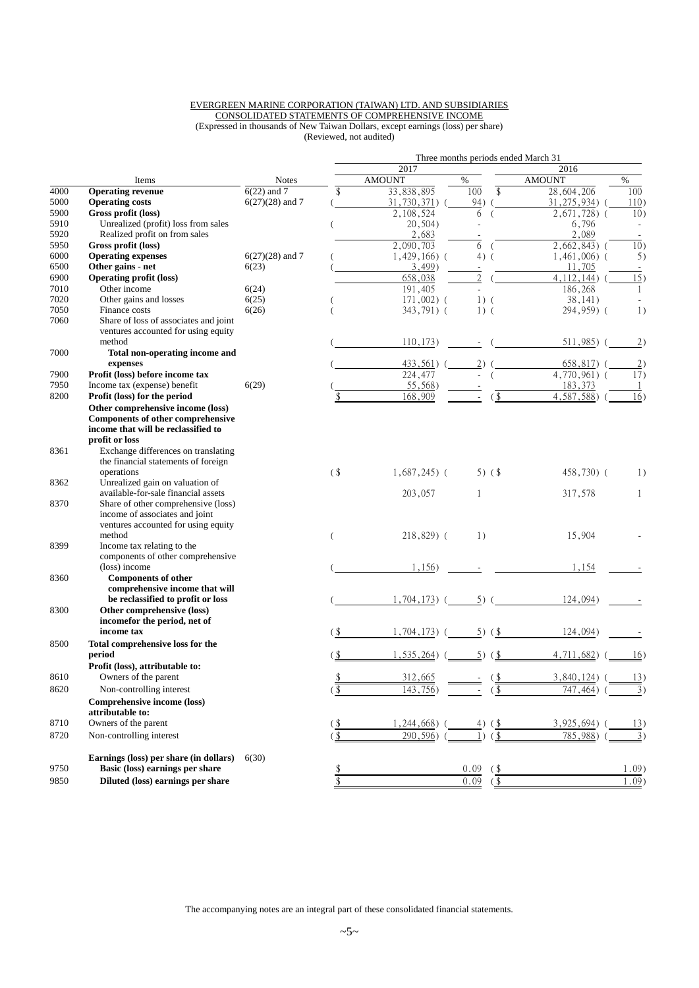#### EVERGREEN MARINE CORPORATION (TAIWAN) LTD. AND SUBSIDIARIES CONSOLIDATED STATEMENTS OF COMPREHENSIVE INCOME (Expressed in thousands of New Taiwan Dollars, except earnings (loss) per share) (Reviewed, not audited)

|      |                                                                                                                                        |                   | Three months periods ended March 31 |                 |                                                 |                 |          |  |  |  |  |  |
|------|----------------------------------------------------------------------------------------------------------------------------------------|-------------------|-------------------------------------|-----------------|-------------------------------------------------|-----------------|----------|--|--|--|--|--|
|      |                                                                                                                                        |                   |                                     | 2017            |                                                 | 2016            |          |  |  |  |  |  |
|      | Items                                                                                                                                  | <b>Notes</b>      |                                     | <b>AMOUNT</b>   | %                                               | <b>AMOUNT</b>   | $\%$     |  |  |  |  |  |
| 4000 | <b>Operating revenue</b>                                                                                                               | $6(22)$ and 7     | \$                                  | 33,838,895      | 100<br>$\mathbb{S}$                             | 28,604,206      | 100      |  |  |  |  |  |
| 5000 | <b>Operating costs</b>                                                                                                                 | $6(27)(28)$ and 7 |                                     | 31,730,371) (   | 94)                                             | 31, 275, 934) ( | 110)     |  |  |  |  |  |
| 5900 | Gross profit (loss)                                                                                                                    |                   |                                     | 2,108,524       | 6<br>$\overline{ }$                             | $2,671,728$ (   | 10)      |  |  |  |  |  |
| 5910 | Unrealized (profit) loss from sales                                                                                                    |                   |                                     | 20,504)         |                                                 | 6,796           |          |  |  |  |  |  |
| 5920 | Realized profit on from sales                                                                                                          |                   |                                     | 2,683           |                                                 | 2,089           |          |  |  |  |  |  |
| 5950 | Gross profit (loss)                                                                                                                    |                   |                                     | 2,090,703       | 6                                               | $2,662,843$ (   | 10)      |  |  |  |  |  |
| 6000 | <b>Operating expenses</b>                                                                                                              | $6(27)(28)$ and 7 |                                     | $1,429,166$ ) ( | 4)<br>$\overline{ }$                            | $1,461,006$ ) ( | 5)       |  |  |  |  |  |
| 6500 | Other gains - net                                                                                                                      | 6(23)             |                                     | 3,499)          | $\overline{\phantom{a}}$                        | 11,705          |          |  |  |  |  |  |
| 6900 | <b>Operating profit (loss)</b>                                                                                                         |                   |                                     | 658,038         | $\overline{2}$                                  | 4, 112, 144)    | 15)      |  |  |  |  |  |
| 7010 | Other income                                                                                                                           | 6(24)             |                                     | 191,405         |                                                 | 186,268         | 1        |  |  |  |  |  |
| 7020 | Other gains and losses                                                                                                                 | 6(25)             |                                     | $171,002)$ (    | $1)$ (                                          | 38,141)         |          |  |  |  |  |  |
| 7050 | Finance costs                                                                                                                          | 6(26)             |                                     | 343,791) (      | $1)$ (                                          | 294,959) (      | 1)       |  |  |  |  |  |
| 7060 | Share of loss of associates and joint<br>ventures accounted for using equity                                                           |                   |                                     |                 |                                                 |                 |          |  |  |  |  |  |
|      | method                                                                                                                                 |                   |                                     | 110, 173)       |                                                 | 511,985)        | (2)      |  |  |  |  |  |
| 7000 | Total non-operating income and                                                                                                         |                   |                                     |                 |                                                 |                 |          |  |  |  |  |  |
|      | expenses                                                                                                                               |                   |                                     | 433,561)        | 2)                                              | $658,817)$ (    | (2)      |  |  |  |  |  |
| 7900 | Profit (loss) before income tax                                                                                                        |                   |                                     | 224,477         |                                                 | 4,770,961) (    | 17)      |  |  |  |  |  |
| 7950 | Income tax (expense) benefit                                                                                                           | 6(29)             |                                     | 55,568)         |                                                 | 183,373         | -1       |  |  |  |  |  |
| 8200 | Profit (loss) for the period                                                                                                           |                   |                                     | 168,909         | $($ \$                                          | 4,587,588)      | 16)      |  |  |  |  |  |
|      | Other comprehensive income (loss)<br><b>Components of other comprehensive</b><br>income that will be reclassified to<br>profit or loss |                   |                                     |                 |                                                 |                 |          |  |  |  |  |  |
| 8361 | Exchange differences on translating<br>the financial statements of foreign                                                             |                   |                                     |                 |                                                 |                 |          |  |  |  |  |  |
|      | operations                                                                                                                             |                   | $($ \$                              | $1,687,245$ (   | 5) (\$                                          | 458,730) (      | 1)       |  |  |  |  |  |
| 8362 | Unrealized gain on valuation of<br>available-for-sale financial assets                                                                 |                   |                                     | 203,057         | 1                                               | 317,578         | 1        |  |  |  |  |  |
| 8370 | Share of other comprehensive (loss)<br>income of associates and joint<br>ventures accounted for using equity<br>method                 |                   |                                     | $218,829$ (     | 1)                                              | 15,904          |          |  |  |  |  |  |
| 8399 | Income tax relating to the                                                                                                             |                   |                                     |                 |                                                 |                 |          |  |  |  |  |  |
|      | components of other comprehensive                                                                                                      |                   |                                     |                 |                                                 |                 |          |  |  |  |  |  |
|      | (loss) income                                                                                                                          |                   |                                     | 1,156)          |                                                 | 1,154           |          |  |  |  |  |  |
| 8360 | <b>Components of other</b><br>comprehensive income that will                                                                           |                   |                                     |                 |                                                 |                 |          |  |  |  |  |  |
|      | be reclassified to profit or loss                                                                                                      |                   |                                     | $1,704,173$ ) ( | $5)$ (                                          | 124,094)        |          |  |  |  |  |  |
| 8300 | Other comprehensive (loss)<br>incomefor the period, net of                                                                             |                   |                                     |                 |                                                 |                 |          |  |  |  |  |  |
|      | income tax                                                                                                                             |                   |                                     | 1,704,173)      | $5)$ (\$                                        | 124,094)        |          |  |  |  |  |  |
| 8500 | Total comprehensive loss for the<br>period                                                                                             |                   |                                     | 1,535,264)      | $5)$ (\$                                        | 4,711,682)      | 16)      |  |  |  |  |  |
|      | Profit (loss), attributable to:                                                                                                        |                   |                                     |                 |                                                 |                 |          |  |  |  |  |  |
| 8610 | Owners of the parent                                                                                                                   |                   | \$                                  | 312,665         | $\left( \begin{array}{c} 5 \end{array} \right)$ | $3,840,124$ (   | 13)      |  |  |  |  |  |
| 8620 | Non-controlling interest                                                                                                               |                   | $\frac{1}{2}$                       | 143,756)        | $\frac{1}{2}$                                   | 747, 464)       | 3)       |  |  |  |  |  |
|      | Comprehensive income (loss)<br>attributable to:                                                                                        |                   |                                     |                 |                                                 |                 |          |  |  |  |  |  |
| 8710 | Owners of the parent                                                                                                                   |                   |                                     | 1,244,668)      | $($ \$                                          | 3,925,694)      | 13)      |  |  |  |  |  |
| 8720 | Non-controlling interest                                                                                                               |                   | (\$                                 | 290,596)        | $\frac{1}{2}$<br>1)                             | 785,988)        | 3)       |  |  |  |  |  |
|      | Earnings (loss) per share (in dollars)                                                                                                 |                   |                                     |                 |                                                 |                 |          |  |  |  |  |  |
| 9750 | Basic (loss) earnings per share                                                                                                        | 6(30)             |                                     |                 | 0.09                                            |                 | $1.09$ ) |  |  |  |  |  |
|      |                                                                                                                                        |                   |                                     |                 | (\$                                             |                 |          |  |  |  |  |  |
| 9850 | Diluted (loss) earnings per share                                                                                                      |                   | \$                                  |                 | 0.09<br>$($ \$                                  |                 | $1.09$ ) |  |  |  |  |  |

The accompanying notes are an integral part of these consolidated financial statements.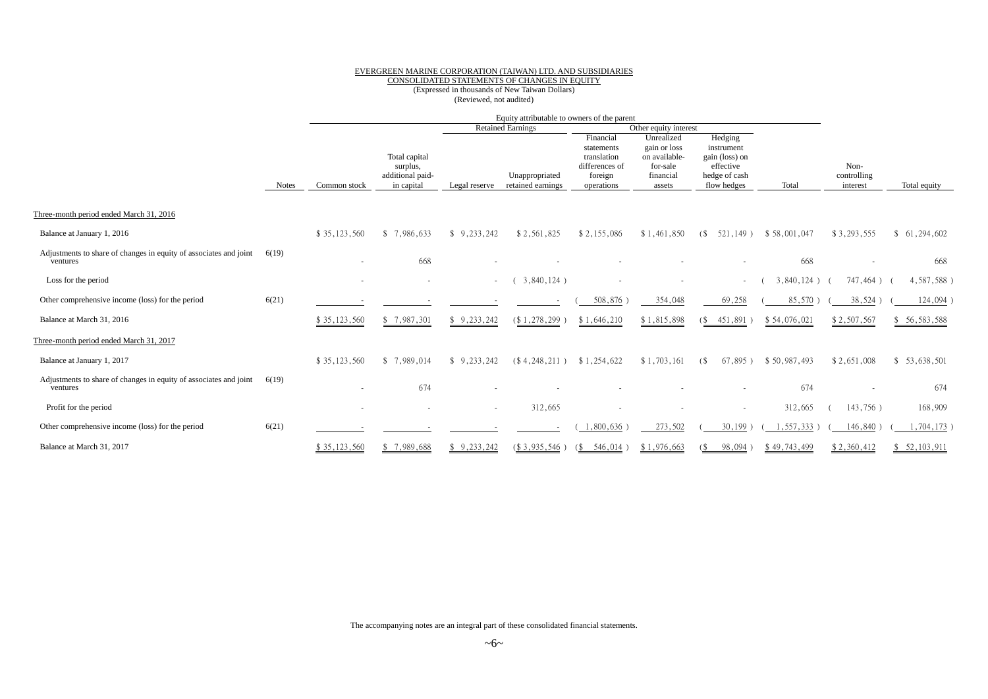## EVERGREEN MARINE CORPORATION (TAIWAN) LTD. AND SUBSIDIARIES CONSOLIDATED STATEMENTS OF CHANGES IN EQUITY

(Expressed in thousands of New Taiwan Dollars) (Reviewed, not audited)

|                                                                               |              |                          |                                                             |               | Equity attributable to owners of the parent |                                                                                   |                                                                                |                                                                                      |               |                                 |              |
|-------------------------------------------------------------------------------|--------------|--------------------------|-------------------------------------------------------------|---------------|---------------------------------------------|-----------------------------------------------------------------------------------|--------------------------------------------------------------------------------|--------------------------------------------------------------------------------------|---------------|---------------------------------|--------------|
|                                                                               |              |                          |                                                             |               | <b>Retained Earnings</b>                    |                                                                                   | Other equity interest                                                          |                                                                                      |               |                                 |              |
|                                                                               | <b>Notes</b> | Common stock             | Total capital<br>surplus,<br>additional paid-<br>in capital | Legal reserve | Unappropriated<br>retained earnings         | Financial<br>statements<br>translation<br>differences of<br>foreign<br>operations | Unrealized<br>gain or loss<br>on available-<br>for-sale<br>financial<br>assets | Hedging<br>instrument<br>gain (loss) on<br>effective<br>hedge of cash<br>flow hedges | Total         | Non-<br>controlling<br>interest | Total equity |
| Three-month period ended March 31, 2016                                       |              |                          |                                                             |               |                                             |                                                                                   |                                                                                |                                                                                      |               |                                 |              |
| Balance at January 1, 2016                                                    |              | \$35,123,560             | \$7,986,633                                                 | 9,233,242     | \$2,561,825                                 | \$2,155,086                                                                       | \$1,461,850                                                                    | $521.149$ )<br>(S                                                                    | \$58,001,047  | \$3,293,555                     | \$61,294,602 |
| Adjustments to share of changes in equity of associates and joint<br>ventures | 6(19)        | $\overline{\phantom{a}}$ | 668                                                         |               |                                             |                                                                                   |                                                                                | ٠                                                                                    | 668           |                                 | 668          |
| Loss for the period                                                           |              |                          |                                                             | $\sim$        | $3,840,124$ )                               |                                                                                   |                                                                                | ۰.                                                                                   | $3,840,124$ ) | 747,464)                        | 4,587,588)   |
| Other comprehensive income (loss) for the period                              | 6(21)        |                          |                                                             |               |                                             | 508,876                                                                           | 354,048                                                                        | 69,258                                                                               | 85,570        | 38,524                          | 124,094      |
| Balance at March 31, 2016                                                     |              | \$35,123,560             | \$7,987,301                                                 | \$9,233,242   | $(* 1, 278, 299)$                           | \$1,646,210                                                                       | \$1,815,898                                                                    | 451,891)<br>$($ \$                                                                   | \$54,076,021  | \$2,507,567                     | \$56,583,588 |
| Three-month period ended March 31, 2017                                       |              |                          |                                                             |               |                                             |                                                                                   |                                                                                |                                                                                      |               |                                 |              |
| Balance at January 1, 2017                                                    |              | \$35,123,560             | \$7,989,014                                                 | 9,233,242     | (S4, 248, 211)                              | \$1,254,622                                                                       | \$1,703,161                                                                    | $67,895$ )<br>(S                                                                     | \$50,987,493  | \$2,651,008                     | \$53,638,501 |
| Adjustments to share of changes in equity of associates and joint<br>ventures | 6(19)        | $\overline{\phantom{a}}$ | 674                                                         |               |                                             |                                                                                   |                                                                                | ٠                                                                                    | 674           |                                 | 674          |
| Profit for the period                                                         |              |                          |                                                             |               | 312,665                                     |                                                                                   |                                                                                |                                                                                      | 312,665       | 143,756)                        | 168,909      |
| Other comprehensive income (loss) for the period                              | 6(21)        |                          |                                                             |               |                                             | 1,800,636                                                                         | 273,502                                                                        | 30,199                                                                               | ,557,333      | 146,840                         | ,704,173     |
| Balance at March 31, 2017                                                     |              | \$35,123,560             | \$7,989,688                                                 | 9,233,242     |                                             | $(\$3,935,546)$ $(\$546,014)$                                                     | \$1,976,663                                                                    | 98,094)<br>(S                                                                        | \$49,743,499  | \$2,360,412                     | \$52,103,911 |

The accompanying notes are an integral part of these consolidated financial statements.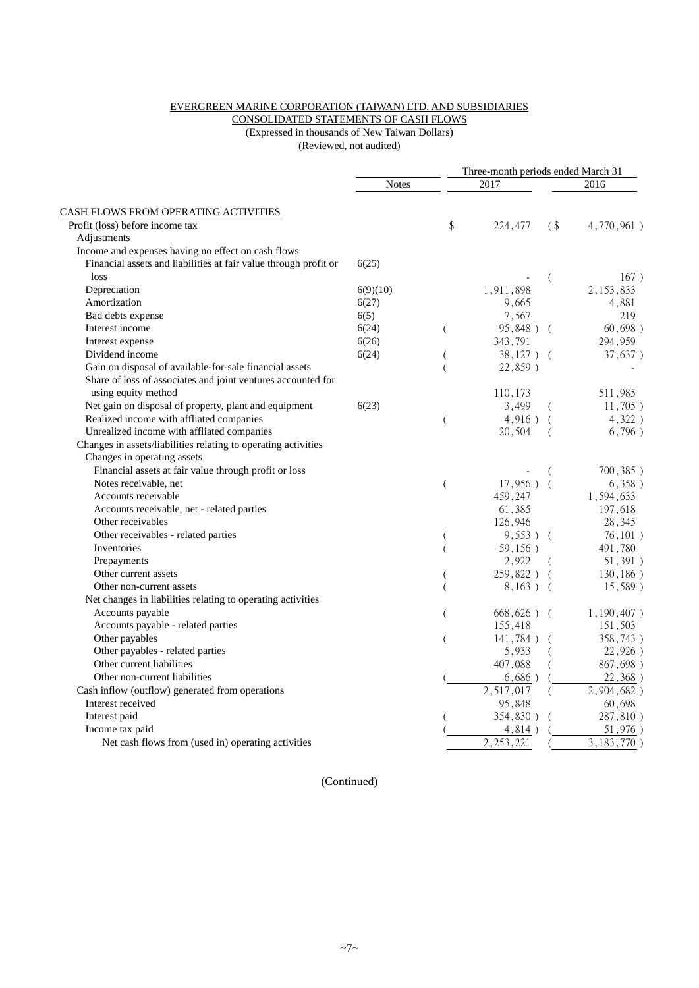#### EVERGREEN MARINE CORPORATION (TAIWAN) LTD. AND SUBSIDIARIES

CONSOLIDATED STATEMENTS OF CASH FLOWS (Expressed in thousands of New Taiwan Dollars)

(Reviewed, not audited)

|                                                                  |              |                  |               | Three-month periods ended March 31 |               |  |  |
|------------------------------------------------------------------|--------------|------------------|---------------|------------------------------------|---------------|--|--|
|                                                                  | <b>Notes</b> |                  | 2017          |                                    | 2016          |  |  |
| CASH FLOWS FROM OPERATING ACTIVITIES                             |              |                  |               |                                    |               |  |  |
| Profit (loss) before income tax                                  |              | \$               | 224,477       | (S <sub>0</sub> )                  | 4,770,961)    |  |  |
| Adjustments                                                      |              |                  |               |                                    |               |  |  |
| Income and expenses having no effect on cash flows               |              |                  |               |                                    |               |  |  |
| Financial assets and liabilities at fair value through profit or | 6(25)        |                  |               |                                    |               |  |  |
| loss                                                             |              |                  |               | (                                  | 167)          |  |  |
| Depreciation                                                     | 6(9)(10)     |                  | 1,911,898     |                                    | 2, 153, 833   |  |  |
| Amortization                                                     | 6(27)        |                  | 9,665         |                                    | 4,881         |  |  |
| Bad debts expense                                                | 6(5)         |                  | 7,567         |                                    | 219           |  |  |
| Interest income                                                  | 6(24)        | $\left($         | 95,848) (     |                                    | 60,698)       |  |  |
| Interest expense                                                 | 6(26)        |                  | 343,791       |                                    | 294,959       |  |  |
| Dividend income                                                  | 6(24)        | (                | $38,127$ ) (  |                                    | 37,637)       |  |  |
| Gain on disposal of available-for-sale financial assets          |              | $\overline{(\ }$ | 22,859)       |                                    |               |  |  |
| Share of loss of associates and joint ventures accounted for     |              |                  |               |                                    |               |  |  |
| using equity method                                              |              |                  | 110,173       |                                    | 511,985       |  |  |
| Net gain on disposal of property, plant and equipment            | 6(23)        |                  | 3,499         |                                    | 11,705)       |  |  |
| Realized income with affliated companies                         |              | (                | 4,916)        | $\left($                           | $4,322$ )     |  |  |
| Unrealized income with affliated companies                       |              |                  | 20,504        | (                                  | 6,796)        |  |  |
| Changes in assets/liabilities relating to operating activities   |              |                  |               |                                    |               |  |  |
| Changes in operating assets                                      |              |                  |               |                                    |               |  |  |
| Financial assets at fair value through profit or loss            |              |                  |               |                                    | 700,385)      |  |  |
| Notes receivable, net                                            |              | $\overline{(\ }$ | $17,956$ ) (  |                                    | 6,358)        |  |  |
| Accounts receivable                                              |              |                  | 459,247       |                                    | 1,594,633     |  |  |
| Accounts receivable, net - related parties                       |              |                  | 61,385        |                                    | 197,618       |  |  |
| Other receivables                                                |              |                  | 126,946       |                                    | 28,345        |  |  |
| Other receivables - related parties                              |              | (                | $9,553$ ) (   |                                    | 76, 101)      |  |  |
| Inventories                                                      |              | $\overline{(\ }$ | 59,156)       |                                    | 491,780       |  |  |
| Prepayments                                                      |              |                  | 2,922         |                                    | 51,391)       |  |  |
| Other current assets                                             |              | (                | 259,822) (    |                                    | 130, 186)     |  |  |
| Other non-current assets                                         |              | $\overline{(\ }$ | $8,163$ ) (   |                                    | 15,589)       |  |  |
| Net changes in liabilities relating to operating activities      |              |                  |               |                                    |               |  |  |
| Accounts payable                                                 |              | $\left($         | $668,626$ ) ( |                                    | $1,190,407$ ) |  |  |
| Accounts payable - related parties                               |              |                  | 155,418       |                                    | 151,503       |  |  |
| Other payables                                                   |              | $\overline{(\ }$ | $141,784$ )   |                                    | 358,743)      |  |  |
| Other payables - related parties                                 |              |                  | 5,933         |                                    | 22,926)       |  |  |
| Other current liabilities                                        |              |                  | 407,088       |                                    | 867,698)      |  |  |
| Other non-current liabilities                                    |              |                  | $6,686$ )     |                                    | 22,368)       |  |  |
| Cash inflow (outflow) generated from operations                  |              |                  | 2,517,017     | (                                  | 2,904,682)    |  |  |
| Interest received                                                |              |                  | 95,848        |                                    | 60,698        |  |  |
| Interest paid                                                    |              |                  | 354,830)      |                                    | 287,810)      |  |  |
| Income tax paid                                                  |              |                  | 4,814)        |                                    | 51,976)       |  |  |
| Net cash flows from (used in) operating activities               |              |                  | 2, 253, 221   |                                    | 3,183,770)    |  |  |

(Continued)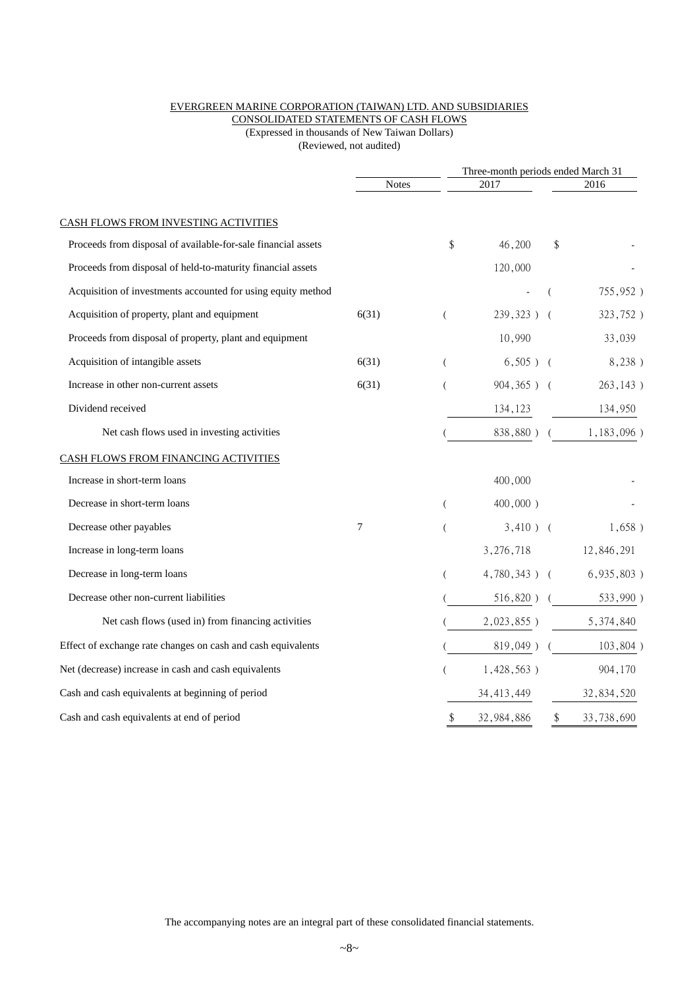#### EVERGREEN MARINE CORPORATION (TAIWAN) LTD. AND SUBSIDIARIES

CONSOLIDATED STATEMENTS OF CASH FLOWS

(Expressed in thousands of New Taiwan Dollars) (Reviewed, not audited)

|                                                               |              |          |                 | Three-month periods ended March 31 |               |  |
|---------------------------------------------------------------|--------------|----------|-----------------|------------------------------------|---------------|--|
|                                                               | <b>Notes</b> |          | 2017            |                                    | 2016          |  |
| CASH FLOWS FROM INVESTING ACTIVITIES                          |              |          |                 |                                    |               |  |
| Proceeds from disposal of available-for-sale financial assets |              | \$       | 46,200          | \$                                 |               |  |
| Proceeds from disposal of held-to-maturity financial assets   |              |          | 120,000         |                                    |               |  |
| Acquisition of investments accounted for using equity method  |              |          |                 |                                    | 755,952)      |  |
| Acquisition of property, plant and equipment                  | 6(31)        | $\left($ | 239,323) (      |                                    | 323,752)      |  |
| Proceeds from disposal of property, plant and equipment       |              |          | 10,990          |                                    | 33,039        |  |
| Acquisition of intangible assets                              | 6(31)        | - (      | $6,505$ ) (     |                                    | 8,238)        |  |
| Increase in other non-current assets                          | 6(31)        |          | 904,365) (      |                                    | 263,143)      |  |
| Dividend received                                             |              |          | 134,123         |                                    | 134,950       |  |
| Net cash flows used in investing activities                   |              |          | 838,880)        |                                    | $1,183,096$ ) |  |
| CASH FLOWS FROM FINANCING ACTIVITIES                          |              |          |                 |                                    |               |  |
| Increase in short-term loans                                  |              |          | 400,000         |                                    |               |  |
| Decrease in short-term loans                                  |              | $\left($ | $400,000$ )     |                                    |               |  |
| Decrease other payables                                       | 7            | $\left($ | $3,410$ ) (     |                                    | $1,658$ )     |  |
| Increase in long-term loans                                   |              |          | 3,276,718       |                                    | 12,846,291    |  |
| Decrease in long-term loans                                   |              | (        | $4,780,343$ ) ( |                                    | 6,935,803)    |  |
| Decrease other non-current liabilities                        |              |          | $516,820$ ) (   |                                    | 533,990)      |  |
| Net cash flows (used in) from financing activities            |              |          | $2,023,855$ )   |                                    | 5,374,840     |  |
| Effect of exchange rate changes on cash and cash equivalents  |              |          | $819,049$ ) (   |                                    | 103,804)      |  |
| Net (decrease) increase in cash and cash equivalents          |              |          | $1,428,563$ )   |                                    | 904,170       |  |
| Cash and cash equivalents at beginning of period              |              |          | 34, 413, 449    |                                    | 32,834,520    |  |
| Cash and cash equivalents at end of period                    |              | \$       | 32,984,886      | $\frac{1}{2}$                      | 33,738,690    |  |
|                                                               |              |          |                 |                                    |               |  |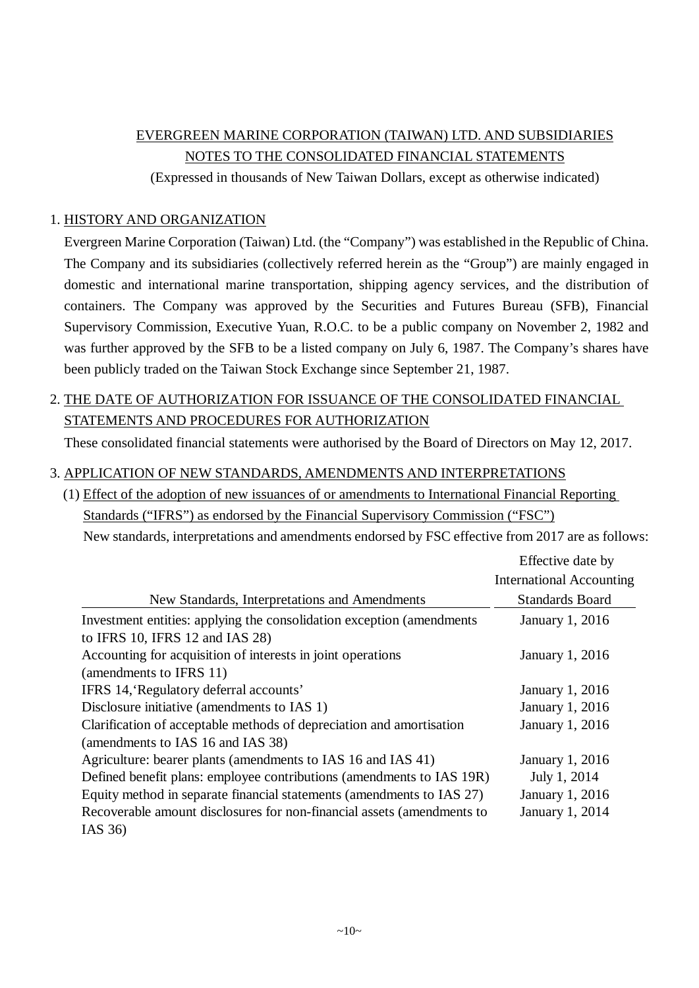# EVERGREEN MARINE CORPORATION (TAIWAN) LTD. AND SUBSIDIARIES NOTES TO THE CONSOLIDATED FINANCIAL STATEMENTS

(Expressed in thousands of New Taiwan Dollars, except as otherwise indicated)

#### 1. HISTORY AND ORGANIZATION

Evergreen Marine Corporation (Taiwan) Ltd. (the "Company") was established in the Republic of China. The Company and its subsidiaries (collectively referred herein as the "Group") are mainly engaged in domestic and international marine transportation, shipping agency services, and the distribution of containers. The Company was approved by the Securities and Futures Bureau (SFB), Financial Supervisory Commission, Executive Yuan, R.O.C. to be a public company on November 2, 1982 and was further approved by the SFB to be a listed company on July 6, 1987. The Company's shares have been publicly traded on the Taiwan Stock Exchange since September 21, 1987.

## 2. THE DATE OF AUTHORIZATION FOR ISSUANCE OF THE CONSOLIDATED FINANCIAL STATEMENTS AND PROCEDURES FOR AUTHORIZATION

These consolidated financial statements were authorised by the Board of Directors on May 12, 2017.

#### 3. APPLICATION OF NEW STANDARDS, AMENDMENTS AND INTERPRETATIONS

(1) Effect of the adoption of new issuances of or amendments to International Financial Reporting Standards ("IFRS") as endorsed by the Financial Supervisory Commission ("FSC") New standards, interpretations and amendments endorsed by FSC effective from 2017 are as follows:

|                                                                        | Effective date by               |
|------------------------------------------------------------------------|---------------------------------|
|                                                                        | <b>International Accounting</b> |
| New Standards, Interpretations and Amendments                          | <b>Standards Board</b>          |
| Investment entities: applying the consolidation exception (amendments  | January 1, 2016                 |
| to IFRS 10, IFRS 12 and IAS 28)                                        |                                 |
| Accounting for acquisition of interests in joint operations            | January 1, 2016                 |
| (amendments to IFRS 11)                                                |                                 |
| IFRS 14, Regulatory deferral accounts'                                 | January 1, 2016                 |
| Disclosure initiative (amendments to IAS 1)                            | January 1, 2016                 |
| Clarification of acceptable methods of depreciation and amortisation   | January 1, 2016                 |
| (amendments to IAS 16 and IAS 38)                                      |                                 |
| Agriculture: bearer plants (amendments to IAS 16 and IAS 41)           | January 1, 2016                 |
| Defined benefit plans: employee contributions (amendments to IAS 19R)  | July 1, 2014                    |
| Equity method in separate financial statements (amendments to IAS 27)  | January 1, 2016                 |
| Recoverable amount disclosures for non-financial assets (amendments to | January 1, 2014                 |
| IAS $36$                                                               |                                 |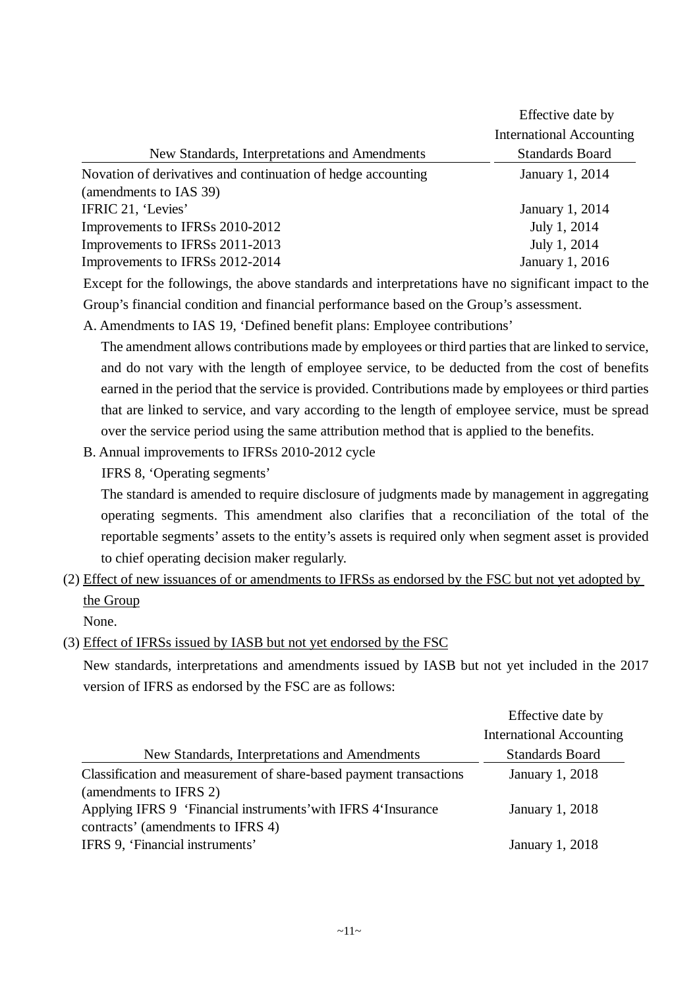|                                                              | Effective date by<br><b>International Accounting</b> |
|--------------------------------------------------------------|------------------------------------------------------|
| New Standards, Interpretations and Amendments                | <b>Standards Board</b>                               |
| Novation of derivatives and continuation of hedge accounting | January 1, 2014                                      |
| (amendments to IAS 39)                                       |                                                      |
| IFRIC 21, 'Levies'                                           | January 1, 2014                                      |
| Improvements to IFRSs 2010-2012                              | July 1, 2014                                         |
| Improvements to IFRSs 2011-2013                              | July 1, 2014                                         |
| Improvements to IFRSs 2012-2014                              | January 1, 2016                                      |

Except for the followings, the above standards and interpretations have no significant impact to the Group's financial condition and financial performance based on the Group's assessment.

A. Amendments to IAS 19, 'Defined benefit plans: Employee contributions'

The amendment allows contributions made by employees or third parties that are linked to service, and do not vary with the length of employee service, to be deducted from the cost of benefits earned in the period that the service is provided. Contributions made by employees or third parties that are linked to service, and vary according to the length of employee service, must be spread over the service period using the same attribution method that is applied to the benefits.

B. Annual improvements to IFRSs 2010-2012 cycle

IFRS 8, 'Operating segments'

The standard is amended to require disclosure of judgments made by management in aggregating operating segments. This amendment also clarifies that a reconciliation of the total of the reportable segments' assets to the entity's assets is required only when segment asset is provided to chief operating decision maker regularly.

# (2) Effect of new issuances of or amendments to IFRSs as endorsed by the FSC but not yet adopted by the Group

None.

#### (3) Effect of IFRSs issued by IASB but not yet endorsed by the FSC

New standards, interpretations and amendments issued by IASB but not yet included in the 2017 version of IFRS as endorsed by the FSC are as follows:

|                                                                    | Effective date by               |
|--------------------------------------------------------------------|---------------------------------|
|                                                                    | <b>International Accounting</b> |
| New Standards, Interpretations and Amendments                      | <b>Standards Board</b>          |
| Classification and measurement of share-based payment transactions | January 1, 2018                 |
| (amendments to IFRS 2)                                             |                                 |
| Applying IFRS 9 'Financial instruments' with IFRS 4'Insurance      | January 1, 2018                 |
| contracts' (amendments to IFRS 4)                                  |                                 |
| IFRS 9, 'Financial instruments'                                    | <b>January 1, 2018</b>          |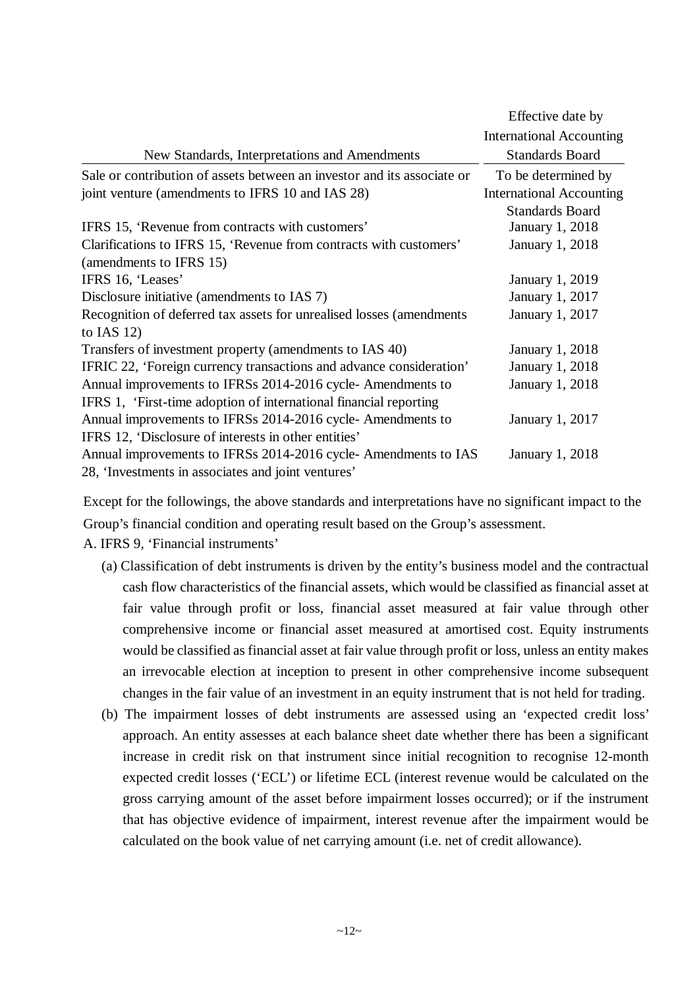|                                                                         | Effective date by               |
|-------------------------------------------------------------------------|---------------------------------|
|                                                                         | <b>International Accounting</b> |
| New Standards, Interpretations and Amendments                           | <b>Standards Board</b>          |
| Sale or contribution of assets between an investor and its associate or | To be determined by             |
| joint venture (amendments to IFRS 10 and IAS 28)                        | <b>International Accounting</b> |
|                                                                         | <b>Standards Board</b>          |
| IFRS 15, 'Revenue from contracts with customers'                        | <b>January 1, 2018</b>          |
| Clarifications to IFRS 15, 'Revenue from contracts with customers'      | January 1, 2018                 |
| (amendments to IFRS 15)                                                 |                                 |
| IFRS 16, 'Leases'                                                       | <b>January 1, 2019</b>          |
| Disclosure initiative (amendments to IAS 7)                             | January 1, 2017                 |
| Recognition of deferred tax assets for unrealised losses (amendments    | January 1, 2017                 |
| to IAS $12$ )                                                           |                                 |
| Transfers of investment property (amendments to IAS 40)                 | <b>January 1, 2018</b>          |
| IFRIC 22, 'Foreign currency transactions and advance consideration'     | <b>January 1, 2018</b>          |
| Annual improvements to IFRSs 2014-2016 cycle- Amendments to             | January 1, 2018                 |
| IFRS 1, 'First-time adoption of international financial reporting       |                                 |
| Annual improvements to IFRSs 2014-2016 cycle- Amendments to             | January 1, 2017                 |
| IFRS 12, 'Disclosure of interests in other entities'                    |                                 |
| Annual improvements to IFRSs 2014-2016 cycle- Amendments to IAS         | January 1, 2018                 |
| 28, 'Investments in associates and joint ventures'                      |                                 |

Except for the followings, the above standards and interpretations have no significant impact to the Group's financial condition and operating result based on the Group's assessment. A. IFRS 9, 'Financial instruments'

- (a) Classification of debt instruments is driven by the entity's business model and the contractual cash flow characteristics of the financial assets, which would be classified as financial asset at fair value through profit or loss, financial asset measured at fair value through other comprehensive income or financial asset measured at amortised cost. Equity instruments would be classified as financial asset at fair value through profit or loss, unless an entity makes an irrevocable election at inception to present in other comprehensive income subsequent
	- (b) The impairment losses of debt instruments are assessed using an 'expected credit loss' approach. An entity assesses at each balance sheet date whether there has been a significant increase in credit risk on that instrument since initial recognition to recognise 12-month expected credit losses ('ECL') or lifetime ECL (interest revenue would be calculated on the gross carrying amount of the asset before impairment losses occurred); or if the instrument that has objective evidence of impairment, interest revenue after the impairment would be calculated on the book value of net carrying amount (i.e. net of credit allowance).

changes in the fair value of an investment in an equity instrument that is not held for trading.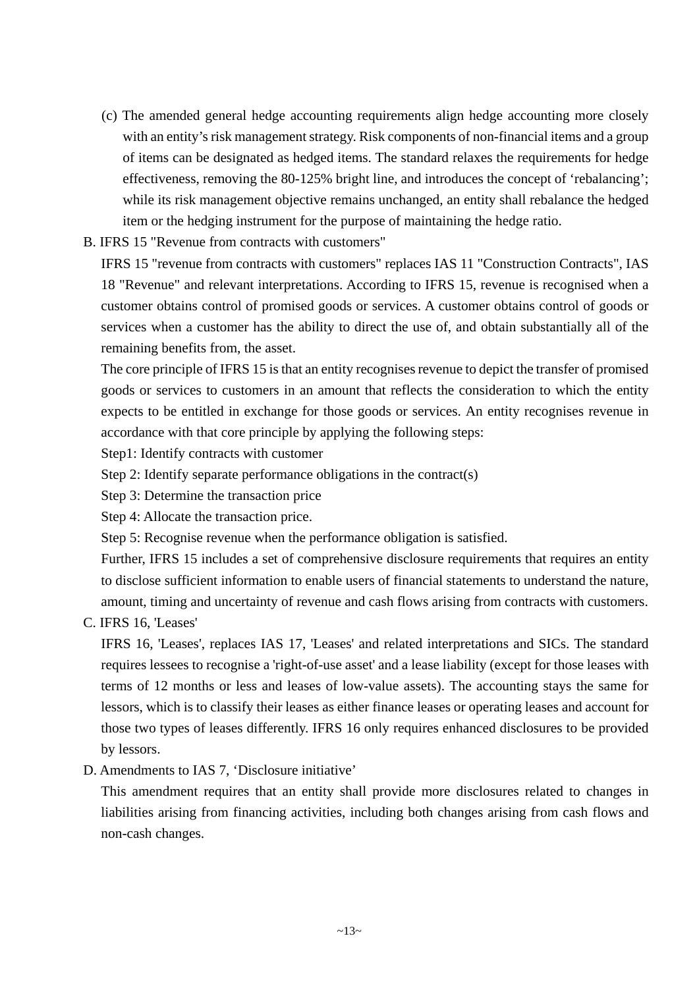- (c) The amended general hedge accounting requirements align hedge accounting more closely with an entity's risk management strategy. Risk components of non-financial items and a group of items can be designated as hedged items. The standard relaxes the requirements for hedge effectiveness, removing the 80-125% bright line, and introduces the concept of 'rebalancing'; while its risk management objective remains unchanged, an entity shall rebalance the hedged item or the hedging instrument for the purpose of maintaining the hedge ratio.
- B. IFRS 15 "Revenue from contracts with customers"

IFRS 15 "revenue from contracts with customers" replaces IAS 11 "Construction Contracts", IAS 18 "Revenue" and relevant interpretations. According to IFRS 15, revenue is recognised when a customer obtains control of promised goods or services. A customer obtains control of goods or services when a customer has the ability to direct the use of, and obtain substantially all of the remaining benefits from, the asset.

The core principle of IFRS 15 is that an entity recognises revenue to depict the transfer of promised goods or services to customers in an amount that reflects the consideration to which the entity expects to be entitled in exchange for those goods or services. An entity recognises revenue in accordance with that core principle by applying the following steps:

- Step1: Identify contracts with customer
- Step 2: Identify separate performance obligations in the contract(s)
- Step 3: Determine the transaction price
- Step 4: Allocate the transaction price.
- Step 5: Recognise revenue when the performance obligation is satisfied.

Further, IFRS 15 includes a set of comprehensive disclosure requirements that requires an entity to disclose sufficient information to enable users of financial statements to understand the nature, amount, timing and uncertainty of revenue and cash flows arising from contracts with customers.

C. IFRS 16, 'Leases'

IFRS 16, 'Leases', replaces IAS 17, 'Leases' and related interpretations and SICs. The standard requires lessees to recognise a 'right-of-use asset' and a lease liability (except for those leases with terms of 12 months or less and leases of low-value assets). The accounting stays the same for lessors, which is to classify their leases as either finance leases or operating leases and account for those two types of leases differently. IFRS 16 only requires enhanced disclosures to be provided by lessors.

D. Amendments to IAS 7, 'Disclosure initiative'

This amendment requires that an entity shall provide more disclosures related to changes in liabilities arising from financing activities, including both changes arising from cash flows and non-cash changes.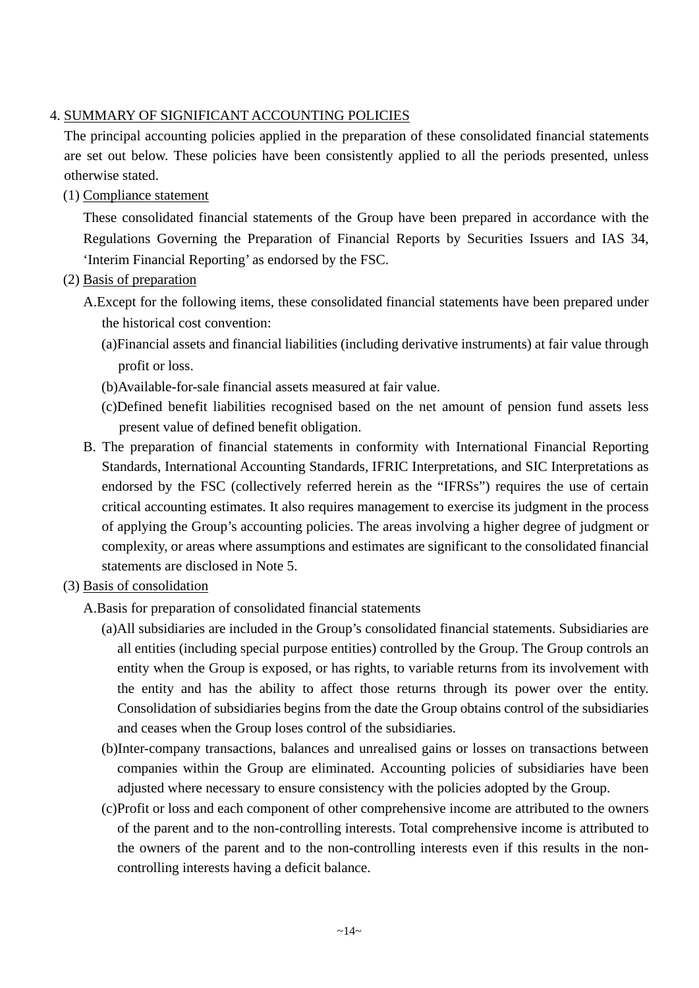#### 4. SUMMARY OF SIGNIFICANT ACCOUNTING POLICIES

The principal accounting policies applied in the preparation of these consolidated financial statements are set out below. These policies have been consistently applied to all the periods presented, unless otherwise stated.

(1) Compliance statement

These consolidated financial statements of the Group have been prepared in accordance with the Regulations Governing the Preparation of Financial Reports by Securities Issuers and IAS 34, 'Interim Financial Reporting' as endorsed by the FSC.

- (2) Basis of preparation
	- A.Except for the following items, these consolidated financial statements have been prepared under the historical cost convention:
		- (a)Financial assets and financial liabilities (including derivative instruments) at fair value through profit or loss.
		- (b)Available-for-sale financial assets measured at fair value.
		- (c)Defined benefit liabilities recognised based on the net amount of pension fund assets less present value of defined benefit obligation.
	- B. The preparation of financial statements in conformity with International Financial Reporting Standards, International Accounting Standards, IFRIC Interpretations, and SIC Interpretations as endorsed by the FSC (collectively referred herein as the "IFRSs") requires the use of certain critical accounting estimates. It also requires management to exercise its judgment in the process of applying the Group's accounting policies. The areas involving a higher degree of judgment or complexity, or areas where assumptions and estimates are significant to the consolidated financial statements are disclosed in Note 5.
- (3) Basis of consolidation
	- A.Basis for preparation of consolidated financial statements
		- (a)All subsidiaries are included in the Group's consolidated financial statements. Subsidiaries are all entities (including special purpose entities) controlled by the Group. The Group controls an entity when the Group is exposed, or has rights, to variable returns from its involvement with the entity and has the ability to affect those returns through its power over the entity. Consolidation of subsidiaries begins from the date the Group obtains control of the subsidiaries and ceases when the Group loses control of the subsidiaries.
		- (b)Inter-company transactions, balances and unrealised gains or losses on transactions between companies within the Group are eliminated. Accounting policies of subsidiaries have been adjusted where necessary to ensure consistency with the policies adopted by the Group.
		- (c)Profit or loss and each component of other comprehensive income are attributed to the owners of the parent and to the non-controlling interests. Total comprehensive income is attributed to the owners of the parent and to the non-controlling interests even if this results in the noncontrolling interests having a deficit balance.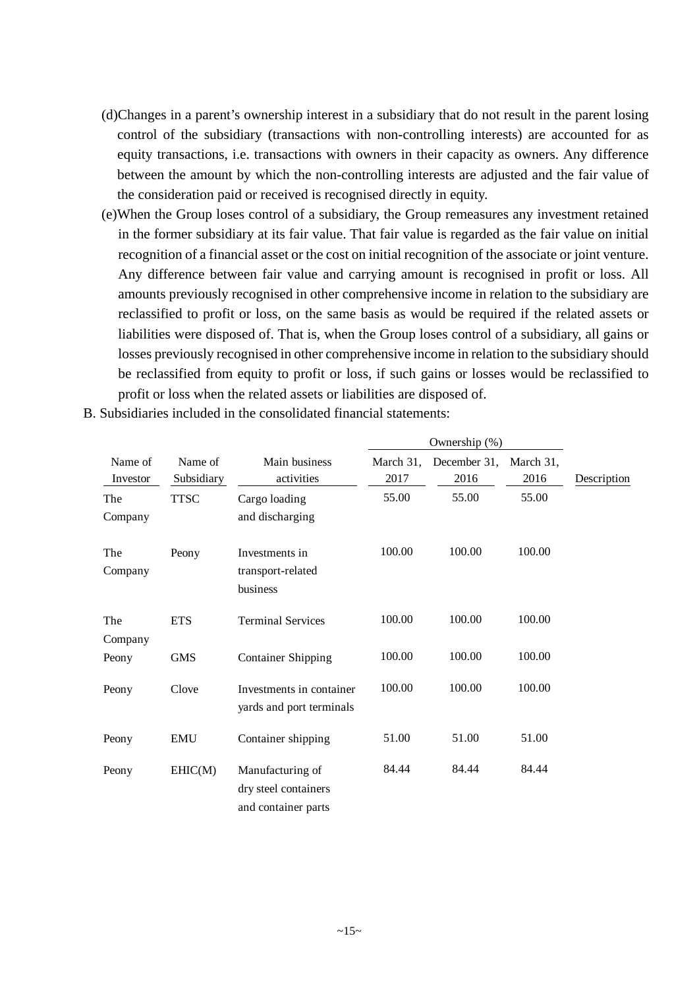- (d)Changes in a parent's ownership interest in a subsidiary that do not result in the parent losing control of the subsidiary (transactions with non-controlling interests) are accounted for as equity transactions, i.e. transactions with owners in their capacity as owners. Any difference between the amount by which the non-controlling interests are adjusted and the fair value of the consideration paid or received is recognised directly in equity.
- (e)When the Group loses control of a subsidiary, the Group remeasures any investment retained in the former subsidiary at its fair value. That fair value is regarded as the fair value on initial recognition of a financial asset or the cost on initial recognition of the associate or joint venture. Any difference between fair value and carrying amount is recognised in profit or loss. All amounts previously recognised in other comprehensive income in relation to the subsidiary are reclassified to profit or loss, on the same basis as would be required if the related assets or liabilities were disposed of. That is, when the Group loses control of a subsidiary, all gains or losses previously recognised in other comprehensive income in relation to the subsidiary should be reclassified from equity to profit or loss, if such gains or losses would be reclassified to profit or loss when the related assets or liabilities are disposed of.

|                     |                       |                                                                 |                   | Ownership (%)        |                   |             |
|---------------------|-----------------------|-----------------------------------------------------------------|-------------------|----------------------|-------------------|-------------|
| Name of<br>Investor | Name of<br>Subsidiary | Main business<br>activities                                     | March 31,<br>2017 | December 31,<br>2016 | March 31,<br>2016 | Description |
| The<br>Company      | <b>TTSC</b>           | Cargo loading<br>and discharging                                | 55.00             | 55.00                | 55.00             |             |
| The<br>Company      | Peony                 | Investments in<br>transport-related<br>business                 | 100.00            | 100.00               | 100.00            |             |
| The<br>Company      | <b>ETS</b>            | <b>Terminal Services</b>                                        | 100.00            | 100.00               | 100.00            |             |
| Peony               | <b>GMS</b>            | <b>Container Shipping</b>                                       | 100.00            | 100.00               | 100.00            |             |
| Peony               | Clove                 | Investments in container<br>yards and port terminals            | 100.00            | 100.00               | 100.00            |             |
| Peony               | <b>EMU</b>            | Container shipping                                              | 51.00             | 51.00                | 51.00             |             |
| Peony               | EHIC(M)               | Manufacturing of<br>dry steel containers<br>and container parts | 84.44             | 84.44                | 84.44             |             |

B. Subsidiaries included in the consolidated financial statements: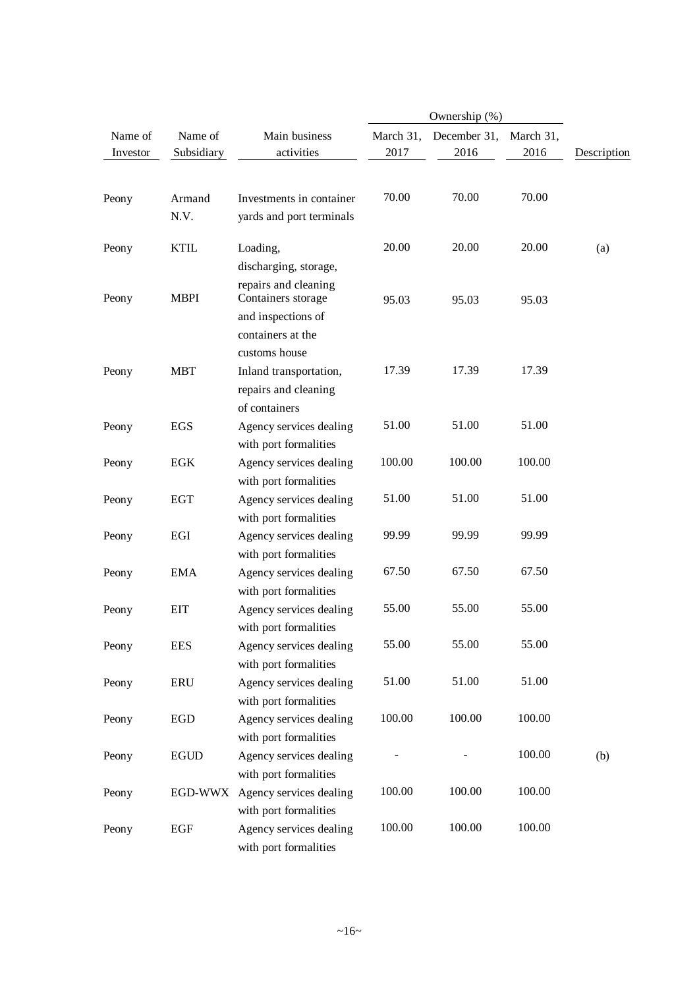|                     |                       |                                                                                                        |                   | Ownership (%)        |                   |             |
|---------------------|-----------------------|--------------------------------------------------------------------------------------------------------|-------------------|----------------------|-------------------|-------------|
| Name of<br>Investor | Name of<br>Subsidiary | Main business<br>activities                                                                            | March 31,<br>2017 | December 31,<br>2016 | March 31,<br>2016 | Description |
| Peony               | Armand<br>N.V.        | Investments in container<br>yards and port terminals                                                   | 70.00             | 70.00                | 70.00             |             |
| Peony               | <b>KTIL</b>           | Loading,<br>discharging, storage,                                                                      | 20.00             | 20.00                | 20.00             | (a)         |
| Peony               | <b>MBPI</b>           | repairs and cleaning<br>Containers storage<br>and inspections of<br>containers at the<br>customs house | 95.03             | 95.03                | 95.03             |             |
| Peony               | <b>MBT</b>            | Inland transportation,<br>repairs and cleaning<br>of containers                                        | 17.39             | 17.39                | 17.39             |             |
| Peony               | EGS                   | Agency services dealing<br>with port formalities                                                       | 51.00             | 51.00                | 51.00             |             |
| Peony               | <b>EGK</b>            | Agency services dealing<br>with port formalities                                                       | 100.00            | 100.00               | 100.00            |             |
| Peony               | <b>EGT</b>            | Agency services dealing<br>with port formalities                                                       | 51.00             | 51.00                | 51.00             |             |
| Peony               | EGI                   | Agency services dealing<br>with port formalities                                                       | 99.99             | 99.99                | 99.99             |             |
| Peony               | <b>EMA</b>            | Agency services dealing<br>with port formalities                                                       | 67.50             | 67.50                | 67.50             |             |
| Peony               | <b>EIT</b>            | Agency services dealing<br>with port formalities                                                       | 55.00             | 55.00                | 55.00             |             |
| Peony               | <b>EES</b>            | Agency services dealing<br>with port formalities                                                       | 55.00             | 55.00                | 55.00             |             |
| Peony               | <b>ERU</b>            | Agency services dealing<br>with port formalities                                                       | 51.00             | 51.00                | 51.00             |             |
| Peony               | <b>EGD</b>            | Agency services dealing<br>with port formalities                                                       | 100.00            | 100.00               | 100.00            |             |
| Peony               | <b>EGUD</b>           | Agency services dealing<br>with port formalities                                                       |                   |                      | 100.00            | (b)         |
| Peony               | EGD-WWX               | Agency services dealing<br>with port formalities                                                       | 100.00            | 100.00               | 100.00            |             |
| Peony               | EGF                   | Agency services dealing<br>with port formalities                                                       | 100.00            | 100.00               | 100.00            |             |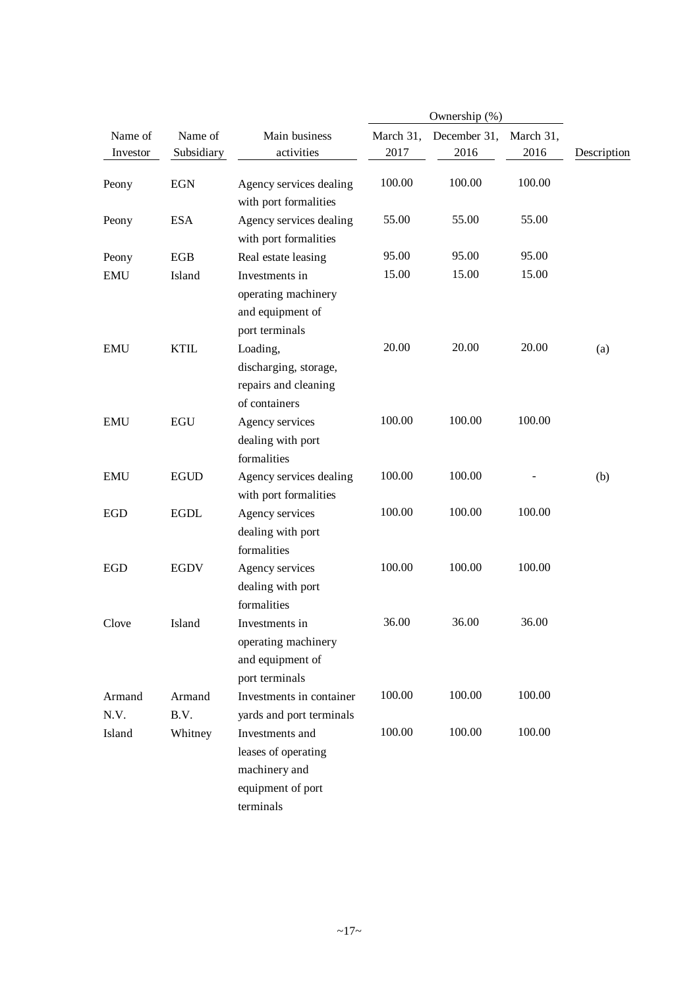|                     |                       |                                                                                           |                   | Ownership (%)        |                   |             |
|---------------------|-----------------------|-------------------------------------------------------------------------------------------|-------------------|----------------------|-------------------|-------------|
| Name of<br>Investor | Name of<br>Subsidiary | Main business<br>activities                                                               | March 31,<br>2017 | December 31,<br>2016 | March 31,<br>2016 | Description |
| Peony               | <b>EGN</b>            | Agency services dealing<br>with port formalities                                          | 100.00            | 100.00               | 100.00            |             |
| Peony               | <b>ESA</b>            | Agency services dealing<br>with port formalities                                          | 55.00             | 55.00                | 55.00             |             |
| Peony               | <b>EGB</b>            | Real estate leasing                                                                       | 95.00             | 95.00                | 95.00             |             |
| <b>EMU</b>          | Island                | Investments in<br>operating machinery<br>and equipment of<br>port terminals               | 15.00             | 15.00                | 15.00             |             |
| <b>EMU</b>          | <b>KTIL</b>           | Loading,<br>discharging, storage,<br>repairs and cleaning<br>of containers                | 20.00             | 20.00                | 20.00             | (a)         |
| <b>EMU</b>          | <b>EGU</b>            | Agency services<br>dealing with port<br>formalities                                       | 100.00            | 100.00               | 100.00            |             |
| <b>EMU</b>          | <b>EGUD</b>           | Agency services dealing<br>with port formalities                                          | 100.00            | 100.00               |                   | (b)         |
| <b>EGD</b>          | <b>EGDL</b>           | Agency services<br>dealing with port<br>formalities                                       | 100.00            | 100.00               | 100.00            |             |
| <b>EGD</b>          | <b>EGDV</b>           | Agency services<br>dealing with port<br>formalities                                       | 100.00            | 100.00               | 100.00            |             |
| Clove               | Island                | Investments in<br>operating machinery<br>and equipment of<br>port terminals               | 36.00             | 36.00                | 36.00             |             |
| Armand<br>N.V.      | Armand<br>B.V.        | Investments in container<br>yards and port terminals                                      | 100.00            | 100.00               | 100.00            |             |
| Island              | Whitney               | Investments and<br>leases of operating<br>machinery and<br>equipment of port<br>terminals | 100.00            | 100.00               | 100.00            |             |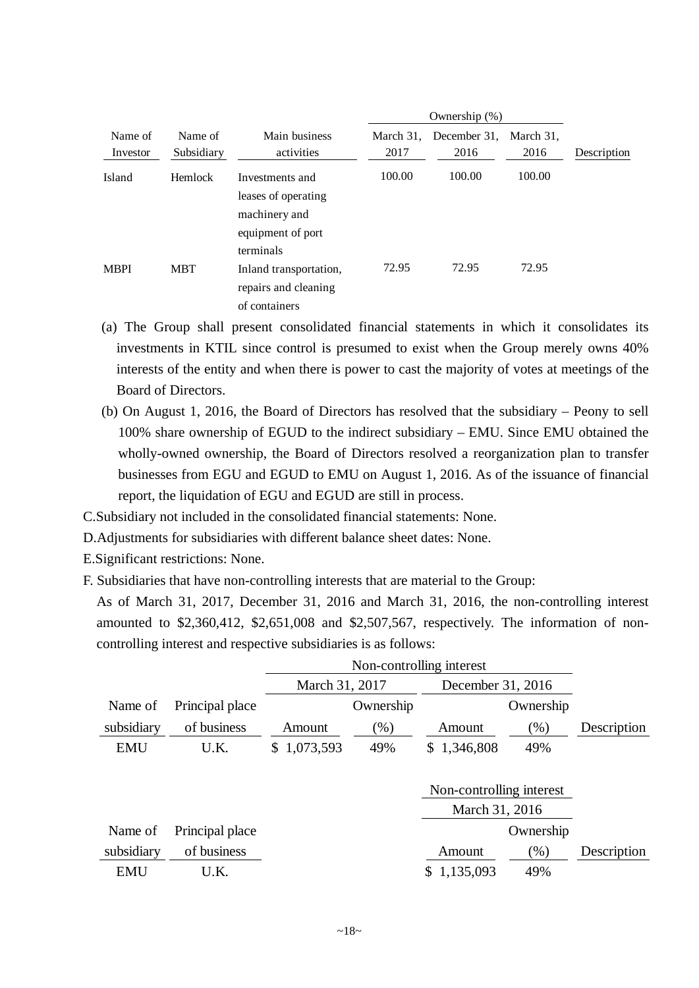|                     |                       |                                                                                           |                   | Ownership $(\%)$     |                   |             |
|---------------------|-----------------------|-------------------------------------------------------------------------------------------|-------------------|----------------------|-------------------|-------------|
| Name of<br>Investor | Name of<br>Subsidiary | Main business<br>activities                                                               | March 31.<br>2017 | December 31,<br>2016 | March 31,<br>2016 | Description |
| Island              | Hemlock               | Investments and<br>leases of operating<br>machinery and<br>equipment of port<br>terminals | 100.00            | 100.00               | 100.00            |             |
| <b>MBPI</b>         | <b>MBT</b>            | Inland transportation,<br>repairs and cleaning<br>of containers                           | 72.95             | 72.95                | 72.95             |             |

- (a) The Group shall present consolidated financial statements in which it consolidates its investments in KTIL since control is presumed to exist when the Group merely owns 40% interests of the entity and when there is power to cast the majority of votes at meetings of the Board of Directors.
- (b) On August 1, 2016, the Board of Directors has resolved that the subsidiary Peony to sell 100% share ownership of EGUD to the indirect subsidiary – EMU. Since EMU obtained the wholly-owned ownership, the Board of Directors resolved a reorganization plan to transfer businesses from EGU and EGUD to EMU on August 1, 2016. As of the issuance of financial report, the liquidation of EGU and EGUD are still in process.
- C.Subsidiary not included in the consolidated financial statements: None.
- D.Adjustments for subsidiaries with different balance sheet dates: None.
- E.Significant restrictions: None.
- F. Subsidiaries that have non-controlling interests that are material to the Group:

As of March 31, 2017, December 31, 2016 and March 31, 2016, the non-controlling interest amounted to \$2,360,412, \$2,651,008 and \$2,507,567, respectively. The information of noncontrolling interest and respective subsidiaries is as follows:

|            |                 | March 31, 2017  |           | December 31, 2016        |           |             |
|------------|-----------------|-----------------|-----------|--------------------------|-----------|-------------|
| Name of    | Principal place |                 | Ownership |                          | Ownership |             |
| subsidiary | of business     | Amount          | $(\% )$   | Amount                   | $(\%)$    | Description |
| <b>EMU</b> | U.K.            | 1,073,593<br>S. | 49%       | \$1,346,808              | 49%       |             |
|            |                 |                 |           |                          |           |             |
|            |                 |                 |           | Non-controlling interest |           |             |
|            |                 |                 |           | March 31, 2016           |           |             |
| Name of    | Principal place |                 |           |                          | Ownership |             |
| subsidiary | of business     |                 |           | Amount                   | $(\%)$    | Description |
| <b>EMU</b> | U.K.            |                 |           | 1,135,093                | 49%       |             |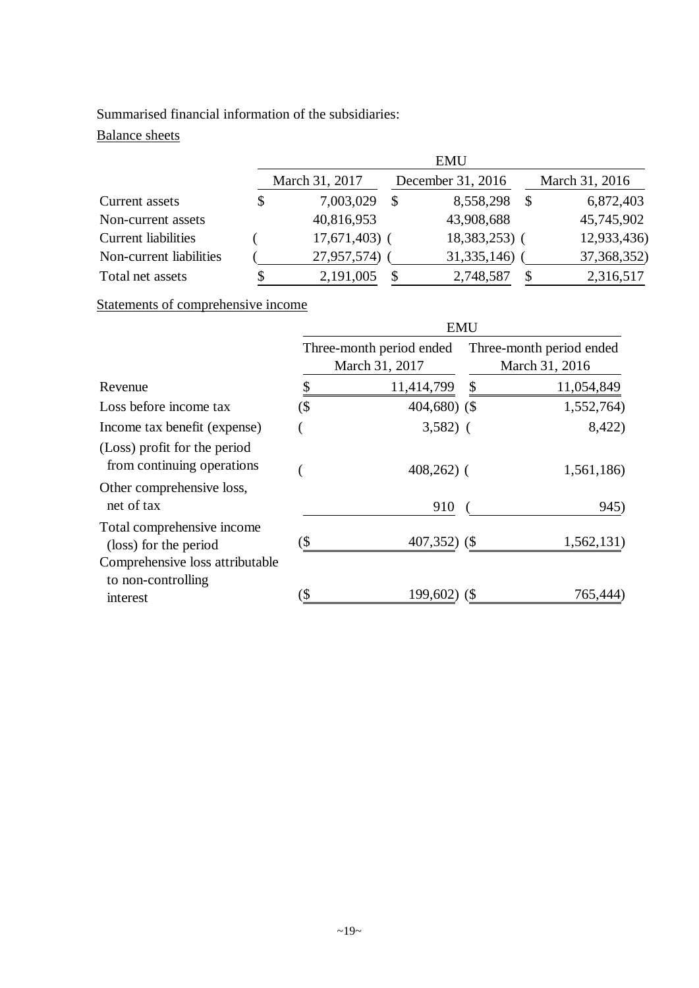## Summarised financial information of the subsidiaries:

## Balance sheets

|                            |                | <b>EMU</b>     |                   |                |   |                |  |  |  |
|----------------------------|----------------|----------------|-------------------|----------------|---|----------------|--|--|--|
|                            | March 31, 2017 |                | December 31, 2016 |                |   | March 31, 2016 |  |  |  |
| Current assets             | \$             | 7,003,029      | \$                | 8,558,298      |   | 6,872,403      |  |  |  |
| Non-current assets         |                | 40,816,953     |                   | 43,908,688     |   | 45,745,902     |  |  |  |
| <b>Current liabilities</b> |                | $17,671,403$ ( |                   | $18,383,253$ ( |   | 12,933,436)    |  |  |  |
| Non-current liabilities    |                | 27,957,574)    |                   | 31, 335, 146)  |   | 37, 368, 352)  |  |  |  |
| Total net assets           |                | 2,191,005      | \$                | 2,748,587      | S | 2,316,517      |  |  |  |

Statements of comprehensive income

|                                                                   | <b>EMU</b>                                 |                 |    |                                            |  |  |  |
|-------------------------------------------------------------------|--------------------------------------------|-----------------|----|--------------------------------------------|--|--|--|
|                                                                   | Three-month period ended<br>March 31, 2017 |                 |    | Three-month period ended<br>March 31, 2016 |  |  |  |
| Revenue                                                           | \$                                         | 11,414,799      | \$ | 11,054,849                                 |  |  |  |
| Loss before income tax                                            | (\$                                        | 404,680) (\$    |    | 1,552,764)                                 |  |  |  |
| Income tax benefit (expense)                                      |                                            | $3,582)$ (      |    | 8,422)                                     |  |  |  |
| (Loss) profit for the period<br>from continuing operations        |                                            | $408,262$ ) (   |    | 1,561,186)                                 |  |  |  |
| Other comprehensive loss,<br>net of tax                           |                                            | 910             |    | 945)                                       |  |  |  |
| Total comprehensive income<br>(loss) for the period               | (\$                                        | $407,352$ ) (\$ |    | 1,562,131)                                 |  |  |  |
| Comprehensive loss attributable<br>to non-controlling<br>interest |                                            | 199,602)        |    | 765,444                                    |  |  |  |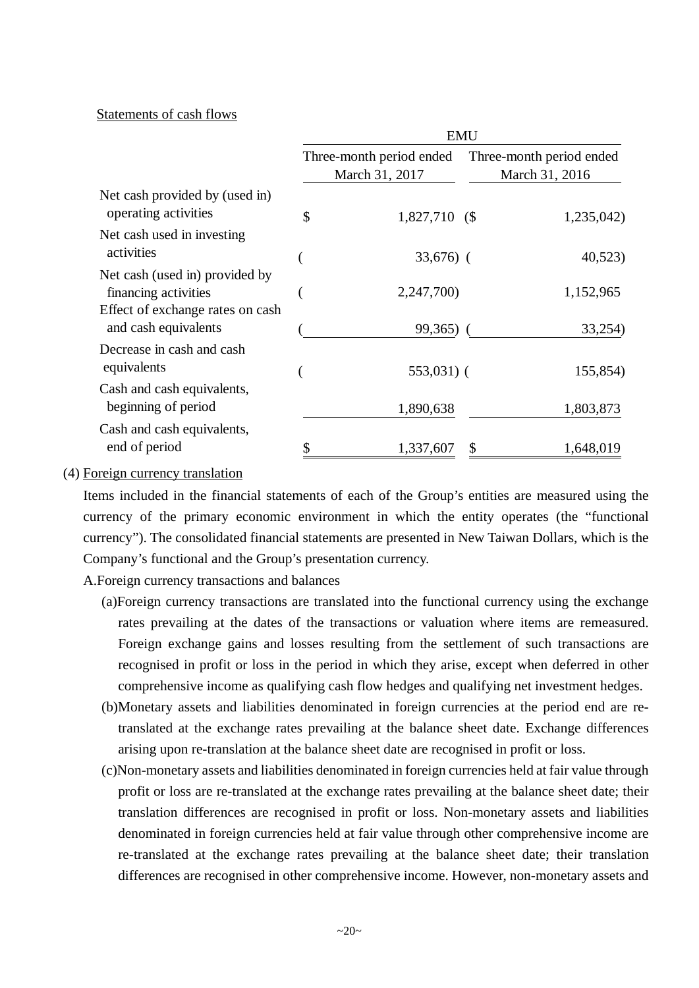#### Statements of cash flows

|                                                          | <b>EMU</b>               |                |                |                          |  |  |
|----------------------------------------------------------|--------------------------|----------------|----------------|--------------------------|--|--|
|                                                          | Three-month period ended |                |                | Three-month period ended |  |  |
|                                                          |                          | March 31, 2017 | March 31, 2016 |                          |  |  |
| Net cash provided by (used in)<br>operating activities   | \$                       | 1,827,710 (\$  |                | 1,235,042)               |  |  |
| Net cash used in investing<br>activities                 |                          | $33,676$ (     |                | 40,523                   |  |  |
| Net cash (used in) provided by<br>financing activities   |                          | 2,247,700)     |                | 1,152,965                |  |  |
| Effect of exchange rates on cash<br>and cash equivalents |                          | $99,365$ )     |                | 33,254)                  |  |  |
| Decrease in cash and cash<br>equivalents                 |                          | $553,031$ (    |                | 155,854)                 |  |  |
| Cash and cash equivalents,<br>beginning of period        |                          | 1,890,638      |                | 1,803,873                |  |  |
| Cash and cash equivalents,<br>end of period              |                          | 1,337,607      | \$             | 1,648,019                |  |  |

#### (4) Foreign currency translation

Items included in the financial statements of each of the Group's entities are measured using the currency of the primary economic environment in which the entity operates (the "functional currency"). The consolidated financial statements are presented in New Taiwan Dollars, which is the Company's functional and the Group's presentation currency.

A.Foreign currency transactions and balances

- (a)Foreign currency transactions are translated into the functional currency using the exchange rates prevailing at the dates of the transactions or valuation where items are remeasured. Foreign exchange gains and losses resulting from the settlement of such transactions are recognised in profit or loss in the period in which they arise, except when deferred in other comprehensive income as qualifying cash flow hedges and qualifying net investment hedges.
- (b)Monetary assets and liabilities denominated in foreign currencies at the period end are retranslated at the exchange rates prevailing at the balance sheet date. Exchange differences arising upon re-translation at the balance sheet date are recognised in profit or loss.
- (c)Non-monetary assets and liabilities denominated in foreign currencies held at fair value through profit or loss are re-translated at the exchange rates prevailing at the balance sheet date; their translation differences are recognised in profit or loss. Non-monetary assets and liabilities denominated in foreign currencies held at fair value through other comprehensive income are re-translated at the exchange rates prevailing at the balance sheet date; their translation differences are recognised in other comprehensive income. However, non-monetary assets and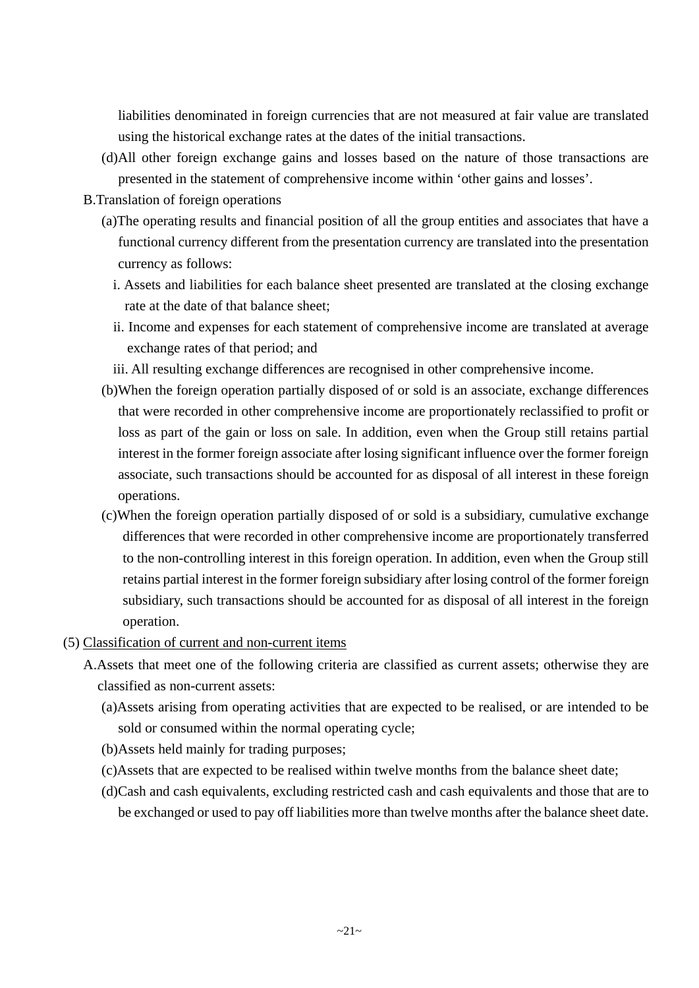liabilities denominated in foreign currencies that are not measured at fair value are translated using the historical exchange rates at the dates of the initial transactions.

- (d)All other foreign exchange gains and losses based on the nature of those transactions are presented in the statement of comprehensive income within 'other gains and losses'.
- B.Translation of foreign operations
	- (a)The operating results and financial position of all the group entities and associates that have a functional currency different from the presentation currency are translated into the presentation currency as follows:
		- i. Assets and liabilities for each balance sheet presented are translated at the closing exchange rate at the date of that balance sheet;
		- ii. Income and expenses for each statement of comprehensive income are translated at average exchange rates of that period; and

iii. All resulting exchange differences are recognised in other comprehensive income.

- (b)When the foreign operation partially disposed of or sold is an associate, exchange differences that were recorded in other comprehensive income are proportionately reclassified to profit or loss as part of the gain or loss on sale. In addition, even when the Group still retains partial interest in the former foreign associate after losing significant influence over the former foreign associate, such transactions should be accounted for as disposal of all interest in these foreign operations.
- (c)When the foreign operation partially disposed of or sold is a subsidiary, cumulative exchange differences that were recorded in other comprehensive income are proportionately transferred to the non-controlling interest in this foreign operation. In addition, even when the Group still retains partial interest in the former foreign subsidiary after losing control of the former foreign subsidiary, such transactions should be accounted for as disposal of all interest in the foreign operation.
- (5) Classification of current and non-current items
	- A.Assets that meet one of the following criteria are classified as current assets; otherwise they are classified as non-current assets:
		- (a)Assets arising from operating activities that are expected to be realised, or are intended to be sold or consumed within the normal operating cycle;
		- (b)Assets held mainly for trading purposes;
		- (c)Assets that are expected to be realised within twelve months from the balance sheet date;
		- (d)Cash and cash equivalents, excluding restricted cash and cash equivalents and those that are to be exchanged or used to pay off liabilities more than twelve months after the balance sheet date.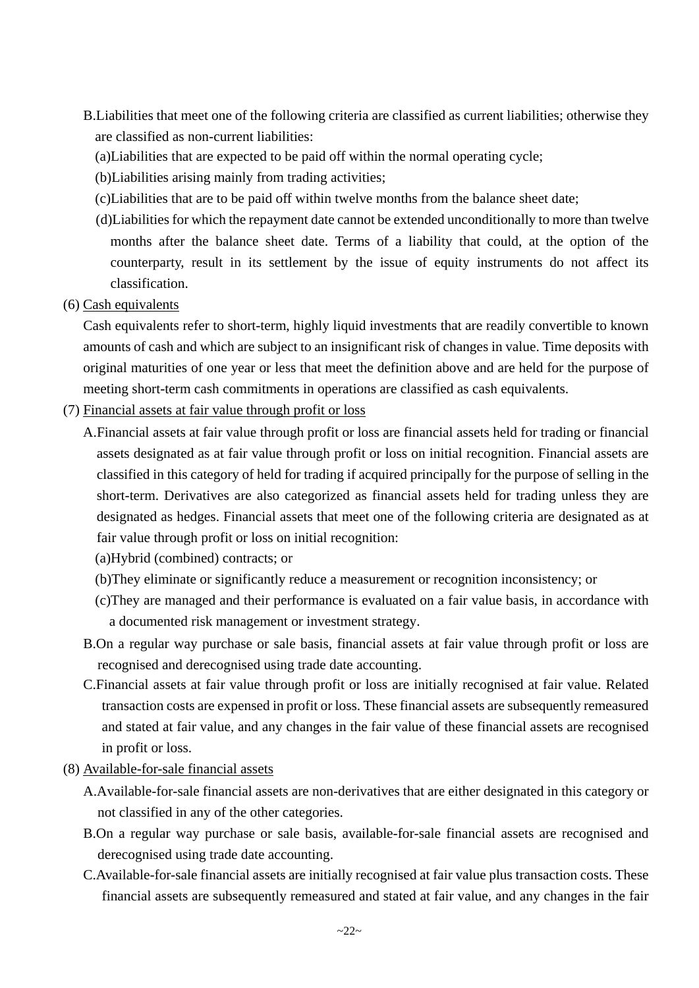- B.Liabilities that meet one of the following criteria are classified as current liabilities; otherwise they are classified as non-current liabilities:
	- (a)Liabilities that are expected to be paid off within the normal operating cycle;
	- (b)Liabilities arising mainly from trading activities;
	- (c)Liabilities that are to be paid off within twelve months from the balance sheet date;
	- (d)Liabilities for which the repayment date cannot be extended unconditionally to more than twelve months after the balance sheet date. Terms of a liability that could, at the option of the counterparty, result in its settlement by the issue of equity instruments do not affect its classification.
- (6) Cash equivalents

Cash equivalents refer to short-term, highly liquid investments that are readily convertible to known amounts of cash and which are subject to an insignificant risk of changes in value. Time deposits with original maturities of one year or less that meet the definition above and are held for the purpose of meeting short-term cash commitments in operations are classified as cash equivalents.

- (7) Financial assets at fair value through profit or loss
	- A.Financial assets at fair value through profit or loss are financial assets held for trading or financial assets designated as at fair value through profit or loss on initial recognition. Financial assets are classified in this category of held for trading if acquired principally for the purpose of selling in the short-term. Derivatives are also categorized as financial assets held for trading unless they are designated as hedges. Financial assets that meet one of the following criteria are designated as at fair value through profit or loss on initial recognition:
		- (a)Hybrid (combined) contracts; or
		- (b)They eliminate or significantly reduce a measurement or recognition inconsistency; or
		- (c)They are managed and their performance is evaluated on a fair value basis, in accordance with a documented risk management or investment strategy.
	- B.On a regular way purchase or sale basis, financial assets at fair value through profit or loss are recognised and derecognised using trade date accounting.
	- C.Financial assets at fair value through profit or loss are initially recognised at fair value. Related transaction costs are expensed in profit or loss. These financial assets are subsequently remeasured and stated at fair value, and any changes in the fair value of these financial assets are recognised in profit or loss.
- (8) Available-for-sale financial assets
	- A.Available-for-sale financial assets are non-derivatives that are either designated in this category or not classified in any of the other categories.
	- B.On a regular way purchase or sale basis, available-for-sale financial assets are recognised and derecognised using trade date accounting.
	- C.Available-for-sale financial assets are initially recognised at fair value plus transaction costs. These financial assets are subsequently remeasured and stated at fair value, and any changes in the fair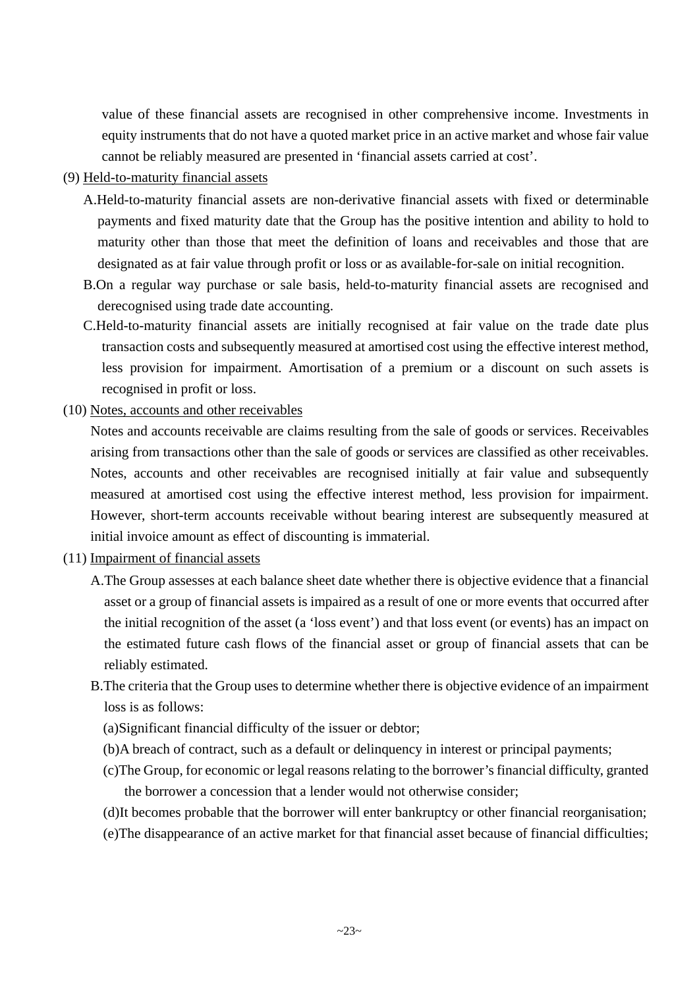value of these financial assets are recognised in other comprehensive income. Investments in equity instruments that do not have a quoted market price in an active market and whose fair value cannot be reliably measured are presented in 'financial assets carried at cost'.

#### (9) Held-to-maturity financial assets

- A.Held-to-maturity financial assets are non-derivative financial assets with fixed or determinable payments and fixed maturity date that the Group has the positive intention and ability to hold to maturity other than those that meet the definition of loans and receivables and those that are designated as at fair value through profit or loss or as available-for-sale on initial recognition.
- B.On a regular way purchase or sale basis, held-to-maturity financial assets are recognised and derecognised using trade date accounting.
- C.Held-to-maturity financial assets are initially recognised at fair value on the trade date plus transaction costs and subsequently measured at amortised cost using the effective interest method, less provision for impairment. Amortisation of a premium or a discount on such assets is recognised in profit or loss.
- (10) Notes, accounts and other receivables

Notes and accounts receivable are claims resulting from the sale of goods or services. Receivables arising from transactions other than the sale of goods or services are classified as other receivables. Notes, accounts and other receivables are recognised initially at fair value and subsequently measured at amortised cost using the effective interest method, less provision for impairment. However, short-term accounts receivable without bearing interest are subsequently measured at initial invoice amount as effect of discounting is immaterial.

- (11) Impairment of financial assets
	- A.The Group assesses at each balance sheet date whether there is objective evidence that a financial asset or a group of financial assets is impaired as a result of one or more events that occurred after the initial recognition of the asset (a 'loss event') and that loss event (or events) has an impact on the estimated future cash flows of the financial asset or group of financial assets that can be reliably estimated.
	- B.The criteria that the Group uses to determine whether there is objective evidence of an impairment loss is as follows:
		- (a)Significant financial difficulty of the issuer or debtor;
		- (b)A breach of contract, such as a default or delinquency in interest or principal payments;
		- (c)The Group, for economic or legal reasons relating to the borrower's financial difficulty, granted the borrower a concession that a lender would not otherwise consider;
		- (d)It becomes probable that the borrower will enter bankruptcy or other financial reorganisation;
		- (e)The disappearance of an active market for that financial asset because of financial difficulties;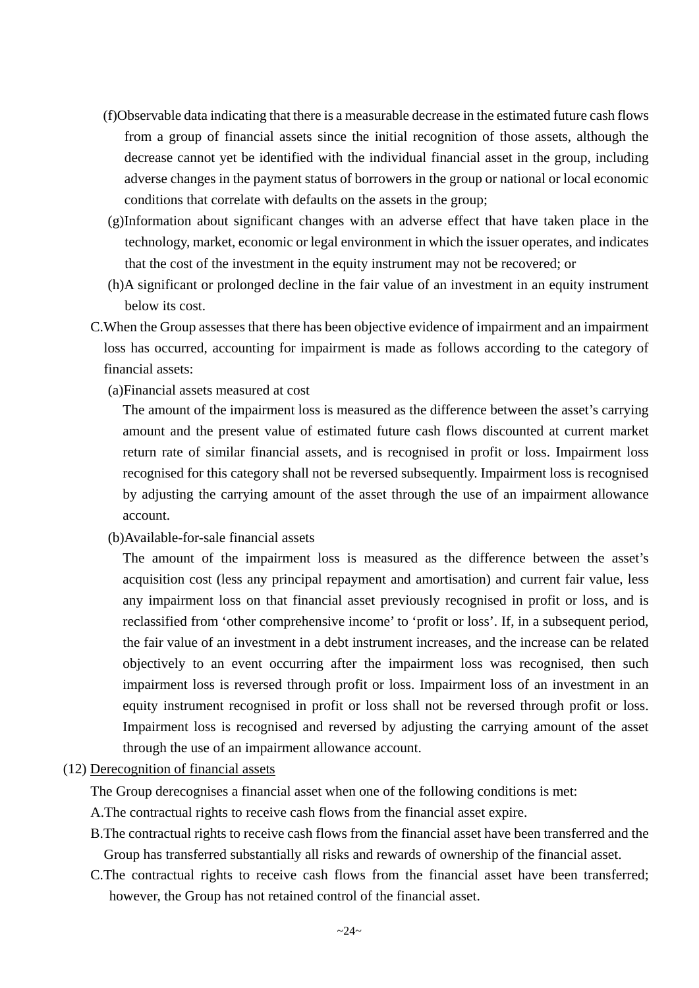- (f)Observable data indicating that there is a measurable decrease in the estimated future cash flows from a group of financial assets since the initial recognition of those assets, although the decrease cannot yet be identified with the individual financial asset in the group, including adverse changes in the payment status of borrowers in the group or national or local economic conditions that correlate with defaults on the assets in the group;
- (g)Information about significant changes with an adverse effect that have taken place in the technology, market, economic or legal environment in which the issuer operates, and indicates that the cost of the investment in the equity instrument may not be recovered; or
- (h)A significant or prolonged decline in the fair value of an investment in an equity instrument below its cost.
- C.When the Group assesses that there has been objective evidence of impairment and an impairment loss has occurred, accounting for impairment is made as follows according to the category of financial assets:
	- (a)Financial assets measured at cost

The amount of the impairment loss is measured as the difference between the asset's carrying amount and the present value of estimated future cash flows discounted at current market return rate of similar financial assets, and is recognised in profit or loss. Impairment loss recognised for this category shall not be reversed subsequently. Impairment loss is recognised by adjusting the carrying amount of the asset through the use of an impairment allowance account.

(b)Available-for-sale financial assets

The amount of the impairment loss is measured as the difference between the asset's acquisition cost (less any principal repayment and amortisation) and current fair value, less any impairment loss on that financial asset previously recognised in profit or loss, and is reclassified from 'other comprehensive income' to 'profit or loss'. If, in a subsequent period, the fair value of an investment in a debt instrument increases, and the increase can be related objectively to an event occurring after the impairment loss was recognised, then such impairment loss is reversed through profit or loss. Impairment loss of an investment in an equity instrument recognised in profit or loss shall not be reversed through profit or loss. Impairment loss is recognised and reversed by adjusting the carrying amount of the asset through the use of an impairment allowance account.

(12) Derecognition of financial assets

The Group derecognises a financial asset when one of the following conditions is met:

- A.The contractual rights to receive cash flows from the financial asset expire.
- B.The contractual rights to receive cash flows from the financial asset have been transferred and the Group has transferred substantially all risks and rewards of ownership of the financial asset.
- C.The contractual rights to receive cash flows from the financial asset have been transferred; however, the Group has not retained control of the financial asset.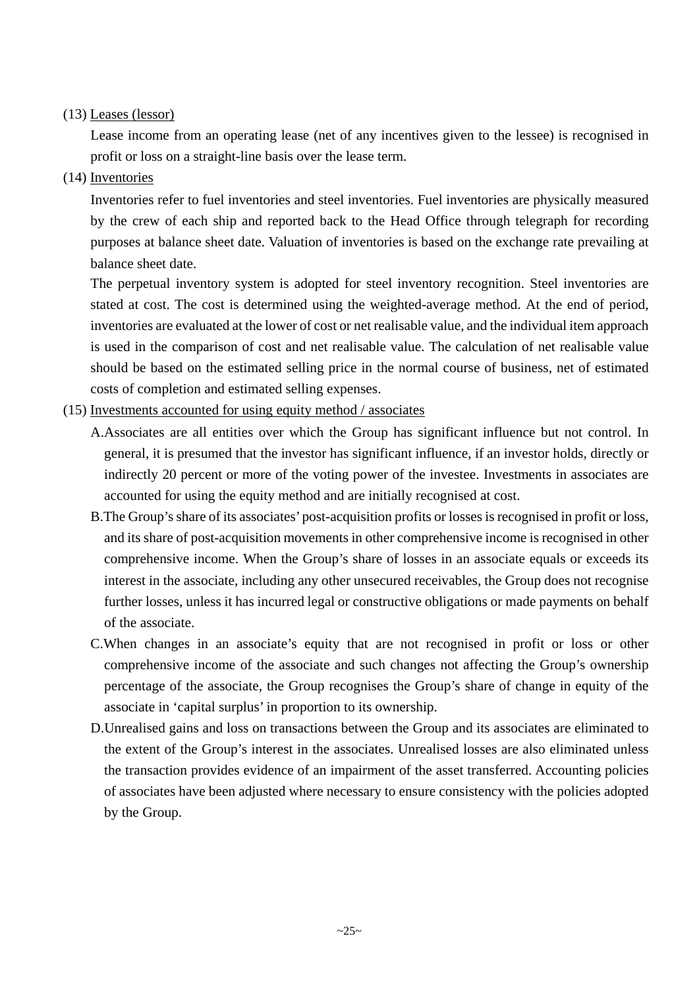#### (13) Leases (lessor)

Lease income from an operating lease (net of any incentives given to the lessee) is recognised in profit or loss on a straight-line basis over the lease term.

(14) Inventories

Inventories refer to fuel inventories and steel inventories. Fuel inventories are physically measured by the crew of each ship and reported back to the Head Office through telegraph for recording purposes at balance sheet date. Valuation of inventories is based on the exchange rate prevailing at balance sheet date.

The perpetual inventory system is adopted for steel inventory recognition. Steel inventories are stated at cost. The cost is determined using the weighted-average method. At the end of period, inventories are evaluated at the lower of cost or net realisable value, and the individual item approach is used in the comparison of cost and net realisable value. The calculation of net realisable value should be based on the estimated selling price in the normal course of business, net of estimated costs of completion and estimated selling expenses.

- (15) Investments accounted for using equity method / associates
	- A.Associates are all entities over which the Group has significant influence but not control. In general, it is presumed that the investor has significant influence, if an investor holds, directly or indirectly 20 percent or more of the voting power of the investee. Investments in associates are accounted for using the equity method and are initially recognised at cost.
	- B.The Group's share of its associates' post-acquisition profits or losses is recognised in profit or loss, and its share of post-acquisition movements in other comprehensive income is recognised in other comprehensive income. When the Group's share of losses in an associate equals or exceeds its interest in the associate, including any other unsecured receivables, the Group does not recognise further losses, unless it has incurred legal or constructive obligations or made payments on behalf of the associate.
	- C.When changes in an associate's equity that are not recognised in profit or loss or other comprehensive income of the associate and such changes not affecting the Group's ownership percentage of the associate, the Group recognises the Group's share of change in equity of the associate in 'capital surplus' in proportion to its ownership.
	- D.Unrealised gains and loss on transactions between the Group and its associates are eliminated to the extent of the Group's interest in the associates. Unrealised losses are also eliminated unless the transaction provides evidence of an impairment of the asset transferred. Accounting policies of associates have been adjusted where necessary to ensure consistency with the policies adopted by the Group.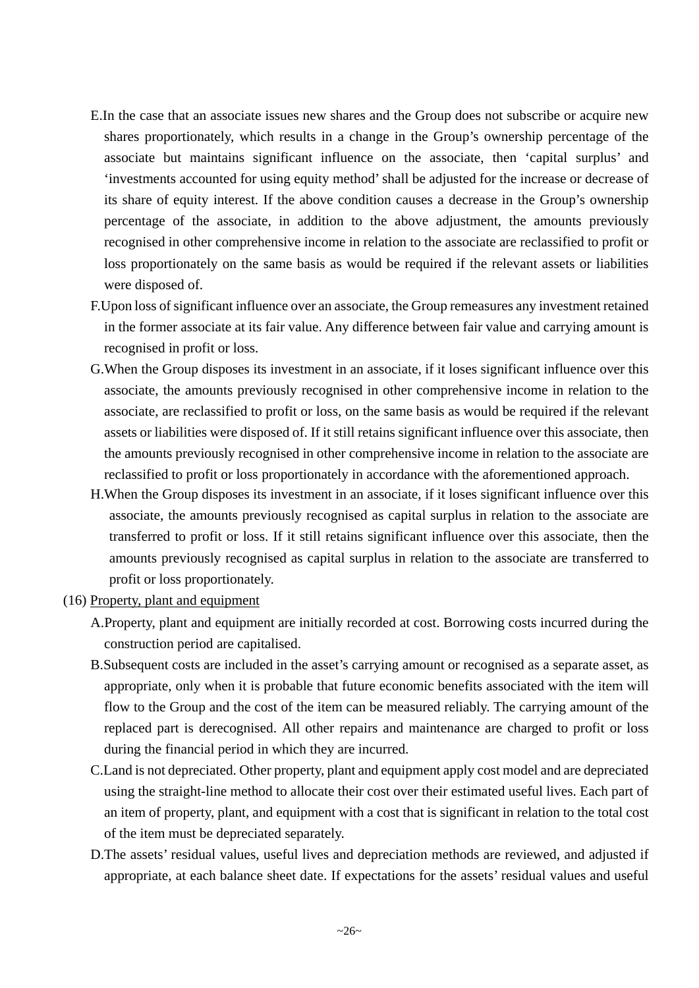- E.In the case that an associate issues new shares and the Group does not subscribe or acquire new shares proportionately, which results in a change in the Group's ownership percentage of the associate but maintains significant influence on the associate, then 'capital surplus' and 'investments accounted for using equity method' shall be adjusted for the increase or decrease of its share of equity interest. If the above condition causes a decrease in the Group's ownership percentage of the associate, in addition to the above adjustment, the amounts previously recognised in other comprehensive income in relation to the associate are reclassified to profit or loss proportionately on the same basis as would be required if the relevant assets or liabilities were disposed of.
- F.Upon loss of significant influence over an associate, the Group remeasures any investment retained in the former associate at its fair value. Any difference between fair value and carrying amount is recognised in profit or loss.
- G.When the Group disposes its investment in an associate, if it loses significant influence over this associate, the amounts previously recognised in other comprehensive income in relation to the associate, are reclassified to profit or loss, on the same basis as would be required if the relevant assets or liabilities were disposed of. If it still retains significant influence over this associate, then the amounts previously recognised in other comprehensive income in relation to the associate are reclassified to profit or loss proportionately in accordance with the aforementioned approach.
- H.When the Group disposes its investment in an associate, if it loses significant influence over this associate, the amounts previously recognised as capital surplus in relation to the associate are transferred to profit or loss. If it still retains significant influence over this associate, then the amounts previously recognised as capital surplus in relation to the associate are transferred to profit or loss proportionately.
- (16) Property, plant and equipment
	- A.Property, plant and equipment are initially recorded at cost. Borrowing costs incurred during the construction period are capitalised.
	- B.Subsequent costs are included in the asset's carrying amount or recognised as a separate asset, as appropriate, only when it is probable that future economic benefits associated with the item will flow to the Group and the cost of the item can be measured reliably. The carrying amount of the replaced part is derecognised. All other repairs and maintenance are charged to profit or loss during the financial period in which they are incurred.
	- C.Land is not depreciated. Other property, plant and equipment apply cost model and are depreciated using the straight-line method to allocate their cost over their estimated useful lives. Each part of an item of property, plant, and equipment with a cost that is significant in relation to the total cost of the item must be depreciated separately.
	- D.The assets' residual values, useful lives and depreciation methods are reviewed, and adjusted if appropriate, at each balance sheet date. If expectations for the assets' residual values and useful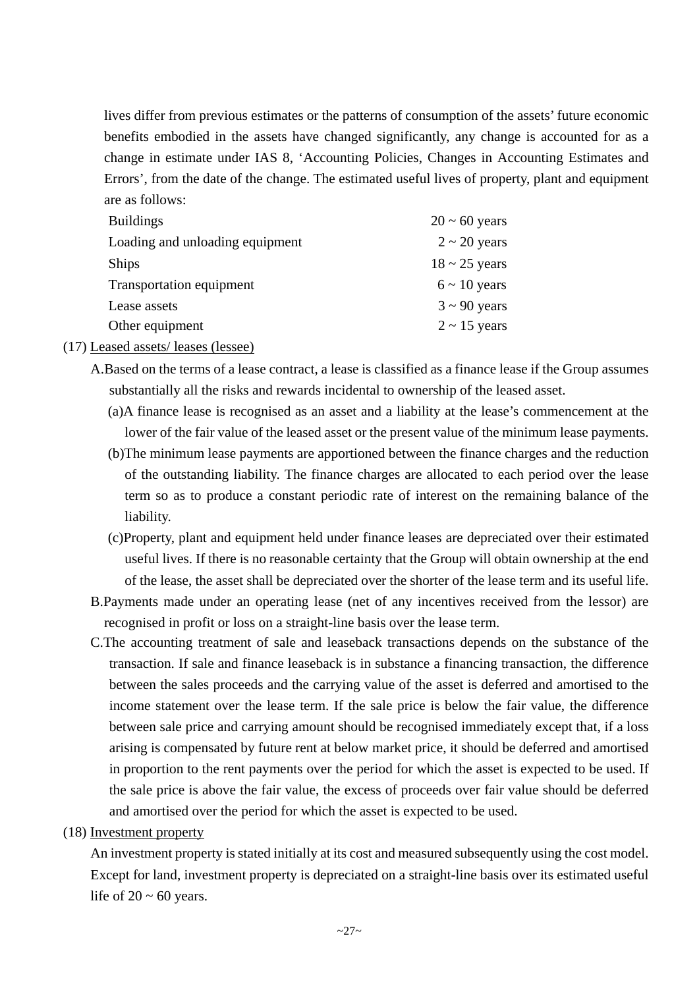lives differ from previous estimates or the patterns of consumption of the assets' future economic benefits embodied in the assets have changed significantly, any change is accounted for as a change in estimate under IAS 8, 'Accounting Policies, Changes in Accounting Estimates and Errors', from the date of the change. The estimated useful lives of property, plant and equipment are as follows:

| $20 \sim 60$ years |
|--------------------|
| $2 \sim 20$ years  |
| $18 \sim 25$ years |
| $6 \sim 10$ years  |
| $3 \sim 90$ years  |
| $2 \sim 15$ years  |
|                    |

(17) Leased assets/ leases (lessee)

A.Based on the terms of a lease contract, a lease is classified as a finance lease if the Group assumes substantially all the risks and rewards incidental to ownership of the leased asset.

- (a)A finance lease is recognised as an asset and a liability at the lease's commencement at the lower of the fair value of the leased asset or the present value of the minimum lease payments.
- (b)The minimum lease payments are apportioned between the finance charges and the reduction of the outstanding liability. The finance charges are allocated to each period over the lease term so as to produce a constant periodic rate of interest on the remaining balance of the liability.
- (c)Property, plant and equipment held under finance leases are depreciated over their estimated useful lives. If there is no reasonable certainty that the Group will obtain ownership at the end of the lease, the asset shall be depreciated over the shorter of the lease term and its useful life.
- B.Payments made under an operating lease (net of any incentives received from the lessor) are recognised in profit or loss on a straight-line basis over the lease term.
- C.The accounting treatment of sale and leaseback transactions depends on the substance of the transaction. If sale and finance leaseback is in substance a financing transaction, the difference between the sales proceeds and the carrying value of the asset is deferred and amortised to the income statement over the lease term. If the sale price is below the fair value, the difference between sale price and carrying amount should be recognised immediately except that, if a loss arising is compensated by future rent at below market price, it should be deferred and amortised in proportion to the rent payments over the period for which the asset is expected to be used. If the sale price is above the fair value, the excess of proceeds over fair value should be deferred and amortised over the period for which the asset is expected to be used.

#### (18) Investment property

An investment property is stated initially at its cost and measured subsequently using the cost model. Except for land, investment property is depreciated on a straight-line basis over its estimated useful life of  $20 \sim 60$  years.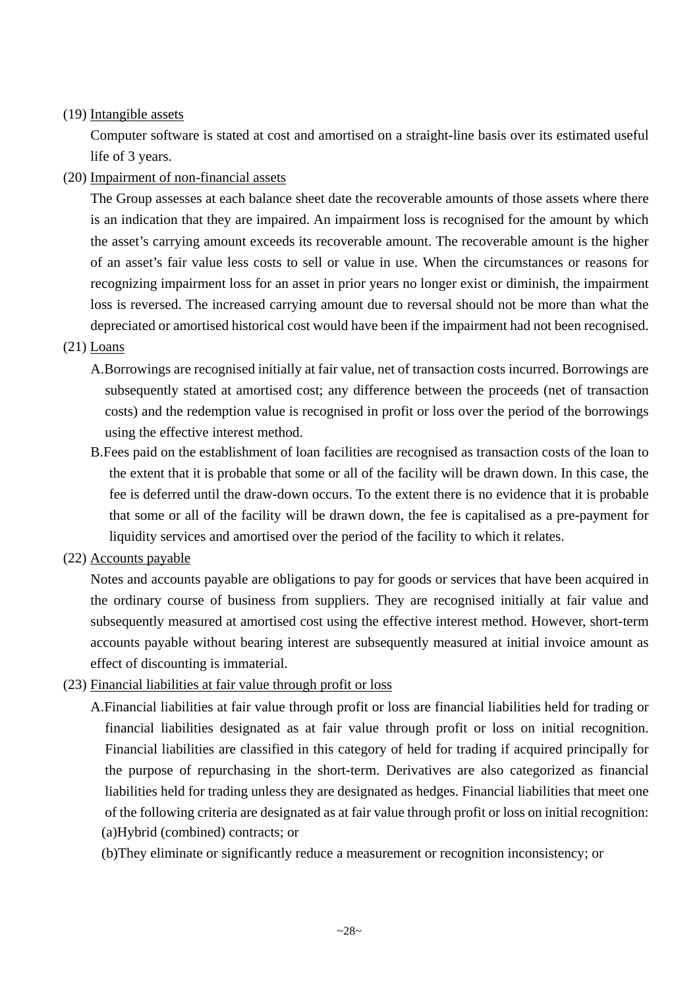#### (19) Intangible assets

Computer software is stated at cost and amortised on a straight-line basis over its estimated useful life of 3 years.

#### (20) Impairment of non-financial assets

The Group assesses at each balance sheet date the recoverable amounts of those assets where there is an indication that they are impaired. An impairment loss is recognised for the amount by which the asset's carrying amount exceeds its recoverable amount. The recoverable amount is the higher of an asset's fair value less costs to sell or value in use. When the circumstances or reasons for recognizing impairment loss for an asset in prior years no longer exist or diminish, the impairment loss is reversed. The increased carrying amount due to reversal should not be more than what the depreciated or amortised historical cost would have been if the impairment had not been recognised.

#### (21) Loans

- A.Borrowings are recognised initially at fair value, net of transaction costs incurred. Borrowings are subsequently stated at amortised cost; any difference between the proceeds (net of transaction costs) and the redemption value is recognised in profit or loss over the period of the borrowings using the effective interest method.
- B.Fees paid on the establishment of loan facilities are recognised as transaction costs of the loan to the extent that it is probable that some or all of the facility will be drawn down. In this case, the fee is deferred until the draw-down occurs. To the extent there is no evidence that it is probable that some or all of the facility will be drawn down, the fee is capitalised as a pre-payment for liquidity services and amortised over the period of the facility to which it relates.

#### (22) Accounts payable

Notes and accounts payable are obligations to pay for goods or services that have been acquired in the ordinary course of business from suppliers. They are recognised initially at fair value and subsequently measured at amortised cost using the effective interest method. However, short-term accounts payable without bearing interest are subsequently measured at initial invoice amount as effect of discounting is immaterial.

#### (23) Financial liabilities at fair value through profit or loss

A.Financial liabilities at fair value through profit or loss are financial liabilities held for trading or financial liabilities designated as at fair value through profit or loss on initial recognition. Financial liabilities are classified in this category of held for trading if acquired principally for the purpose of repurchasing in the short-term. Derivatives are also categorized as financial liabilities held for trading unless they are designated as hedges. Financial liabilities that meet one of the following criteria are designated as at fair value through profit or loss on initial recognition: (a)Hybrid (combined) contracts; or

(b)They eliminate or significantly reduce a measurement or recognition inconsistency; or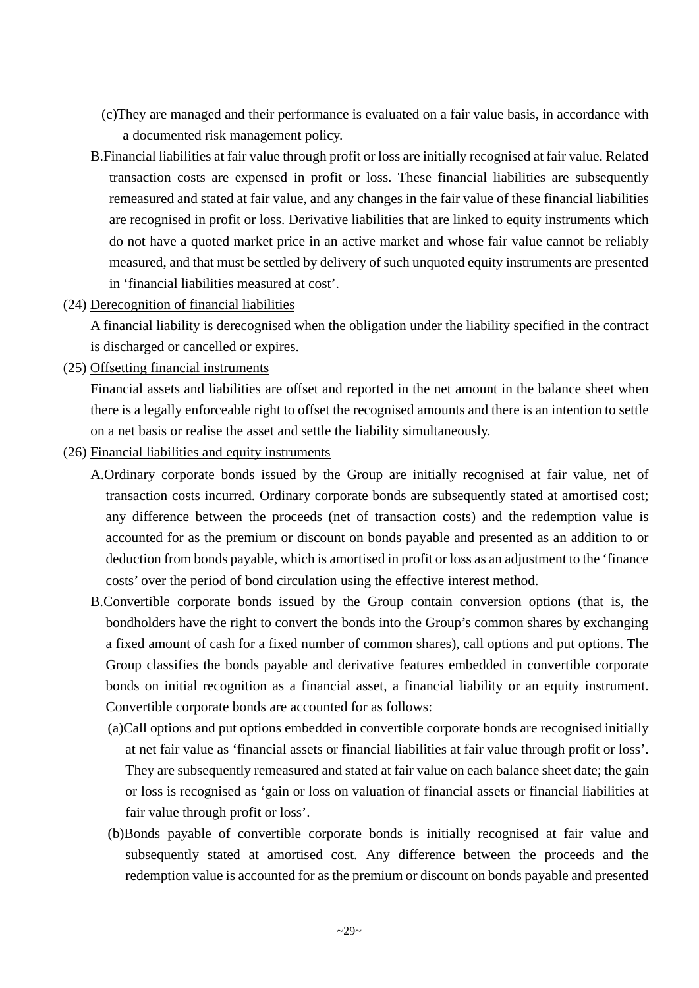- (c)They are managed and their performance is evaluated on a fair value basis, in accordance with a documented risk management policy.
- B.Financial liabilities at fair value through profit or loss are initially recognised at fair value. Related transaction costs are expensed in profit or loss. These financial liabilities are subsequently remeasured and stated at fair value, and any changes in the fair value of these financial liabilities are recognised in profit or loss. Derivative liabilities that are linked to equity instruments which do not have a quoted market price in an active market and whose fair value cannot be reliably measured, and that must be settled by delivery of such unquoted equity instruments are presented in 'financial liabilities measured at cost'.
- (24) Derecognition of financial liabilities

A financial liability is derecognised when the obligation under the liability specified in the contract is discharged or cancelled or expires.

(25) Offsetting financial instruments

Financial assets and liabilities are offset and reported in the net amount in the balance sheet when there is a legally enforceable right to offset the recognised amounts and there is an intention to settle on a net basis or realise the asset and settle the liability simultaneously.

- (26) Financial liabilities and equity instruments
	- A.Ordinary corporate bonds issued by the Group are initially recognised at fair value, net of transaction costs incurred. Ordinary corporate bonds are subsequently stated at amortised cost; any difference between the proceeds (net of transaction costs) and the redemption value is accounted for as the premium or discount on bonds payable and presented as an addition to or deduction from bonds payable, which is amortised in profit or loss as an adjustment to the 'finance costs' over the period of bond circulation using the effective interest method.
	- B.Convertible corporate bonds issued by the Group contain conversion options (that is, the bondholders have the right to convert the bonds into the Group's common shares by exchanging a fixed amount of cash for a fixed number of common shares), call options and put options. The Group classifies the bonds payable and derivative features embedded in convertible corporate bonds on initial recognition as a financial asset, a financial liability or an equity instrument. Convertible corporate bonds are accounted for as follows:
		- (a)Call options and put options embedded in convertible corporate bonds are recognised initially at net fair value as 'financial assets or financial liabilities at fair value through profit or loss'. They are subsequently remeasured and stated at fair value on each balance sheet date; the gain or loss is recognised as 'gain or loss on valuation of financial assets or financial liabilities at fair value through profit or loss'.
		- (b)Bonds payable of convertible corporate bonds is initially recognised at fair value and subsequently stated at amortised cost. Any difference between the proceeds and the redemption value is accounted for as the premium or discount on bonds payable and presented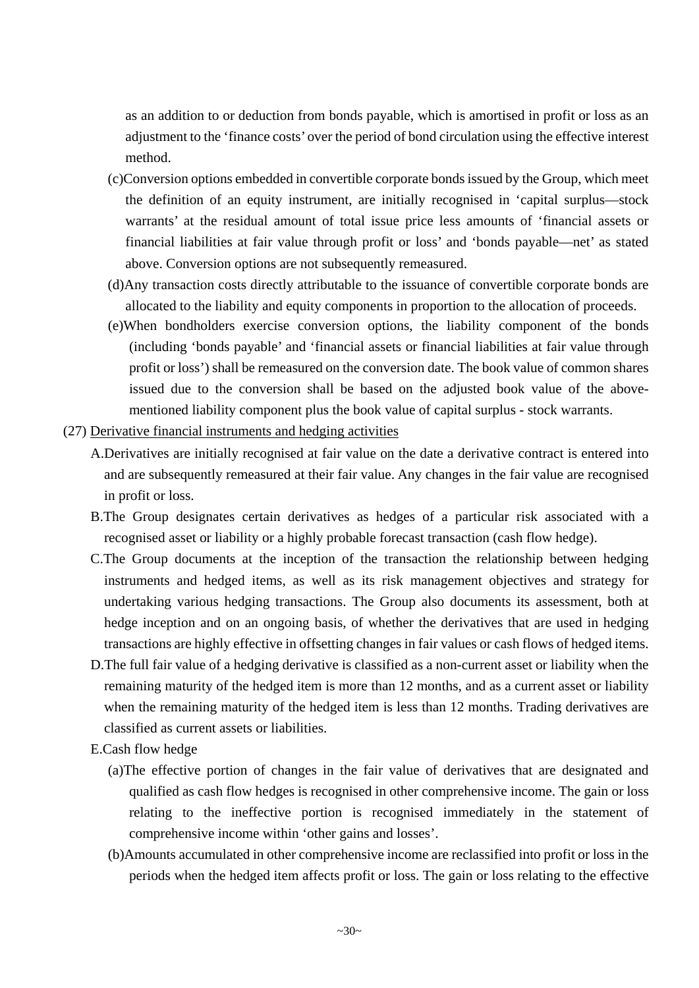as an addition to or deduction from bonds payable, which is amortised in profit or loss as an adjustment to the 'finance costs' over the period of bond circulation using the effective interest method.

- (c)Conversion options embedded in convertible corporate bonds issued by the Group, which meet the definition of an equity instrument, are initially recognised in 'capital surplus—stock warrants' at the residual amount of total issue price less amounts of 'financial assets or financial liabilities at fair value through profit or loss' and 'bonds payable—net' as stated above. Conversion options are not subsequently remeasured.
- (d)Any transaction costs directly attributable to the issuance of convertible corporate bonds are allocated to the liability and equity components in proportion to the allocation of proceeds.
- (e)When bondholders exercise conversion options, the liability component of the bonds (including 'bonds payable' and 'financial assets or financial liabilities at fair value through profit or loss') shall be remeasured on the conversion date. The book value of common shares issued due to the conversion shall be based on the adjusted book value of the abovementioned liability component plus the book value of capital surplus - stock warrants.
- (27) Derivative financial instruments and hedging activities
	- A.Derivatives are initially recognised at fair value on the date a derivative contract is entered into and are subsequently remeasured at their fair value. Any changes in the fair value are recognised in profit or loss.
	- B.The Group designates certain derivatives as hedges of a particular risk associated with a recognised asset or liability or a highly probable forecast transaction (cash flow hedge).
	- C.The Group documents at the inception of the transaction the relationship between hedging instruments and hedged items, as well as its risk management objectives and strategy for undertaking various hedging transactions. The Group also documents its assessment, both at hedge inception and on an ongoing basis, of whether the derivatives that are used in hedging transactions are highly effective in offsetting changes in fair values or cash flows of hedged items.
	- D.The full fair value of a hedging derivative is classified as a non-current asset or liability when the remaining maturity of the hedged item is more than 12 months, and as a current asset or liability when the remaining maturity of the hedged item is less than 12 months. Trading derivatives are classified as current assets or liabilities.
	- E.Cash flow hedge
		- (a)The effective portion of changes in the fair value of derivatives that are designated and qualified as cash flow hedges is recognised in other comprehensive income. The gain or loss relating to the ineffective portion is recognised immediately in the statement of comprehensive income within 'other gains and losses'.
		- (b)Amounts accumulated in other comprehensive income are reclassified into profit or loss in the periods when the hedged item affects profit or loss. The gain or loss relating to the effective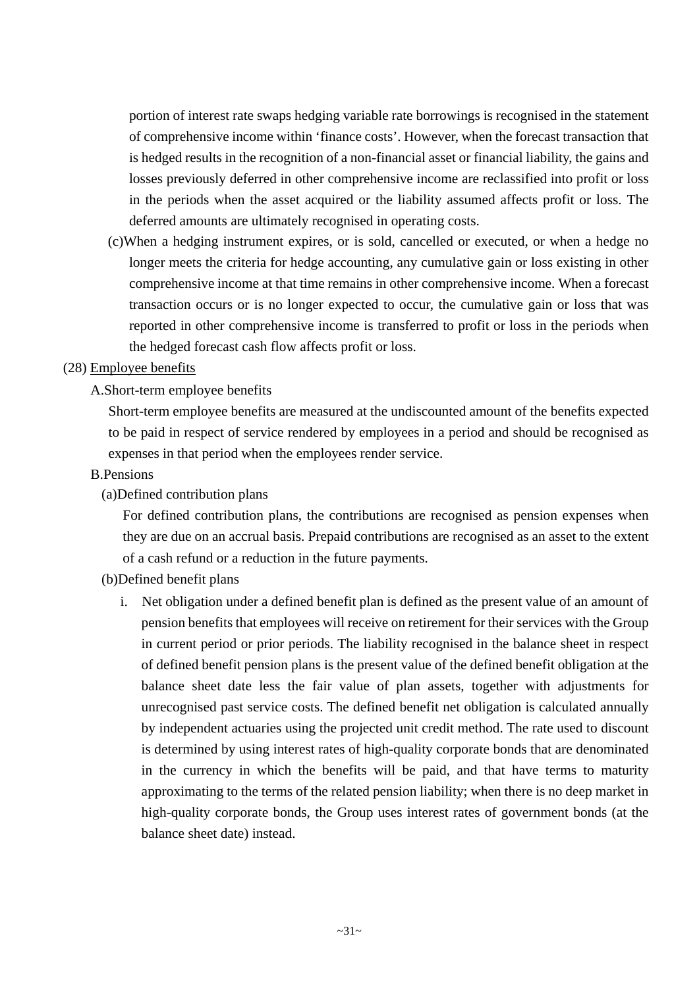portion of interest rate swaps hedging variable rate borrowings is recognised in the statement of comprehensive income within 'finance costs'. However, when the forecast transaction that is hedged results in the recognition of a non-financial asset or financial liability, the gains and losses previously deferred in other comprehensive income are reclassified into profit or loss in the periods when the asset acquired or the liability assumed affects profit or loss. The deferred amounts are ultimately recognised in operating costs.

(c)When a hedging instrument expires, or is sold, cancelled or executed, or when a hedge no longer meets the criteria for hedge accounting, any cumulative gain or loss existing in other comprehensive income at that time remains in other comprehensive income. When a forecast transaction occurs or is no longer expected to occur, the cumulative gain or loss that was reported in other comprehensive income is transferred to profit or loss in the periods when the hedged forecast cash flow affects profit or loss.

#### (28) Employee benefits

#### A.Short-term employee benefits

Short-term employee benefits are measured at the undiscounted amount of the benefits expected to be paid in respect of service rendered by employees in a period and should be recognised as expenses in that period when the employees render service.

#### B.Pensions

#### (a)Defined contribution plans

For defined contribution plans, the contributions are recognised as pension expenses when they are due on an accrual basis. Prepaid contributions are recognised as an asset to the extent of a cash refund or a reduction in the future payments.

#### (b)Defined benefit plans

i. Net obligation under a defined benefit plan is defined as the present value of an amount of pension benefits that employees will receive on retirement for their services with the Group in current period or prior periods. The liability recognised in the balance sheet in respect of defined benefit pension plans is the present value of the defined benefit obligation at the balance sheet date less the fair value of plan assets, together with adjustments for unrecognised past service costs. The defined benefit net obligation is calculated annually by independent actuaries using the projected unit credit method. The rate used to discount is determined by using interest rates of high-quality corporate bonds that are denominated in the currency in which the benefits will be paid, and that have terms to maturity approximating to the terms of the related pension liability; when there is no deep market in high-quality corporate bonds, the Group uses interest rates of government bonds (at the balance sheet date) instead.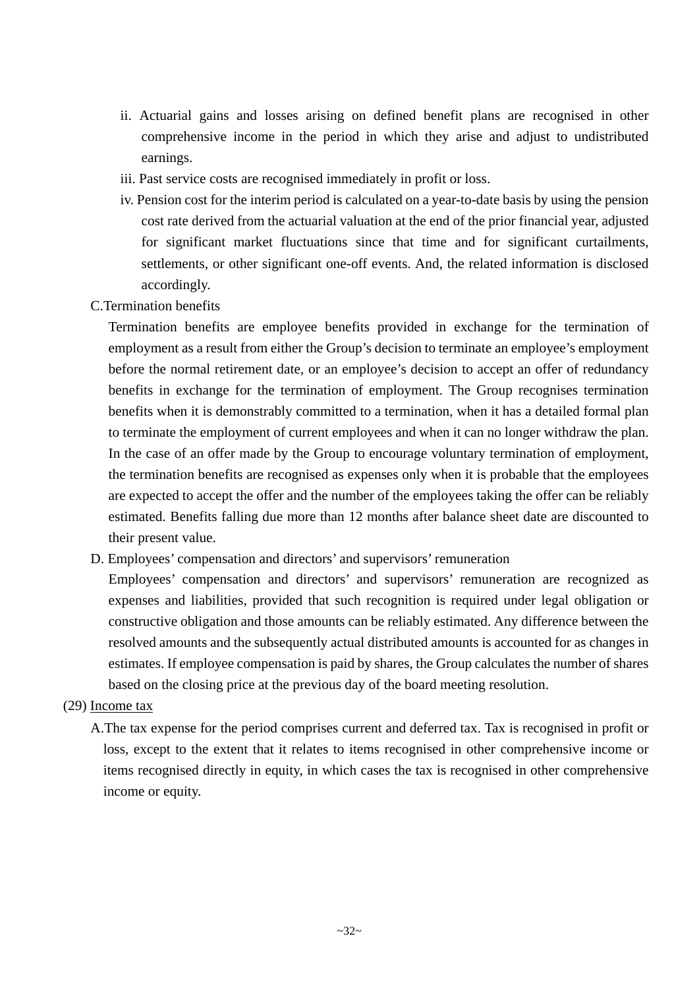- ii. Actuarial gains and losses arising on defined benefit plans are recognised in other comprehensive income in the period in which they arise and adjust to undistributed earnings.
- iii. Past service costs are recognised immediately in profit or loss.
- iv. Pension cost for the interim period is calculated on a year-to-date basis by using the pension cost rate derived from the actuarial valuation at the end of the prior financial year, adjusted for significant market fluctuations since that time and for significant curtailments, settlements, or other significant one-off events. And, the related information is disclosed accordingly.
- C.Termination benefits

Termination benefits are employee benefits provided in exchange for the termination of employment as a result from either the Group's decision to terminate an employee's employment before the normal retirement date, or an employee's decision to accept an offer of redundancy benefits in exchange for the termination of employment. The Group recognises termination benefits when it is demonstrably committed to a termination, when it has a detailed formal plan to terminate the employment of current employees and when it can no longer withdraw the plan. In the case of an offer made by the Group to encourage voluntary termination of employment, the termination benefits are recognised as expenses only when it is probable that the employees are expected to accept the offer and the number of the employees taking the offer can be reliably estimated. Benefits falling due more than 12 months after balance sheet date are discounted to their present value.

D. Employees' compensation and directors' and supervisors' remuneration

Employees' compensation and directors' and supervisors' remuneration are recognized as expenses and liabilities, provided that such recognition is required under legal obligation or constructive obligation and those amounts can be reliably estimated. Any difference between the resolved amounts and the subsequently actual distributed amounts is accounted for as changes in estimates. If employee compensation is paid by shares, the Group calculates the number of shares based on the closing price at the previous day of the board meeting resolution.

#### (29) Income tax

A.The tax expense for the period comprises current and deferred tax. Tax is recognised in profit or loss, except to the extent that it relates to items recognised in other comprehensive income or items recognised directly in equity, in which cases the tax is recognised in other comprehensive income or equity.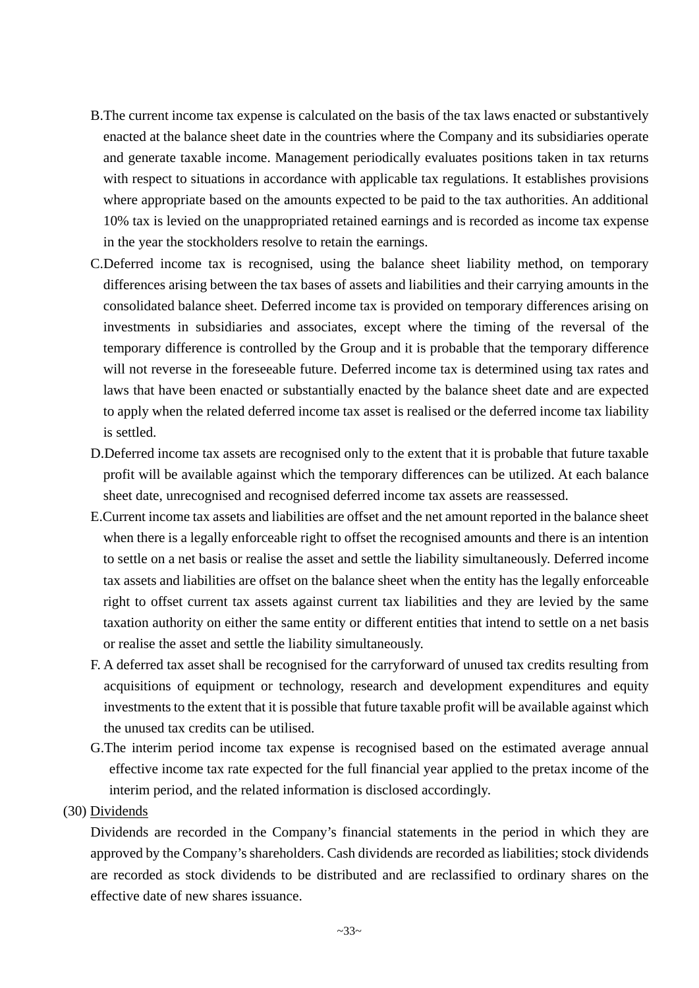- B.The current income tax expense is calculated on the basis of the tax laws enacted or substantively enacted at the balance sheet date in the countries where the Company and its subsidiaries operate and generate taxable income. Management periodically evaluates positions taken in tax returns with respect to situations in accordance with applicable tax regulations. It establishes provisions where appropriate based on the amounts expected to be paid to the tax authorities. An additional 10% tax is levied on the unappropriated retained earnings and is recorded as income tax expense in the year the stockholders resolve to retain the earnings.
- C.Deferred income tax is recognised, using the balance sheet liability method, on temporary differences arising between the tax bases of assets and liabilities and their carrying amounts in the consolidated balance sheet. Deferred income tax is provided on temporary differences arising on investments in subsidiaries and associates, except where the timing of the reversal of the temporary difference is controlled by the Group and it is probable that the temporary difference will not reverse in the foreseeable future. Deferred income tax is determined using tax rates and laws that have been enacted or substantially enacted by the balance sheet date and are expected to apply when the related deferred income tax asset is realised or the deferred income tax liability is settled.
- D.Deferred income tax assets are recognised only to the extent that it is probable that future taxable profit will be available against which the temporary differences can be utilized. At each balance sheet date, unrecognised and recognised deferred income tax assets are reassessed.
- E.Current income tax assets and liabilities are offset and the net amount reported in the balance sheet when there is a legally enforceable right to offset the recognised amounts and there is an intention to settle on a net basis or realise the asset and settle the liability simultaneously. Deferred income tax assets and liabilities are offset on the balance sheet when the entity has the legally enforceable right to offset current tax assets against current tax liabilities and they are levied by the same taxation authority on either the same entity or different entities that intend to settle on a net basis or realise the asset and settle the liability simultaneously.
- F. A deferred tax asset shall be recognised for the carryforward of unused tax credits resulting from acquisitions of equipment or technology, research and development expenditures and equity investments to the extent that it is possible that future taxable profit will be available against which the unused tax credits can be utilised.
- G.The interim period income tax expense is recognised based on the estimated average annual effective income tax rate expected for the full financial year applied to the pretax income of the interim period, and the related information is disclosed accordingly.

#### (30) Dividends

Dividends are recorded in the Company's financial statements in the period in which they are approved by the Company's shareholders. Cash dividends are recorded as liabilities; stock dividends are recorded as stock dividends to be distributed and are reclassified to ordinary shares on the effective date of new shares issuance.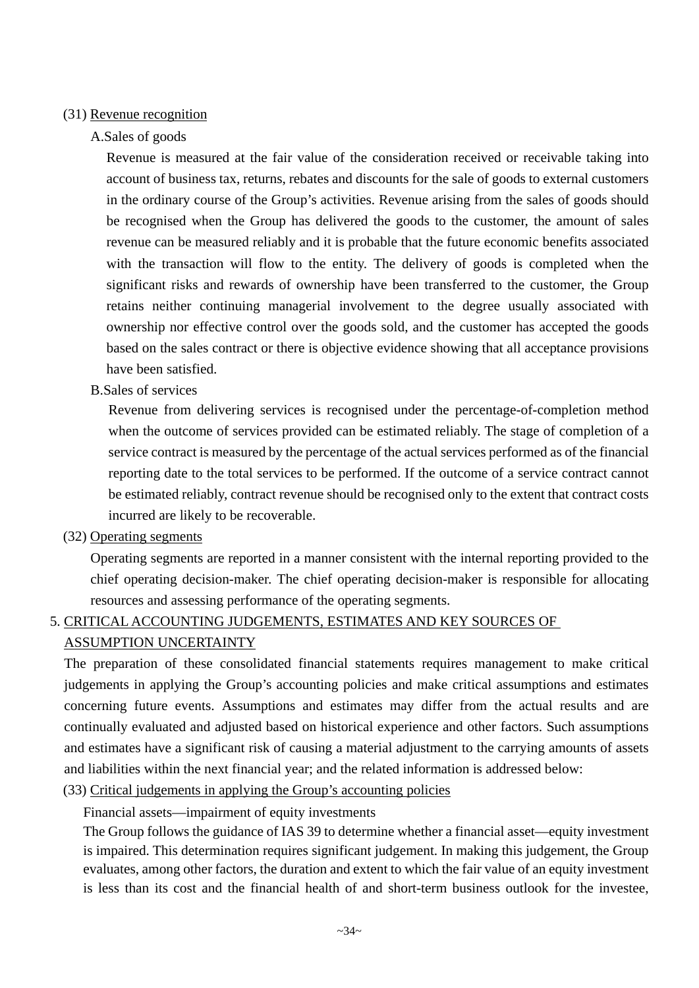#### (31) Revenue recognition

#### A.Sales of goods

Revenue is measured at the fair value of the consideration received or receivable taking into account of business tax, returns, rebates and discounts for the sale of goods to external customers in the ordinary course of the Group's activities. Revenue arising from the sales of goods should be recognised when the Group has delivered the goods to the customer, the amount of sales revenue can be measured reliably and it is probable that the future economic benefits associated with the transaction will flow to the entity. The delivery of goods is completed when the significant risks and rewards of ownership have been transferred to the customer, the Group retains neither continuing managerial involvement to the degree usually associated with ownership nor effective control over the goods sold, and the customer has accepted the goods based on the sales contract or there is objective evidence showing that all acceptance provisions have been satisfied.

#### B.Sales of services

Revenue from delivering services is recognised under the percentage-of-completion method when the outcome of services provided can be estimated reliably. The stage of completion of a service contract is measured by the percentage of the actual services performed as of the financial reporting date to the total services to be performed. If the outcome of a service contract cannot be estimated reliably, contract revenue should be recognised only to the extent that contract costs incurred are likely to be recoverable.

#### (32) Operating segments

Operating segments are reported in a manner consistent with the internal reporting provided to the chief operating decision-maker. The chief operating decision-maker is responsible for allocating resources and assessing performance of the operating segments.

## 5. CRITICAL ACCOUNTING JUDGEMENTS, ESTIMATES AND KEY SOURCES OF ASSUMPTION UNCERTAINTY

The preparation of these consolidated financial statements requires management to make critical judgements in applying the Group's accounting policies and make critical assumptions and estimates concerning future events. Assumptions and estimates may differ from the actual results and are continually evaluated and adjusted based on historical experience and other factors. Such assumptions and estimates have a significant risk of causing a material adjustment to the carrying amounts of assets and liabilities within the next financial year; and the related information is addressed below:

(33) Critical judgements in applying the Group's accounting policies

Financial assets—impairment of equity investments

The Group follows the guidance of IAS 39 to determine whether a financial asset—equity investment is impaired. This determination requires significant judgement. In making this judgement, the Group evaluates, among other factors, the duration and extent to which the fair value of an equity investment is less than its cost and the financial health of and short-term business outlook for the investee,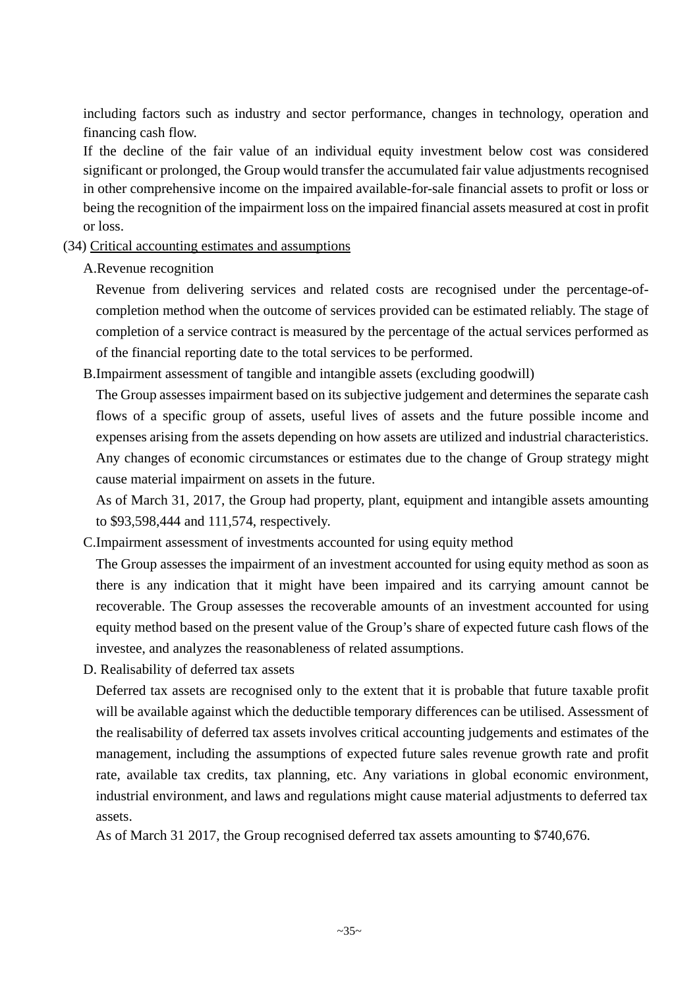including factors such as industry and sector performance, changes in technology, operation and financing cash flow.

If the decline of the fair value of an individual equity investment below cost was considered significant or prolonged, the Group would transfer the accumulated fair value adjustments recognised in other comprehensive income on the impaired available-for-sale financial assets to profit or loss or being the recognition of the impairment loss on the impaired financial assets measured at cost in profit or loss.

#### (34) Critical accounting estimates and assumptions

A.Revenue recognition

Revenue from delivering services and related costs are recognised under the percentage-ofcompletion method when the outcome of services provided can be estimated reliably. The stage of completion of a service contract is measured by the percentage of the actual services performed as of the financial reporting date to the total services to be performed.

B.Impairment assessment of tangible and intangible assets (excluding goodwill)

The Group assesses impairment based on its subjective judgement and determines the separate cash flows of a specific group of assets, useful lives of assets and the future possible income and expenses arising from the assets depending on how assets are utilized and industrial characteristics. Any changes of economic circumstances or estimates due to the change of Group strategy might cause material impairment on assets in the future.

As of March 31, 2017, the Group had property, plant, equipment and intangible assets amounting to \$93,598,444 and 111,574, respectively.

C.Impairment assessment of investments accounted for using equity method

The Group assesses the impairment of an investment accounted for using equity method as soon as there is any indication that it might have been impaired and its carrying amount cannot be recoverable. The Group assesses the recoverable amounts of an investment accounted for using equity method based on the present value of the Group's share of expected future cash flows of the investee, and analyzes the reasonableness of related assumptions.

D. Realisability of deferred tax assets

Deferred tax assets are recognised only to the extent that it is probable that future taxable profit will be available against which the deductible temporary differences can be utilised. Assessment of the realisability of deferred tax assets involves critical accounting judgements and estimates of the management, including the assumptions of expected future sales revenue growth rate and profit rate, available tax credits, tax planning, etc. Any variations in global economic environment, industrial environment, and laws and regulations might cause material adjustments to deferred tax assets.

As of March 31 2017, the Group recognised deferred tax assets amounting to \$740,676.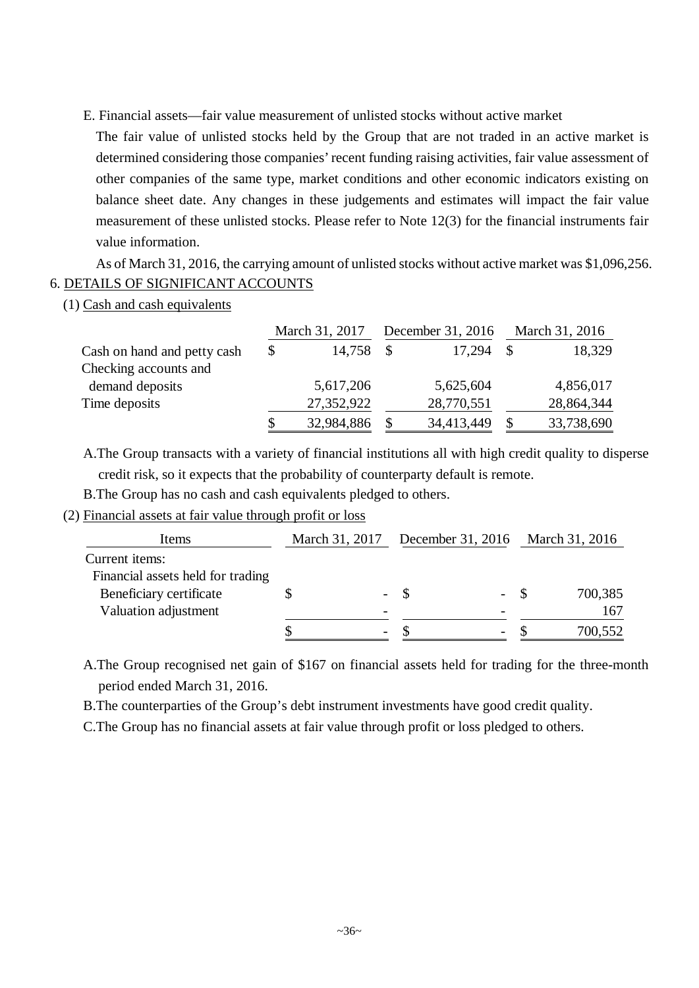E. Financial assets—fair value measurement of unlisted stocks without active market

The fair value of unlisted stocks held by the Group that are not traded in an active market is determined considering those companies' recent funding raising activities, fair value assessment of other companies of the same type, market conditions and other economic indicators existing on balance sheet date. Any changes in these judgements and estimates will impact the fair value measurement of these unlisted stocks. Please refer to Note 12(3) for the financial instruments fair value information.

As of March 31, 2016, the carrying amount of unlisted stocks without active market was \$1,096,256. 6. DETAILS OF SIGNIFICANT ACCOUNTS

(1) Cash and cash equivalents

|                             | March 31, 2017 |    | December 31, 2016 |               | March 31, 2016 |  |
|-----------------------------|----------------|----|-------------------|---------------|----------------|--|
| Cash on hand and petty cash | \$<br>14,758   | -S | 17,294            | $\mathcal{S}$ | 18,329         |  |
| Checking accounts and       |                |    |                   |               |                |  |
| demand deposits             | 5,617,206      |    | 5,625,604         |               | 4,856,017      |  |
| Time deposits               | 27,352,922     |    | 28,770,551        |               | 28,864,344     |  |
|                             | 32,984,886     |    | 34,413,449        | \$            | 33,738,690     |  |

A.The Group transacts with a variety of financial institutions all with high credit quality to disperse

credit risk, so it expects that the probability of counterparty default is remote.

B.The Group has no cash and cash equivalents pledged to others.

#### (2) Financial assets at fair value through profit or loss

| Items                             |                          |      |       | March 31, 2017 December 31, 2016 March 31, 2016 |
|-----------------------------------|--------------------------|------|-------|-------------------------------------------------|
| Current items:                    |                          |      |       |                                                 |
| Financial assets held for trading |                          |      |       |                                                 |
| Beneficiary certificate           | -                        | - \$ | $- S$ | 700,385                                         |
| Valuation adjustment              | $\overline{\phantom{0}}$ |      |       | 167                                             |
|                                   | $\overline{\phantom{0}}$ |      |       | 700,552                                         |

A.The Group recognised net gain of \$167 on financial assets held for trading for the three-month period ended March 31, 2016.

B.The counterparties of the Group's debt instrument investments have good credit quality.

C.The Group has no financial assets at fair value through profit or loss pledged to others.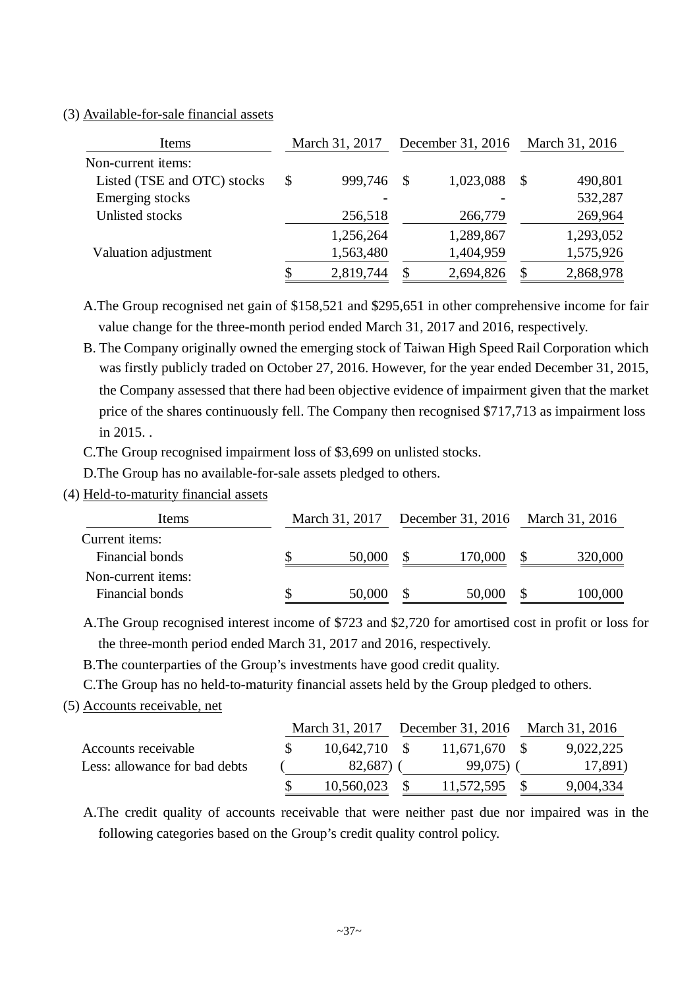### (3) Available-for-sale financial assets

| Items                       | March 31, 2017  |               | December 31, 2016 | March 31, 2016 |           |
|-----------------------------|-----------------|---------------|-------------------|----------------|-----------|
| Non-current items:          |                 |               |                   |                |           |
| Listed (TSE and OTC) stocks | \$<br>999,746   | - \$          | 1,023,088         | -S             | 490,801   |
| Emerging stocks             |                 |               |                   |                | 532,287   |
| Unlisted stocks             | 256,518         |               | 266,779           |                | 269,964   |
|                             | 1,256,264       |               | 1,289,867         |                | 1,293,052 |
| Valuation adjustment        | 1,563,480       |               | 1,404,959         |                | 1,575,926 |
|                             | \$<br>2,819,744 | $\mathcal{S}$ | 2,694,826         |                | 2,868,978 |

A.The Group recognised net gain of \$158,521 and \$295,651 in other comprehensive income for fair value change for the three-month period ended March 31, 2017 and 2016, respectively.

B. The Company originally owned the emerging stock of Taiwan High Speed Rail Corporation which was firstly publicly traded on October 27, 2016. However, for the year ended December 31, 2015, the Company assessed that there had been objective evidence of impairment given that the market price of the shares continuously fell. The Company then recognised \$717,713 as impairment loss in 2015. .

C.The Group recognised impairment loss of \$3,699 on unlisted stocks.

D.The Group has no available-for-sale assets pledged to others.

(4) Held-to-maturity financial assets

| Items              |   | March 31, 2017 | December 31, 2016 March 31, 2016 |         |
|--------------------|---|----------------|----------------------------------|---------|
| Current items:     |   |                |                                  |         |
| Financial bonds    | S | 50,000         | 170,000                          | 320,000 |
| Non-current items: |   |                |                                  |         |
| Financial bonds    |   | 50,000         | 50,000                           | 100,000 |

A.The Group recognised interest income of \$723 and \$2,720 for amortised cost in profit or loss for the three-month period ended March 31, 2017 and 2016, respectively.

B.The counterparties of the Group's investments have good credit quality.

C.The Group has no held-to-maturity financial assets held by the Group pledged to others.

#### (5) Accounts receivable, net

|                               |                 | March 31, 2017 December 31, 2016 March 31, 2016 |           |
|-------------------------------|-----------------|-------------------------------------------------|-----------|
| Accounts receivable           | $10,642,710$ \$ | 11,671,670 \$                                   | 9,022,225 |
| Less: allowance for bad debts | $82,687$ )      | 99,075)                                         | 17,891)   |
|                               | $10,560,023$ \$ | 11,572,595 \$                                   | 9,004,334 |

A.The credit quality of accounts receivable that were neither past due nor impaired was in the following categories based on the Group's credit quality control policy.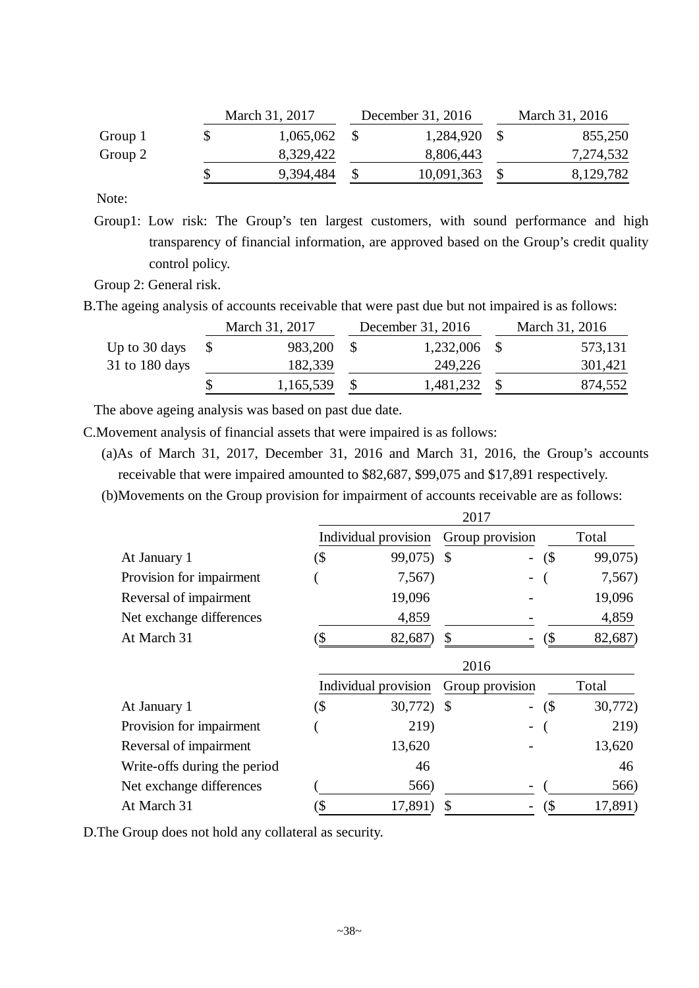|         | March 31, 2017 | December 31, 2016 | March 31, 2016 |
|---------|----------------|-------------------|----------------|
| Group 1 | 1,065,062      | 1,284,920         | 855,250        |
| Group 2 | 8,329,422      | 8,806,443         | 7,274,532      |
|         | 9,394,484      | 10,091,363        | 8,129,782      |

Note:

Group1: Low risk: The Group's ten largest customers, with sound performance and high transparency of financial information, are approved based on the Group's credit quality control policy.

Group 2: General risk.

B.The ageing analysis of accounts receivable that were past due but not impaired is as follows:

|                  | March 31, 2017 | December 31, 2016 | March 31, 2016 |
|------------------|----------------|-------------------|----------------|
| Up to 30 days    | 983,200        | 1,232,006         | 573,131        |
| $31$ to 180 days | 182,339        | 249,226           | 301,421        |
|                  | 1,165,539      | 1,481,232         | 874,552        |

The above ageing analysis was based on past due date.

C.Movement analysis of financial assets that were impaired is as follows:

- (a)As of March 31, 2017, December 31, 2016 and March 31, 2016, the Group's accounts receivable that were impaired amounted to \$82,687, \$99,075 and \$17,891 respectively.
- (b)Movements on the Group provision for impairment of accounts receivable are as follows:

|                              | 2017 |                      |               |                          |     |         |  |  |  |
|------------------------------|------|----------------------|---------------|--------------------------|-----|---------|--|--|--|
|                              |      | Individual provision |               | Group provision          |     | Total   |  |  |  |
| At January 1                 | (\$  | 99,075)              | $\mathcal{S}$ | $\overline{\phantom{0}}$ | (\$ | 99,075) |  |  |  |
| Provision for impairment     |      | 7,567)               |               |                          |     | 7,567)  |  |  |  |
| Reversal of impairment       |      | 19,096               |               |                          |     | 19,096  |  |  |  |
| Net exchange differences     |      | 4,859                |               |                          |     | 4,859   |  |  |  |
| At March 31                  | `\$  | 82,687)              | \$            |                          | (\$ | 82,687) |  |  |  |
|                              |      |                      | 2016          |                          |     |         |  |  |  |
|                              |      | Individual provision |               | Group provision          |     | Total   |  |  |  |
| At January 1                 | (\$  | 30,772)              | $\mathcal{S}$ | $\overline{\phantom{0}}$ | (   | 30,772) |  |  |  |
| Provision for impairment     |      | 219)                 |               | -                        |     | 219)    |  |  |  |
| Reversal of impairment       |      | 13,620               |               |                          |     | 13,620  |  |  |  |
| Write-offs during the period |      | 46                   |               |                          |     | 46      |  |  |  |
| Net exchange differences     |      | 566)                 |               |                          |     | 566)    |  |  |  |
| At March 31                  | \$   | 17,891)              |               |                          | (\$ | 17,891) |  |  |  |

D.The Group does not hold any collateral as security.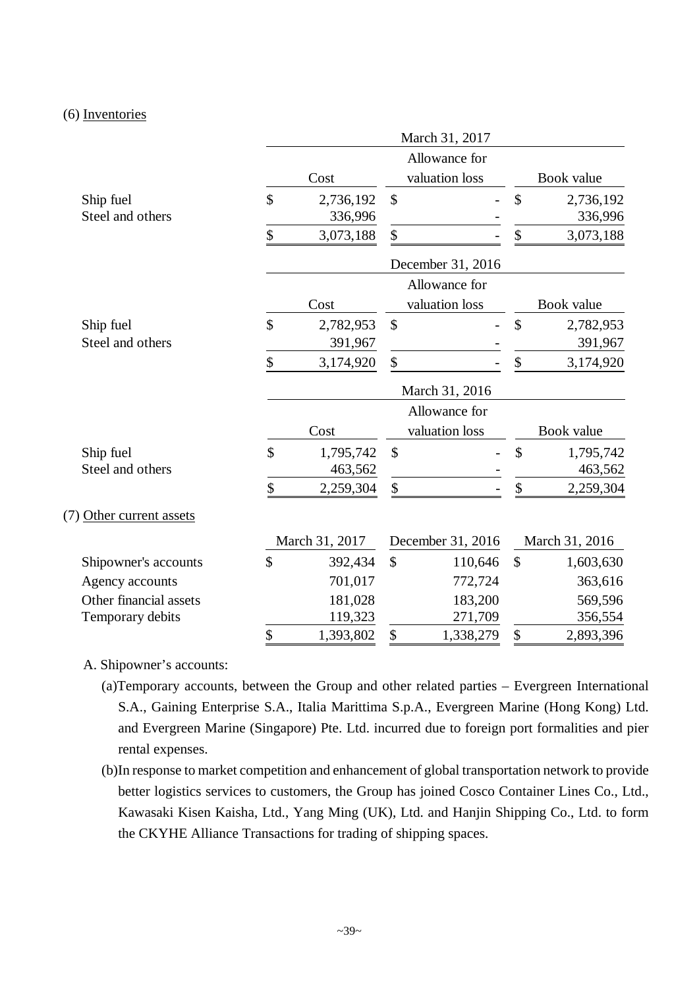#### (6) Inventories

|                               |                            |               | March 31, 2017                  |               |                      |  |  |  |
|-------------------------------|----------------------------|---------------|---------------------------------|---------------|----------------------|--|--|--|
|                               | Cost                       |               | Allowance for<br>valuation loss |               | Book value           |  |  |  |
| Ship fuel<br>Steel and others | \$<br>2,736,192<br>336,996 | $\mathcal{S}$ | $\overline{a}$                  | \$            | 2,736,192<br>336,996 |  |  |  |
|                               | \$<br>3,073,188            | \$            |                                 | \$            | 3,073,188            |  |  |  |
|                               |                            |               | December 31, 2016               |               |                      |  |  |  |
|                               |                            |               | Allowance for                   |               |                      |  |  |  |
|                               | Cost                       |               | valuation loss                  |               | Book value           |  |  |  |
| Ship fuel                     | \$<br>2,782,953            | \$            |                                 | \$            | 2,782,953            |  |  |  |
| Steel and others              | 391,967                    |               |                                 |               | 391,967              |  |  |  |
|                               | \$<br>3,174,920            | \$            |                                 | \$            | 3,174,920            |  |  |  |
|                               | March 31, 2016             |               |                                 |               |                      |  |  |  |
|                               |                            |               | Allowance for                   |               |                      |  |  |  |
|                               | Cost                       |               | valuation loss                  |               | Book value           |  |  |  |
| Ship fuel<br>Steel and others | \$<br>1,795,742<br>463,562 | \$            |                                 | \$            | 1,795,742<br>463,562 |  |  |  |
|                               | \$<br>2,259,304            | \$            |                                 | \$            | 2,259,304            |  |  |  |
| (7) Other current assets      |                            |               |                                 |               |                      |  |  |  |
|                               | March 31, 2017             |               | December 31, 2016               |               | March 31, 2016       |  |  |  |
| Shipowner's accounts          | \$<br>392,434              | \$            | 110,646                         | $\mathcal{S}$ | 1,603,630            |  |  |  |
| Agency accounts               | 701,017                    |               | 772,724                         |               | 363,616              |  |  |  |
| Other financial assets        | 181,028                    |               | 183,200                         |               | 569,596              |  |  |  |
| Temporary debits              | 119,323                    |               | 271,709                         |               | 356,554              |  |  |  |
|                               | \$<br>1,393,802            | \$            | 1,338,279                       | \$            | 2,893,396            |  |  |  |

## A. Shipowner's accounts:

- (a)Temporary accounts, between the Group and other related parties Evergreen International S.A., Gaining Enterprise S.A., Italia Marittima S.p.A., Evergreen Marine (Hong Kong) Ltd. and Evergreen Marine (Singapore) Pte. Ltd. incurred due to foreign port formalities and pier rental expenses.
- (b)In response to market competition and enhancement of global transportation network to provide better logistics services to customers, the Group has joined Cosco Container Lines Co., Ltd., Kawasaki Kisen Kaisha, Ltd., Yang Ming (UK), Ltd. and Hanjin Shipping Co., Ltd. to form the CKYHE Alliance Transactions for trading of shipping spaces.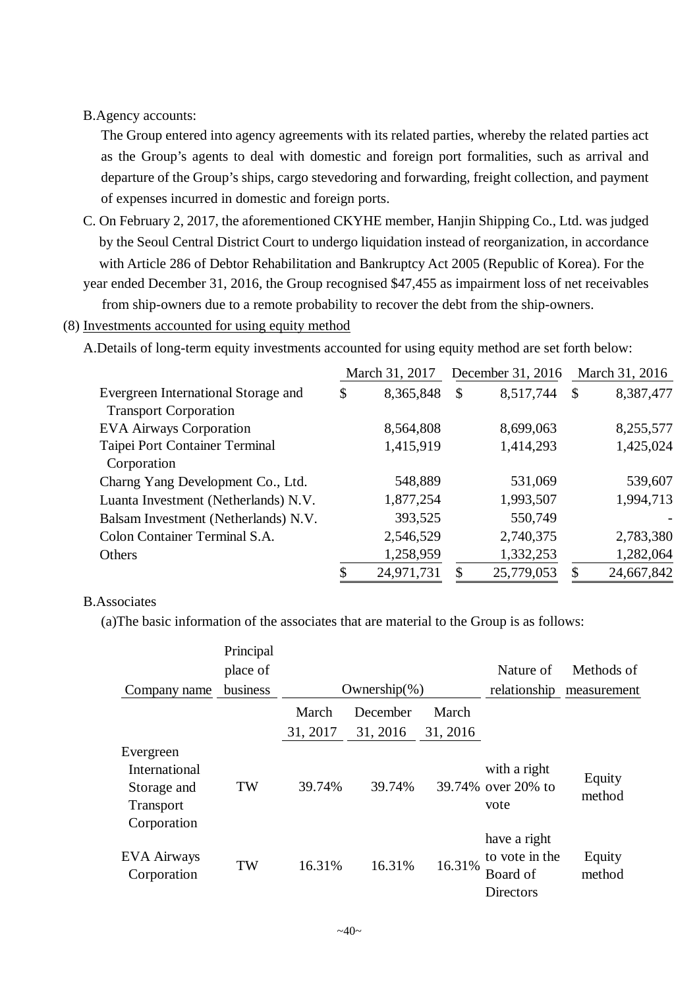#### B.Agency accounts:

The Group entered into agency agreements with its related parties, whereby the related parties act as the Group's agents to deal with domestic and foreign port formalities, such as arrival and departure of the Group's ships, cargo stevedoring and forwarding, freight collection, and payment of expenses incurred in domestic and foreign ports.

C. On February 2, 2017, the aforementioned CKYHE member, Hanjin Shipping Co., Ltd. was judged by the Seoul Central District Court to undergo liquidation instead of reorganization, in accordance with Article 286 of Debtor Rehabilitation and Bankruptcy Act 2005 (Republic of Korea). For the

year ended December 31, 2016, the Group recognised \$47,455 as impairment loss of net receivables from ship-owners due to a remote probability to recover the debt from the ship-owners.

#### (8) Investments accounted for using equity method

A.Details of long-term equity investments accounted for using equity method are set forth below:

| Evergreen International Storage and  |    | March 31, 2017 |    | December 31, 2016 |                           | March 31, 2016 |  |
|--------------------------------------|----|----------------|----|-------------------|---------------------------|----------------|--|
|                                      |    | 8,365,848      | \$ | 8,517,744         | $\boldsymbol{\mathsf{S}}$ | 8,387,477      |  |
| <b>Transport Corporation</b>         |    |                |    |                   |                           |                |  |
| <b>EVA Airways Corporation</b>       |    | 8,564,808      |    | 8,699,063         |                           | 8,255,577      |  |
| Taipei Port Container Terminal       |    | 1,415,919      |    | 1,414,293         |                           | 1,425,024      |  |
| Corporation                          |    |                |    |                   |                           |                |  |
| Charng Yang Development Co., Ltd.    |    | 548,889        |    | 531,069           |                           | 539,607        |  |
| Luanta Investment (Netherlands) N.V. |    | 1,877,254      |    | 1,993,507         |                           | 1,994,713      |  |
| Balsam Investment (Netherlands) N.V. |    | 393,525        |    | 550,749           |                           |                |  |
| Colon Container Terminal S.A.        |    | 2,546,529      |    | 2,740,375         |                           | 2,783,380      |  |
| Others                               |    | 1,258,959      |    | 1,332,253         |                           | 1,282,064      |  |
|                                      | \$ | 24,971,731     | S  | 25,779,053        | $\mathcal{S}$             | 24,667,842     |  |

#### B.Associates

(a)The basic information of the associates that are material to the Group is as follows:

| Company name                                                                 | Principal<br>place of<br>business |                   | Ownership $(\%)$     |          | Nature of<br>relationship                               | Methods of<br>measurement |
|------------------------------------------------------------------------------|-----------------------------------|-------------------|----------------------|----------|---------------------------------------------------------|---------------------------|
|                                                                              |                                   | March<br>31, 2017 | December<br>31, 2016 | March    |                                                         |                           |
| Evergreen<br>International<br>Storage and<br><b>Transport</b><br>Corporation | TW                                | 39.74%            | 39.74%               | 31, 2016 | with a right<br>39.74% over 20% to<br>vote              | Equity<br>method          |
| EVA Airways<br>Corporation                                                   | TW                                | 16.31%            | 16.31%               | 16.31%   | have a right<br>to vote in the<br>Board of<br>Directors | Equity<br>method          |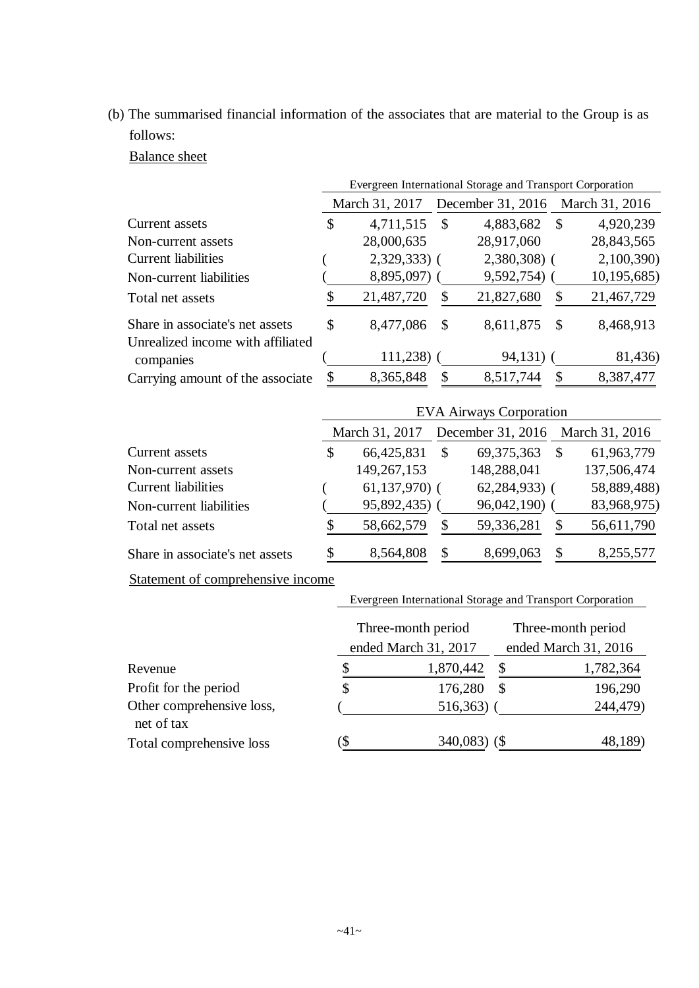(b) The summarised financial information of the associates that are material to the Group is as follows:

Balance sheet

|                                                                      | Evergreen International Storage and Transport Corporation |               |               |               |                |  |  |  |
|----------------------------------------------------------------------|-----------------------------------------------------------|---------------|---------------|---------------|----------------|--|--|--|
|                                                                      | December 31, 2016<br>March 31, 2017                       |               |               |               | March 31, 2016 |  |  |  |
| Current assets                                                       | \$<br>4,711,515                                           | $\mathcal{S}$ | 4,883,682     | -S            | 4,920,239      |  |  |  |
| Non-current assets                                                   | 28,000,635                                                |               | 28,917,060    |               | 28,843,565     |  |  |  |
| <b>Current liabilities</b>                                           | $2,329,333$ (                                             |               | $2,380,308$ ( |               | 2,100,390)     |  |  |  |
| Non-current liabilities                                              | 8,895,097)                                                |               | 9,592,754)    |               | 10, 195, 685   |  |  |  |
| Total net assets                                                     | 21,487,720                                                | \$            | 21,827,680    | S             | 21,467,729     |  |  |  |
| Share in associate's net assets<br>Unrealized income with affiliated | \$<br>8,477,086                                           | -S            | 8,611,875     | $\mathcal{S}$ | 8,468,913      |  |  |  |
| companies                                                            | $111,238$ ) (                                             |               | 94,131)       |               | 81,436)        |  |  |  |
| Carrying amount of the associate                                     | \$<br>8,365,848                                           | \$            | 8,517,744     |               | 8,387,477      |  |  |  |

|                                 | <b>EVA Airways Corporation</b>                     |               |                |               |             |  |  |  |
|---------------------------------|----------------------------------------------------|---------------|----------------|---------------|-------------|--|--|--|
|                                 | December 31, 2016 March 31, 2016<br>March 31, 2017 |               |                |               |             |  |  |  |
| Current assets                  | \$<br>66,425,831                                   | $\mathcal{S}$ | 69, 375, 363   | $\mathcal{S}$ | 61,963,779  |  |  |  |
| Non-current assets              | 149,267,153                                        |               | 148,288,041    |               | 137,506,474 |  |  |  |
| <b>Current liabilities</b>      | $61,137,970$ (                                     |               | $62,284,933$ ( |               | 58,889,488) |  |  |  |
| Non-current liabilities         | 95,892,435)                                        |               | 96,042,190)    |               | 83,968,975) |  |  |  |
| Total net assets                | 58,662,579                                         | \$            | 59,336,281     | S             | 56,611,790  |  |  |  |
| Share in associate's net assets | \$<br>8,564,808                                    | \$            | 8,699,063      | \$            | 8,255,577   |  |  |  |

Statement of comprehensive income

#### Evergreen International Storage and Transport Corporation

|                                         |               | Three-month period<br>ended March 31, 2017 | Three-month period<br>ended March 31, 2016 |           |  |  |
|-----------------------------------------|---------------|--------------------------------------------|--------------------------------------------|-----------|--|--|
|                                         |               |                                            |                                            |           |  |  |
| Revenue                                 |               | 1,870,442                                  | S                                          | 1,782,364 |  |  |
| Profit for the period                   |               | 176,280                                    | $\mathbb{S}$                               | 196,290   |  |  |
| Other comprehensive loss,<br>net of tax |               | 516,363)                                   |                                            | 244,479)  |  |  |
| Total comprehensive loss                | $\mathcal{D}$ | $340,083$ (\$)                             |                                            | 48,189)   |  |  |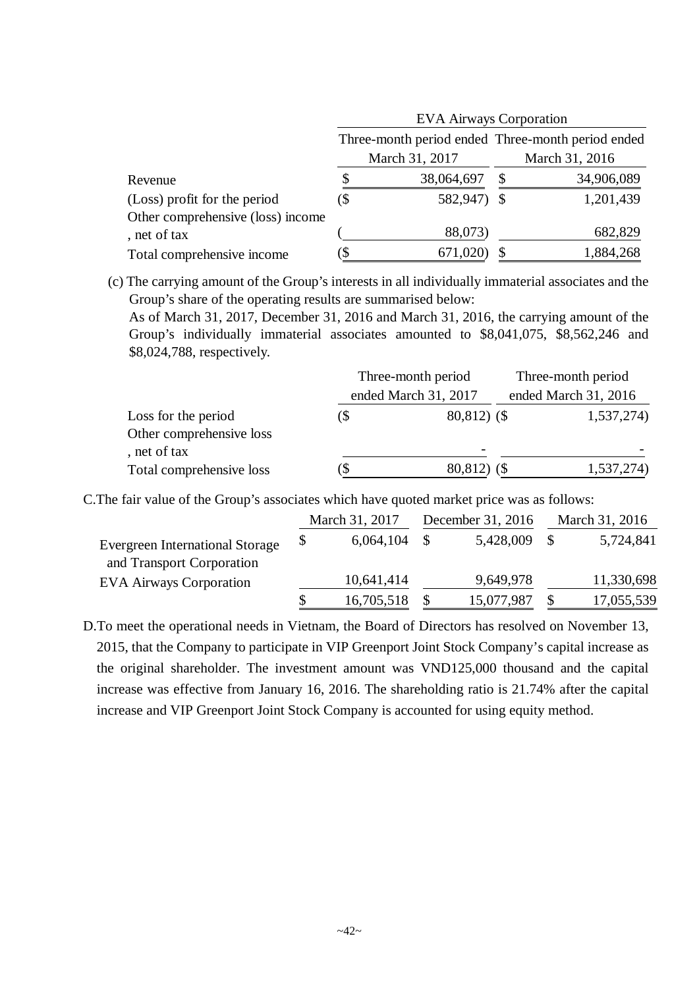|                                   | <b>EVA Airways Corporation</b> |                |                                                                     |            |  |  |  |  |
|-----------------------------------|--------------------------------|----------------|---------------------------------------------------------------------|------------|--|--|--|--|
|                                   |                                |                | Three-month period ended Three-month period ended<br>March 31, 2016 |            |  |  |  |  |
|                                   |                                | March 31, 2017 |                                                                     |            |  |  |  |  |
| Revenue                           |                                | 38,064,697     | S                                                                   | 34,906,089 |  |  |  |  |
| (Loss) profit for the period      | (\$                            | 582,947) \$    |                                                                     | 1,201,439  |  |  |  |  |
| Other comprehensive (loss) income |                                |                |                                                                     |            |  |  |  |  |
| , net of tax                      |                                | 88,073)        |                                                                     | 682,829    |  |  |  |  |
| Total comprehensive income        |                                | 671,020        |                                                                     | 1,884,268  |  |  |  |  |

(c) The carrying amount of the Group's interests in all individually immaterial associates and the Group's share of the operating results are summarised below:

As of March 31, 2017, December 31, 2016 and March 31, 2016, the carrying amount of the Group's individually immaterial associates amounted to \$8,041,075, \$8,562,246 and \$8,024,788, respectively.

|                          |     | Three-month period   | Three-month period   |  |  |
|--------------------------|-----|----------------------|----------------------|--|--|
|                          |     | ended March 31, 2017 | ended March 31, 2016 |  |  |
| Loss for the period      | (\$ | $80,812)$ (\$)       | 1,537,274)           |  |  |
| Other comprehensive loss |     |                      |                      |  |  |
| , net of tax             |     |                      |                      |  |  |
| Total comprehensive loss |     | 80,812) (\$          | 1,537,274)           |  |  |

C.The fair value of the Group's associates which have quoted market price was as follows:

|                                                                     | March 31, 2017 |            | December 31, 2016 | March 31, 2016 |            |  |
|---------------------------------------------------------------------|----------------|------------|-------------------|----------------|------------|--|
| <b>Evergreen International Storage</b><br>and Transport Corporation |                | 6,064,104  | 5,428,009         |                | 5,724,841  |  |
| <b>EVA Airways Corporation</b>                                      |                | 10,641,414 | 9,649,978         |                | 11,330,698 |  |
|                                                                     |                | 16,705,518 | \$<br>15,077,987  | \$             | 17,055,539 |  |

D.To meet the operational needs in Vietnam, the Board of Directors has resolved on November 13, 2015, that the Company to participate in VIP Greenport Joint Stock Company's capital increase as the original shareholder. The investment amount was VND125,000 thousand and the capital increase was effective from January 16, 2016. The shareholding ratio is 21.74% after the capital increase and VIP Greenport Joint Stock Company is accounted for using equity method.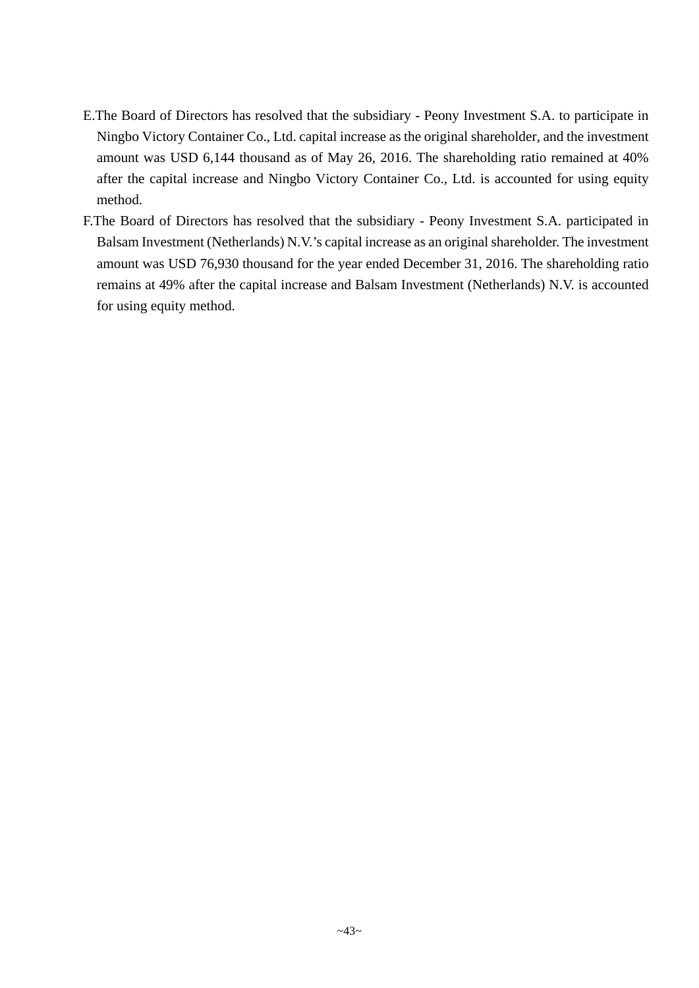- E.The Board of Directors has resolved that the subsidiary Peony Investment S.A. to participate in Ningbo Victory Container Co., Ltd. capital increase as the original shareholder, and the investment amount was USD 6,144 thousand as of May 26, 2016. The shareholding ratio remained at 40% after the capital increase and Ningbo Victory Container Co., Ltd. is accounted for using equity method.
- F.The Board of Directors has resolved that the subsidiary Peony Investment S.A. participated in Balsam Investment (Netherlands) N.V.'s capital increase as an original shareholder. The investment amount was USD 76,930 thousand for the year ended December 31, 2016. The shareholding ratio remains at 49% after the capital increase and Balsam Investment (Netherlands) N.V. is accounted for using equity method.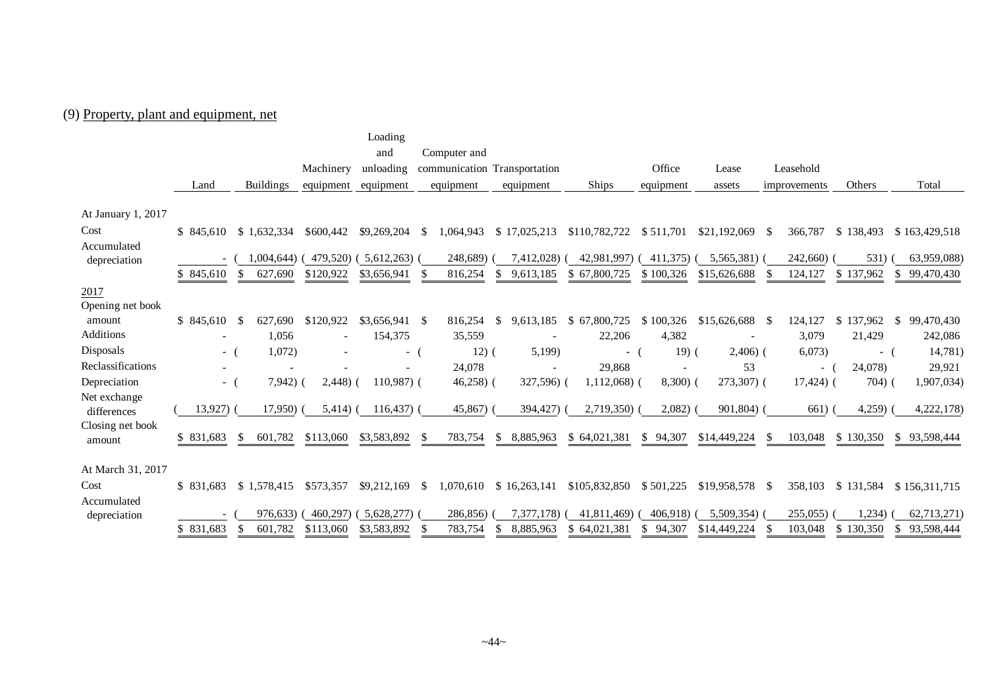# (9) Property, plant and equipment, net

|                             |                          |                         |                          | Loading         |                            |                              |                             |              |                    |               |           |                            |
|-----------------------------|--------------------------|-------------------------|--------------------------|-----------------|----------------------------|------------------------------|-----------------------------|--------------|--------------------|---------------|-----------|----------------------------|
|                             |                          |                         |                          | and             | Computer and               |                              |                             |              |                    |               |           |                            |
|                             |                          |                         | Machinery                | unloading       |                            | communication Transportation |                             | Office       | Lease              | Leasehold     |           |                            |
|                             | Land                     | <b>Buildings</b>        | equipment                | equipment       | equipment                  | equipment                    | Ships                       | equipment    | assets             | improvements  | Others    | Total                      |
|                             |                          |                         |                          |                 |                            |                              |                             |              |                    |               |           |                            |
| At January 1, 2017          |                          |                         |                          |                 |                            |                              |                             |              |                    |               |           |                            |
| Cost                        | \$845,610                | \$1,632,334             | \$600,442                | \$9,269,204     | <sup>\$</sup><br>1,064,943 | \$17,025,213                 | \$110,782,722               | \$511,701    | \$21,192,069       | 366,787<br>-S | \$138,493 | \$163,429,518              |
| Accumulated                 |                          |                         |                          |                 |                            |                              |                             |              |                    |               |           |                            |
| depreciation                | $\overline{\phantom{a}}$ | 1,004,644)              | 479,520)                 | 5,612,263)      | 248,689)                   | 7,412,028)                   | 42,981,997)                 | 411,375)     | 5,565,381)         | 242,660)      | 531)      | 63,959,088)                |
|                             | \$845,610                | 627,690                 | \$120,922                | \$3,656,941     | 816,254                    | 9.613.185                    | 67,800,725<br><b>S</b>      | \$100,326    | \$15,626,688       | 124,127       | \$137,962 | \$<br>99,470,430           |
| 2017                        |                          |                         |                          |                 |                            |                              |                             |              |                    |               |           |                            |
| Opening net book            |                          |                         |                          |                 |                            |                              |                             |              |                    |               |           |                            |
| amount                      | \$845,610                | 627,690                 | \$120,922                | $$3,656,941$ \$ | 816,254                    | <sup>\$</sup><br>9,613,185   | \$67,800,725                | \$100,326    | $$15,626,688$ \;   | 124,127       | \$137,962 | 99,470,430<br>$\mathbb{S}$ |
| Additions                   | $\overline{\phantom{a}}$ | 1,056                   | $\overline{\phantom{a}}$ | 154,375         | 35,559                     |                              | 22,206                      | 4,382        |                    | 3,079         | 21,429    | 242,086                    |
| Disposals                   | $-$ (                    | 1,072)                  |                          | $-$ (           | $12)$ (                    | 5,199)                       | $-$ (                       | $19)$ (      | $2,406$ ) (        | 6,073         | - (       | 14,781)                    |
| Reclassifications           | $\overline{\phantom{a}}$ |                         |                          |                 | 24,078                     |                              | 29,868                      |              | 53                 | $-$ (         | 24,078)   | 29,921                     |
| Depreciation                | $\sim$                   | $7,942)$ (              | $2,448$ )                | $110,987$ (     | $46,258$ (                 | 327,596) (                   | $1,112,068$ (               | $8,300)$ (   | 273,307) (         | $17,424$ ) (  | $704)$ (  | 1,907,034)                 |
| Net exchange<br>differences | 13,927                   | 17,950)                 | 5,414)                   | $116,437$ ) (   | 45,867)                    | 394,427)                     | 2,719,350)                  | 2,082)       | 901,804)           | 661)          | 4,259     | 4,222,178)                 |
| Closing net book<br>amount  | \$831,683                | 601,782<br><sup>S</sup> | \$113,060                | \$3,583,892     | 783,754<br>-S              | 8,885,963<br><sup>\$</sup>   | \$64,021,381                | 94,307<br>S. | \$14,449,224       | 103,048       | \$130,350 | \$93,598,444               |
| At March 31, 2017           |                          |                         |                          |                 |                            |                              |                             |              |                    |               |           |                            |
| Cost                        | \$ 831.683               | \$1,578,415             | \$573,357                | \$9,212,169     | 1,070,610<br>-S            | \$16,263,141                 | \$105,832,850               | \$501,225    | $$19,958,578$ \ \$ | 358,103       | \$131,584 | \$156,311,715              |
| Accumulated                 |                          |                         |                          |                 |                            |                              |                             |              |                    |               |           |                            |
| depreciation                |                          | 976.633)                | 460,297)                 | 5,628,277       | 286,856)                   | 7.377.178)                   | 41.811.469)                 | 406,918)     | 5,509,354)         | 255,055)      | 1,234)    | 62,713,271)                |
|                             | \$831,683                | 601,782<br>-S           | \$113,060                | \$3,583,892     | 783,754<br>S               | <sup>\$</sup><br>8,885,963   | 64,021,381<br><sup>\$</sup> | 94,307<br>S  | \$14,449,224       | 103,048       | \$130,350 | \$93,598,444               |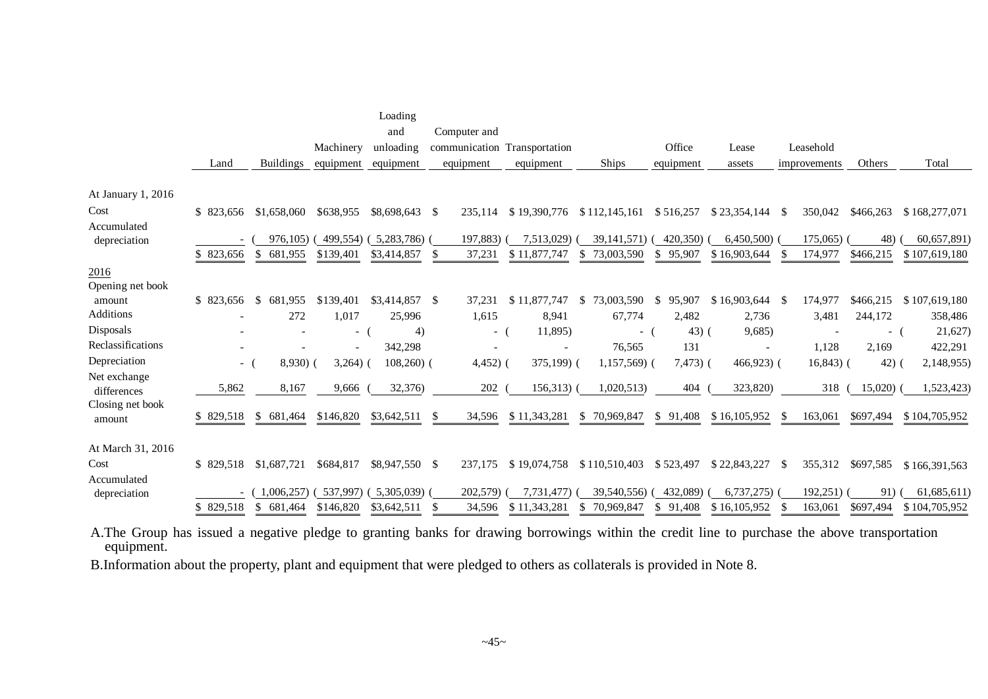|                            | Land       | <b>Buildings</b> | Machinery<br>equipment | Loading<br>and<br>unloading<br>equipment | Computer and<br>communication Transportation<br>equipment | equipment                | <b>Ships</b>                | Office<br>equipment    | Lease<br>assets          | Leasehold<br>improvements | Others    | Total         |
|----------------------------|------------|------------------|------------------------|------------------------------------------|-----------------------------------------------------------|--------------------------|-----------------------------|------------------------|--------------------------|---------------------------|-----------|---------------|
| At January 1, 2016         |            |                  |                        |                                          |                                                           |                          |                             |                        |                          |                           |           |               |
| Cost                       | \$ 823,656 | \$1,658,060      | \$638,955              | \$8,698,643 \$                           | 235,114                                                   | \$19,390,776             | \$112,145,161               | \$516,257              | $$23,354,144$ \\$        | 350,042                   | \$466,263 | \$168,277,071 |
| Accumulated                |            |                  |                        |                                          |                                                           |                          |                             |                        |                          |                           |           |               |
| depreciation               |            | 976,105)         | 499,554)               | (5,283,786)                              | 197,883)                                                  | 7,513,029)               | 39, 141, 571)               | 420,350)               | 6,450,500                | 175,065)                  | 48)       | 60,657,891)   |
|                            | \$823,656  | 681,955<br>S.    | \$139,401              | \$3,414,857                              | 37,231                                                    | \$11,877,747             | 73,003,590                  | \$95,907               | \$16,903,644             | 174,977                   | \$466,215 | \$107,619,180 |
| 2016                       |            |                  |                        |                                          |                                                           |                          |                             |                        |                          |                           |           |               |
| Opening net book           |            |                  |                        |                                          |                                                           |                          |                             |                        |                          |                           |           |               |
| amount<br>Additions        | \$823,656  | S.<br>681,955    | \$139,401              | $$3,414,857$ \\$                         | 37,231                                                    | \$11,877,747             | 73,003,590<br>S.            | 95,907<br><sup>S</sup> | $$16,903,644$ \\$        | 174,977                   | \$466,215 | \$107,619,180 |
|                            |            | 272              | 1,017                  | 25,996                                   | 1,615                                                     | 8,941                    | 67,774                      | 2,482                  | 2,736                    | 3,481                     | 244,172   | 358,486       |
| Disposals                  |            |                  | $-$ (                  | 4)                                       | $-$ (                                                     | 11,895)                  | $-$ (                       | $43)$ (                | 9,685)                   |                           | - (       | 21,627)       |
| Reclassifications          |            |                  | $\sim$                 | 342,298                                  | $\overline{\phantom{a}}$                                  | $\overline{\phantom{a}}$ | 76,565                      | 131                    | $\overline{\phantom{a}}$ | 1,128                     | 2,169     | 422,291       |
| Depreciation               | - (        | $8,930)$ (       | $3,264)$ (             | $108,260$ (                              | $4,452)$ (                                                | $375,199$ (              | $1,157,569$ (               | $7,473)$ (             | $466,923$ (              | $16,843$ (                | $42)$ (   | 2,148,955)    |
| Net exchange               | 5,862      | 8,167            | 9,666                  | 32,376)                                  | 202                                                       | 156,313                  | 1,020,513)                  | 404                    | 323,820)                 | 318                       | 15,020    | 1,523,423)    |
| differences                |            |                  |                        |                                          |                                                           |                          |                             |                        |                          |                           |           |               |
| Closing net book<br>amount | \$ 829,518 | 681,464<br>\$    | \$146,820              | \$3,642,511                              | 34,596<br>S                                               | \$11,343,281             | 70,969,847<br>S.            | \$91,408               | \$16,105,952             | 163,061                   | \$697,494 | \$104,705,952 |
| At March 31, 2016          |            |                  |                        |                                          |                                                           |                          |                             |                        |                          |                           |           |               |
| Cost                       | \$829,518  | \$1,687,721      | \$684,817              | \$8,947,550 \$                           | 237,175                                                   | \$19,074,758             | \$110,510,403               | \$523,497              | \$22,843,227             | 355,312<br>- \$           | \$697,585 | \$166,391,563 |
| Accumulated                |            |                  |                        |                                          |                                                           |                          |                             |                        |                          |                           |           |               |
| depreciation               |            | 1,006,257        | 537.997)               | (5,305,039)                              | 202,579)                                                  | 7.731.477)               | 39,540,556)                 | 432,089)               | 6,737,275                | 192,251)                  | 91)       | 61,685,611)   |
|                            | \$829,518  | \$<br>681,464    | \$146,820              | \$3,642,511                              | 34,596<br>-\$                                             | \$11,343,281             | 70.969.847<br><sup>\$</sup> | \$91,408               | \$16,105,952             | 163.061                   | \$697,494 | \$104,705,952 |

A.The Group has issued a negative pledge to granting banks for drawing borrowings within the credit line to purchase the above transportation equipment.

B.Information about the property, plant and equipment that were pledged to others as collaterals is provided in Note 8.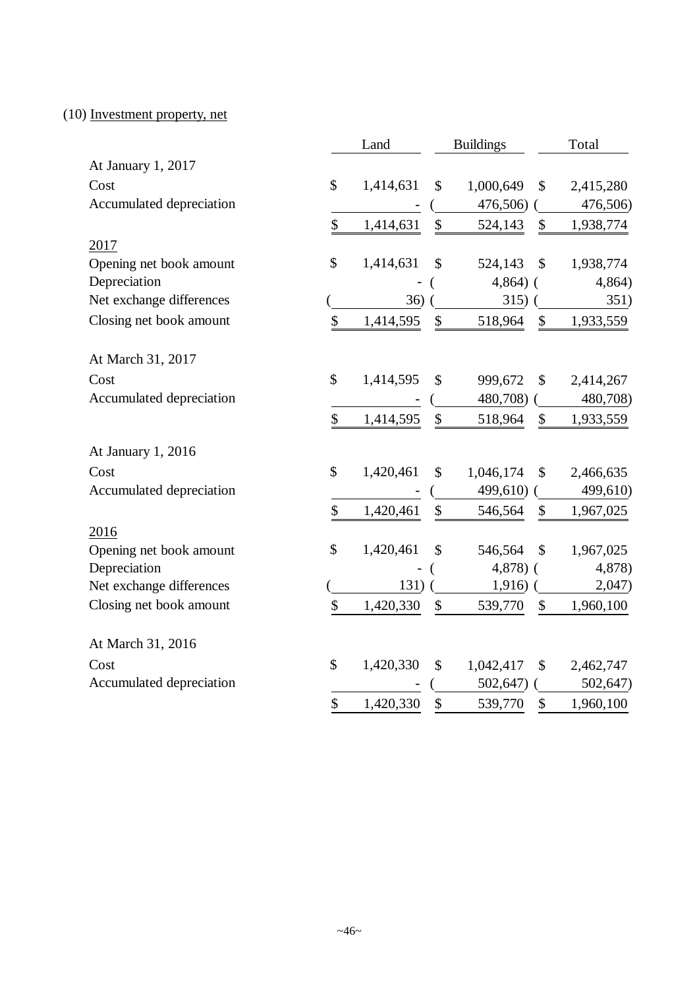# (10) Investment property, net

|                          |               | Land      |                           | <b>Buildings</b> | Total         |           |  |
|--------------------------|---------------|-----------|---------------------------|------------------|---------------|-----------|--|
| At January 1, 2017       |               |           |                           |                  |               |           |  |
| Cost                     | \$            | 1,414,631 | \$                        | 1,000,649        | $\mathcal{S}$ | 2,415,280 |  |
| Accumulated depreciation |               |           |                           | 476,506)         |               | 476,506)  |  |
|                          | \$            | 1,414,631 | $\$\,$                    | 524,143          | \$            | 1,938,774 |  |
| 2017                     |               |           |                           |                  |               |           |  |
| Opening net book amount  | \$            | 1,414,631 | \$                        | 524,143          | \$            | 1,938,774 |  |
| Depreciation             |               |           |                           | $4,864$ ) (      |               | 4,864)    |  |
| Net exchange differences |               | 36)       |                           | 315)             |               | 351)      |  |
| Closing net book amount  | \$            | 1,414,595 | \$                        | 518,964          | $\mathcal{S}$ | 1,933,559 |  |
| At March 31, 2017        |               |           |                           |                  |               |           |  |
| Cost                     | $\mathsf{\$}$ | 1,414,595 | \$                        | 999,672          | $\mathcal{S}$ | 2,414,267 |  |
| Accumulated depreciation |               |           |                           | 480,708)         |               | 480,708)  |  |
|                          | \$            | 1,414,595 | \$                        | 518,964          | $\mathbb{S}$  | 1,933,559 |  |
| At January 1, 2016       |               |           |                           |                  |               |           |  |
| Cost                     | \$            | 1,420,461 | \$                        | 1,046,174        | \$            | 2,466,635 |  |
| Accumulated depreciation |               |           |                           | 499,610)         |               | 499,610)  |  |
|                          | \$            | 1,420,461 | $\boldsymbol{\mathsf{S}}$ | 546,564          | $\mathcal{S}$ | 1,967,025 |  |
| 2016                     |               |           |                           |                  |               |           |  |
| Opening net book amount  | \$            | 1,420,461 | \$                        | 546,564          | \$            | 1,967,025 |  |
| Depreciation             |               |           |                           | $4,878$ ) (      |               | 4,878)    |  |
| Net exchange differences |               | 131)      |                           | $1,916)$ (       |               | 2,047)    |  |
| Closing net book amount  | \$            | 1,420,330 | \$                        | 539,770          | \$            | 1,960,100 |  |
| At March 31, 2016        |               |           |                           |                  |               |           |  |
| Cost                     | \$            | 1,420,330 | \$                        | 1,042,417        | \$            | 2,462,747 |  |
| Accumulated depreciation |               |           |                           | 502,647)         |               | 502,647)  |  |
|                          | \$            | 1,420,330 | $\boldsymbol{\$}$         | 539,770          | \$            | 1,960,100 |  |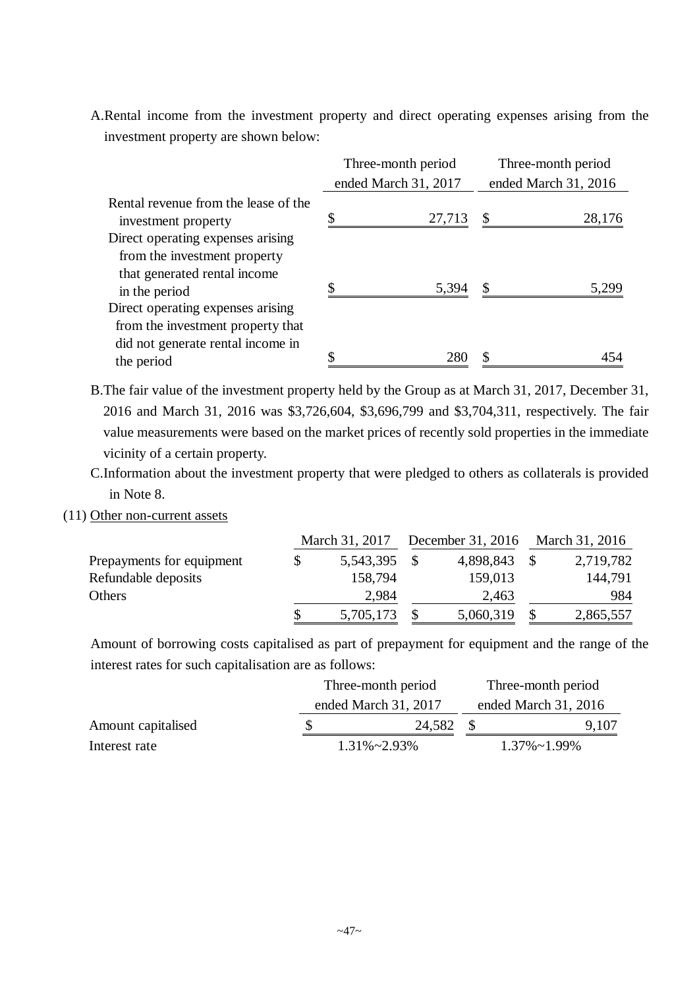A.Rental income from the investment property and direct operating expenses arising from the investment property are shown below:

|                                                             | Three-month period   | Three-month period |                      |  |  |
|-------------------------------------------------------------|----------------------|--------------------|----------------------|--|--|
|                                                             | ended March 31, 2017 |                    | ended March 31, 2016 |  |  |
| Rental revenue from the lease of the<br>investment property | \$<br>27,713         | $\mathbb{S}$       | 28,176               |  |  |
| Direct operating expenses arising                           |                      |                    |                      |  |  |
| from the investment property                                |                      |                    |                      |  |  |
| that generated rental income                                |                      |                    | 5.299                |  |  |
| in the period                                               | 5,394                |                    |                      |  |  |
| Direct operating expenses arising                           |                      |                    |                      |  |  |
| from the investment property that                           |                      |                    |                      |  |  |
| did not generate rental income in                           |                      |                    |                      |  |  |
| the period                                                  |                      |                    |                      |  |  |

- B.The fair value of the investment property held by the Group as at March 31, 2017, December 31, 2016 and March 31, 2016 was \$3,726,604, \$3,696,799 and \$3,704,311, respectively. The fair value measurements were based on the market prices of recently sold properties in the immediate vicinity of a certain property.
- C.Information about the investment property that were pledged to others as collaterals is provided in Note 8.
- (11) Other non-current assets

|                           | March 31, 2017 |           | December 31, 2016 March 31, 2016 |           |  |
|---------------------------|----------------|-----------|----------------------------------|-----------|--|
| Prepayments for equipment | 5,543,395      | 4,898,843 |                                  | 2,719,782 |  |
| Refundable deposits       | 158,794        | 159,013   |                                  | 144,791   |  |
| Others                    | 2,984          | 2,463     |                                  | 984       |  |
|                           | 5,705,173      | 5,060,319 |                                  | 2,865,557 |  |

Amount of borrowing costs capitalised as part of prepayment for equipment and the range of the interest rates for such capitalisation are as follows:

|                    | Three-month period   | Three-month period<br>ended March 31, 2016 |                      |  |  |
|--------------------|----------------------|--------------------------------------------|----------------------|--|--|
|                    | ended March 31, 2017 |                                            |                      |  |  |
| Amount capitalised | 24,582               |                                            | 9,107                |  |  |
| Interest rate      | $1.31\% \sim 2.93\%$ |                                            | $1.37\% \sim 1.99\%$ |  |  |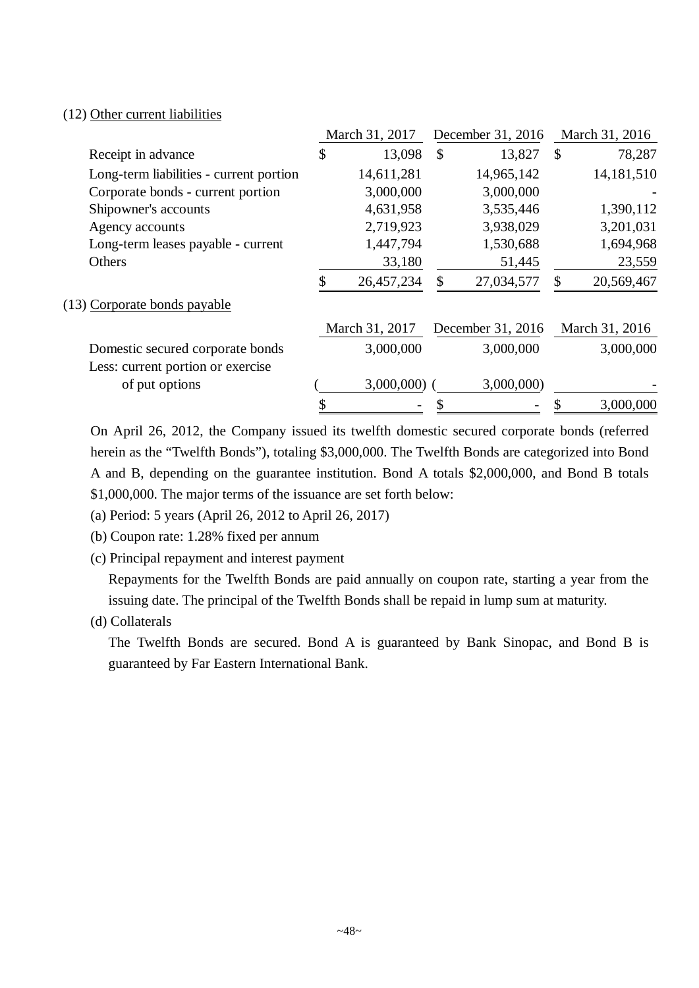### (12) Other current liabilities

|                                         |    | March 31, 2017 |               | December 31, 2016 | March 31, 2016 |                |  |
|-----------------------------------------|----|----------------|---------------|-------------------|----------------|----------------|--|
| Receipt in advance                      | \$ | 13,098         | $\mathcal{S}$ | 13,827            | $\mathcal{S}$  | 78,287         |  |
| Long-term liabilities - current portion |    | 14,611,281     |               | 14,965,142        |                | 14,181,510     |  |
| Corporate bonds - current portion       |    | 3,000,000      |               | 3,000,000         |                |                |  |
| Shipowner's accounts                    |    | 4,631,958      |               | 3,535,446         |                | 1,390,112      |  |
| Agency accounts                         |    | 2,719,923      |               | 3,938,029         |                | 3,201,031      |  |
| Long-term leases payable - current      |    | 1,447,794      |               | 1,530,688         |                | 1,694,968      |  |
| Others                                  |    | 33,180         |               | 51,445            |                | 23,559         |  |
|                                         | S  | 26,457,234     | S             | 27,034,577        | $\mathcal{S}$  | 20,569,467     |  |
| (13) Corporate bonds payable            |    |                |               |                   |                |                |  |
|                                         |    | March 31, 2017 |               | December 31, 2016 |                | March 31, 2016 |  |
| Domestic secured corporate bonds        |    | 3,000,000      |               | 3,000,000         |                | 3,000,000      |  |
| Less: current portion or exercise       |    |                |               |                   |                |                |  |
| of put options                          |    | 3,000,000      |               | 3,000,000)        |                |                |  |
|                                         |    |                |               |                   |                | 3,000,000      |  |

On April 26, 2012, the Company issued its twelfth domestic secured corporate bonds (referred herein as the "Twelfth Bonds"), totaling \$3,000,000. The Twelfth Bonds are categorized into Bond A and B, depending on the guarantee institution. Bond A totals \$2,000,000, and Bond B totals \$1,000,000. The major terms of the issuance are set forth below:

(a) Period: 5 years (April 26, 2012 to April 26, 2017)

(b) Coupon rate: 1.28% fixed per annum

(c) Principal repayment and interest payment

Repayments for the Twelfth Bonds are paid annually on coupon rate, starting a year from the issuing date. The principal of the Twelfth Bonds shall be repaid in lump sum at maturity.

(d) Collaterals

The Twelfth Bonds are secured. Bond A is guaranteed by Bank Sinopac, and Bond B is guaranteed by Far Eastern International Bank.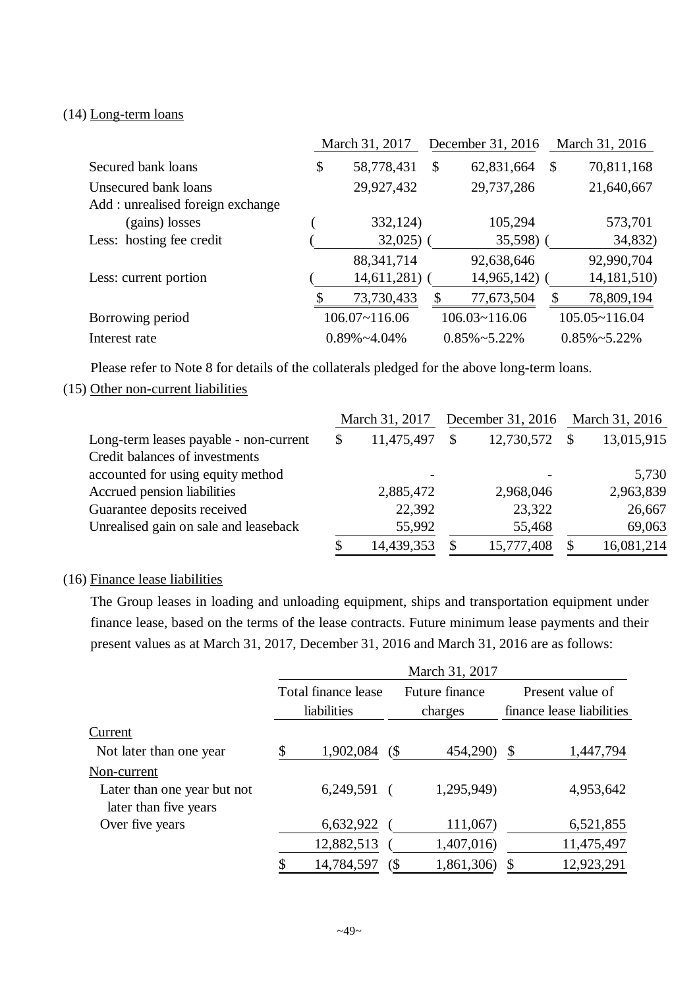#### (14) Long-term loans

|                                  | March 31, 2017       |    | December 31, 2016    | March 31, 2016 |                        |
|----------------------------------|----------------------|----|----------------------|----------------|------------------------|
| Secured bank loans               | \$<br>58,778,431     | \$ | 62,831,664           | \$             | 70,811,168             |
| Unsecured bank loans             | 29,927,432           |    | 29,737,286           |                | 21,640,667             |
| Add: unrealised foreign exchange |                      |    |                      |                |                        |
| (gains) losses                   | 332,124)             |    | 105,294              |                | 573,701                |
| Less: hosting fee credit         | $32,025$ )           |    | $35,598$ )           |                | 34,832)                |
|                                  | 88, 341, 714         |    | 92,638,646           |                | 92,990,704             |
| Less: current portion            | 14,611,281           |    | 14,965,142)          |                | 14, 181, 510)          |
|                                  | \$<br>73,730,433     | \$ | 77,673,504           | \$             | 78,809,194             |
| Borrowing period                 | $106.07 - 116.06$    |    | $106.03 - 116.06$    |                | $105.05 \times 116.04$ |
| Interest rate                    | $0.89\% \sim 4.04\%$ |    | $0.85\% \sim 5.22\%$ |                | $0.85\% \sim 5.22\%$   |

Please refer to Note 8 for details of the collaterals pledged for the above long-term loans.

## (15) Other non-current liabilities

| Long-term leases payable - non-current<br>Credit balances of investments |  | March 31, 2017           | December 31, 2016 | March 31, 2016 |            |
|--------------------------------------------------------------------------|--|--------------------------|-------------------|----------------|------------|
|                                                                          |  | 11,475,497               | 12,730,572        | \$             | 13,015,915 |
| accounted for using equity method                                        |  | $\overline{\phantom{0}}$ |                   |                | 5,730      |
| Accrued pension liabilities                                              |  | 2,885,472                | 2,968,046         |                | 2,963,839  |
| Guarantee deposits received                                              |  | 22,392                   | 23,322            |                | 26,667     |
| Unrealised gain on sale and leaseback                                    |  | 55,992                   | 55,468            |                | 69,063     |
|                                                                          |  | 14,439,353               | 15,777,408        |                | 16,081,214 |

# (16) Finance lease liabilities

The Group leases in loading and unloading equipment, ships and transportation equipment under finance lease, based on the terms of the lease contracts. Future minimum lease payments and their present values as at March 31, 2017, December 31, 2016 and March 31, 2016 are as follows:

|                                                      |                                    |                            | March 31, 2017            |                                               |
|------------------------------------------------------|------------------------------------|----------------------------|---------------------------|-----------------------------------------------|
|                                                      | Total finance lease<br>liabilities |                            | Future finance<br>charges | Present value of<br>finance lease liabilities |
| Current                                              |                                    |                            |                           |                                               |
| Not later than one year                              | \$<br>1,902,084                    | $\left( \text{\$} \right)$ | 454,290)                  | \$<br>1,447,794                               |
| Non-current                                          |                                    |                            |                           |                                               |
| Later than one year but not<br>later than five years | $6,249,591$ (                      |                            | 1,295,949)                | 4,953,642                                     |
| Over five years                                      | 6,632,922                          |                            | 111,067)                  | 6,521,855                                     |
|                                                      | 12,882,513                         |                            | 1,407,016)                | 11,475,497                                    |
|                                                      | \$<br>14,784,597                   | (                          | 1,861,306)                | 12,923,291                                    |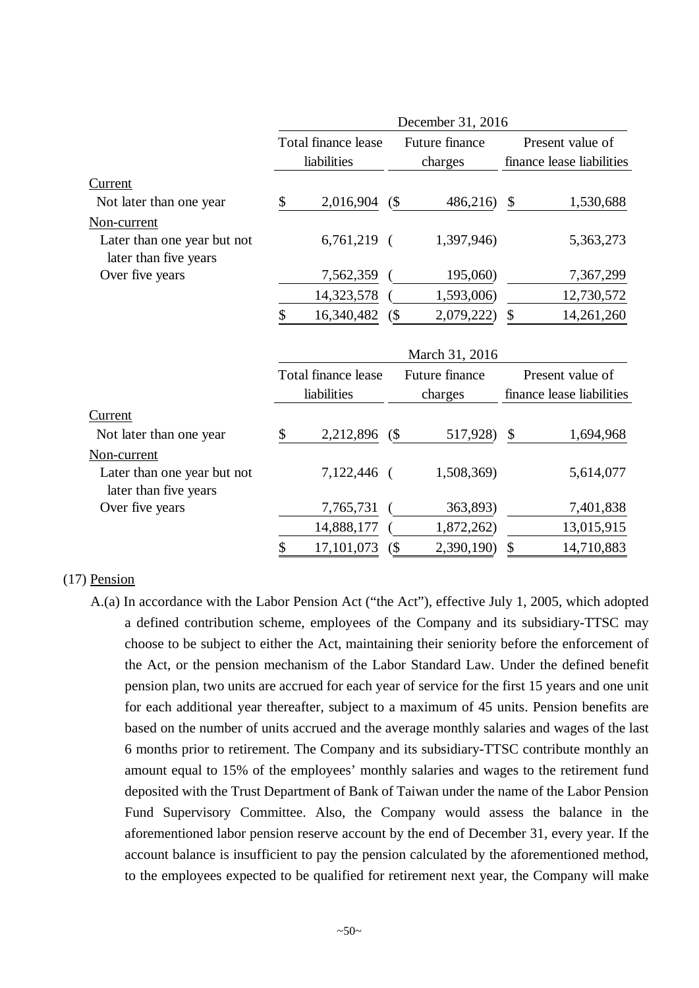|                                                      |                     |        | December 31, 2016 |                           |                           |
|------------------------------------------------------|---------------------|--------|-------------------|---------------------------|---------------------------|
|                                                      | Total finance lease |        | Future finance    |                           | Present value of          |
|                                                      | liabilities         |        | charges           |                           | finance lease liabilities |
| Current                                              |                     |        |                   |                           |                           |
| Not later than one year                              | \$<br>2,016,904     | (      | 486,216)          | $\boldsymbol{\mathsf{S}}$ | 1,530,688                 |
| Non-current                                          |                     |        |                   |                           |                           |
| Later than one year but not<br>later than five years | $6,761,219$ (       |        | 1,397,946)        |                           | 5,363,273                 |
| Over five years                                      | 7,562,359           |        | 195,060)          |                           | 7,367,299                 |
|                                                      | 14,323,578          |        | 1,593,006)        |                           | 12,730,572                |
|                                                      | \$<br>16,340,482    | (      | 2,079,222)        | \$                        | 14,261,260                |
|                                                      |                     |        | March 31, 2016    |                           |                           |
|                                                      | Total finance lease |        | Future finance    |                           | Present value of          |
|                                                      | liabilities         |        | charges           |                           | finance lease liabilities |
| Current                                              |                     |        |                   |                           |                           |
| Not later than one year                              | \$<br>2,212,896     | (      | 517,928)          | \$                        | 1,694,968                 |
| Non-current                                          |                     |        |                   |                           |                           |
| Later than one year but not<br>later than five years | 7,122,446 (         |        | 1,508,369)        |                           | 5,614,077                 |
| Over five years                                      | 7,765,731           |        | 363,893)          |                           | 7,401,838                 |
|                                                      | 14,888,177          |        | 1,872,262)        |                           | 13,015,915                |
|                                                      | \$<br>17,101,073    | $($ \$ | 2,390,190)        | \$                        | 14,710,883                |

#### (17) Pension

A.(a) In accordance with the Labor Pension Act ("the Act"), effective July 1, 2005, which adopted a defined contribution scheme, employees of the Company and its subsidiary-TTSC may choose to be subject to either the Act, maintaining their seniority before the enforcement of the Act, or the pension mechanism of the Labor Standard Law. Under the defined benefit pension plan, two units are accrued for each year of service for the first 15 years and one unit for each additional year thereafter, subject to a maximum of 45 units. Pension benefits are based on the number of units accrued and the average monthly salaries and wages of the last 6 months prior to retirement. The Company and its subsidiary-TTSC contribute monthly an amount equal to 15% of the employees' monthly salaries and wages to the retirement fund deposited with the Trust Department of Bank of Taiwan under the name of the Labor Pension Fund Supervisory Committee. Also, the Company would assess the balance in the aforementioned labor pension reserve account by the end of December 31, every year. If the account balance is insufficient to pay the pension calculated by the aforementioned method, to the employees expected to be qualified for retirement next year, the Company will make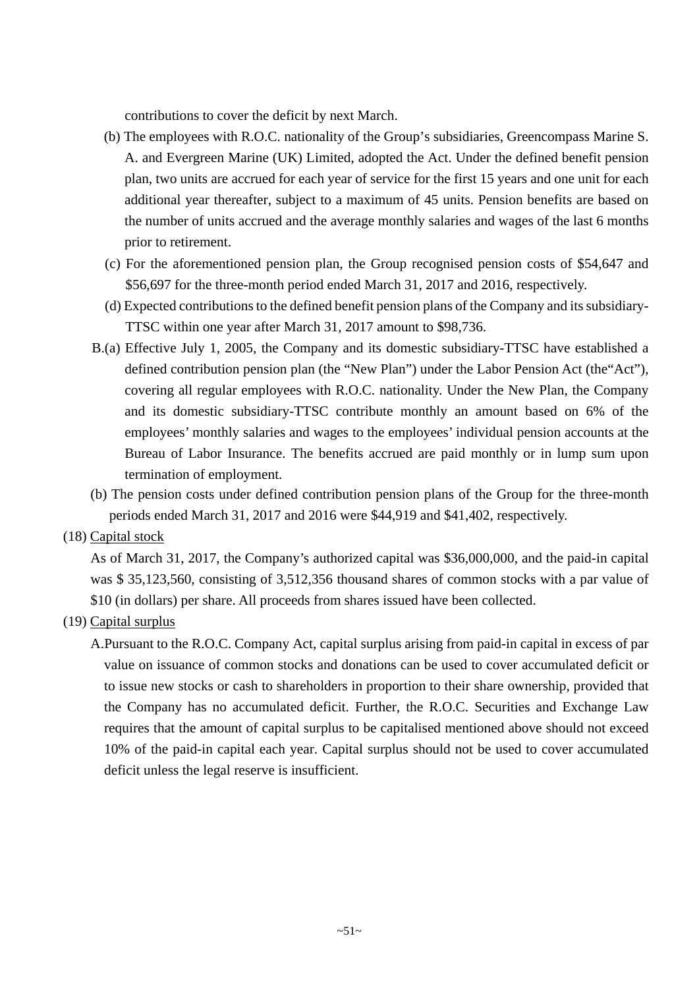contributions to cover the deficit by next March.

- (b) The employees with R.O.C. nationality of the Group's subsidiaries, Greencompass Marine S. A. and Evergreen Marine (UK) Limited, adopted the Act. Under the defined benefit pension plan, two units are accrued for each year of service for the first 15 years and one unit for each additional year thereafter, subject to a maximum of 45 units. Pension benefits are based on the number of units accrued and the average monthly salaries and wages of the last 6 months prior to retirement.
- (c) For the aforementioned pension plan, the Group recognised pension costs of \$54,647 and \$56,697 for the three-month period ended March 31, 2017 and 2016, respectively.
- (d) Expected contributions to the defined benefit pension plans of the Company and its subsidiary-TTSC within one year after March 31, 2017 amount to \$98,736.
- B.(a) Effective July 1, 2005, the Company and its domestic subsidiary-TTSC have established a defined contribution pension plan (the "New Plan") under the Labor Pension Act (the"Act"), covering all regular employees with R.O.C. nationality. Under the New Plan, the Company and its domestic subsidiary-TTSC contribute monthly an amount based on 6% of the employees' monthly salaries and wages to the employees' individual pension accounts at the Bureau of Labor Insurance. The benefits accrued are paid monthly or in lump sum upon termination of employment.
- (b) The pension costs under defined contribution pension plans of the Group for the three-month periods ended March 31, 2017 and 2016 were \$44,919 and \$41,402, respectively.

## (18) Capital stock

As of March 31, 2017, the Company's authorized capital was \$36,000,000, and the paid-in capital was \$ 35,123,560, consisting of 3,512,356 thousand shares of common stocks with a par value of \$10 (in dollars) per share. All proceeds from shares issued have been collected.

## (19) Capital surplus

A.Pursuant to the R.O.C. Company Act, capital surplus arising from paid-in capital in excess of par value on issuance of common stocks and donations can be used to cover accumulated deficit or to issue new stocks or cash to shareholders in proportion to their share ownership, provided that the Company has no accumulated deficit. Further, the R.O.C. Securities and Exchange Law requires that the amount of capital surplus to be capitalised mentioned above should not exceed 10% of the paid-in capital each year. Capital surplus should not be used to cover accumulated deficit unless the legal reserve is insufficient.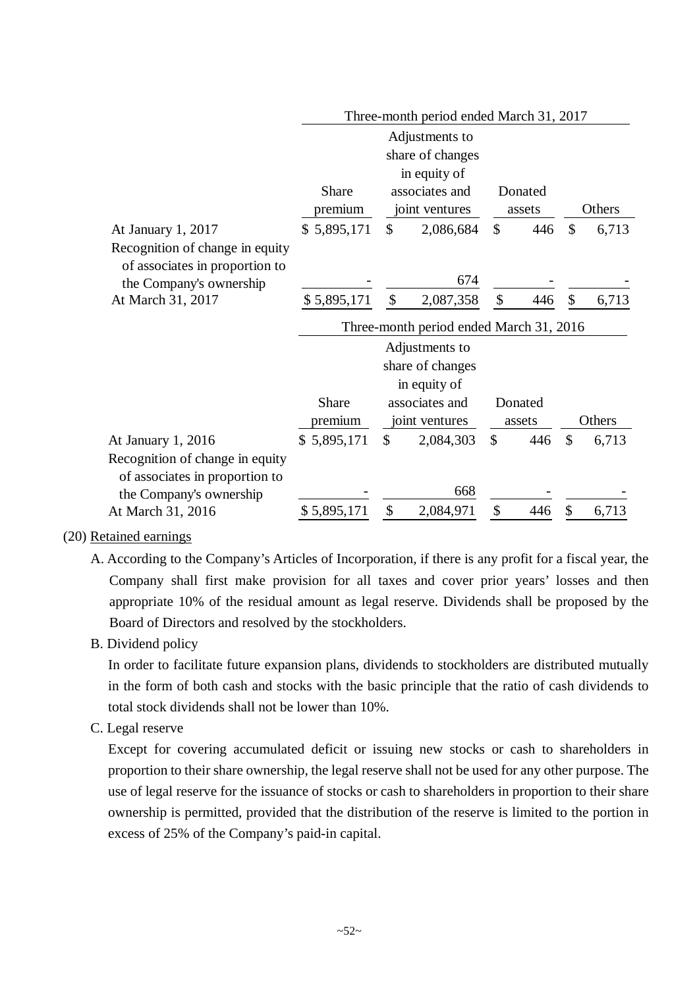|                                                                   | Three-month period ended March 31, 2017 |                           |                                         |                           |         |               |        |
|-------------------------------------------------------------------|-----------------------------------------|---------------------------|-----------------------------------------|---------------------------|---------|---------------|--------|
|                                                                   |                                         |                           | Adjustments to                          |                           |         |               |        |
|                                                                   |                                         |                           | share of changes                        |                           |         |               |        |
|                                                                   |                                         |                           | in equity of                            |                           |         |               |        |
|                                                                   | <b>Share</b>                            |                           | associates and                          |                           | Donated |               |        |
|                                                                   | premium                                 |                           | joint ventures                          |                           | assets  |               | Others |
| At January 1, 2017                                                | \$5,895,171                             | \$                        | 2,086,684                               | $\mathcal{S}$             | 446     | \$            | 6,713  |
| Recognition of change in equity                                   |                                         |                           |                                         |                           |         |               |        |
| of associates in proportion to                                    |                                         |                           |                                         |                           |         |               |        |
| the Company's ownership                                           |                                         |                           | 674                                     |                           |         |               |        |
| At March 31, 2017                                                 | \$5,895,171                             | $\boldsymbol{\mathsf{S}}$ | 2,087,358                               | $\boldsymbol{\mathsf{S}}$ | 446     | \$            | 6,713  |
|                                                                   |                                         |                           | Three-month period ended March 31, 2016 |                           |         |               |        |
|                                                                   |                                         |                           | Adjustments to                          |                           |         |               |        |
|                                                                   |                                         |                           | share of changes                        |                           |         |               |        |
|                                                                   |                                         |                           | in equity of                            |                           |         |               |        |
|                                                                   | Share                                   |                           | associates and                          |                           | Donated |               |        |
|                                                                   | premium                                 |                           | joint ventures                          |                           | assets  |               | Others |
| At January 1, 2016                                                | \$5,895,171                             | $\mathcal{S}$             | 2,084,303                               | $\mathcal{S}$             | 446     | $\mathcal{S}$ | 6,713  |
| Recognition of change in equity<br>of associates in proportion to |                                         |                           |                                         |                           |         |               |        |
| the Company's ownership                                           |                                         |                           | 668                                     |                           |         |               |        |
| At March 31, 2016                                                 | \$5,895,171                             | \$                        | 2,084,971                               | \$                        | 446     | \$            | 6,713  |

## (20) Retained earnings

- A. According to the Company's Articles of Incorporation, if there is any profit for a fiscal year, the Company shall first make provision for all taxes and cover prior years' losses and then appropriate 10% of the residual amount as legal reserve. Dividends shall be proposed by the Board of Directors and resolved by the stockholders.
- B. Dividend policy

In order to facilitate future expansion plans, dividends to stockholders are distributed mutually in the form of both cash and stocks with the basic principle that the ratio of cash dividends to total stock dividends shall not be lower than 10%.

C. Legal reserve

Except for covering accumulated deficit or issuing new stocks or cash to shareholders in proportion to their share ownership, the legal reserve shall not be used for any other purpose. The use of legal reserve for the issuance of stocks or cash to shareholders in proportion to their share ownership is permitted, provided that the distribution of the reserve is limited to the portion in excess of 25% of the Company's paid-in capital.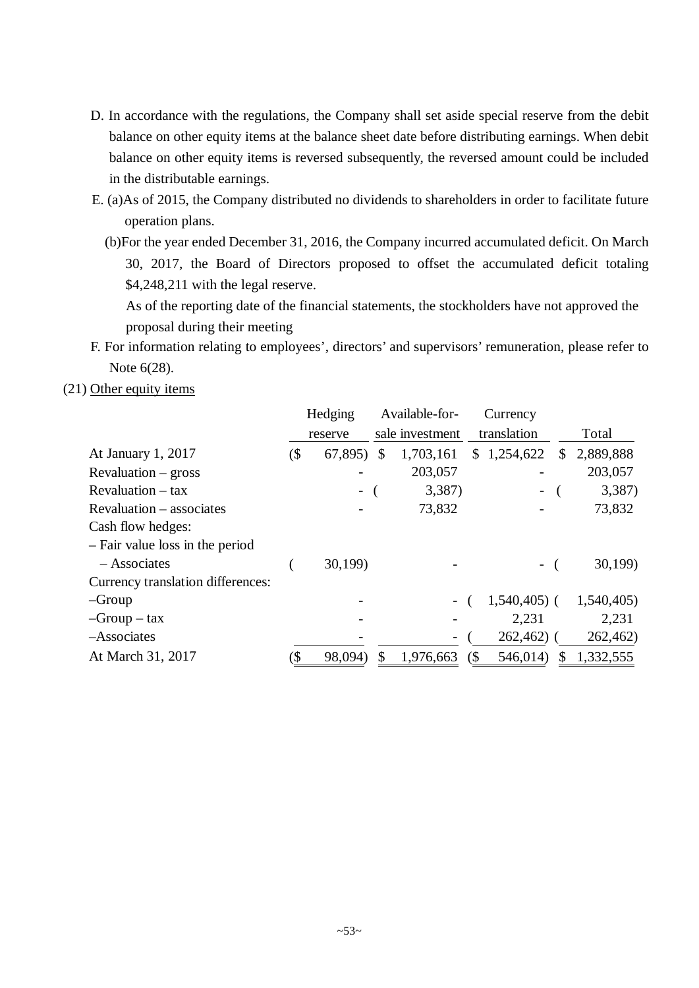- D. In accordance with the regulations, the Company shall set aside special reserve from the debit balance on other equity items at the balance sheet date before distributing earnings. When debit balance on other equity items is reversed subsequently, the reversed amount could be included in the distributable earnings.
- E. (a)As of 2015, the Company distributed no dividends to shareholders in order to facilitate future operation plans.
	- (b)For the year ended December 31, 2016, the Company incurred accumulated deficit. On March 30, 2017, the Board of Directors proposed to offset the accumulated deficit totaling \$4,248,211 with the legal reserve.

As of the reporting date of the financial statements, the stockholders have not approved the proposal during their meeting

- F. For information relating to employees', directors' and supervisors' remuneration, please refer to Note 6(28).
- (21) Other equity items

|                                   |     | Hedging |               | Available-for-  |       | Currency                 |    |            |
|-----------------------------------|-----|---------|---------------|-----------------|-------|--------------------------|----|------------|
|                                   |     | reserve |               | sale investment |       | translation              |    | Total      |
| At January 1, 2017                | (\$ | 67,895) | <sup>\$</sup> | 1,703,161       | S.    | 1,254,622                | \$ | 2,889,888  |
| $Revaluation - gross$             |     |         |               | 203,057         |       |                          |    | 203,057    |
| $Revaluation - tax$               |     |         |               | 3,387)          |       | -                        |    | 3,387)     |
| Revaluation – associates          |     |         |               | 73,832          |       |                          |    | 73,832     |
| Cash flow hedges:                 |     |         |               |                 |       |                          |    |            |
| - Fair value loss in the period   |     |         |               |                 |       |                          |    |            |
| $-$ Associates                    |     | 30,199) |               |                 |       | $\overline{\phantom{0}}$ |    | 30,199     |
| Currency translation differences: |     |         |               |                 |       |                          |    |            |
| $-Group$                          |     |         |               |                 |       | $1,540,405$ (            |    | 1,540,405) |
| $-Group - tax$                    |     |         |               |                 |       | 2,231                    |    | 2,231      |
| -Associates                       |     |         |               |                 |       | 262,462)                 |    | 262,462)   |
| At March 31, 2017                 | \$  | 98,094) |               | 1,976,663       | $\Im$ | 546,014                  | S  | 1,332,555  |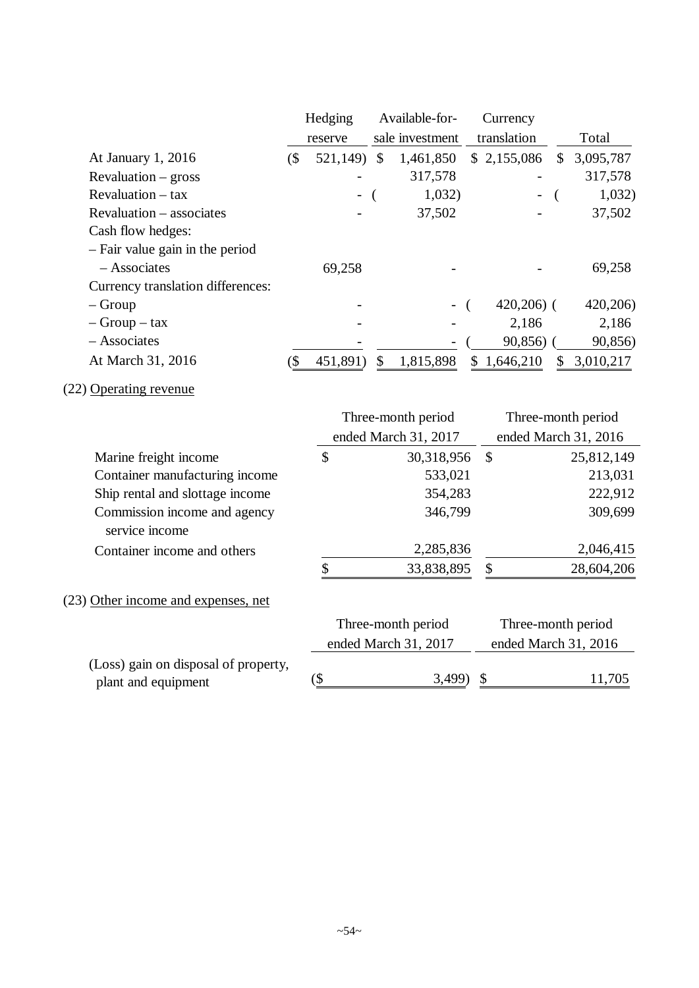|                                   |     | Hedging  | Available-for-  |    | Currency    |    |           |
|-----------------------------------|-----|----------|-----------------|----|-------------|----|-----------|
|                                   |     | reserve  | sale investment |    | translation |    | Total     |
| At January 1, 2016                | (\$ | 521,149) | \$<br>1,461,850 |    | \$2,155,086 | \$ | 3,095,787 |
| $Revaluation - gross$             |     |          | 317,578         |    |             |    | 317,578   |
| $Revaluation - tax$               |     | -        | 1,032)          |    |             |    | 1,032)    |
| Revaluation – associates          |     |          | 37,502          |    |             |    | 37,502    |
| Cash flow hedges:                 |     |          |                 |    |             |    |           |
| - Fair value gain in the period   |     |          |                 |    |             |    |           |
| $-$ Associates                    |     | 69,258   |                 |    |             |    | 69,258    |
| Currency translation differences: |     |          |                 |    |             |    |           |
| $-$ Group                         |     |          |                 |    | $420,206$ ( |    | 420,206)  |
| $-$ Group $-$ tax                 |     |          |                 |    | 2,186       |    | 2,186     |
| $-$ Associates                    |     |          |                 |    | 90,856      |    | 90,856)   |
| At March 31, 2016                 | (S  | 451,891) | \$<br>1,815,898 | S. | 1,646,210   | S  | 3,010,217 |

# (22) Operating revenue

|                                                             | Three-month period   |    | Three-month period   |
|-------------------------------------------------------------|----------------------|----|----------------------|
|                                                             | ended March 31, 2017 |    | ended March 31, 2016 |
| Marine freight income                                       | \$<br>30,318,956     | \$ | 25,812,149           |
| Container manufacturing income                              | 533,021              |    | 213,031              |
| Ship rental and slottage income                             | 354,283              |    | 222,912              |
| Commission income and agency<br>service income              | 346,799              |    | 309,699              |
| Container income and others                                 | 2,285,836            |    | 2,046,415            |
|                                                             | \$<br>33,838,895     |    | 28,604,206           |
| (23) Other income and expenses, net                         |                      |    |                      |
|                                                             | Three-month period   |    | Three-month period   |
|                                                             | ended March 31, 2017 |    | ended March 31, 2016 |
| (Loss) gain on disposal of property,<br>plant and equipment | 3,499                |    | 11,705               |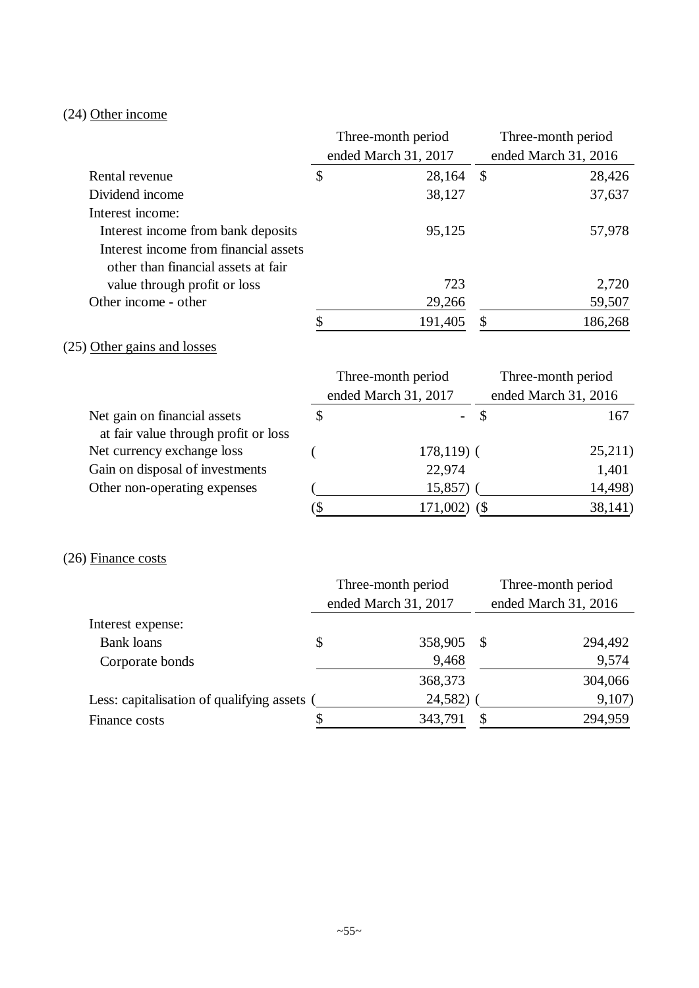# (24) Other income

|                                       |                          | Three-month period   |                           | Three-month period   |
|---------------------------------------|--------------------------|----------------------|---------------------------|----------------------|
|                                       |                          | ended March 31, 2017 |                           | ended March 31, 2016 |
| Rental revenue                        | \$                       | 28,164               | $\boldsymbol{\mathsf{S}}$ | 28,426               |
| Dividend income                       |                          | 38,127               |                           | 37,637               |
| Interest income:                      |                          |                      |                           |                      |
| Interest income from bank deposits    |                          | 95,125               |                           | 57,978               |
| Interest income from financial assets |                          |                      |                           |                      |
| other than financial assets at fair   |                          |                      |                           |                      |
| value through profit or loss          |                          | 723                  |                           | 2,720                |
| Other income - other                  |                          | 29,266               |                           | 59,507               |
|                                       | \$                       | 191,405              | \$                        | 186,268              |
| (25) Other gains and losses           |                          |                      |                           |                      |
|                                       |                          | Three-month period   |                           | Three-month period   |
|                                       |                          | ended March 31, 2017 |                           | ended March 31, 2016 |
| Net gain on financial assets          | \$                       |                      | \$                        | 167                  |
| at fair value through profit or loss  |                          |                      |                           |                      |
| Net currency exchange loss            |                          | $178,119$ (          |                           | 25,211)              |
| Gain on disposal of investments       |                          | 22,974               |                           | 1,401                |
| Other non-operating expenses          |                          | 15,857)              |                           | 14,498)              |
|                                       | $\overline{\mathcal{S}}$ | $171,002)$ (\$)      |                           | 38,141)              |
|                                       |                          |                      |                           |                      |
| $(26)$ Finance costs                  |                          |                      |                           |                      |
|                                       |                          | Three-month period   |                           | Three-month period   |
|                                       |                          | ended March 31, 2017 |                           | ended March 31, 2016 |
| Interest expense:                     |                          |                      |                           |                      |
| <b>Bank loans</b>                     | \$                       | 358,905              | \$                        | 294,492              |
| Corporate bonds                       |                          | 9,468                |                           | 9,574                |

Less: capitalisation of qualifying assets ( $\frac{24,582}{\$}$  ( $\frac{9,107}{\$}$ )<br>Finance costs  $\frac{\$}{}$   $\frac{343,791}{\$}$   $\frac{\$}{}$  294,959 Finance costs \$ 343,791 \$ 294,959

304,066 304,066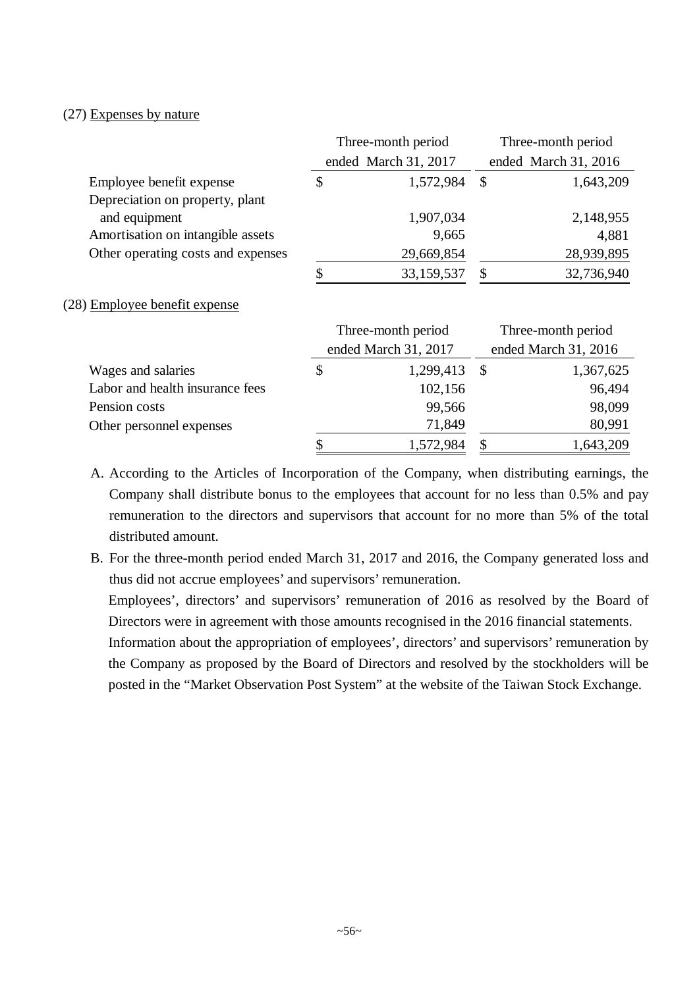## (27) Expenses by nature

|                                    |                      | Three-month period |                           | Three-month period   |
|------------------------------------|----------------------|--------------------|---------------------------|----------------------|
|                                    | ended March 31, 2017 |                    |                           | ended March 31, 2016 |
| Employee benefit expense           | \$                   | 1,572,984          | $\boldsymbol{\mathsf{S}}$ | 1,643,209            |
| Depreciation on property, plant    |                      |                    |                           |                      |
| and equipment                      |                      | 1,907,034          |                           | 2,148,955            |
| Amortisation on intangible assets  |                      | 9,665              |                           | 4,881                |
| Other operating costs and expenses |                      | 29,669,854         |                           | 28,939,895           |
|                                    |                      | 33,159,537         |                           | 32,736,940           |

#### (28) Employee benefit expense

|                                 | Three-month period |                      | Three-month period   |           |  |
|---------------------------------|--------------------|----------------------|----------------------|-----------|--|
|                                 |                    | ended March 31, 2017 | ended March 31, 2016 |           |  |
| Wages and salaries              | \$                 | $1,299,413$ \$       |                      | 1,367,625 |  |
| Labor and health insurance fees |                    | 102,156              |                      | 96,494    |  |
| Pension costs                   |                    | 99,566               |                      | 98,099    |  |
| Other personnel expenses        |                    | 71,849               |                      | 80,991    |  |
|                                 | S                  | 1,572,984            | S                    | 1,643,209 |  |

A. According to the Articles of Incorporation of the Company, when distributing earnings, the Company shall distribute bonus to the employees that account for no less than 0.5% and pay remuneration to the directors and supervisors that account for no more than 5% of the total distributed amount.

B. For the three-month period ended March 31, 2017 and 2016, the Company generated loss and thus did not accrue employees' and supervisors' remuneration.

Employees', directors' and supervisors' remuneration of 2016 as resolved by the Board of Directors were in agreement with those amounts recognised in the 2016 financial statements.

Information about the appropriation of employees', directors' and supervisors' remuneration by the Company as proposed by the Board of Directors and resolved by the stockholders will be posted in the "Market Observation Post System" at the website of the Taiwan Stock Exchange.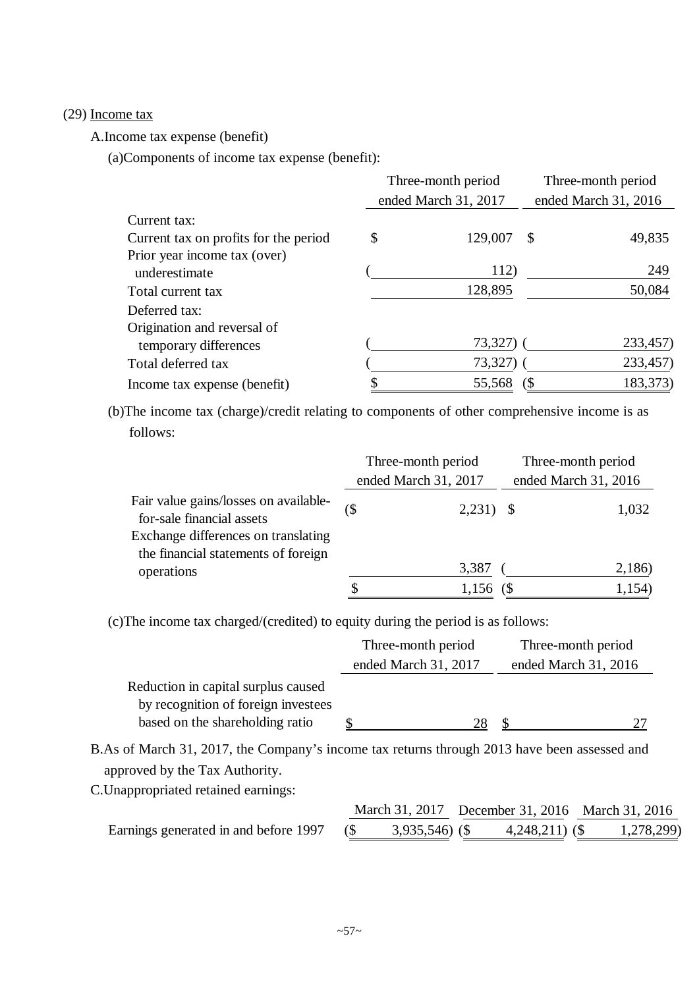#### (29) Income tax

A.Income tax expense (benefit)

(a)Components of income tax expense (benefit):

|                                       | Three-month period   |   | Three-month period   |
|---------------------------------------|----------------------|---|----------------------|
|                                       | ended March 31, 2017 |   | ended March 31, 2016 |
| Current tax:                          |                      |   |                      |
| Current tax on profits for the period | \$<br>129,007        | S | 49,835               |
| Prior year income tax (over)          |                      |   |                      |
| underestimate                         | 112)                 |   | 249                  |
| Total current tax                     | 128,895              |   | 50,084               |
| Deferred tax:                         |                      |   |                      |
| Origination and reversal of           |                      |   |                      |
| temporary differences                 | 73,327)              |   | 233,457)             |
| Total deferred tax                    | 73,327)              |   | 233,457)             |
| Income tax expense (benefit)          | 55,568               |   | 183,373)             |

(b)The income tax (charge)/credit relating to components of other comprehensive income is as follows:

|                                                                            | Three-month period |                      | Three-month period   |        |
|----------------------------------------------------------------------------|--------------------|----------------------|----------------------|--------|
|                                                                            |                    | ended March 31, 2017 | ended March 31, 2016 |        |
| Fair value gains/losses on available-<br>for-sale financial assets         |                    | $2,231)$ \$          |                      | 1,032  |
| Exchange differences on translating<br>the financial statements of foreign |                    |                      |                      |        |
| operations                                                                 |                    | 3,387                |                      | 2,186) |
|                                                                            | S                  | $1,156$ (S)          |                      | 1,154) |

(c)The income tax charged/(credited) to equity during the period is as follows:

|                                     | Three-month period   | Three-month period   |
|-------------------------------------|----------------------|----------------------|
|                                     | ended March 31, 2017 | ended March 31, 2016 |
| Reduction in capital surplus caused |                      |                      |
| by recognition of foreign investees |                      |                      |
| based on the shareholding ratio     | 28                   |                      |

B.As of March 31, 2017, the Company's income tax returns through 2013 have been assessed and approved by the Tax Authority.

C.Unappropriated retained earnings:

|                                       |                  |                  | March 31, 2017 December 31, 2016 March 31, 2016 |
|---------------------------------------|------------------|------------------|-------------------------------------------------|
| Earnings generated in and before 1997 | $3,935,546$ (\$) | $4,248,211$ (\$) | 1,278,299)                                      |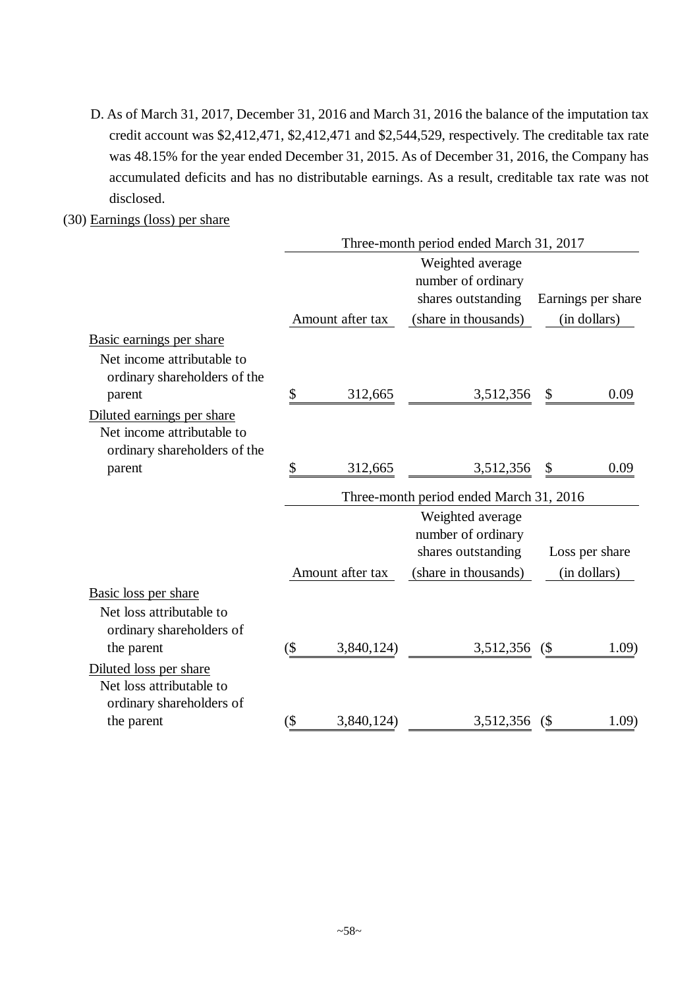D. As of March 31, 2017, December 31, 2016 and March 31, 2016 the balance of the imputation tax credit account was \$2,412,471, \$2,412,471 and \$2,544,529, respectively. The creditable tax rate was 48.15% for the year ended December 31, 2015. As of December 31, 2016, the Company has accumulated deficits and has no distributable earnings. As a result, creditable tax rate was not disclosed.

# (30) Earnings (loss) per share

|                                                                                          | Three-month period ended March 31, 2017 |                  |                                                              |        |                    |  |  |  |
|------------------------------------------------------------------------------------------|-----------------------------------------|------------------|--------------------------------------------------------------|--------|--------------------|--|--|--|
|                                                                                          |                                         |                  | Weighted average                                             |        |                    |  |  |  |
|                                                                                          |                                         |                  | number of ordinary                                           |        |                    |  |  |  |
|                                                                                          |                                         |                  | shares outstanding                                           |        | Earnings per share |  |  |  |
|                                                                                          |                                         | Amount after tax | (share in thousands)                                         |        | (in dollars)       |  |  |  |
| Basic earnings per share                                                                 |                                         |                  |                                                              |        |                    |  |  |  |
| Net income attributable to<br>ordinary shareholders of the                               |                                         |                  |                                                              |        |                    |  |  |  |
| parent                                                                                   | \$                                      | 312,665          | 3,512,356                                                    | \$     | 0.09               |  |  |  |
| Diluted earnings per share<br>Net income attributable to<br>ordinary shareholders of the |                                         |                  |                                                              |        |                    |  |  |  |
| parent                                                                                   | \$                                      | 312,665          | 3,512,356                                                    | \$     | 0.09               |  |  |  |
|                                                                                          | Three-month period ended March 31, 2016 |                  |                                                              |        |                    |  |  |  |
|                                                                                          |                                         |                  | Weighted average<br>number of ordinary<br>shares outstanding |        | Loss per share     |  |  |  |
|                                                                                          |                                         | Amount after tax | (share in thousands)                                         |        | (in dollars)       |  |  |  |
| Basic loss per share                                                                     |                                         |                  |                                                              |        |                    |  |  |  |
| Net loss attributable to<br>ordinary shareholders of                                     |                                         |                  |                                                              |        |                    |  |  |  |
| the parent                                                                               | $(\$\)$                                 | 3,840,124)       | 3,512,356                                                    | (      | 1.09)              |  |  |  |
| Diluted loss per share<br>Net loss attributable to                                       |                                         |                  |                                                              |        |                    |  |  |  |
| ordinary shareholders of<br>the parent                                                   | $($ \$                                  | 3,840,124)       | 3,512,356                                                    | $($ \$ | 1.09)              |  |  |  |
|                                                                                          |                                         |                  |                                                              |        |                    |  |  |  |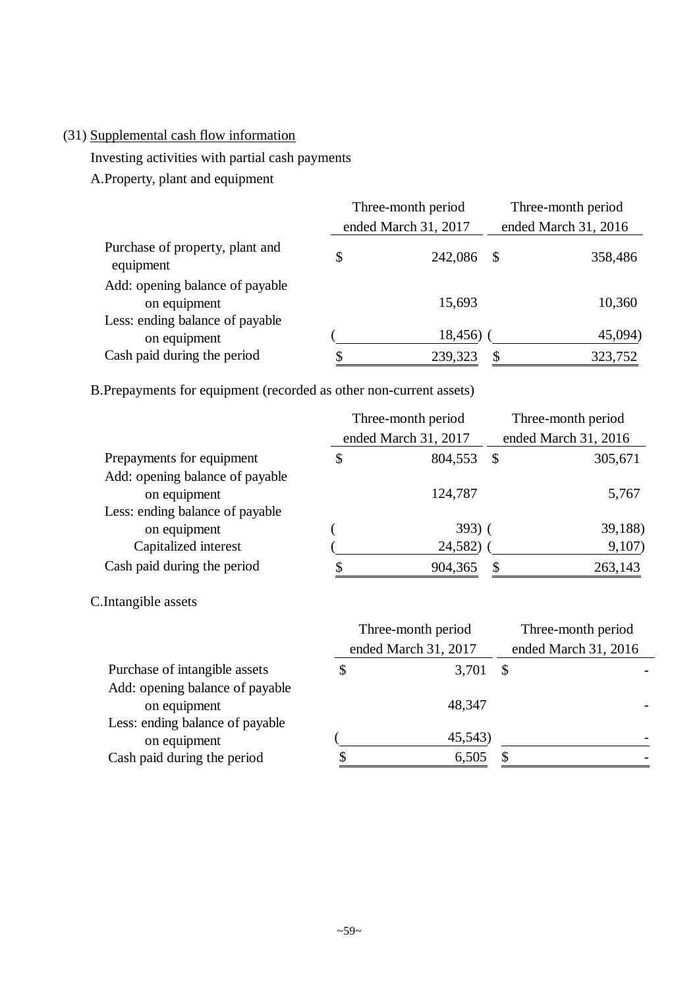# (31) Supplemental cash flow information

Investing activities with partial cash payments

A.Property, plant and equipment

|                                                 | Three-month period   |                      | Three-month period |  |
|-------------------------------------------------|----------------------|----------------------|--------------------|--|
|                                                 | ended March 31, 2017 | ended March 31, 2016 |                    |  |
| Purchase of property, plant and<br>equipment    | \$<br>242,086        | - \$                 | 358,486            |  |
| Add: opening balance of payable<br>on equipment | 15,693               |                      | 10,360             |  |
| Less: ending balance of payable<br>on equipment | 18,456)              |                      | 45,094)            |  |
| Cash paid during the period                     | 239,323              | S.                   | 323,752            |  |

B.Prepayments for equipment (recorded as other non-current assets)

|                                 | Three-month period   | Three-month period   |         |
|---------------------------------|----------------------|----------------------|---------|
|                                 | ended March 31, 2017 | ended March 31, 2016 |         |
| Prepayments for equipment       | \$<br>804,553        | -S                   | 305,671 |
| Add: opening balance of payable |                      |                      |         |
| on equipment                    | 124,787              |                      | 5,767   |
| Less: ending balance of payable |                      |                      |         |
| on equipment                    | $393)$ (             |                      | 39,188) |
| Capitalized interest            | 24,582)              |                      | 9,107)  |
| Cash paid during the period     | \$<br>904,365        | $\mathcal{S}$        | 263,143 |

C.Intangible assets

|                                 | Three-month period   | Three-month period   |  |  |
|---------------------------------|----------------------|----------------------|--|--|
|                                 | ended March 31, 2017 | ended March 31, 2016 |  |  |
| Purchase of intangible assets   | \$<br>3,701          |                      |  |  |
| Add: opening balance of payable |                      |                      |  |  |
| on equipment                    | 48.347               |                      |  |  |
| Less: ending balance of payable |                      |                      |  |  |
| on equipment                    | 45,543)              |                      |  |  |
| Cash paid during the period     | \$<br>6,505          |                      |  |  |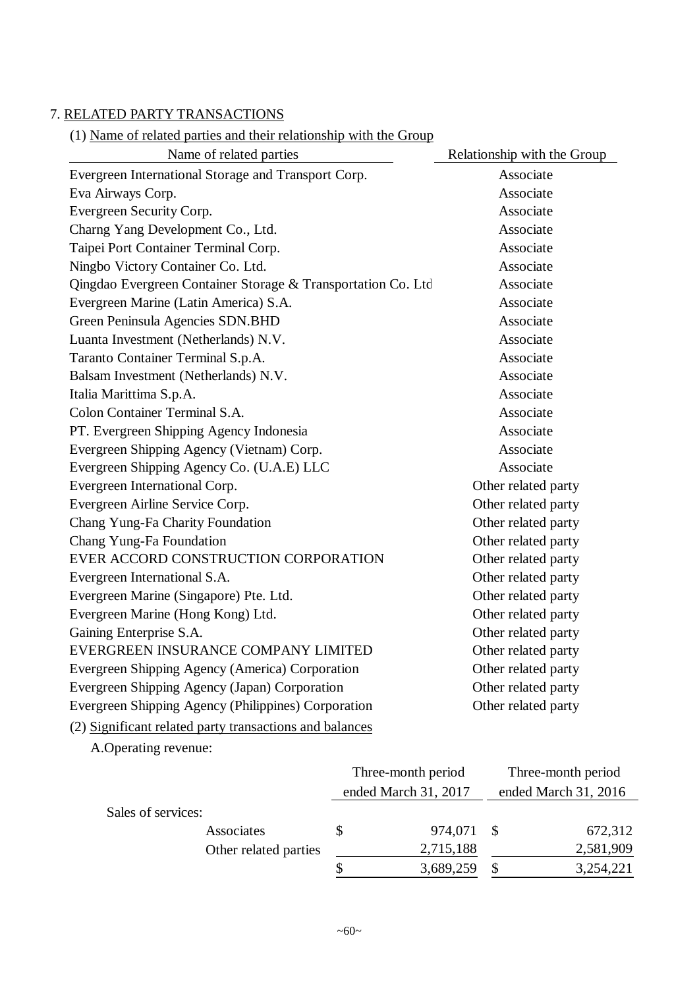# 7. RELATED PARTY TRANSACTIONS

# (1) Name of related parties and their relationship with the Group

| Name of related parties                                      | Relationship with the Group |
|--------------------------------------------------------------|-----------------------------|
| Evergreen International Storage and Transport Corp.          | Associate                   |
| Eva Airways Corp.                                            | Associate                   |
| Evergreen Security Corp.                                     | Associate                   |
| Charng Yang Development Co., Ltd.                            | Associate                   |
| Taipei Port Container Terminal Corp.                         | Associate                   |
| Ningbo Victory Container Co. Ltd.                            | Associate                   |
| Qingdao Evergreen Container Storage & Transportation Co. Ltd | Associate                   |
| Evergreen Marine (Latin America) S.A.                        | Associate                   |
| Green Peninsula Agencies SDN.BHD                             | Associate                   |
| Luanta Investment (Netherlands) N.V.                         | Associate                   |
| Taranto Container Terminal S.p.A.                            | Associate                   |
| Balsam Investment (Netherlands) N.V.                         | Associate                   |
| Italia Marittima S.p.A.                                      | Associate                   |
| Colon Container Terminal S.A.                                | Associate                   |
| PT. Evergreen Shipping Agency Indonesia                      | Associate                   |
| Evergreen Shipping Agency (Vietnam) Corp.                    | Associate                   |
| Evergreen Shipping Agency Co. (U.A.E) LLC                    | Associate                   |
| Evergreen International Corp.                                | Other related party         |
| Evergreen Airline Service Corp.                              | Other related party         |
| Chang Yung-Fa Charity Foundation                             | Other related party         |
| Chang Yung-Fa Foundation                                     | Other related party         |
| EVER ACCORD CONSTRUCTION CORPORATION                         | Other related party         |
| Evergreen International S.A.                                 | Other related party         |
| Evergreen Marine (Singapore) Pte. Ltd.                       | Other related party         |
| Evergreen Marine (Hong Kong) Ltd.                            | Other related party         |
| Gaining Enterprise S.A.                                      | Other related party         |
| EVERGREEN INSURANCE COMPANY LIMITED                          | Other related party         |
| Evergreen Shipping Agency (America) Corporation              | Other related party         |
| Evergreen Shipping Agency (Japan) Corporation                | Other related party         |
| Evergreen Shipping Agency (Philippines) Corporation          | Other related party         |
|                                                              |                             |

(2) Significant related party transactions and balances

A.Operating revenue:

|                    |                       | Three-month period |                      | Three-month period |                      |  |
|--------------------|-----------------------|--------------------|----------------------|--------------------|----------------------|--|
|                    |                       |                    | ended March 31, 2017 |                    | ended March 31, 2016 |  |
| Sales of services: |                       |                    |                      |                    |                      |  |
|                    | Associates            |                    | 974,071              |                    | 672,312              |  |
|                    | Other related parties |                    | 2,715,188            |                    | 2,581,909            |  |
|                    |                       |                    | 3,689,259            |                    | 3,254,221            |  |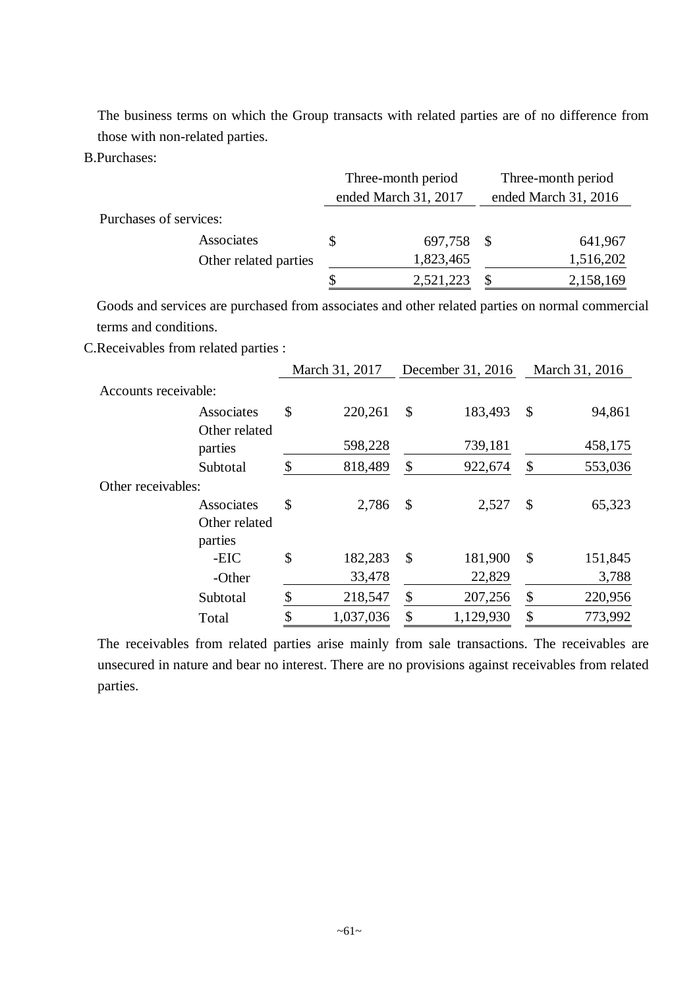The business terms on which the Group transacts with related parties are of no difference from those with non-related parties.

B.Purchases:

|                        | Three-month period |                      | Three-month period   |           |  |
|------------------------|--------------------|----------------------|----------------------|-----------|--|
|                        |                    | ended March 31, 2017 | ended March 31, 2016 |           |  |
| Purchases of services: |                    |                      |                      |           |  |
| Associates             |                    | 697,758 \$           |                      | 641,967   |  |
| Other related parties  |                    | 1,823,465            |                      | 1,516,202 |  |
|                        |                    | 2,521,223            |                      | 2,158,169 |  |

Goods and services are purchased from associates and other related parties on normal commercial terms and conditions.

C.Receivables from related parties :

|                          |               | March 31, 2017 |                           | December 31, 2016 |                           | March 31, 2016 |
|--------------------------|---------------|----------------|---------------------------|-------------------|---------------------------|----------------|
| Accounts receivable:     |               |                |                           |                   |                           |                |
| Associates               | \$            | 220,261        | $\mathcal{S}$             | 183,493           | \$                        | 94,861         |
| Other related<br>parties |               | 598,228        |                           | 739,181           |                           | 458,175        |
| Subtotal                 | $\mathcal{S}$ | 818,489        | \$                        | 922,674           | \$                        | 553,036        |
| Other receivables:       |               |                |                           |                   |                           |                |
| Associates               | \$            | 2,786          | $\mathcal{S}$             | 2,527             | \$                        | 65,323         |
| Other related<br>parties |               |                |                           |                   |                           |                |
| -EIC                     | \$            | 182,283        | $\boldsymbol{\mathsf{S}}$ | 181,900           | $\boldsymbol{\mathsf{S}}$ | 151,845        |
| -Other                   |               | 33,478         |                           | 22,829            |                           | 3,788          |
| Subtotal                 | \$            | 218,547        | \$                        | 207,256           | \$                        | 220,956        |
| Total                    | \$            | 1,037,036      | \$                        | 1,129,930         | \$                        | 773,992        |

The receivables from related parties arise mainly from sale transactions. The receivables are unsecured in nature and bear no interest. There are no provisions against receivables from related parties.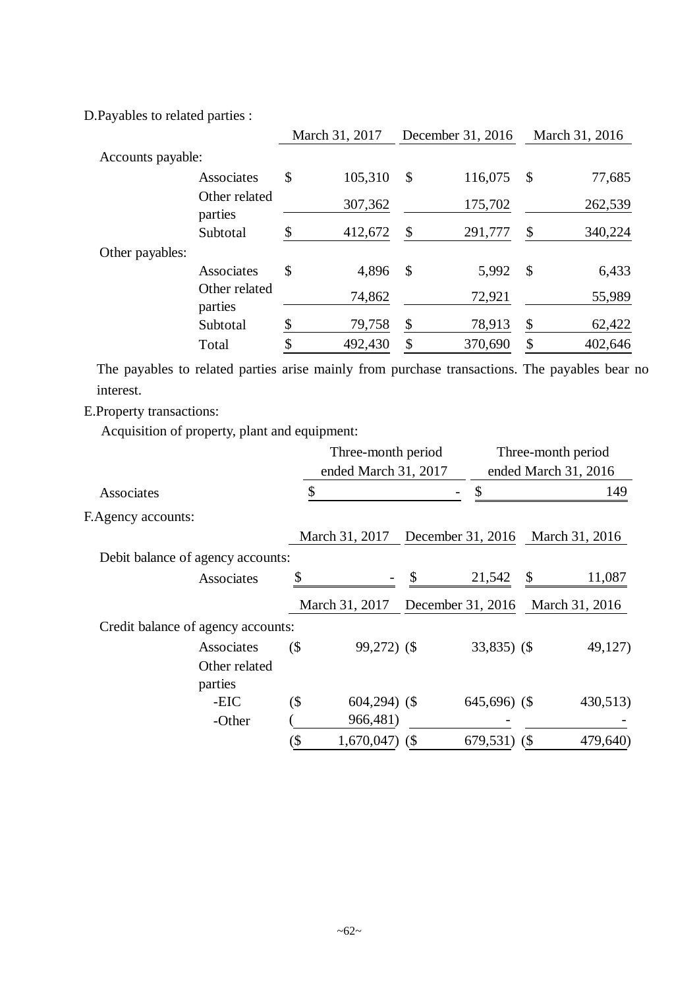D.Payables to related parties :

|                   |                          | March 31, 2017 |         | December 31, 2016 |         |                           | March 31, 2016 |
|-------------------|--------------------------|----------------|---------|-------------------|---------|---------------------------|----------------|
| Accounts payable: |                          |                |         |                   |         |                           |                |
|                   | Associates               | \$             | 105,310 | \$                | 116,075 | \$                        | 77,685         |
|                   | Other related<br>parties |                | 307,362 |                   | 175,702 |                           | 262,539        |
|                   | Subtotal                 | \$             | 412,672 | \$                | 291,777 | \$                        | 340,224        |
| Other payables:   |                          |                |         |                   |         |                           |                |
|                   | Associates               | \$             | 4,896   | \$                | 5,992   | $\boldsymbol{\mathsf{S}}$ | 6,433          |
|                   | Other related<br>parties |                | 74,862  |                   | 72,921  |                           | 55,989         |
|                   | Subtotal                 | \$             | 79,758  | \$                | 78,913  | \$                        | 62,422         |
|                   | Total                    |                | 492,430 | \$                | 370,690 | \$                        | 402,646        |

The payables to related parties arise mainly from purchase transactions. The payables bear no interest.

E.Property transactions:

Acquisition of property, plant and equipment:

| Three-month period |                                                                                             |                                               | Three-month period            |                      |                                                                                                                        |
|--------------------|---------------------------------------------------------------------------------------------|-----------------------------------------------|-------------------------------|----------------------|------------------------------------------------------------------------------------------------------------------------|
|                    | ended March 31, 2017                                                                        |                                               |                               | ended March 31, 2016 |                                                                                                                        |
|                    |                                                                                             |                                               |                               |                      | 149                                                                                                                    |
|                    |                                                                                             |                                               |                               |                      |                                                                                                                        |
|                    |                                                                                             |                                               |                               |                      |                                                                                                                        |
|                    |                                                                                             |                                               |                               |                      |                                                                                                                        |
| \$                 |                                                                                             | \$                                            | 21,542                        | \$                   | 11,087                                                                                                                 |
|                    |                                                                                             |                                               |                               |                      |                                                                                                                        |
|                    |                                                                                             |                                               |                               |                      |                                                                                                                        |
|                    |                                                                                             |                                               |                               |                      | 49,127)                                                                                                                |
|                    |                                                                                             |                                               |                               |                      |                                                                                                                        |
|                    |                                                                                             |                                               |                               |                      |                                                                                                                        |
|                    |                                                                                             |                                               |                               |                      | 430,513)                                                                                                               |
|                    | 966,481)                                                                                    |                                               |                               |                      |                                                                                                                        |
| (\$                |                                                                                             | (                                             |                               | (S                   | 479,640)                                                                                                               |
|                    | Debit balance of agency accounts:<br>Credit balance of agency accounts:<br>$($ \$<br>$($ \$ | March 31, 2017<br>March 31, 2017<br>1,670,047 | 99,272) (\$<br>$604,294)$ (\$ |                      | December 31, 2016 March 31, 2016<br>December 31, 2016<br>March 31, 2016<br>$33,835$ (\$)<br>$645,696$ (\$)<br>679,531) |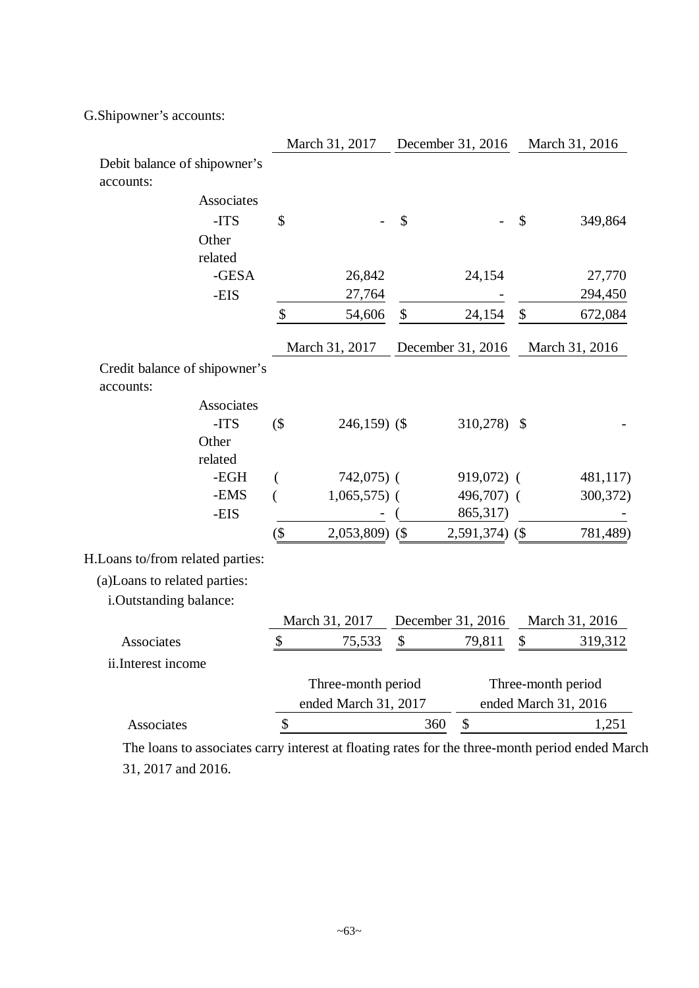G.Shipowner's accounts:

|                                                                                                 |                      | March 31, 2017   |        | December 31, 2016                |                    | March 31, 2016       |
|-------------------------------------------------------------------------------------------------|----------------------|------------------|--------|----------------------------------|--------------------|----------------------|
| Debit balance of shipowner's<br>accounts:                                                       |                      |                  |        |                                  |                    |                      |
| Associates                                                                                      |                      |                  |        |                                  |                    |                      |
| -ITS                                                                                            | \$                   |                  | \$     |                                  | \$                 | 349,864              |
| Other                                                                                           |                      |                  |        |                                  |                    |                      |
| related                                                                                         |                      |                  |        |                                  |                    |                      |
| -GESA                                                                                           |                      | 26,842           |        | 24,154                           |                    | 27,770               |
| -EIS                                                                                            |                      | 27,764           |        |                                  |                    | 294,450              |
|                                                                                                 | $\boldsymbol{\$}$    | 54,606           | $\$\,$ | 24,154                           | \$                 | 672,084              |
|                                                                                                 |                      | March 31, 2017   |        | December 31, 2016                |                    | March 31, 2016       |
| Credit balance of shipowner's                                                                   |                      |                  |        |                                  |                    |                      |
| accounts:                                                                                       |                      |                  |        |                                  |                    |                      |
| Associates                                                                                      |                      |                  |        |                                  |                    |                      |
| -ITS                                                                                            | $($ \$               | $246,159$ (\$)   |        | 310,278)                         | -S                 |                      |
| Other                                                                                           |                      |                  |        |                                  |                    |                      |
| related                                                                                         |                      |                  |        |                                  |                    |                      |
| -EGH                                                                                            | (                    | $742,075$ (      |        | $919,072$ (                      |                    | 481,117)             |
| -EMS                                                                                            | (                    | $1,065,575$ (    |        | 496,707) (                       |                    | 300,372)             |
| -EIS                                                                                            |                      |                  |        | 865,317)                         |                    |                      |
|                                                                                                 | $($ \$               | $2,053,809$ (\$) |        | $2,591,374)$ (\$                 |                    | 781,489)             |
| H.Loans to/from related parties:                                                                |                      |                  |        |                                  |                    |                      |
| (a)Loans to related parties:                                                                    |                      |                  |        |                                  |                    |                      |
| i.Outstanding balance:                                                                          |                      |                  |        |                                  |                    |                      |
|                                                                                                 |                      | March 31, 2017   |        | December 31, 2016                |                    | March 31, 2016       |
| <b>Associates</b>                                                                               | \$                   | 75,533           | \$     | 79,811                           | \$                 | 319,312              |
| ii.Interest income                                                                              |                      |                  |        |                                  |                    |                      |
|                                                                                                 | Three-month period   |                  |        |                                  | Three-month period |                      |
|                                                                                                 | ended March 31, 2017 |                  |        |                                  |                    | ended March 31, 2016 |
| Associates                                                                                      | \$                   |                  |        | $\boldsymbol{\mathsf{S}}$<br>360 |                    | 1,251                |
| The loans to associates carry interest at floating rates for the three-month period ended March |                      |                  |        |                                  |                    |                      |

31, 2017 and 2016.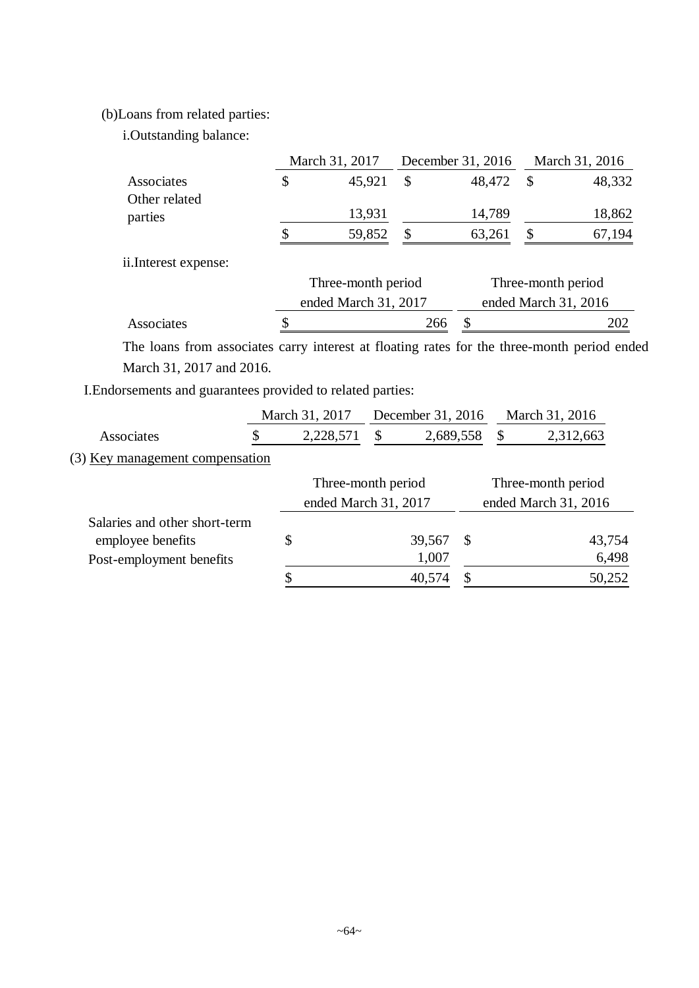# (b)Loans from related parties:

i.Outstanding balance:

|                             |   | March 31, 2017     |          | December 31, 2016 |   | March 31, 2016     |
|-----------------------------|---|--------------------|----------|-------------------|---|--------------------|
| Associates<br>Other related | S | 45,921             | \$       | 48,472            | S | 48,332             |
| parties                     |   | 13,931             |          | 14,789            |   | 18,862             |
|                             |   | 59,852             | <b>S</b> | 63,261            |   | 67,194             |
| ii.Interest expense:        |   |                    |          |                   |   |                    |
|                             |   | Three-month period |          |                   |   | Three-month period |

|            | ended March 31, 2017 | ended March 31, 2016 |  |  |  |
|------------|----------------------|----------------------|--|--|--|
| Associates | 266 S                |                      |  |  |  |
|            |                      |                      |  |  |  |

The loans from associates carry interest at floating rates for the three-month period ended March 31, 2017 and 2016.

I.Endorsements and guarantees provided to related parties:

| 2,312,663            |
|----------------------|
|                      |
| Three-month period   |
| ended March 31, 2016 |
|                      |
| 43,754               |
| 6,498                |
| 50,252               |
|                      |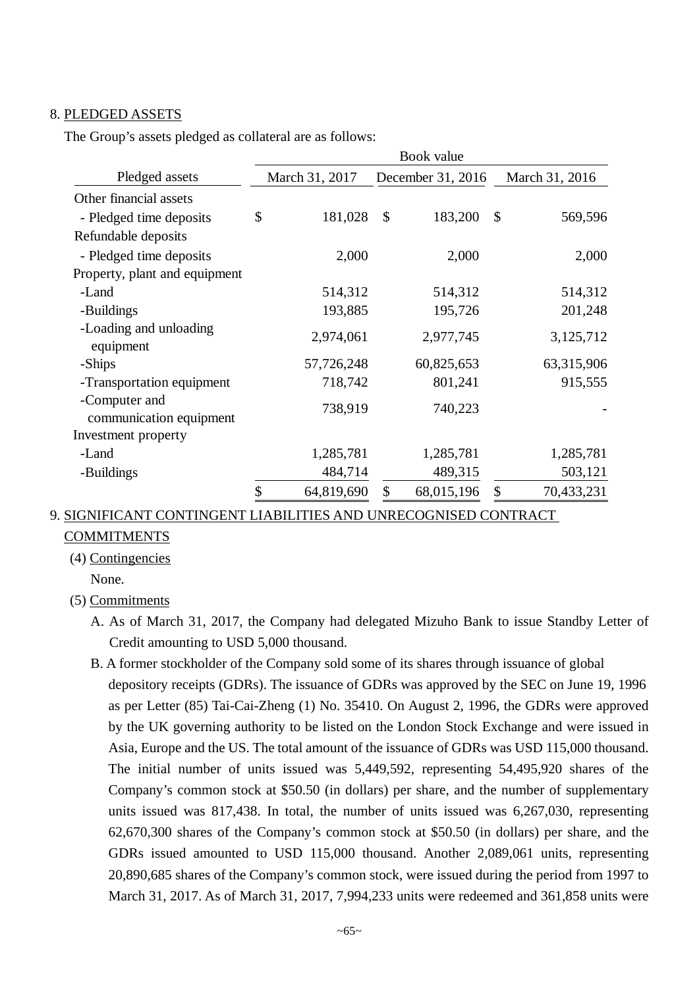#### 8. PLEDGED ASSETS

The Group's assets pledged as collateral are as follows:

|                                          | Book value       |                          |                 |  |  |  |
|------------------------------------------|------------------|--------------------------|-----------------|--|--|--|
| Pledged assets                           | March 31, 2017   | December 31, 2016        | March 31, 2016  |  |  |  |
| Other financial assets                   |                  |                          |                 |  |  |  |
| - Pledged time deposits                  | \$<br>181,028    | $\mathcal{S}$<br>183,200 | \$<br>569,596   |  |  |  |
| Refundable deposits                      |                  |                          |                 |  |  |  |
| - Pledged time deposits                  | 2,000            | 2,000                    | 2,000           |  |  |  |
| Property, plant and equipment            |                  |                          |                 |  |  |  |
| -Land                                    | 514,312          | 514,312                  | 514,312         |  |  |  |
| -Buildings                               | 193,885          | 195,726                  | 201,248         |  |  |  |
| -Loading and unloading<br>equipment      | 2,974,061        | 2,977,745                | 3,125,712       |  |  |  |
| -Ships                                   | 57,726,248       | 60,825,653               | 63,315,906      |  |  |  |
| -Transportation equipment                | 718,742          | 801,241                  | 915,555         |  |  |  |
| -Computer and<br>communication equipment | 738,919          | 740,223                  |                 |  |  |  |
| Investment property                      |                  |                          |                 |  |  |  |
| -Land                                    | 1,285,781        | 1,285,781                | 1,285,781       |  |  |  |
| -Buildings                               | 484,714          | 489,315                  | 503,121         |  |  |  |
|                                          | \$<br>64,819,690 | \$<br>68,015,196         | 70,433,231<br>S |  |  |  |

## 9. SIGNIFICANT CONTINGENT LIABILITIES AND UNRECOGNISED CONTRACT

## COMMITMENTS

#### (4) Contingencies

None.

## (5) Commitments

- A. As of March 31, 2017, the Company had delegated Mizuho Bank to issue Standby Letter of Credit amounting to USD 5,000 thousand.
- B. A former stockholder of the Company sold some of its shares through issuance of global depository receipts (GDRs). The issuance of GDRs was approved by the SEC on June 19, 1996 as per Letter (85) Tai-Cai-Zheng (1) No. 35410. On August 2, 1996, the GDRs were approved by the UK governing authority to be listed on the London Stock Exchange and were issued in Asia, Europe and the US. The total amount of the issuance of GDRs was USD 115,000 thousand. The initial number of units issued was 5,449,592, representing 54,495,920 shares of the Company's common stock at \$50.50 (in dollars) per share, and the number of supplementary units issued was 817,438. In total, the number of units issued was 6,267,030, representing 62,670,300 shares of the Company's common stock at \$50.50 (in dollars) per share, and the GDRs issued amounted to USD 115,000 thousand. Another 2,089,061 units, representing 20,890,685 shares of the Company's common stock, were issued during the period from 1997 to March 31, 2017. As of March 31, 2017, 7,994,233 units were redeemed and 361,858 units were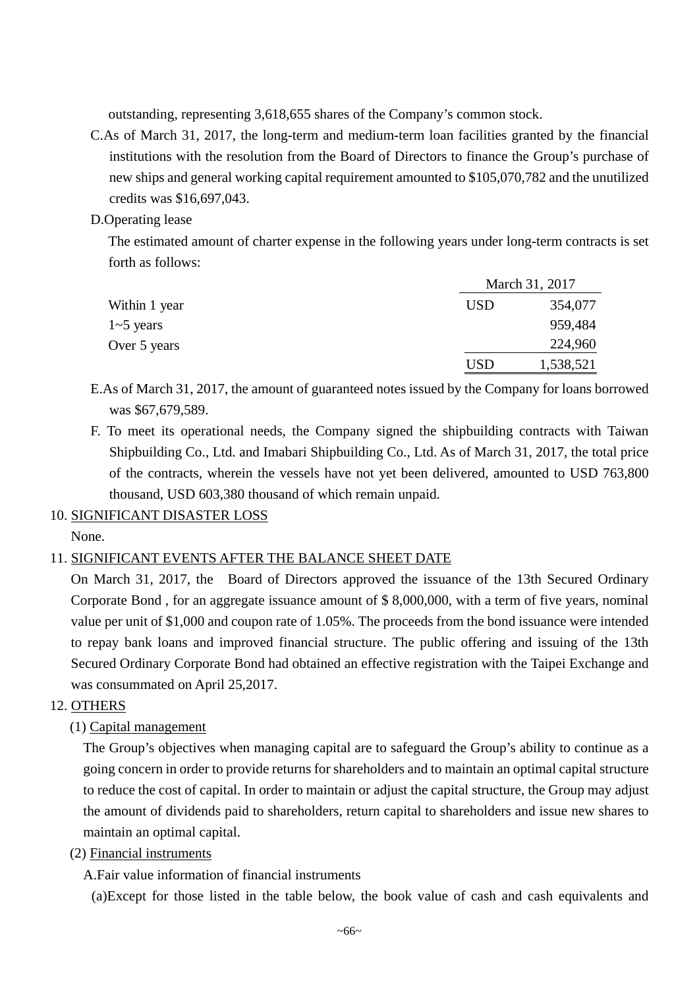outstanding, representing 3,618,655 shares of the Company's common stock.

- C.As of March 31, 2017, the long-term and medium-term loan facilities granted by the financial institutions with the resolution from the Board of Directors to finance the Group's purchase of new ships and general working capital requirement amounted to \$105,070,782 and the unutilized credits was \$16,697,043.
- D.Operating lease

The estimated amount of charter expense in the following years under long-term contracts is set forth as follows:

|               |            | March 31, 2017 |  |  |
|---------------|------------|----------------|--|--|
| Within 1 year | <b>USD</b> | 354,077        |  |  |
| $1-5$ years   |            | 959,484        |  |  |
| Over 5 years  |            | 224,960        |  |  |
|               | <b>USD</b> | 1,538,521      |  |  |

E.As of March 31, 2017, the amount of guaranteed notes issued by the Company for loans borrowed was \$67,679,589.

F. To meet its operational needs, the Company signed the shipbuilding contracts with Taiwan Shipbuilding Co., Ltd. and Imabari Shipbuilding Co., Ltd. As of March 31, 2017, the total price of the contracts, wherein the vessels have not yet been delivered, amounted to USD 763,800 thousand, USD 603,380 thousand of which remain unpaid.

## 10. SIGNIFICANT DISASTER LOSS

None.

# 11. SIGNIFICANT EVENTS AFTER THE BALANCE SHEET DATE

On March 31, 2017, the Board of Directors approved the issuance of the 13th Secured Ordinary Corporate Bond , for an aggregate issuance amount of \$ 8,000,000, with a term of five years, nominal value per unit of \$1,000 and coupon rate of 1.05%. The proceeds from the bond issuance were intended to repay bank loans and improved financial structure. The public offering and issuing of the 13th Secured Ordinary Corporate Bond had obtained an effective registration with the Taipei Exchange and was consummated on April 25,2017.

# 12. OTHERS

(1) Capital management

The Group's objectives when managing capital are to safeguard the Group's ability to continue as a going concern in order to provide returns for shareholders and to maintain an optimal capital structure to reduce the cost of capital. In order to maintain or adjust the capital structure, the Group may adjust the amount of dividends paid to shareholders, return capital to shareholders and issue new shares to maintain an optimal capital.

(2) Financial instruments

A.Fair value information of financial instruments

(a)Except for those listed in the table below, the book value of cash and cash equivalents and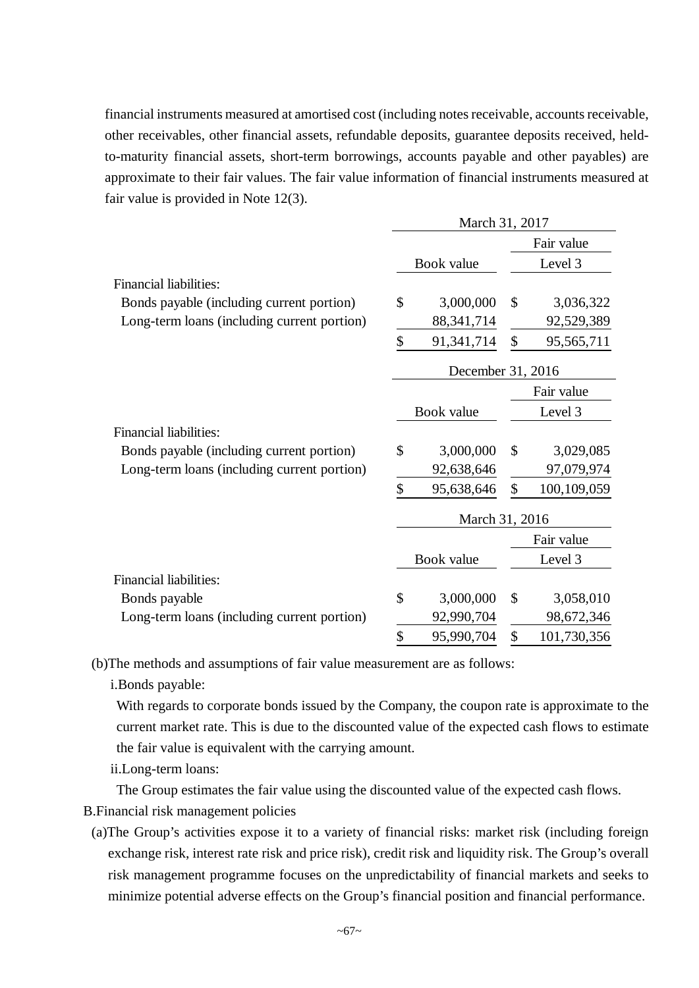financial instruments measured at amortised cost (including notes receivable, accounts receivable, other receivables, other financial assets, refundable deposits, guarantee deposits received, heldto-maturity financial assets, short-term borrowings, accounts payable and other payables) are approximate to their fair values. The fair value information of financial instruments measured at fair value is provided in Note 12(3).

|                                             | March 31, 2017 |                   |    |             |
|---------------------------------------------|----------------|-------------------|----|-------------|
|                                             |                |                   |    | Fair value  |
|                                             |                | Book value        |    | Level 3     |
| <b>Financial liabilities:</b>               |                |                   |    |             |
| Bonds payable (including current portion)   | \$             | 3,000,000         | \$ | 3,036,322   |
| Long-term loans (including current portion) |                | 88, 341, 714      |    | 92,529,389  |
|                                             | \$             | 91,341,714        | \$ | 95,565,711  |
|                                             |                | December 31, 2016 |    |             |
|                                             |                |                   |    | Fair value  |
|                                             |                | Book value        |    | Level 3     |
| <b>Financial liabilities:</b>               |                |                   |    |             |
| Bonds payable (including current portion)   | \$             | 3,000,000         | \$ | 3,029,085   |
| Long-term loans (including current portion) |                | 92,638,646        |    | 97,079,974  |
|                                             | \$             | 95,638,646        | \$ | 100,109,059 |
|                                             |                | March 31, 2016    |    |             |
|                                             |                |                   |    | Fair value  |
|                                             |                | Book value        |    | Level 3     |
| Financial liabilities:                      |                |                   |    |             |
| Bonds payable                               | \$             | 3,000,000         | \$ | 3,058,010   |
| Long-term loans (including current portion) |                | 92,990,704        |    | 98,672,346  |
|                                             | \$             | 95,990,704        | \$ | 101,730,356 |

(b)The methods and assumptions of fair value measurement are as follows:

i.Bonds payable:

With regards to corporate bonds issued by the Company, the coupon rate is approximate to the current market rate. This is due to the discounted value of the expected cash flows to estimate the fair value is equivalent with the carrying amount.

ii.Long-term loans:

The Group estimates the fair value using the discounted value of the expected cash flows.

B.Financial risk management policies

(a)The Group's activities expose it to a variety of financial risks: market risk (including foreign exchange risk, interest rate risk and price risk), credit risk and liquidity risk. The Group's overall risk management programme focuses on the unpredictability of financial markets and seeks to minimize potential adverse effects on the Group's financial position and financial performance.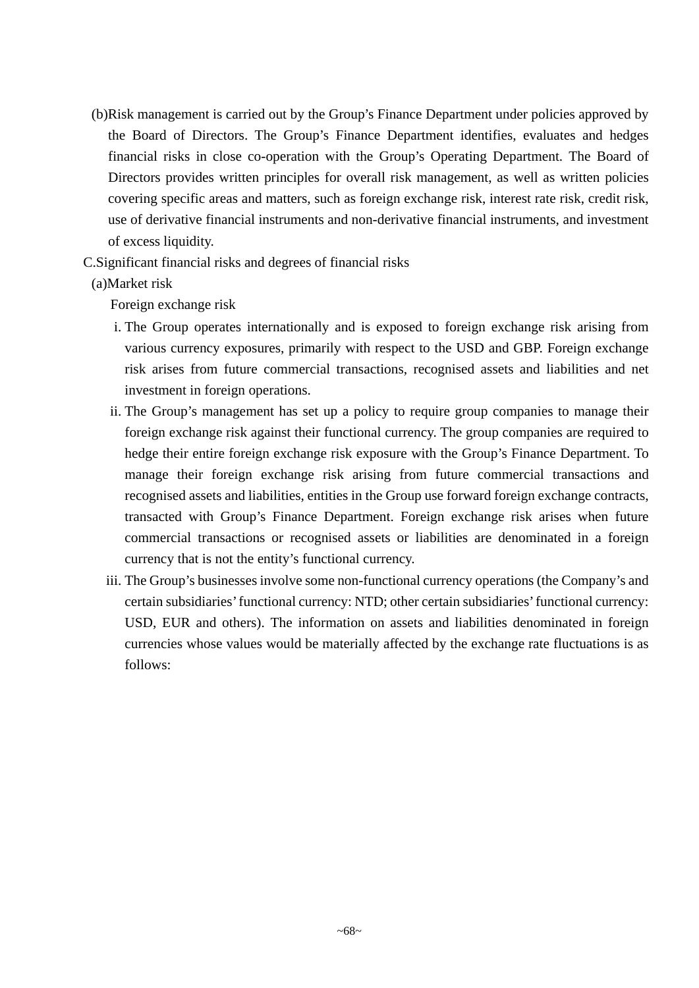(b)Risk management is carried out by the Group's Finance Department under policies approved by the Board of Directors. The Group's Finance Department identifies, evaluates and hedges financial risks in close co-operation with the Group's Operating Department. The Board of Directors provides written principles for overall risk management, as well as written policies covering specific areas and matters, such as foreign exchange risk, interest rate risk, credit risk, use of derivative financial instruments and non-derivative financial instruments, and investment of excess liquidity.

C.Significant financial risks and degrees of financial risks

### (a)Market risk

Foreign exchange risk

- i. The Group operates internationally and is exposed to foreign exchange risk arising from various currency exposures, primarily with respect to the USD and GBP. Foreign exchange risk arises from future commercial transactions, recognised assets and liabilities and net investment in foreign operations.
- ii. The Group's management has set up a policy to require group companies to manage their foreign exchange risk against their functional currency. The group companies are required to hedge their entire foreign exchange risk exposure with the Group's Finance Department. To manage their foreign exchange risk arising from future commercial transactions and recognised assets and liabilities, entities in the Group use forward foreign exchange contracts, transacted with Group's Finance Department. Foreign exchange risk arises when future commercial transactions or recognised assets or liabilities are denominated in a foreign currency that is not the entity's functional currency.
- iii. The Group's businesses involve some non-functional currency operations (the Company's and certain subsidiaries' functional currency: NTD; other certain subsidiaries' functional currency: USD, EUR and others). The information on assets and liabilities denominated in foreign currencies whose values would be materially affected by the exchange rate fluctuations is as follows: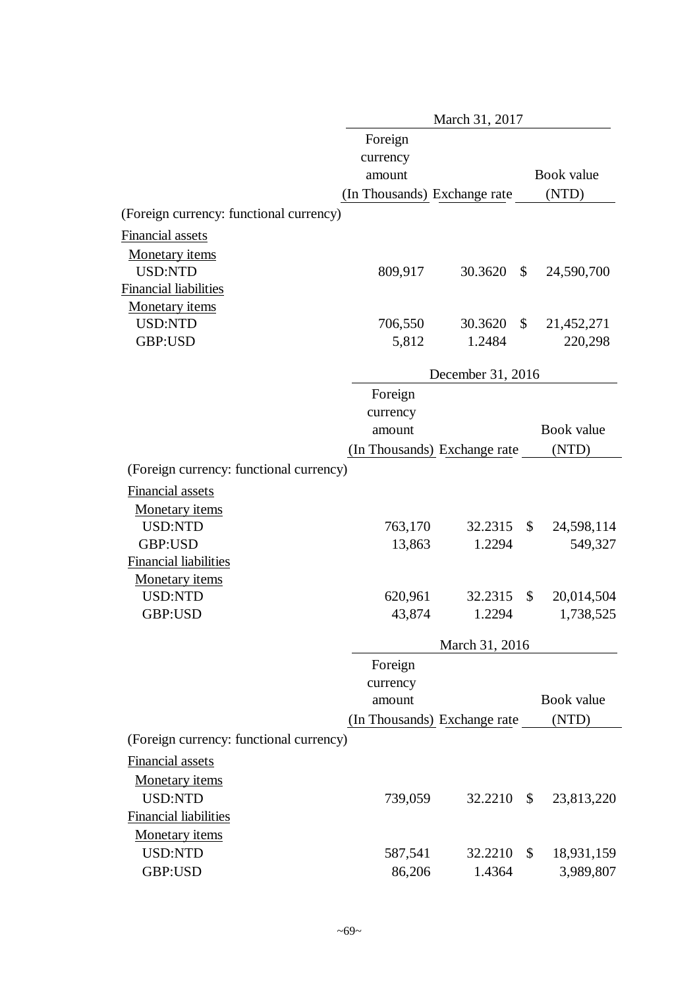|                                         |                              | March 31, 2017                       |                  |
|-----------------------------------------|------------------------------|--------------------------------------|------------------|
|                                         | Foreign                      |                                      |                  |
|                                         | currency                     |                                      |                  |
|                                         | amount                       |                                      | Book value       |
|                                         | (In Thousands) Exchange rate |                                      | (NTD)            |
| (Foreign currency: functional currency) |                              |                                      |                  |
| Financial assets                        |                              |                                      |                  |
| <b>Monetary</b> items                   |                              |                                      |                  |
| <b>USD:NTD</b>                          | 809,917                      | 30.3620<br>$\mathbb{S}$              | 24,590,700       |
| <b>Financial liabilities</b>            |                              |                                      |                  |
| <b>Monetary</b> items                   |                              |                                      |                  |
| <b>USD:NTD</b>                          | 706,550                      | $\boldsymbol{\mathsf{S}}$<br>30.3620 | 21,452,271       |
| GBP:USD                                 | 5,812                        | 1.2484                               | 220,298          |
|                                         |                              | December 31, 2016                    |                  |
|                                         | Foreign                      |                                      |                  |
|                                         | currency                     |                                      |                  |
|                                         | amount                       |                                      | Book value       |
|                                         | (In Thousands) Exchange rate |                                      | (NTD)            |
| (Foreign currency: functional currency) |                              |                                      |                  |
| <b>Financial assets</b>                 |                              |                                      |                  |
| <b>Monetary</b> items                   |                              |                                      |                  |
| USD:NTD                                 | 763,170                      | 32.2315                              | \$<br>24,598,114 |
| GBP:USD                                 | 13,863                       | 1.2294                               | 549,327          |
| <b>Financial liabilities</b>            |                              |                                      |                  |
| <b>Monetary</b> items                   |                              |                                      |                  |
| USD:NTD                                 | 620,961                      | 32.2315                              | \$<br>20,014,504 |
| GBP:USD                                 | 43,874                       | 1.2294                               | 1,738,525        |
|                                         |                              | March 31, 2016                       |                  |
|                                         | Foreign                      |                                      |                  |
|                                         | currency                     |                                      |                  |
|                                         | amount                       |                                      | Book value       |
|                                         | (In Thousands) Exchange rate |                                      | (NTD)            |
| (Foreign currency: functional currency) |                              |                                      |                  |
| <b>Financial assets</b>                 |                              |                                      |                  |
| Monetary items                          |                              |                                      |                  |
| <b>USD:NTD</b>                          | 739,059                      | 32.2210                              | \$<br>23,813,220 |
| <b>Financial liabilities</b>            |                              |                                      |                  |
| Monetary items                          |                              |                                      |                  |
| <b>USD:NTD</b>                          | 587,541                      | 32.2210                              | \$<br>18,931,159 |
| GBP:USD                                 | 86,206                       | 1.4364                               | 3,989,807        |
|                                         |                              |                                      |                  |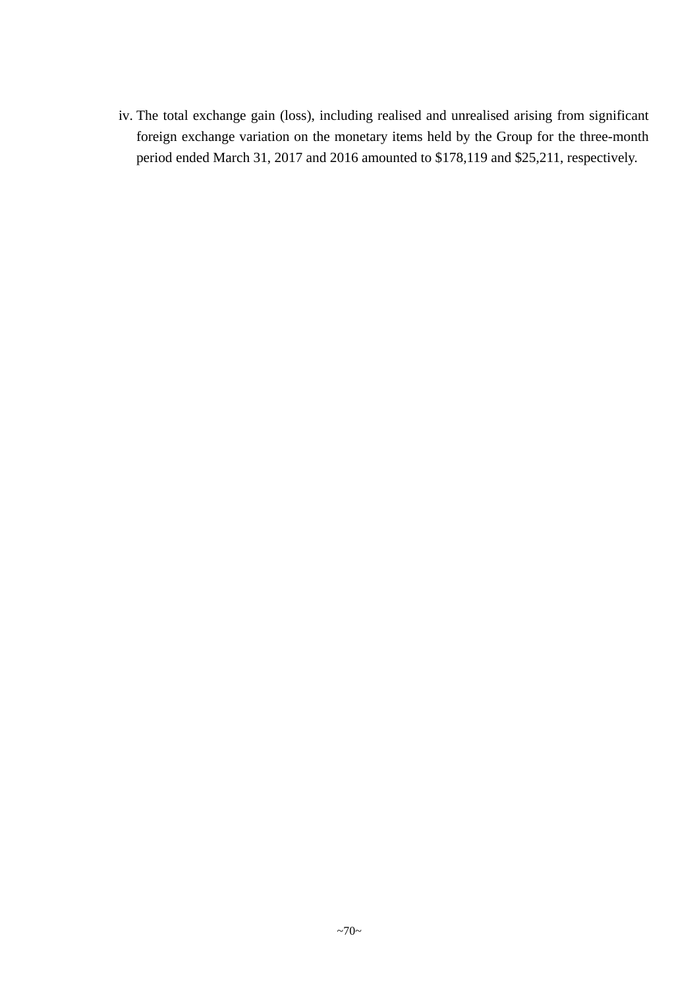iv. The total exchange gain (loss), including realised and unrealised arising from significant foreign exchange variation on the monetary items held by the Group for the three-month period ended March 31, 2017 and 2016 amounted to \$178,119 and \$25,211, respectively.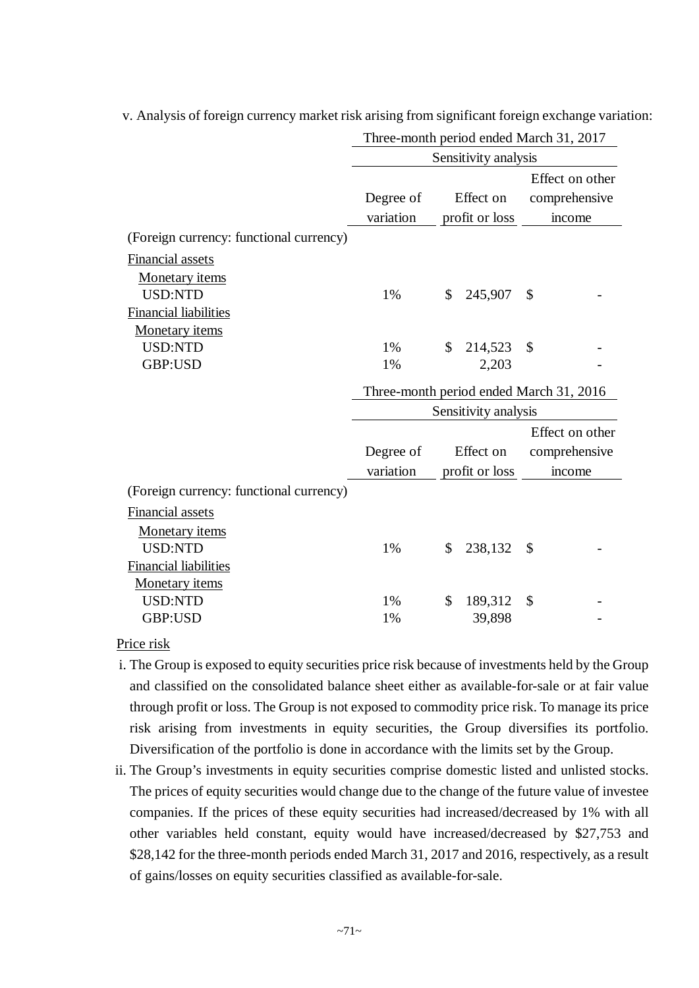|                                         | Three-month period ended March 31, 2017 |               |                      |    |                 |
|-----------------------------------------|-----------------------------------------|---------------|----------------------|----|-----------------|
|                                         |                                         |               | Sensitivity analysis |    |                 |
|                                         |                                         |               |                      |    | Effect on other |
|                                         | Degree of                               |               | Effect on            |    | comprehensive   |
|                                         | variation                               |               | profit or loss       |    | income          |
| (Foreign currency: functional currency) |                                         |               |                      |    |                 |
| Financial assets                        |                                         |               |                      |    |                 |
| Monetary items                          |                                         |               |                      |    |                 |
| <b>USD:NTD</b>                          | 1%                                      | \$            | 245,907              | \$ |                 |
| <b>Financial liabilities</b>            |                                         |               |                      |    |                 |
| <b>Monetary</b> items                   |                                         |               |                      |    |                 |
| <b>USD:NTD</b>                          | 1%                                      | \$            | 214,523              | \$ |                 |
| GBP:USD                                 | 1%                                      |               | 2,203                |    |                 |
|                                         | Three-month period ended March 31, 2016 |               |                      |    |                 |
|                                         |                                         |               |                      |    |                 |
|                                         |                                         |               | Sensitivity analysis |    |                 |
|                                         |                                         |               |                      |    | Effect on other |
|                                         | Degree of                               |               | Effect on            |    | comprehensive   |
|                                         | variation                               |               | profit or loss       |    | income          |
| (Foreign currency: functional currency) |                                         |               |                      |    |                 |
| <b>Financial assets</b>                 |                                         |               |                      |    |                 |
| Monetary items                          |                                         |               |                      |    |                 |
| <b>USD:NTD</b>                          | 1%                                      | \$            | 238,132              | \$ |                 |
| <b>Financial liabilities</b>            |                                         |               |                      |    |                 |
| <b>Monetary</b> items                   |                                         |               |                      |    |                 |
| <b>USD:NTD</b>                          | 1%                                      | $\mathcal{S}$ | 189,312              | \$ |                 |

v. Analysis of foreign currency market risk arising from significant foreign exchange variation:

Price risk

- i. The Group is exposed to equity securities price risk because of investments held by the Group and classified on the consolidated balance sheet either as available-for-sale or at fair value through profit or loss. The Group is not exposed to commodity price risk. To manage its price risk arising from investments in equity securities, the Group diversifies its portfolio. Diversification of the portfolio is done in accordance with the limits set by the Group.
- ii. The Group's investments in equity securities comprise domestic listed and unlisted stocks. The prices of equity securities would change due to the change of the future value of investee companies. If the prices of these equity securities had increased/decreased by 1% with all other variables held constant, equity would have increased/decreased by \$27,753 and \$28,142 for the three-month periods ended March 31, 2017 and 2016, respectively, as a result of gains/losses on equity securities classified as available-for-sale.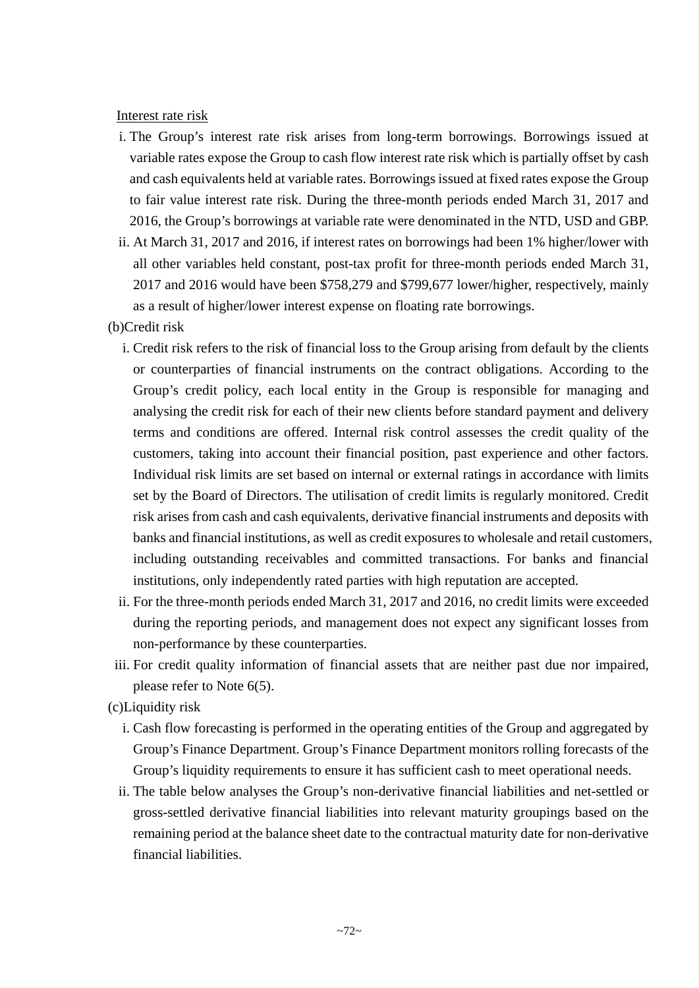Interest rate risk

- i. The Group's interest rate risk arises from long-term borrowings. Borrowings issued at variable rates expose the Group to cash flow interest rate risk which is partially offset by cash and cash equivalents held at variable rates. Borrowings issued at fixed rates expose the Group to fair value interest rate risk. During the three-month periods ended March 31, 2017 and 2016, the Group's borrowings at variable rate were denominated in the NTD, USD and GBP.
- ii. At March 31, 2017 and 2016, if interest rates on borrowings had been 1% higher/lower with all other variables held constant, post-tax profit for three-month periods ended March 31, 2017 and 2016 would have been \$758,279 and \$799,677 lower/higher, respectively, mainly as a result of higher/lower interest expense on floating rate borrowings.

(b)Credit risk

- i. Credit risk refers to the risk of financial loss to the Group arising from default by the clients or counterparties of financial instruments on the contract obligations. According to the Group's credit policy, each local entity in the Group is responsible for managing and analysing the credit risk for each of their new clients before standard payment and delivery terms and conditions are offered. Internal risk control assesses the credit quality of the customers, taking into account their financial position, past experience and other factors. Individual risk limits are set based on internal or external ratings in accordance with limits set by the Board of Directors. The utilisation of credit limits is regularly monitored. Credit risk arises from cash and cash equivalents, derivative financial instruments and deposits with banks and financial institutions, as well as credit exposures to wholesale and retail customers, including outstanding receivables and committed transactions. For banks and financial institutions, only independently rated parties with high reputation are accepted.
- ii. For the three-month periods ended March 31, 2017 and 2016, no credit limits were exceeded during the reporting periods, and management does not expect any significant losses from non-performance by these counterparties.
- iii. For credit quality information of financial assets that are neither past due nor impaired, please refer to Note 6(5).

(c)Liquidity risk

- i. Cash flow forecasting is performed in the operating entities of the Group and aggregated by Group's Finance Department. Group's Finance Department monitors rolling forecasts of the Group's liquidity requirements to ensure it has sufficient cash to meet operational needs.
- ii. The table below analyses the Group's non-derivative financial liabilities and net-settled or gross-settled derivative financial liabilities into relevant maturity groupings based on the remaining period at the balance sheet date to the contractual maturity date for non-derivative financial liabilities.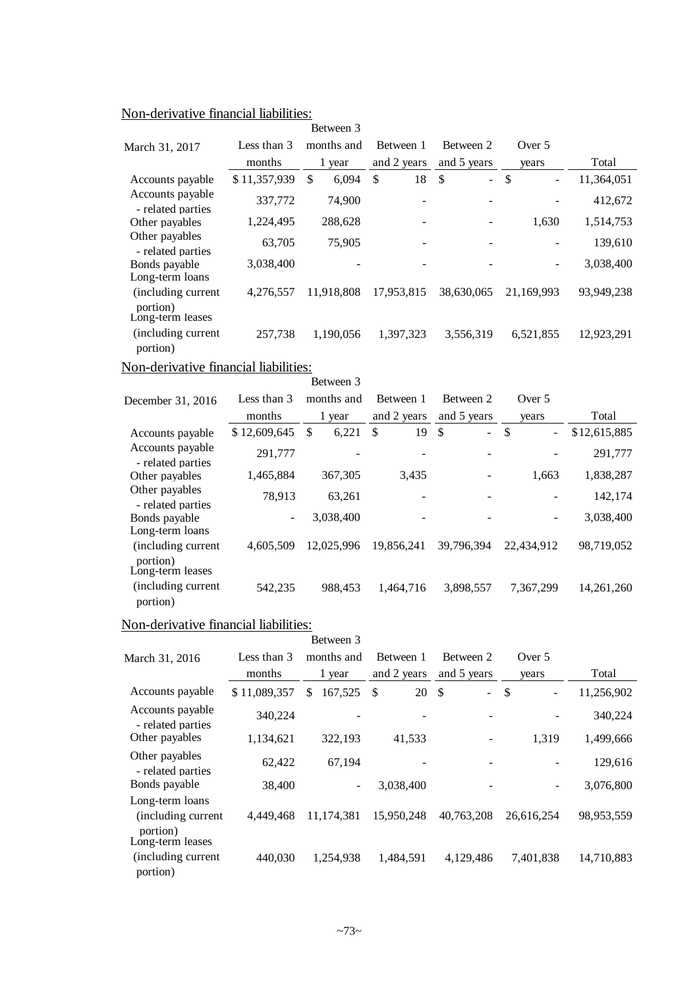| March 31, 2017                        | Less than 3  | months and  | Between 1          | Between 2            | Over 5                         |              |
|---------------------------------------|--------------|-------------|--------------------|----------------------|--------------------------------|--------------|
|                                       | months       | 1 year      | and 2 years        | and 5 years          | years                          | Total        |
| Accounts payable                      | \$11,357,939 | \$<br>6,094 | $\mathbb{S}$<br>18 | \$<br>$\overline{a}$ | \$                             | 11,364,051   |
| Accounts payable<br>- related parties | 337,772      | 74,900      |                    |                      |                                | 412,672      |
| Other payables                        | 1,224,495    | 288,628     |                    |                      | 1,630                          | 1,514,753    |
| Other payables<br>- related parties   | 63,705       | 75,905      |                    |                      |                                | 139,610      |
| Bonds payable<br>Long-term loans      | 3,038,400    |             |                    |                      |                                | 3,038,400    |
| (including current                    | 4,276,557    | 11,918,808  | 17,953,815         | 38,630,065           | 21,169,993                     | 93,949,238   |
| portion)<br>Long-term leases          |              |             |                    |                      |                                |              |
| (including current<br>portion)        | 257,738      | 1,190,056   | 1,397,323          | 3,556,319            | 6,521,855                      | 12,923,291   |
| Non-derivative financial liabilities: |              |             |                    |                      |                                |              |
|                                       |              | Between 3   |                    |                      |                                |              |
| December 31, 2016                     | Less than 3  | months and  | Between 1          | Between 2            | Over 5                         |              |
|                                       | months       | 1 year      | and 2 years        | and 5 years          | years                          | Total        |
| Accounts payable                      | \$12,609,645 | 6,221<br>\$ | $\mathbb{S}$<br>19 | $\mathbb{S}$<br>L.   | $\mathbb{S}$<br>$\overline{a}$ | \$12,615,885 |
| Accounts payable<br>- related parties | 291,777      |             |                    |                      |                                | 291,777      |
| Other payables                        | 1,465,884    | 367,305     | 3,435              |                      | 1,663                          | 1,838,287    |
| Other payables<br>- related parties   | 78,913       | 63,261      |                    |                      |                                | 142,174      |
| Bonds payable<br>Long-term loans      |              | 3,038,400   |                    |                      |                                | 3,038,400    |
| (including current                    | 4,605,509    | 12,025,996  | 19,856,241         | 39,796,394           | 22,434,912                     | 98,719,052   |
| portion)<br>Long-term leases          |              |             |                    |                      |                                |              |
| (including current<br>portion)        | 542,235      | 988,453     | 1,464,716          | 3,898,557            | 7,367,299                      | 14,261,260   |
| Non-derivative financial liabilities: |              |             |                    |                      |                                |              |

| on <i>well</i> , and the imaginal macmitical                           |              |                |                     |                |                                 |            |
|------------------------------------------------------------------------|--------------|----------------|---------------------|----------------|---------------------------------|------------|
|                                                                        |              | Between 3      |                     |                |                                 |            |
| March 31, 2016                                                         | Less than 3  | months and     | Between 1           | Between 2      | Over 5                          |            |
|                                                                        | months       | 1 year         | and 2 years         | and 5 years    | years                           | Total      |
| Accounts payable                                                       | \$11,089,357 | 167.525<br>\$. | 20<br><sup>\$</sup> | - \$<br>$\sim$ | $\mathcal{S}$<br>$\blacksquare$ | 11,256,902 |
| Accounts payable<br>- related parties                                  | 340,224      |                |                     |                |                                 | 340,224    |
| Other payables                                                         | 1,134,621    | 322,193        | 41,533              | -              | 1,319                           | 1,499,666  |
| Other payables<br>- related parties                                    | 62,422       | 67,194         |                     |                |                                 | 129,616    |
| Bonds payable                                                          | 38,400       | $\blacksquare$ | 3,038,400           |                |                                 | 3,076,800  |
| Long-term loans<br>(including current)<br>portion)<br>Long-term leases | 4,449,468    | 11,174,381     | 15,950,248          | 40,763,208     | 26,616,254                      | 98,953,559 |
| (including current<br>portion)                                         | 440.030      | 1.254.938      | 1,484,591           | 4,129,486      | 7,401,838                       | 14,710,883 |

# Non-derivative financial liabilities: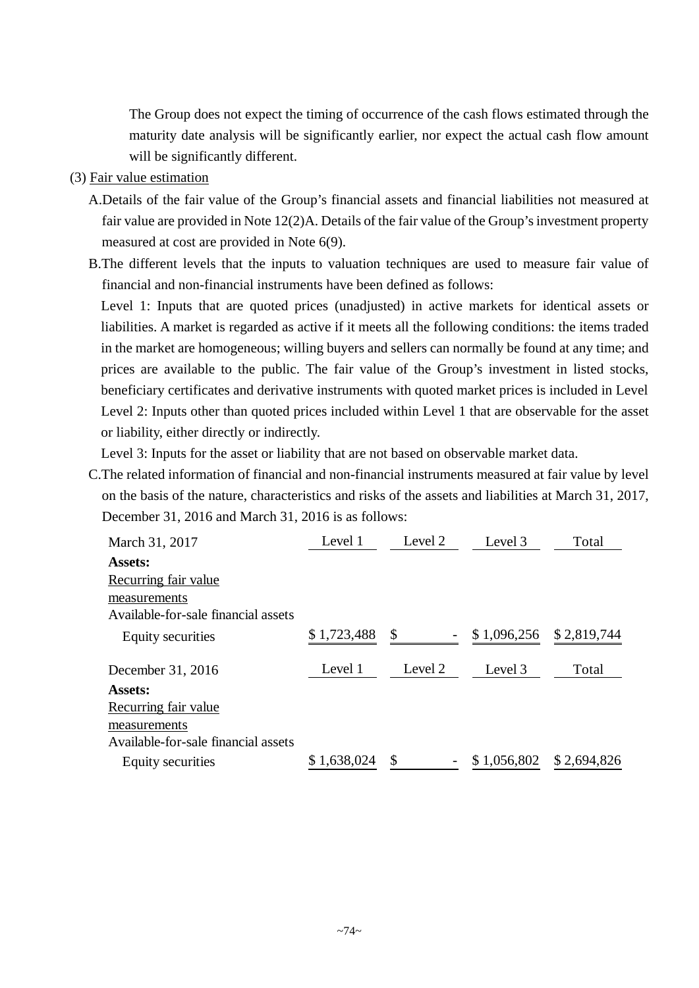The Group does not expect the timing of occurrence of the cash flows estimated through the maturity date analysis will be significantly earlier, nor expect the actual cash flow amount will be significantly different.

- (3) Fair value estimation
	- A.Details of the fair value of the Group's financial assets and financial liabilities not measured at fair value are provided in Note 12(2)A. Details of the fair value of the Group's investment property measured at cost are provided in Note 6(9).
	- B.The different levels that the inputs to valuation techniques are used to measure fair value of financial and non-financial instruments have been defined as follows:

Level 1: Inputs that are quoted prices (unadjusted) in active markets for identical assets or liabilities. A market is regarded as active if it meets all the following conditions: the items traded in the market are homogeneous; willing buyers and sellers can normally be found at any time; and prices are available to the public. The fair value of the Group's investment in listed stocks, beneficiary certificates and derivative instruments with quoted market prices is included in Level Level 2: Inputs other than quoted prices included within Level 1 that are observable for the asset or liability, either directly or indirectly.

Level 3: Inputs for the asset or liability that are not based on observable market data.

C.The related information of financial and non-financial instruments measured at fair value by level on the basis of the nature, characteristics and risks of the assets and liabilities at March 31, 2017, December 31, 2016 and March 31, 2016 is as follows:

| March 31, 2017                      | Level 1     | Level 2 | Level 3     | Total       |
|-------------------------------------|-------------|---------|-------------|-------------|
| Assets:                             |             |         |             |             |
| Recurring fair value                |             |         |             |             |
| measurements                        |             |         |             |             |
| Available-for-sale financial assets |             |         |             |             |
| <b>Equity securities</b>            | \$1,723,488 | \$      | \$1,096,256 | \$2,819,744 |
| December 31, 2016                   | Level 1     | Level 2 | Level 3     | Total       |
| Assets:                             |             |         |             |             |
| Recurring fair value                |             |         |             |             |
| measurements                        |             |         |             |             |
| Available-for-sale financial assets |             |         |             |             |
| Equity securities                   | \$1,638,024 | \$      | \$1,056,802 | \$2,694,826 |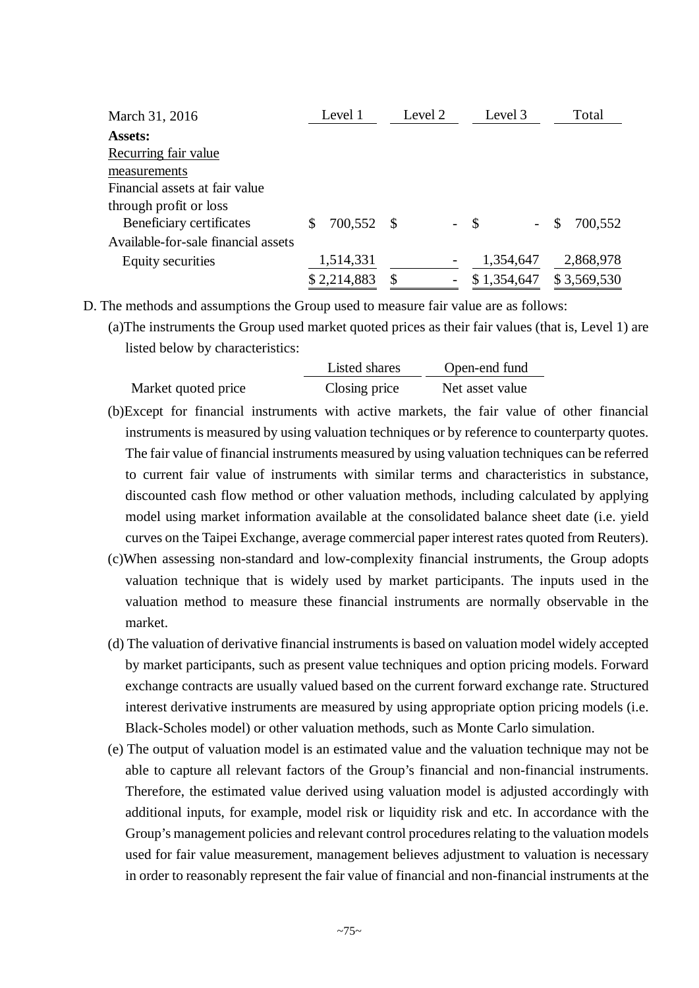| March 31, 2016                      | Level 1       |      | Level 2                  |        | Level 3     |     | Total       |
|-------------------------------------|---------------|------|--------------------------|--------|-------------|-----|-------------|
| <b>Assets:</b>                      |               |      |                          |        |             |     |             |
| Recurring fair value                |               |      |                          |        |             |     |             |
| measurements                        |               |      |                          |        |             |     |             |
| Financial assets at fair value      |               |      |                          |        |             |     |             |
| through profit or loss              |               |      |                          |        |             |     |             |
| Beneficiary certificates            | \$<br>700,552 | - \$ |                          | $-$ \$ |             | \$. | 700,552     |
| Available-for-sale financial assets |               |      |                          |        |             |     |             |
| Equity securities                   | 1,514,331     |      | $\overline{\phantom{0}}$ |        | 1,354,647   |     | 2,868,978   |
|                                     | \$2,214,883   | \$   |                          |        | \$1,354,647 |     | \$3,569,530 |

D. The methods and assumptions the Group used to measure fair value are as follows:

(a)The instruments the Group used market quoted prices as their fair values (that is, Level 1) are listed below by characteristics:

|                     | Listed shares | Open-end fund   |  |  |  |
|---------------------|---------------|-----------------|--|--|--|
| Market quoted price | Closing price | Net asset value |  |  |  |

- (b)Except for financial instruments with active markets, the fair value of other financial instruments is measured by using valuation techniques or by reference to counterparty quotes. The fair value of financial instruments measured by using valuation techniques can be referred to current fair value of instruments with similar terms and characteristics in substance, discounted cash flow method or other valuation methods, including calculated by applying model using market information available at the consolidated balance sheet date (i.e. yield curves on the Taipei Exchange, average commercial paper interest rates quoted from Reuters).
- (c)When assessing non-standard and low-complexity financial instruments, the Group adopts valuation technique that is widely used by market participants. The inputs used in the valuation method to measure these financial instruments are normally observable in the market.
- (d) The valuation of derivative financial instruments is based on valuation model widely accepted by market participants, such as present value techniques and option pricing models. Forward exchange contracts are usually valued based on the current forward exchange rate. Structured interest derivative instruments are measured by using appropriate option pricing models (i.e. Black-Scholes model) or other valuation methods, such as Monte Carlo simulation.
- (e) The output of valuation model is an estimated value and the valuation technique may not be able to capture all relevant factors of the Group's financial and non-financial instruments. Therefore, the estimated value derived using valuation model is adjusted accordingly with additional inputs, for example, model risk or liquidity risk and etc. In accordance with the Group's management policies and relevant control procedures relating to the valuation models used for fair value measurement, management believes adjustment to valuation is necessary in order to reasonably represent the fair value of financial and non-financial instruments at the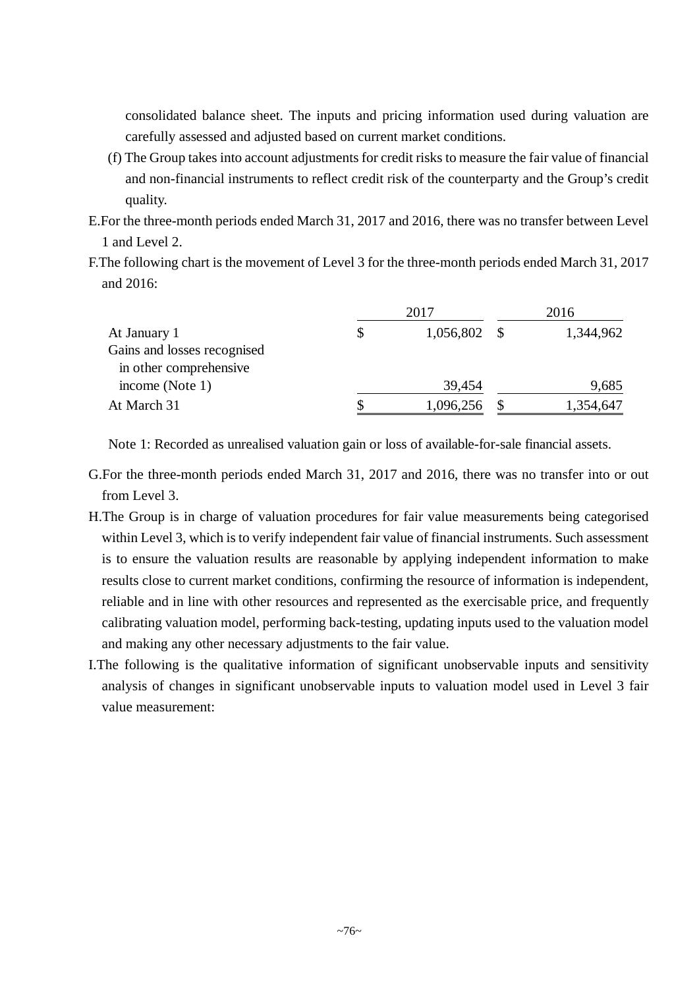consolidated balance sheet. The inputs and pricing information used during valuation are carefully assessed and adjusted based on current market conditions.

- (f) The Group takes into account adjustments for credit risks to measure the fair value of financial and non-financial instruments to reflect credit risk of the counterparty and the Group's credit quality.
- E.For the three-month periods ended March 31, 2017 and 2016, there was no transfer between Level 1 and Level 2.
- F.The following chart is the movement of Level 3 for the three-month periods ended March 31, 2017 and 2016:

|                             |    | 2016           |  |           |
|-----------------------------|----|----------------|--|-----------|
| At January 1                | \$ | $1,056,802$ \$ |  | 1,344,962 |
| Gains and losses recognised |    |                |  |           |
| in other comprehensive      |    |                |  |           |
| income (Note 1)             |    | 39,454         |  | 9,685     |
| At March 31                 |    | 1,096,256      |  | 1,354,647 |

Note 1: Recorded as unrealised valuation gain or loss of available-for-sale financial assets.

- G.For the three-month periods ended March 31, 2017 and 2016, there was no transfer into or out from Level 3.
- H.The Group is in charge of valuation procedures for fair value measurements being categorised within Level 3, which is to verify independent fair value of financial instruments. Such assessment is to ensure the valuation results are reasonable by applying independent information to make results close to current market conditions, confirming the resource of information is independent, reliable and in line with other resources and represented as the exercisable price, and frequently calibrating valuation model, performing back-testing, updating inputs used to the valuation model and making any other necessary adjustments to the fair value.
- I.The following is the qualitative information of significant unobservable inputs and sensitivity analysis of changes in significant unobservable inputs to valuation model used in Level 3 fair value measurement: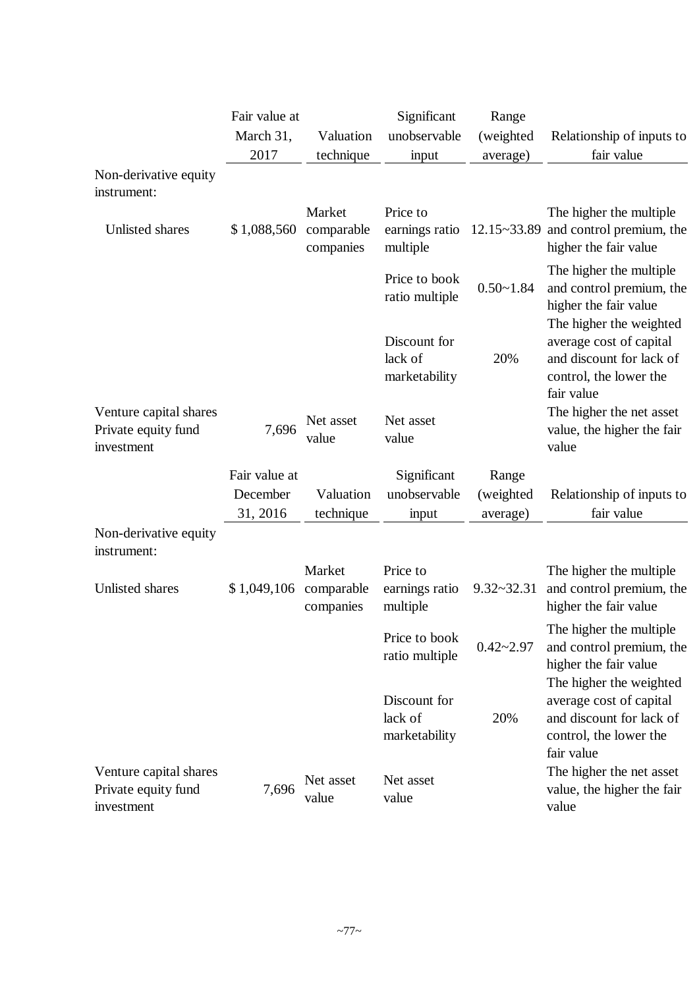|                                                             | Fair value at |                                   | Significant                              | Range          |                                                                                                                        |
|-------------------------------------------------------------|---------------|-----------------------------------|------------------------------------------|----------------|------------------------------------------------------------------------------------------------------------------------|
|                                                             | March 31,     | Valuation                         | unobservable                             | (weighted      | Relationship of inputs to                                                                                              |
|                                                             | 2017          | technique                         | input                                    | average)       | fair value                                                                                                             |
| Non-derivative equity<br>instrument:                        |               |                                   |                                          |                |                                                                                                                        |
| Unlisted shares                                             | \$1,088,560   | Market<br>comparable<br>companies | Price to<br>earnings ratio<br>multiple   |                | The higher the multiple<br>$12.15 \times 33.89$ and control premium, the<br>higher the fair value                      |
|                                                             |               |                                   | Price to book<br>ratio multiple          | $0.50 - 1.84$  | The higher the multiple<br>and control premium, the<br>higher the fair value                                           |
|                                                             |               |                                   | Discount for<br>lack of<br>marketability | 20%            | The higher the weighted<br>average cost of capital<br>and discount for lack of<br>control, the lower the<br>fair value |
| Venture capital shares<br>Private equity fund<br>investment | 7,696         | Net asset<br>value                | Net asset<br>value                       |                | The higher the net asset<br>value, the higher the fair<br>value                                                        |
|                                                             | Fair value at |                                   | Significant                              | Range          |                                                                                                                        |
|                                                             | December      | Valuation                         | unobservable                             | (weighted      | Relationship of inputs to                                                                                              |
|                                                             | 31, 2016      | technique                         | input                                    | average)       | fair value                                                                                                             |
| Non-derivative equity<br>instrument:                        |               |                                   |                                          |                |                                                                                                                        |
| Unlisted shares                                             | \$1,049,106   | Market<br>comparable<br>companies | Price to<br>earnings ratio<br>multiple   | $9.32 - 32.31$ | The higher the multiple<br>and control premium, the<br>higher the fair value                                           |
|                                                             |               |                                   | Price to book<br>ratio multiple          | $0.42 - 2.97$  | The higher the multiple.<br>and control premium, the<br>higher the fair value                                          |
|                                                             |               |                                   | Discount for<br>lack of<br>marketability | 20%            | The higher the weighted<br>average cost of capital<br>and discount for lack of<br>control, the lower the<br>fair value |
| Venture capital shares<br>Private equity fund<br>investment | 7,696         | Net asset<br>value                | Net asset<br>value                       |                | The higher the net asset<br>value, the higher the fair<br>value                                                        |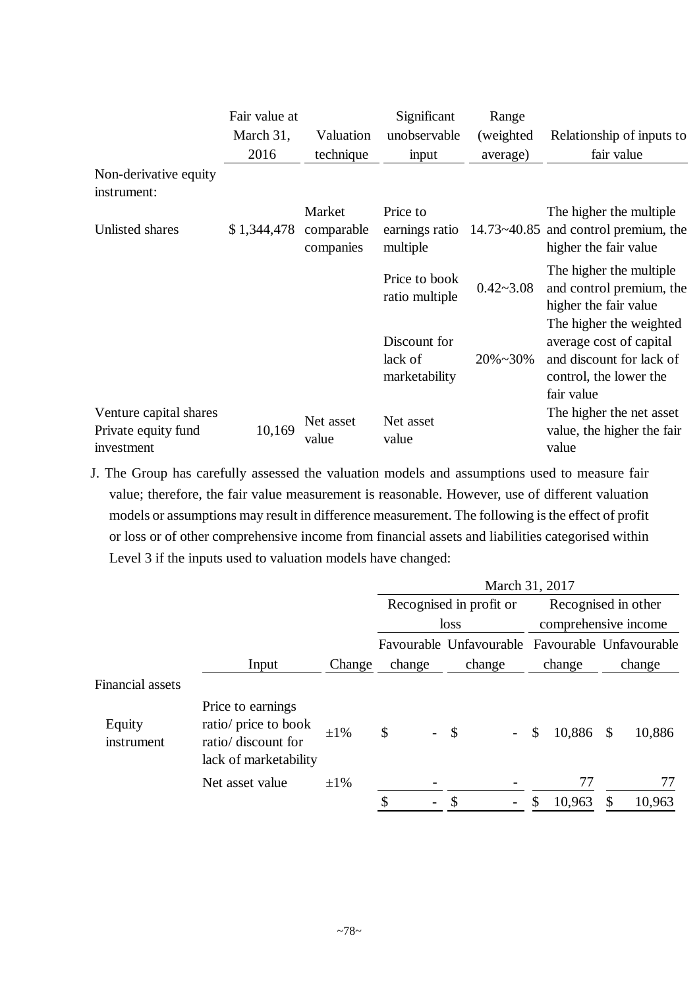|                                                             | Fair value at |                                   | Significant                              | Range         |                                                                                                                        |
|-------------------------------------------------------------|---------------|-----------------------------------|------------------------------------------|---------------|------------------------------------------------------------------------------------------------------------------------|
|                                                             | March 31,     | Valuation                         | unobservable                             | (weighted)    | Relationship of inputs to                                                                                              |
|                                                             | 2016          | technique                         | input                                    | average)      | fair value                                                                                                             |
| Non-derivative equity<br>instrument:                        |               |                                   |                                          |               |                                                                                                                        |
| Unlisted shares                                             | \$1,344,478   | Market<br>comparable<br>companies | Price to<br>earnings ratio<br>multiple   |               | The higher the multiple<br>$14.73 \times 40.85$ and control premium, the<br>higher the fair value                      |
|                                                             |               |                                   | Price to book<br>ratio multiple          | $0.42 - 3.08$ | The higher the multiple<br>and control premium, the<br>higher the fair value                                           |
|                                                             |               |                                   | Discount for<br>lack of<br>marketability | $20\% - 30\%$ | The higher the weighted<br>average cost of capital<br>and discount for lack of<br>control, the lower the<br>fair value |
| Venture capital shares<br>Private equity fund<br>investment | 10,169        | Net asset<br>value                | Net asset<br>value                       |               | The higher the net asset<br>value, the higher the fair<br>value                                                        |

J. The Group has carefully assessed the valuation models and assumptions used to measure fair value; therefore, the fair value measurement is reasonable. However, use of different valuation models or assumptions may result in difference measurement. The following is the effect of profit or loss or of other comprehensive income from financial assets and liabilities categorised within Level 3 if the inputs used to valuation models have changed:

|                         |                                                                                           |           | March 31, 2017 |                                                 |                                             |                         |  |  |  |  |
|-------------------------|-------------------------------------------------------------------------------------------|-----------|----------------|-------------------------------------------------|---------------------------------------------|-------------------------|--|--|--|--|
|                         |                                                                                           |           |                | Recognised in profit or                         | Recognised in other<br>comprehensive income |                         |  |  |  |  |
|                         |                                                                                           |           |                | loss                                            |                                             |                         |  |  |  |  |
|                         |                                                                                           |           |                | Favourable Unfavourable Favourable Unfavourable |                                             |                         |  |  |  |  |
|                         | Input                                                                                     | Change    | change         | change                                          | change                                      | change                  |  |  |  |  |
| <b>Financial assets</b> |                                                                                           |           |                |                                                 |                                             |                         |  |  |  |  |
| Equity<br>instrument    | Price to earnings<br>ratio/ price to book<br>ratio/ discount for<br>lack of marketability | $\pm 1\%$ | \$             | $\mathcal{S}$<br>$\overline{a}$                 | 10,886<br>\$                                | 10,886<br>$\mathcal{S}$ |  |  |  |  |
|                         | Net asset value                                                                           | $\pm 1\%$ |                |                                                 | 77                                          | 77                      |  |  |  |  |
|                         |                                                                                           |           | -              | S<br>$\overline{\phantom{a}}$                   | 10,963<br>\$                                | 10,963<br>\$            |  |  |  |  |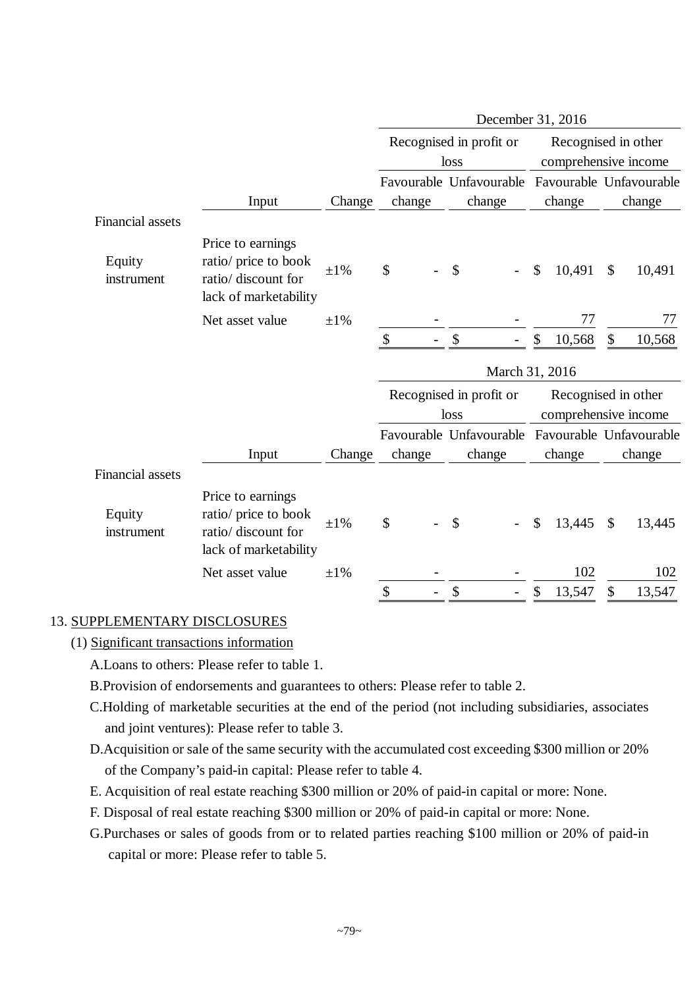|                         |                                                                                           |           |        |      | December 31, 2016       |                                             |        |                         |                         |  |
|-------------------------|-------------------------------------------------------------------------------------------|-----------|--------|------|-------------------------|---------------------------------------------|--------|-------------------------|-------------------------|--|
|                         |                                                                                           |           |        | loss | Recognised in profit or | Recognised in other<br>comprehensive income |        |                         |                         |  |
|                         |                                                                                           |           |        |      | Favourable Unfavourable |                                             |        | Favourable Unfavourable |                         |  |
|                         | Input                                                                                     | Change    | change |      | change                  |                                             | change |                         | change                  |  |
| <b>Financial assets</b> |                                                                                           |           |        |      |                         |                                             |        |                         |                         |  |
| Equity<br>instrument    | Price to earnings<br>ratio/ price to book<br>ratio/ discount for<br>lack of marketability | $\pm 1\%$ | \$     |      | \$                      | \$                                          | 10,491 | $\mathcal{S}$           | 10,491                  |  |
|                         | Net asset value                                                                           | $\pm 1\%$ |        |      |                         |                                             | 77     |                         | 77                      |  |
|                         |                                                                                           |           | \$     |      | \$                      | \$                                          | 10,568 | \$                      | 10,568                  |  |
|                         |                                                                                           |           |        |      | March 31, 2016          |                                             |        |                         |                         |  |
|                         |                                                                                           |           |        | loss | Recognised in profit or | Recognised in other<br>comprehensive income |        |                         |                         |  |
|                         |                                                                                           |           |        |      | Favourable Unfavourable |                                             |        |                         | Favourable Unfavourable |  |
|                         | Input                                                                                     | Change    | change |      | change                  |                                             | change |                         | change                  |  |
| <b>Financial assets</b> |                                                                                           |           |        |      |                         |                                             |        |                         |                         |  |
| Equity<br>instrument    | Price to earnings<br>ratio/ price to book<br>ratio/ discount for<br>lack of marketability | $\pm 1\%$ | \$     |      | \$                      | \$                                          | 13,445 | \$                      | 13,445                  |  |
|                         | Net asset value                                                                           | $\pm 1\%$ |        |      |                         |                                             | 102    |                         | 102                     |  |
|                         |                                                                                           |           | \$     |      | \$                      | \$                                          | 13,547 | \$                      | 13,547                  |  |

## 13. SUPPLEMENTARY DISCLOSURES

- (1) Significant transactions information
	- A.Loans to others: Please refer to table 1.
	- B.Provision of endorsements and guarantees to others: Please refer to table 2.
	- C.Holding of marketable securities at the end of the period (not including subsidiaries, associates and joint ventures): Please refer to table 3.
	- D.Acquisition or sale of the same security with the accumulated cost exceeding \$300 million or 20% of the Company's paid-in capital: Please refer to table 4.
	- E. Acquisition of real estate reaching \$300 million or 20% of paid-in capital or more: None.
	- F. Disposal of real estate reaching \$300 million or 20% of paid-in capital or more: None.
	- G.Purchases or sales of goods from or to related parties reaching \$100 million or 20% of paid-in capital or more: Please refer to table 5.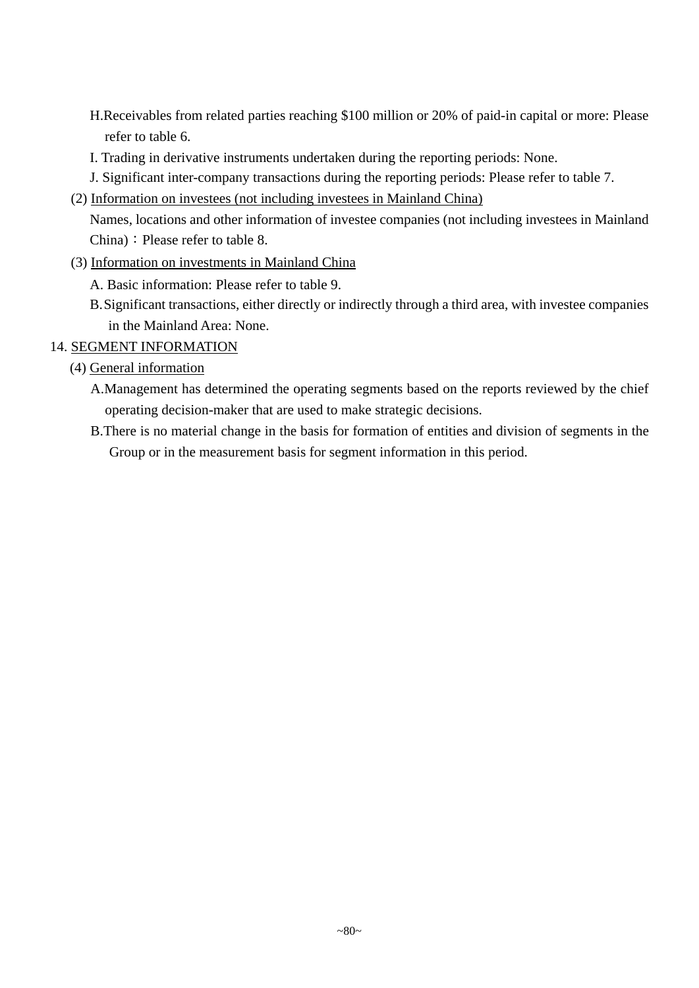- H.Receivables from related parties reaching \$100 million or 20% of paid-in capital or more: Please refer to table 6.
- I. Trading in derivative instruments undertaken during the reporting periods: None.
- J. Significant inter-company transactions during the reporting periods: Please refer to table 7.
- (2) Information on investees (not including investees in Mainland China)

Names, locations and other information of investee companies (not including investees in Mainland China): Please refer to table 8.

- (3) Information on investments in Mainland China
	- A. Basic information: Please refer to table 9.
	- B.Significant transactions, either directly or indirectly through a third area, with investee companies in the Mainland Area: None.
- 14. SEGMENT INFORMATION
	- (4) General information
		- A.Management has determined the operating segments based on the reports reviewed by the chief operating decision-maker that are used to make strategic decisions.
		- B.There is no material change in the basis for formation of entities and division of segments in the Group or in the measurement basis for segment information in this period.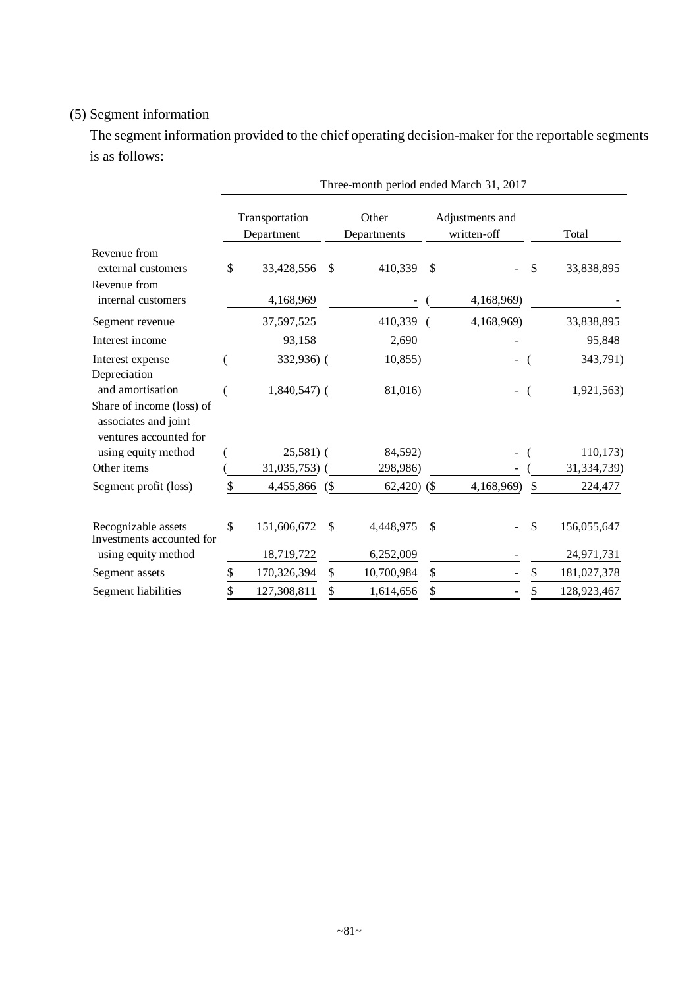# (5) Segment information

The segment information provided to the chief operating decision-maker for the reportable segments is as follows:

|                                                                                                 |                              | Three-month period ended March 31, 2017 |              |                      |    |                                |       |             |  |  |  |  |
|-------------------------------------------------------------------------------------------------|------------------------------|-----------------------------------------|--------------|----------------------|----|--------------------------------|-------|-------------|--|--|--|--|
|                                                                                                 | Transportation<br>Department |                                         |              | Other<br>Departments |    | Adjustments and<br>written-off | Total |             |  |  |  |  |
| Revenue from<br>external customers                                                              | \$                           | 33,428,556                              | $\mathbb{S}$ | 410,339              | \$ |                                | \$    | 33,838,895  |  |  |  |  |
| Revenue from<br>internal customers                                                              |                              | 4,168,969                               |              |                      |    | 4,168,969)                     |       |             |  |  |  |  |
| Segment revenue                                                                                 |                              | 37,597,525                              |              | 410,339              |    | 4,168,969)                     |       | 33,838,895  |  |  |  |  |
| Interest income                                                                                 |                              | 93,158                                  |              | 2,690                |    |                                |       | 95,848      |  |  |  |  |
| Interest expense<br>Depreciation                                                                |                              | 332,936) (                              |              | 10,855               |    |                                |       | 343,791)    |  |  |  |  |
| and amortisation<br>Share of income (loss) of<br>associates and joint<br>ventures accounted for |                              | $1,840,547$ (                           |              | 81,016)              |    |                                |       | 1,921,563)  |  |  |  |  |
| using equity method                                                                             |                              | $25,581$ (                              |              | 84,592)              |    |                                |       | 110, 173)   |  |  |  |  |
| Other items                                                                                     |                              | 31,035,753)                             |              | 298,986)             |    |                                |       | 31,334,739) |  |  |  |  |
| Segment profit (loss)                                                                           | \$                           | 4,455,866                               | (            | $62,420$ (\$)        |    | 4,168,969)                     | \$    | 224,477     |  |  |  |  |
| Recognizable assets<br>Investments accounted for                                                | \$                           | 151,606,672                             | \$           | 4,448,975            | \$ |                                | \$    | 156,055,647 |  |  |  |  |
| using equity method                                                                             |                              | 18,719,722                              |              | 6,252,009            |    |                                |       | 24,971,731  |  |  |  |  |
| Segment assets                                                                                  | \$                           | 170,326,394                             | \$           | 10,700,984           | \$ |                                | \$    | 181,027,378 |  |  |  |  |
| Segment liabilities                                                                             | \$                           | 127,308,811                             | \$           | 1,614,656            | \$ |                                | \$    | 128,923,467 |  |  |  |  |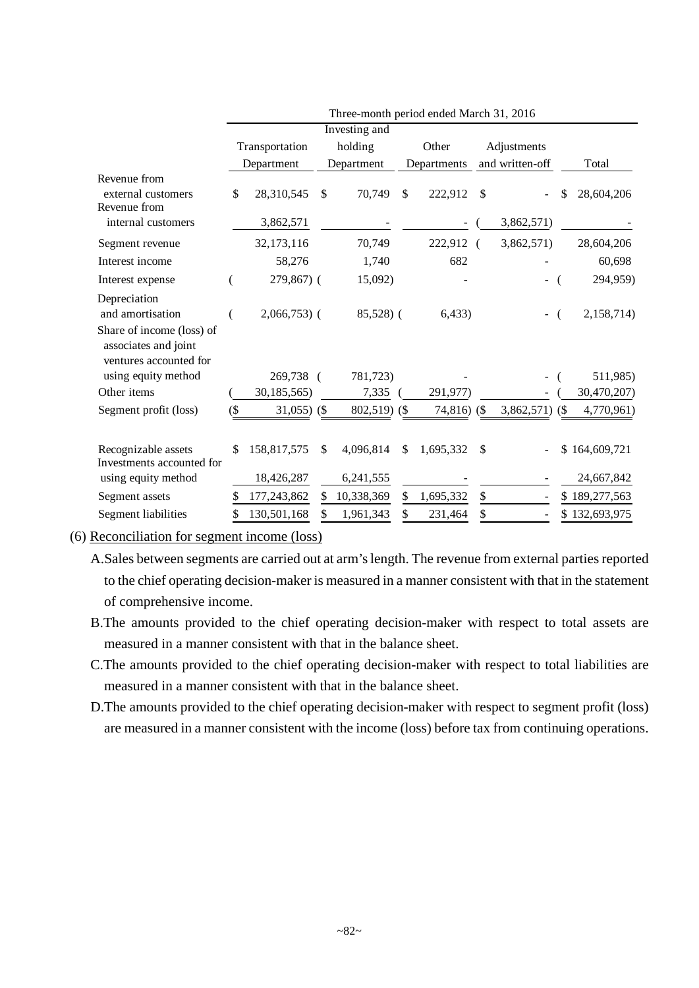|                                                                       | Three-month period ended March 31, 2016 |               |    |               |               |                |                 |             |     |               |
|-----------------------------------------------------------------------|-----------------------------------------|---------------|----|---------------|---------------|----------------|-----------------|-------------|-----|---------------|
|                                                                       |                                         |               |    | Investing and |               |                |                 |             |     |               |
|                                                                       | Transportation                          |               |    | holding       |               | Other          |                 | Adjustments |     |               |
|                                                                       |                                         | Department    |    | Department    |               | Departments    | and written-off |             |     | Total         |
| Revenue from<br>external customers<br>Revenue from                    | \$                                      | 28,310,545    | \$ | 70,749        | \$            | 222,912        | \$              |             | \$  | 28,604,206    |
| internal customers                                                    |                                         | 3,862,571     |    |               |               |                |                 | 3,862,571)  |     |               |
| Segment revenue                                                       |                                         | 32,173,116    |    | 70,749        |               | 222,912 (      |                 | 3,862,571)  |     | 28,604,206    |
| Interest income                                                       |                                         | 58,276        |    | 1,740         |               | 682            |                 |             |     | 60,698        |
| Interest expense                                                      |                                         | 279,867) (    |    | 15,092)       |               |                |                 |             |     | 294,959)      |
| Depreciation<br>and amortisation<br>Share of income (loss) of         |                                         | $2,066,753$ ( |    | 85,528) (     |               | 6,433)         |                 |             |     | 2,158,714)    |
| associates and joint<br>ventures accounted for<br>using equity method |                                         | 269,738 (     |    | 781,723)      |               |                |                 |             |     | 511,985)      |
| Other items                                                           |                                         | 30,185,565)   |    | 7,335         |               | 291,977)       |                 |             |     | 30,470,207)   |
| Segment profit (loss)                                                 | $\Im$                                   | $31,055$ (\$) |    | 802,519) (\$  |               | $74,816)$ (\$) |                 | 3,862,571)  | (S  | 4,770,961)    |
| Recognizable assets<br>Investments accounted for                      | \$                                      | 158,817,575   | \$ | 4,096,814     | <sup>\$</sup> | 1,695,332      | \$              |             | \$. | 164,609,721   |
| using equity method                                                   |                                         | 18,426,287    |    | 6,241,555     |               |                |                 |             |     | 24,667,842    |
| Segment assets                                                        |                                         | 177,243,862   | S  | 10,338,369    | \$            | 1,695,332      | \$              |             |     | \$189,277,563 |
| Segment liabilities                                                   | \$                                      | 130,501,168   |    | 1,961,343     |               | 231,464        | \$              |             |     | \$132,693,975 |

(6) Reconciliation for segment income (loss)

A.Sales between segments are carried out at arm's length. The revenue from external parties reported to the chief operating decision-maker is measured in a manner consistent with that in the statement of comprehensive income.

- B.The amounts provided to the chief operating decision-maker with respect to total assets are measured in a manner consistent with that in the balance sheet.
- C.The amounts provided to the chief operating decision-maker with respect to total liabilities are measured in a manner consistent with that in the balance sheet.
- D.The amounts provided to the chief operating decision-maker with respect to segment profit (loss) are measured in a manner consistent with the income (loss) before tax from continuing operations.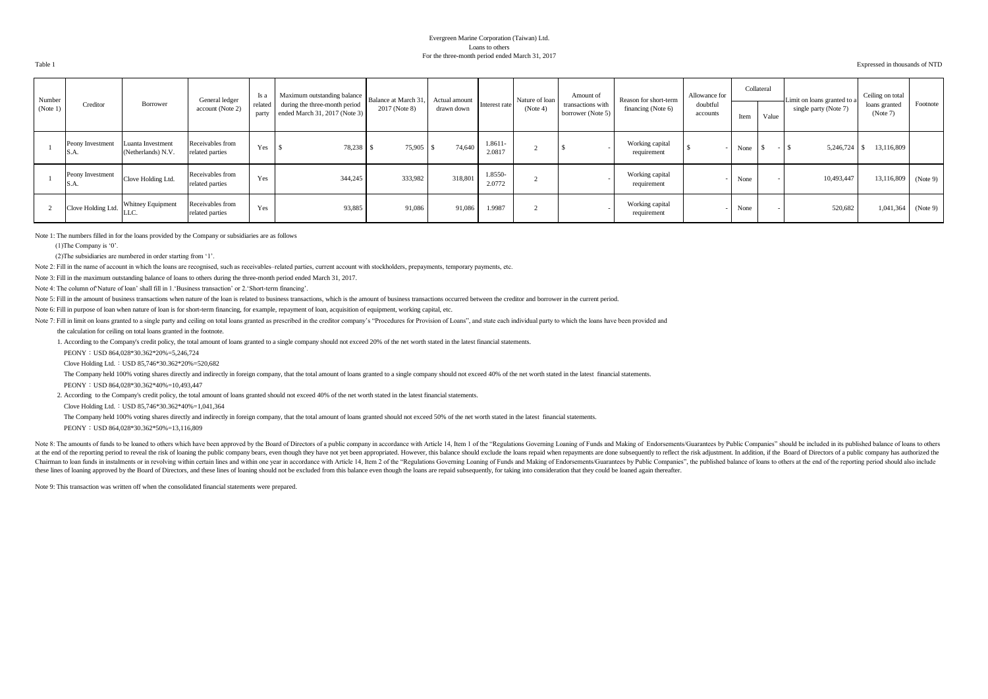#### Evergreen Marine Corporation (Taiwan) Ltd. Loans to others For the three-month period ended March 31, 2017

Table 1 Expressed in thousands of NTD

| Number   |                          |                                         | General ledger                      | Is a             | Maximum outstanding balance                                    | Balance at March 31, | Actual amount |                   | Nature of loan | Amount of                              | Reason for short-term          | Allowance for        |      | Collateral | Limit on loans granted to a | Ceiling on total          |          |
|----------|--------------------------|-----------------------------------------|-------------------------------------|------------------|----------------------------------------------------------------|----------------------|---------------|-------------------|----------------|----------------------------------------|--------------------------------|----------------------|------|------------|-----------------------------|---------------------------|----------|
| (Note 1) | Creditor                 | Borrower                                | account (Note 2)                    | related<br>party | during the three-month period<br>ended March 31, 2017 (Note 3) | 2017 (Note 8)        | drawn down    | Interest rate     | (Note 4)       | transactions with<br>borrower (Note 5) | financing (Note 6)             | doubtful<br>accounts | Item | Value      | single party (Note 7)       | loans granted<br>(Note 7) | Footnote |
|          | Peony Investment<br>S.A. | Luanta Investment<br>(Netherlands) N.V. | Receivables from<br>related parties | Yes              | 78,238 \$<br>l 3                                               | $75,905$ \$          | 74,640        | 1.8611-<br>2.0817 |                |                                        | Working capital<br>requirement |                      | None |            | 5,246,724                   | 13,116,809                |          |
|          | Peony Investment<br>S.A. | Clove Holding Ltd.                      | Receivables from<br>related parties | Yes              | 344,245                                                        | 333,982              | 318,801       | 1.8550-<br>2.0772 |                |                                        | Working capital<br>requirement |                      | None |            | 10,493,447                  | 13,116,809                | (Note 9) |
|          | Clove Holding Ltd.       | Whitney Equipment<br><b>LLC</b>         | Receivables from<br>related parties | Yes              | 93,885                                                         | 91,086               | 91,086        | 1.9987            |                |                                        | Working capital<br>requirement |                      | None |            | 520,682                     | 1,041,364                 | (Note 9) |

Note 1: The numbers filled in for the loans provided by the Company or subsidiaries are as follows

(1)The Company is '0'.

(2)The subsidiaries are numbered in order starting from '1'.

Note 2: Fill in the name of account in which the loans are recognised, such as receivables–related parties, current account with stockholders, prepayments, temporary payments, etc.

Note 3: Fill in the maximum outstanding balance of loans to others during the three-month period ended March 31, 2017.

Note 4: The column of'Nature of loan' shall fill in 1.'Business transaction' or 2.'Short-term financing'.

Note 5: Fill in the amount of business transactions when nature of the loan is related to business transactions, which is the amount of business transactions occurred between the creditor and borrower in the current period

Note 6: Fill in purpose of loan when nature of loan is for short-term financing, for example, repayment of loan, acquisition of equipment, working capital, etc.

Note 7: Fill in limit on loans granted to a single party and ceiling on total loans granted as prescribed in the creditor company's "Procedures for Provision of Loans", and state each individual party to which the loans ha

the calculation for ceiling on total loans granted in the footnote.

1. According to the Company's credit policy, the total amount of loans granted to a single company should not exceed 20% of the net worth stated in the latest financial statements.

PEONY:USD 864,028\*30.362\*20%=5,246,724

Clove Holding Ltd.:USD 85,746\*30.362\*20%=520,682

The Company held 100% voting shares directly and indirectly in foreign company, that the total amount of loans granted to a single company should not exceed 40% of the net worth stated in the latest financial statements.

PEONY: USD 864 028\*30.362\*40%=10,493,447

2. According to the Company's credit policy, the total amount of loans granted should not exceed 40% of the net worth stated in the latest financial statements.

Clove Holding Ltd.:USD 85,746\*30.362\*40%=1,041,364

The Company held 100% voting shares directly and indirectly in foreign company, that the total amount of loans granted should not exceed 50% of the net worth stated in the latest financial statements.

PEONY:USD 864,028\*30.362\*50%=13,116,809

Note 8: The amounts of funds to be loaned to others which have been approved by the Board of Directors of a public company in accordance with Article 14, Item 1 of the "Regulations Governing Loaning of Funds and Making of at the end of the reporting period to reveal the risk of loaning the public company bears, even though they have not yet been appropriated. However, this balance should exclude the loans repaid when repayments are done sub Chairman to loan funds in instalments or in revolving within certain lines and within one year in accordance with Article 14. Item 2 of the "Regulations Governing Loaning of Funds and Making of Endorsements/Guarantees by P these lines of loaning approved by the Board of Directors, and these lines of loaning should not be excluded from this balance even though the loans are repaid subsequently, for taking into consideration that they could be

Note 9: This transaction was written off when the consolidated financial statements were prepared.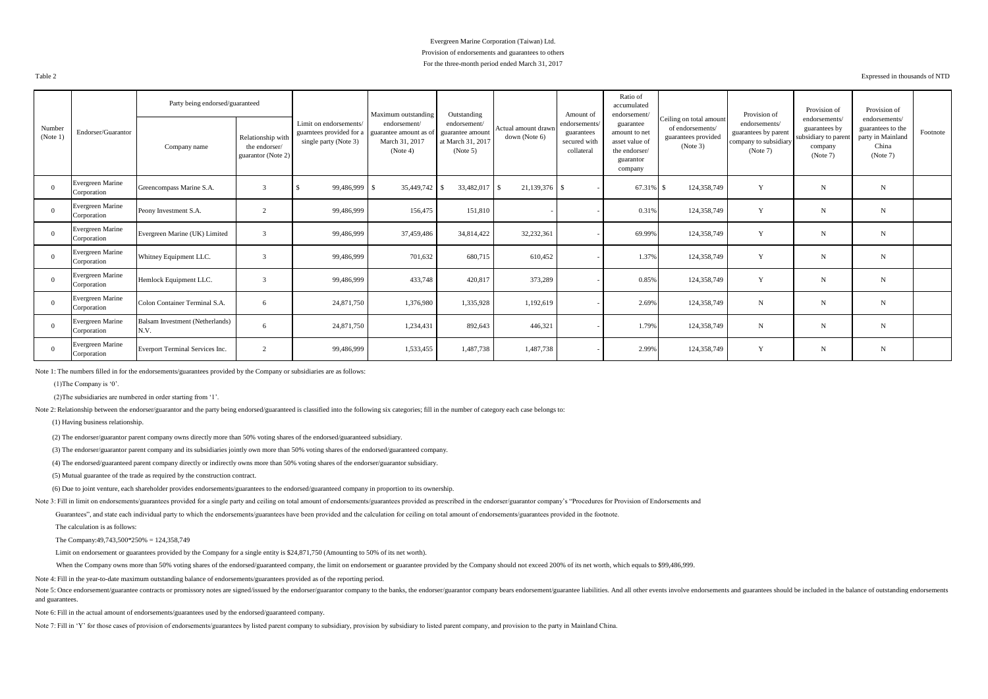#### Evergreen Marine Corporation (Taiwan) Ltd. Provision of endorsements and guarantees to others For the three-month period ended March 31, 2017

Table 2 Expressed in thousands of NTD

|                    |                                 | Party being endorsed/guaranteed         |                                                          |                                                                             | Maximum outstanding                                                 | Outstanding                                                       |                                      | Amount of                                                 | Ratio of<br>accumulated<br>endorsement                                                |                                                                                | Provision of                                                               | Provision of                                                                  | Provision of                                                                 |          |
|--------------------|---------------------------------|-----------------------------------------|----------------------------------------------------------|-----------------------------------------------------------------------------|---------------------------------------------------------------------|-------------------------------------------------------------------|--------------------------------------|-----------------------------------------------------------|---------------------------------------------------------------------------------------|--------------------------------------------------------------------------------|----------------------------------------------------------------------------|-------------------------------------------------------------------------------|------------------------------------------------------------------------------|----------|
| Number<br>(Note 1) | Endorser/Guarantor              | Company name                            | Relationship with<br>the endorser/<br>guarantor (Note 2) | Limit on endorsements/<br>guarntees provided for a<br>single party (Note 3) | endorsement/<br>guarantee amount as o<br>March 31, 2017<br>(Note 4) | endorsement/<br>guarantee amount<br>at March 31, 2017<br>(Note 5) | Actual amount drawn<br>down (Note 6) | endorsements.<br>guarantees<br>secured with<br>collateral | guarantee<br>amount to net<br>asset value of<br>the endorser/<br>guarantor<br>company | Ceiling on total amount<br>of endorsements/<br>guarantees provided<br>(Note 3) | endorsements/<br>guarantees by parent<br>company to subsidiary<br>(Note 7) | endorsements/<br>guarantees by<br>subsidiary to parent<br>company<br>(Note 7) | endorsements/<br>guarantees to the<br>party in Mainland<br>China<br>(Note 7) | Footnote |
| $\Omega$           | Evergreen Marine<br>Corporation | Greencompass Marine S.A.                |                                                          | 99,486,999                                                                  | 35,449,742 \$                                                       | 33,482,017 \$                                                     | 21,139,376 \$                        |                                                           | 67.31% \$                                                                             | 124,358,749                                                                    | Y                                                                          | N                                                                             | $\mathbf N$                                                                  |          |
| $\Omega$           | Evergreen Marine<br>Corporation | Peony Investment S.A.                   | $\sim$                                                   | 99,486,999                                                                  | 156,475                                                             | 151,810                                                           |                                      |                                                           | 0.31%                                                                                 | 124,358,749                                                                    | Y                                                                          | $\mathbf N$                                                                   | N                                                                            |          |
| $\Omega$           | Evergreen Marine<br>Corporation | Evergreen Marine (UK) Limited           |                                                          | 99,486,999                                                                  | 37,459,486                                                          | 34,814,422                                                        | 32,232,361                           |                                                           | 69.99%                                                                                | 124,358,749                                                                    | Y                                                                          | $\mathbf N$                                                                   | N                                                                            |          |
| $\Omega$           | Evergreen Marine<br>Corporation | Whitney Equipment LLC.                  |                                                          | 99,486,999                                                                  | 701,632                                                             | 680,715                                                           | 610,452                              |                                                           | 1.37%                                                                                 | 124,358,749                                                                    | Y                                                                          | $\mathbf N$                                                                   | $\mathbf N$                                                                  |          |
| $\Omega$           | Evergreen Marine<br>Corporation | Hemlock Equipment LLC.                  |                                                          | 99,486,999                                                                  | 433,748                                                             | 420,817                                                           | 373,289                              |                                                           | 0.85%                                                                                 | 124,358,749                                                                    | Y                                                                          | $\mathbf N$                                                                   | N                                                                            |          |
| $\Omega$           | Evergreen Marine<br>Corporation | Colon Container Terminal S.A.           | -6                                                       | 24,871,750                                                                  | 1,376,980                                                           | 1,335,928                                                         | 1,192,619                            |                                                           | 2.69%                                                                                 | 124,358,749                                                                    | $\mathbf N$                                                                | $\mathbf N$                                                                   | N                                                                            |          |
| $\Omega$           | Evergreen Marine<br>Corporation | Balsam Investment (Netherlands)<br>N.V. | -6                                                       | 24,871,750                                                                  | 1,234,431                                                           | 892,643                                                           | 446,321                              |                                                           | 1.79%                                                                                 | 124,358,749                                                                    | $\mathbf N$                                                                | $\mathbf N$                                                                   | N                                                                            |          |
| $\Omega$           | Evergreen Marine<br>Corporation | Everport Terminal Services Inc.         | $\gamma$                                                 | 99,486,999                                                                  | 1,533,455                                                           | 1,487,738                                                         | 1,487,738                            |                                                           | 2.99%                                                                                 | 124,358,749                                                                    | Y                                                                          | N                                                                             | N                                                                            |          |

Note 1: The numbers filled in for the endorsements/guarantees provided by the Company or subsidiaries are as follows:

(1)The Company is '0'.

(2)The subsidiaries are numbered in order starting from '1'.

Note 2: Relationship between the endorser/guarantor and the party being endorsed/guaranteed is classified into the following six categories; fill in the number of category each case belongs to:

(1) Having business relationship.

(2) The endorser/guarantor parent company owns directly more than 50% voting shares of the endorsed/guaranteed subsidiary.

(3) The endorser/guarantor parent company and its subsidiaries jointly own more than 50% voting shares of the endorsed/guaranteed company.

(4) The endorsed/guaranteed parent company directly or indirectly owns more than 50% voting shares of the endorser/guarantor subsidiary.

(5) Mutual guarantee of the trade as required by the construction contract.

(6) Due to joint venture, each shareholder provides endorsements/guarantees to the endorsed/guaranteed company in proportion to its ownership.

Note 3: Fill in limit on endorsements/guarantees provided for a single party and ceiling on total amount of endorsements/guarantees provided as prescribed in the endorser/guarantor company's "Procedures for Provision of En

Guarantees", and state each individual party to which the endorsements/guarantees have been provided and the calculation for ceiling on total amount of endorsements/guarantees provided in the footnote.

The calculation is as follows:

The Company:49,743,500\*250% = 124,358,749

Limit on endorsement or guarantees provided by the Company for a single entity is \$24,871,750 (Amounting to 50% of its net worth).

When the Company owns more than 50% voting shares of the endorsed/guaranteed company, the limit on endorsement or guarantee provided by the Company should not exceed 200% of its net worth, which equals to \$99,486,999.

Note 4: Fill in the year-to-date maximum outstanding balance of endorsements/guarantees provided as of the reporting period.

Note 5: Once endorsement/guarantee contracts or promissory notes are signed/issued by the endorser/guarantor company to the banks, the endorser/guarantor company bears endorsement/guarantee liabilities. And all other event and guarantees.

Note 6: Fill in the actual amount of endorsements/guarantees used by the endorsed/guaranteed company.

Note 7: Fill in 'Y' for those cases of provision of endorsements/guarantees by listed parent company to subsidiary, provision by subsidiary to listed parent company, and provision to the party in Mainland China.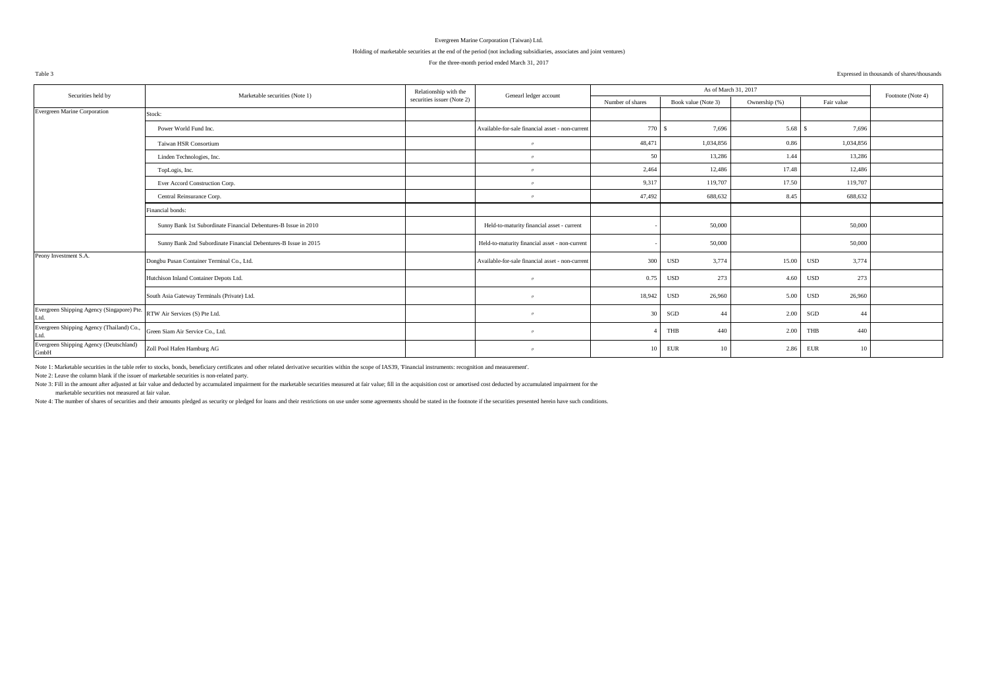#### Holding of marketable securities at the end of the period (not including subsidiaries, associates and joint ventures)

#### For the three-month period ended March 31, 2017

#### Table 3 Expressed in thousands of shares/thousands

| Securities held by                                 | Marketable securities (Note 1)                                  | Relationship with the      |                                                  |                  | As of March 31, 2017 |               |                      | Footnote (Note 4) |
|----------------------------------------------------|-----------------------------------------------------------------|----------------------------|--------------------------------------------------|------------------|----------------------|---------------|----------------------|-------------------|
|                                                    |                                                                 | securities issuer (Note 2) | Genearl ledger account                           | Number of shares | Book value (Note 3)  | Ownership (%) | Fair value           |                   |
| Evergreen Marine Corporation                       | Stock:                                                          |                            |                                                  |                  |                      |               |                      |                   |
|                                                    | Power World Fund Inc.                                           |                            | Available-for-sale financial asset - non-current | 770              | 7,696                | 5.68          | 7,696                |                   |
|                                                    | Taiwan HSR Consortium                                           |                            | $^{\prime\prime}$                                | 48,471           | 1,034,856            | 0.86          | 1,034,856            |                   |
|                                                    | Linden Technologies, Inc.                                       |                            | $^{\prime\prime}$                                | 50               | 13,286               | 1.44          | 13,286               |                   |
|                                                    | TopLogis, Inc.                                                  |                            | $^{\prime\prime}$                                | 2,464            | 12,486               | 17.48         | 12,486               |                   |
|                                                    | Ever Accord Construction Corp.                                  |                            | $^{\prime\prime}$                                | 9,317            | 119,707              | 17.50         | 119,707              |                   |
|                                                    | Central Reinsurance Corp.                                       |                            | $^{\prime\prime}$                                | 47,492           | 688,632              | 8.45          | 688,632              |                   |
|                                                    | Financial bonds:                                                |                            |                                                  |                  |                      |               |                      |                   |
|                                                    | Sunny Bank 1st Subordinate Financial Debentures-B Issue in 2010 |                            | Held-to-maturity financial asset - current       |                  | 50,000               |               | 50,000               |                   |
|                                                    | Sunny Bank 2nd Subordinate Financial Debentures-B Issue in 2015 |                            | Held-to-maturity financial asset - non-current   |                  | 50,000               |               | 50,000               |                   |
| Peony Investment S.A.                              | Dongbu Pusan Container Terminal Co., Ltd.                       |                            | Available-for-sale financial asset - non-current | 300              | 3,774<br><b>USD</b>  | 15.00         | 3,774<br><b>USD</b>  |                   |
|                                                    | Hutchison Inland Container Depots Ltd.                          |                            | $^{\prime\prime}$                                | 0.75             | 273<br><b>USD</b>    | 4.60          | 273<br>USD           |                   |
|                                                    | South Asia Gateway Terminals (Private) Ltd.                     |                            | $^{\prime\prime}$                                | 18,942           | <b>USD</b><br>26,960 | 5.00          | <b>USD</b><br>26,960 |                   |
| Evergreen Shipping Agency (Singapore) Pte.<br>Ltd. | RTW Air Services (S) Pte Ltd.                                   |                            | $^{\prime\prime}$                                | 30               | SGD<br>44            | 2.00          | SGD<br>44            |                   |
| Evergreen Shipping Agency (Thailand) Co.,<br>Ltd.  | Green Siam Air Service Co., Ltd.                                |                            | $^{\prime\prime}$                                |                  | THB<br>440           | 2.00          | THB<br>440           |                   |
| Evergreen Shipping Agency (Deutschland)<br>GmbH    | Zoll Pool Hafen Hamburg AG                                      |                            | $^{\prime\prime}$                                | 10               | EUR<br>10            | 2.86          | EUR<br>10            |                   |

Note 1: Marketable securities in the table refer to stocks, bonds, beneficiary certificates and other related derivative securities within the scope of IAS39, 'Financial instruments: recognition and measurement'.

Note 2: Leave the column blank if the issuer of marketable securities is non-related party.

Note 3: Fill in the amount after adjusted at fair value and deducted by accumulated impairment for the marketable securities measured at fair value; fill in the acquisition cost or amortised cost deducted by accumulated im

marketable securities not measured at fair value.

Note 4: The number of shares of securities and their amounts pledeed as security or pledeed for loans and their restrictions on use under some agreements should be stated in the footnote if the securities presented herein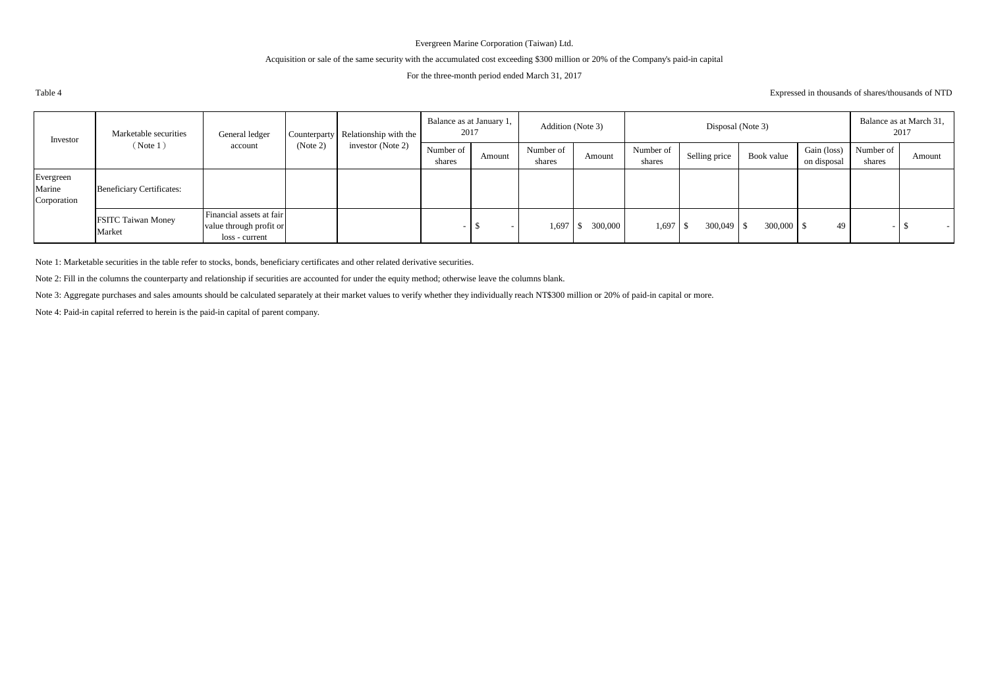## Acquisition or sale of the same security with the accumulated cost exceeding \$300 million or 20% of the Company's paid-in capital

#### For the three-month period ended March 31, 2017

Expressed in thousands of shares/thousands of NTD

| Investor                           | Marketable securities               | General ledger                                                        |          | Counterparty Relationship with the | 2017                | Balance as at January 1, | Addition (Note 3)   |         |                     | Disposal (Note 3) |            |                            |                     | Balance as at March 31,<br>2017 |
|------------------------------------|-------------------------------------|-----------------------------------------------------------------------|----------|------------------------------------|---------------------|--------------------------|---------------------|---------|---------------------|-------------------|------------|----------------------------|---------------------|---------------------------------|
|                                    | (Note 1)                            | account                                                               | (Note 2) | investor (Note 2)                  | Number of<br>shares | Amount                   | Number of<br>shares | Amount  | Number of<br>shares | Selling price     | Book value | Gain (loss)<br>on disposal | Number of<br>shares | Amount                          |
| Evergreen<br>Marine<br>Corporation | <b>Beneficiary Certificates:</b>    |                                                                       |          |                                    |                     |                          |                     |         |                     |                   |            |                            |                     |                                 |
|                                    | <b>FSITC Taiwan Money</b><br>Market | Financial assets at fair<br>value through profit or<br>loss - current |          |                                    |                     |                          | 1,697               | 300,000 | $1,697$ \$          | $300,049$ \$      | 300,000 \$ | 49                         |                     | $\overline{\phantom{0}}$        |

Note 1: Marketable securities in the table refer to stocks, bonds, beneficiary certificates and other related derivative securities.

Note 2: Fill in the columns the counterparty and relationship if securities are accounted for under the equity method; otherwise leave the columns blank.

Note 3: Aggregate purchases and sales amounts should be calculated separately at their market values to verify whether they individually reach NT\$300 million or 20% of paid-in capital or more.

Note 4: Paid-in capital referred to herein is the paid-in capital of parent company.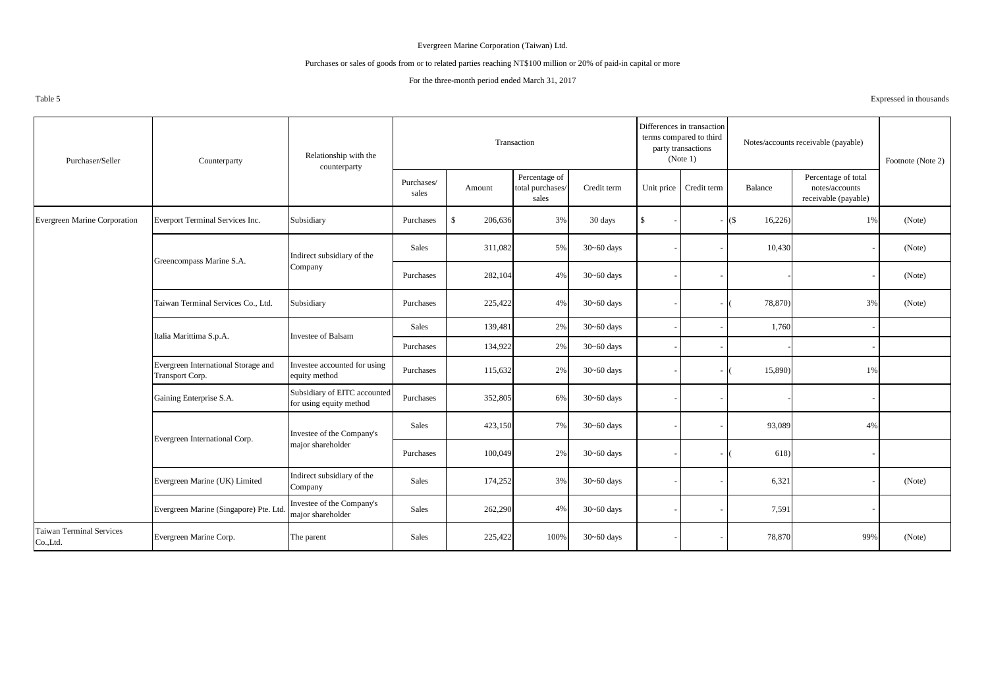#### Purchases or sales of goods from or to related parties reaching NT\$100 million or 20% of paid-in capital or more

#### For the three-month period ended March 31, 2017

Table 5

Purchases/ sales Amount Percentage of total purchases/ sales Credit term Unit price Credit term Balance Percentage of total notes/accounts receivable (payable) Evergreen Marine Corporation Everport Terminal Services Inc. Subsidiary Purchases | \$ 206,636 3% 30 days | \$ - | - | (\$ 16,226) 1% (Note) Sales | 311,082 5% 30~60 days | - | 10,430 - | (Note) Purchases 282,104 4% 30~60 days - - - - - - - - (Note) Taiwan Terminal Services Co., Ltd. Subsidiary Purchases 225,422 4% 30~60 days - ( 78,870) 3% (Note) Sales  $139,481$   $2\%$   $30~-60$  days  $1,760$ Purchases 134,922 2% 30~60 days - - - - Evergreen International Storage and Transport Corp. Investee accounted for using equity method Purchases Purchases 115,632 2% 30~60 days - (15,890) 1% Gaining Enterprise S.A. Subsidiary of EITC accounted<br>for using equity method for using equity method Purchases 352,805 6% 30~60 days - - - - Sales 23,150 7% 30~60 days - - 93,089 4% Purchases  $\begin{vmatrix} 100,049 \\ -2\% \end{vmatrix}$  2% 30~60 days  $\begin{vmatrix} -1 \\ -1 \end{vmatrix}$  - (618) -Evergreen Marine (UK) Limited Indirect subsidiary of the Company Company Sales 174,252 3% 30~60 days - 6,321 6,321 - (Note) Evergreen Marine (Singapore) Pte. Ltd. Investee of the Company's major shareholder Sales 262,290 4% 30~60 days - 7,591 7,591 Taiwan Terminal Services Co.,Ltd. Evergreen Marine Corp. The parent Sales 225,422 100% 30~60 days - 78,870 78,870 99% (Note) Evergreen International Corp. Investee of the Company's major shareholder Italia Marittima S.p.A. Purchaser/Seller Counterparty Relationship with the Relationship with the (Note 1) Rootnote (Note 2) counterparty Transaction Differences in transaction terms compared to third party transactions (Note 1) Notes/accounts receivable (payable) Investee of Balsam Greencompass Marine S.A. Indirect subsidiary of the Company

Expressed in thousands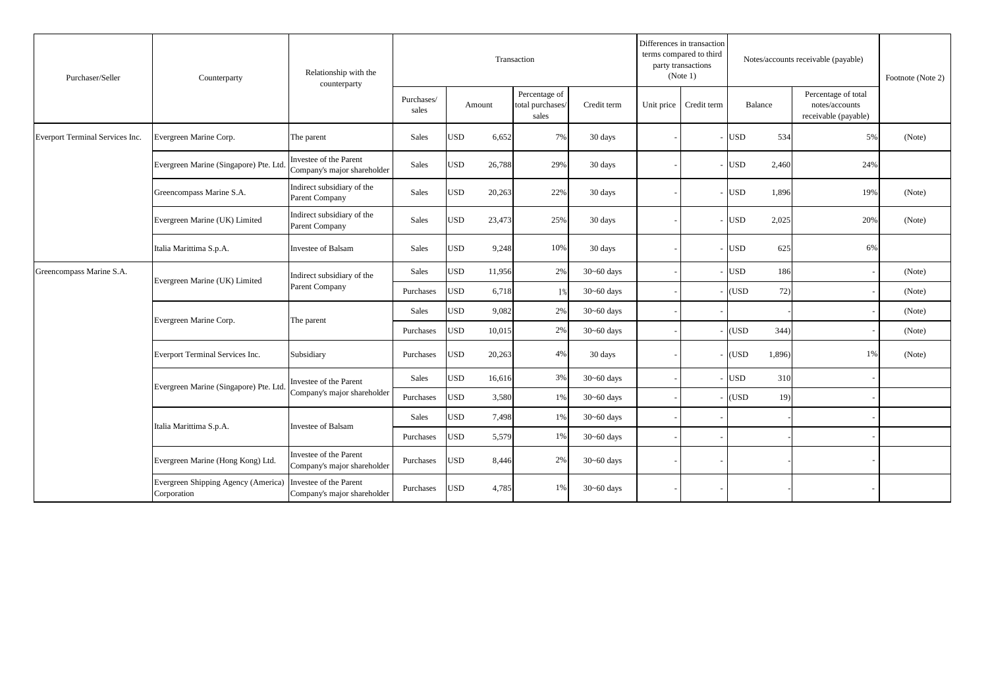| Purchaser/Seller                | Counterparty                                       | Relationship with the<br>counterparty                 |                     |            |        | Transaction                                |                | Differences in transaction<br>terms compared to third<br>party transactions<br>(Note 1) |            |         | Notes/accounts receivable (payable)                           | Footnote (Note 2) |
|---------------------------------|----------------------------------------------------|-------------------------------------------------------|---------------------|------------|--------|--------------------------------------------|----------------|-----------------------------------------------------------------------------------------|------------|---------|---------------------------------------------------------------|-------------------|
|                                 |                                                    |                                                       | Purchases/<br>sales | Amount     |        | Percentage of<br>total purchases/<br>sales | Credit term    | Unit price Credit term                                                                  |            | Balance | Percentage of total<br>notes/accounts<br>receivable (payable) |                   |
| Everport Terminal Services Inc. | Evergreen Marine Corp.                             | The parent                                            | Sales               | <b>USD</b> | 6,652  | 7%                                         | 30 days        |                                                                                         | <b>USD</b> | 534     | 5%                                                            | (Note)            |
|                                 | Evergreen Marine (Singapore) Pte. Ltd              | Investee of the Parent<br>Company's major shareholder | Sales               | <b>USD</b> | 26,788 | 29%                                        | 30 days        |                                                                                         | <b>USD</b> | 2,460   | 24%                                                           |                   |
|                                 | Greencompass Marine S.A.                           | Indirect subsidiary of the<br>Parent Company          | Sales               | <b>USD</b> | 20,263 | 22%                                        | 30 days        |                                                                                         | <b>USD</b> | 1,896   | 19%                                                           | (Note)            |
|                                 | Evergreen Marine (UK) Limited                      | Indirect subsidiary of the<br>Parent Company          | Sales               | <b>USD</b> | 23,473 | 25%                                        | 30 days        |                                                                                         | <b>USD</b> | 2,025   | 20%                                                           | (Note)            |
|                                 | Italia Marittima S.p.A.                            | <b>Investee of Balsam</b>                             | Sales               | USD        | 9,248  | 10%                                        | 30 days        |                                                                                         | <b>USD</b> | 625     | 6%                                                            |                   |
| Greencompass Marine S.A.        | Evergreen Marine (UK) Limited                      | Indirect subsidiary of the                            | Sales               | <b>USD</b> | 11,956 | 2%                                         | $30 - 60$ days |                                                                                         | <b>USD</b> | 186     |                                                               | (Note)            |
|                                 |                                                    | Parent Company                                        | Purchases           | <b>USD</b> | 6,718  | 1%                                         | $30 - 60$ days |                                                                                         | (USD       | 72)     |                                                               | (Note)            |
|                                 | Evergreen Marine Corp.                             | The parent                                            | Sales               | <b>USD</b> | 9,082  | 2%                                         | $30 - 60$ days |                                                                                         |            |         |                                                               | (Note)            |
|                                 |                                                    |                                                       | Purchases           | <b>USD</b> | 10,015 | 2%                                         | $30 - 60$ days |                                                                                         | (USD       | 344)    |                                                               | (Note)            |
|                                 | Everport Terminal Services Inc.                    | Subsidiary                                            | Purchases           | <b>USD</b> | 20,263 | 4%                                         | 30 days        |                                                                                         | (USD       | 1,896)  | 1%                                                            | (Note)            |
|                                 | Evergreen Marine (Singapore) Pte. Ltd              | Investee of the Parent                                | Sales               | <b>USD</b> | 16,616 | 3%                                         | $30 - 60$ days |                                                                                         | <b>USD</b> | 310     |                                                               |                   |
|                                 |                                                    | Company's major shareholder                           | Purchases           | <b>USD</b> | 3,580  | 1%                                         | $30 - 60$ days |                                                                                         | (USD)      | 19)     |                                                               |                   |
|                                 | Italia Marittima S.p.A.                            | Investee of Balsam                                    | Sales               | <b>USD</b> | 7,498  | 1%                                         | $30 - 60$ days |                                                                                         |            |         |                                                               |                   |
|                                 |                                                    |                                                       | Purchases           | USD        | 5,579  | 1%                                         | $30 - 60$ days |                                                                                         |            |         |                                                               |                   |
|                                 | Evergreen Marine (Hong Kong) Ltd.                  | Investee of the Parent<br>Company's major shareholder | Purchases           | JSD        | 8,446  | 2%                                         | $30 - 60$ days |                                                                                         |            |         |                                                               |                   |
|                                 | Evergreen Shipping Agency (America)<br>Corporation | Investee of the Parent<br>Company's major shareholder | Purchases           | <b>USD</b> | 4,785  | 1%                                         | $30 - 60$ days |                                                                                         |            |         |                                                               |                   |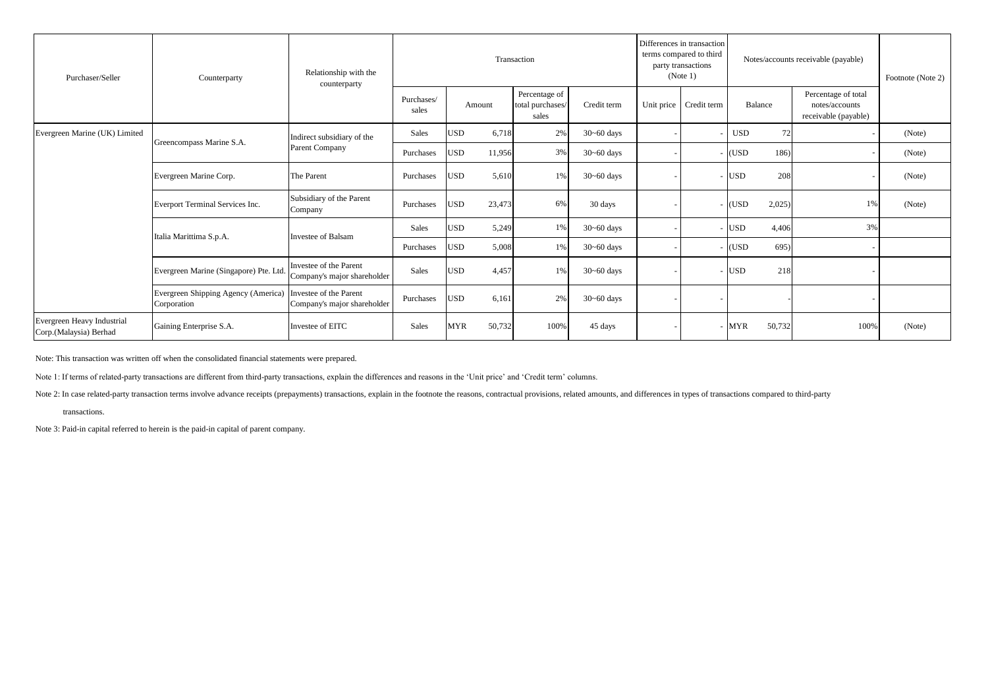| Purchaser/Seller                                     | Counterparty                                       | Relationship with the<br>counterparty                 |                     |            |        | Transaction                                |                | Differences in transaction<br>terms compared to third<br>party transactions<br>(Note 1) | Notes/accounts receivable (payable) |                |                                                               | Footnote (Note 2) |
|------------------------------------------------------|----------------------------------------------------|-------------------------------------------------------|---------------------|------------|--------|--------------------------------------------|----------------|-----------------------------------------------------------------------------------------|-------------------------------------|----------------|---------------------------------------------------------------|-------------------|
|                                                      |                                                    |                                                       | Purchases/<br>sales | Amount     |        | Percentage of<br>total purchases/<br>sales | Credit term    | Unit price Credit term                                                                  |                                     | <b>Balance</b> | Percentage of total<br>notes/accounts<br>receivable (payable) |                   |
| Evergreen Marine (UK) Limited                        | Greencompass Marine S.A.                           | Indirect subsidiary of the                            | Sales               | <b>USD</b> | 6,718  | 2%                                         | $30 - 60$ days |                                                                                         | <b>USD</b>                          | 72             |                                                               | (Note)            |
|                                                      |                                                    | Parent Company                                        | Purchases           | <b>USD</b> | 11,956 | 3%                                         | $30 - 60$ days |                                                                                         | (USD                                | 186)           |                                                               | (Note)            |
|                                                      | Evergreen Marine Corp.                             | The Parent                                            | Purchases           | <b>USD</b> | 5,610  | 1%                                         | $30 - 60$ days |                                                                                         | <b>USD</b>                          | 208            |                                                               | (Note)            |
|                                                      | Everport Terminal Services Inc.                    | Subsidiary of the Parent<br>Company                   | Purchases           | <b>USD</b> | 23,473 | 6%                                         | 30 days        |                                                                                         | (USD                                | 2,025          | 1%                                                            | (Note)            |
|                                                      | Italia Marittima S.p.A.                            | Investee of Balsam                                    | Sales               | <b>USD</b> | 5,249  | 1%                                         | $30 - 60$ days |                                                                                         | <b>USD</b>                          | 4,406          | 3%                                                            |                   |
|                                                      |                                                    |                                                       | Purchases           | <b>USD</b> | 5,008  | 1%                                         | $30 - 60$ days |                                                                                         | (USD                                | 695)           |                                                               |                   |
|                                                      | Evergreen Marine (Singapore) Pte. Ltd.             | Investee of the Parent<br>Company's major shareholder | Sales               | <b>USD</b> | 4,457  | 1%                                         | $30 - 60$ days |                                                                                         | <b>USD</b>                          | 218            |                                                               |                   |
|                                                      | Evergreen Shipping Agency (America)<br>Corporation | Investee of the Parent<br>Company's major shareholder | Purchases           | <b>USD</b> | 6,161  | 2%                                         | $30 - 60$ days |                                                                                         |                                     |                |                                                               |                   |
| Evergreen Heavy Industrial<br>Corp.(Malaysia) Berhad | Gaining Enterprise S.A.                            | Investee of EITC                                      | Sales               | <b>MYR</b> | 50,732 | 100%                                       | 45 days        |                                                                                         | <b>MYR</b>                          | 50,732         | 100%                                                          | (Note)            |

Note: This transaction was written off when the consolidated financial statements were prepared.

Note 1: If terms of related-party transactions are different from third-party transactions, explain the differences and reasons in the 'Unit price' and 'Credit term' columns.

Note 2: In case related-party transaction terms involve advance receipts (prepayments) transactions, explain in the footnote the reasons, contractual provisions, related amounts, and differences in types of transactions co

transactions.

Note 3: Paid-in capital referred to herein is the paid-in capital of parent company.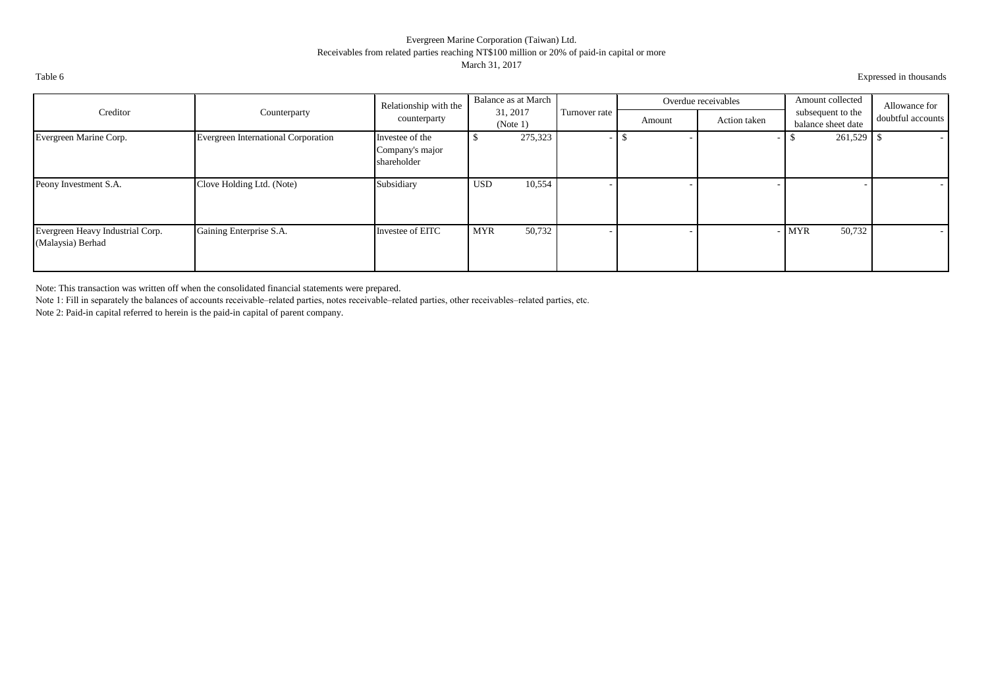## Evergreen Marine Corporation (Taiwan) Ltd. Receivables from related parties reaching NT\$100 million or 20% of paid-in capital or more March 31, 2017

Table 6 Expressed in thousands

|                                                       |                                     | Relationship with the                             | Balance as at March  |               |        | Overdue receivables | Amount collected                        | Allowance for     |
|-------------------------------------------------------|-------------------------------------|---------------------------------------------------|----------------------|---------------|--------|---------------------|-----------------------------------------|-------------------|
| Creditor                                              | Counterparty                        | counterparty                                      | 31, 2017<br>(Note 1) | Turnover rate | Amount | Action taken        | subsequent to the<br>balance sheet date | doubtful accounts |
| Evergreen Marine Corp.                                | Evergreen International Corporation | Investee of the<br>Company's major<br>shareholder | 275,323              |               |        |                     | 261,529                                 | $\sim$            |
| Peony Investment S.A.                                 | Clove Holding Ltd. (Note)           | Subsidiary                                        | 10,554<br><b>USD</b> |               |        |                     |                                         |                   |
| Evergreen Heavy Industrial Corp.<br>(Malaysia) Berhad | Gaining Enterprise S.A.             | Investee of EITC                                  | 50,732<br><b>MYR</b> |               |        |                     | 50,732<br><b>MYR</b>                    | . .               |

Note: This transaction was written off when the consolidated financial statements were prepared.

Note 1: Fill in separately the balances of accounts receivable–related parties, notes receivable–related parties, other receivables–related parties, etc.

Note 2: Paid-in capital referred to herein is the paid-in capital of parent company.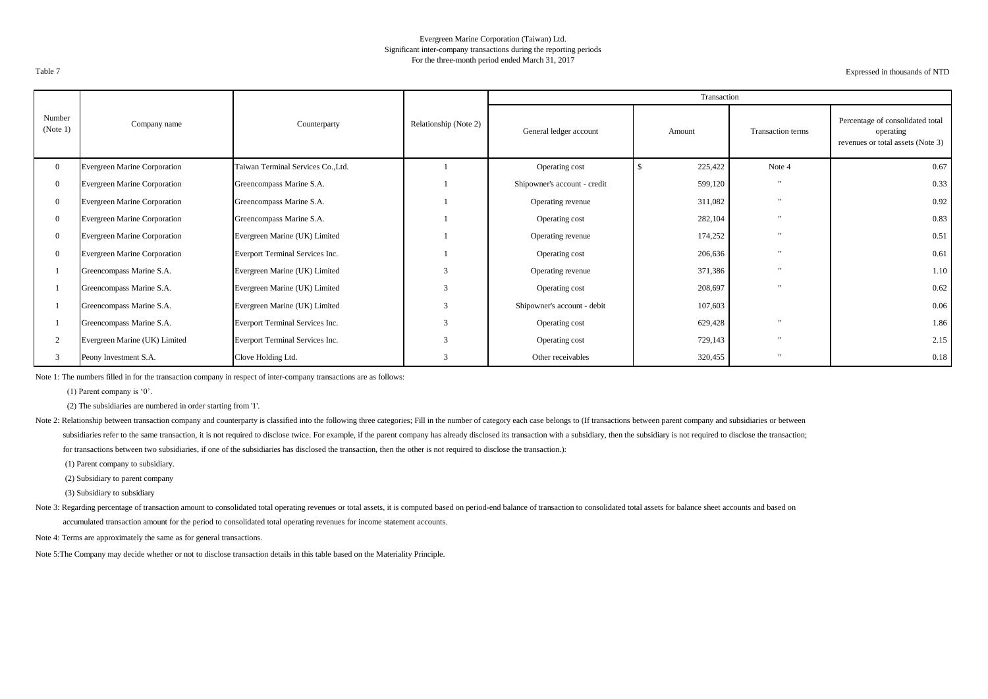#### Evergreen Marine Corporation (Taiwan) Ltd. Significant inter-company transactions during the reporting periods For the three-month period ended March 31, 2017

Expressed in thousands of NTD

|                    |                                     |                                    |                       |                              | Transaction |                      |                                                                                    |
|--------------------|-------------------------------------|------------------------------------|-----------------------|------------------------------|-------------|----------------------|------------------------------------------------------------------------------------|
| Number<br>(Note 1) | Company name                        | Counterparty                       | Relationship (Note 2) | General ledger account       | Amount      | Transaction terms    | Percentage of consolidated total<br>operating<br>revenues or total assets (Note 3) |
| $\overline{0}$     | <b>Evergreen Marine Corporation</b> | Taiwan Terminal Services Co., Ltd. |                       | Operating cost               | 225,422     | Note 4               | 0.67                                                                               |
| $\overline{0}$     | <b>Evergreen Marine Corporation</b> | Greencompass Marine S.A.           |                       | Shipowner's account - credit | 599,120     | $\cdot$              | 0.33                                                                               |
|                    | <b>Evergreen Marine Corporation</b> | Greencompass Marine S.A.           |                       | Operating revenue            | 311,082     |                      | 0.92                                                                               |
|                    | <b>Evergreen Marine Corporation</b> | Greencompass Marine S.A.           |                       | Operating cost               | 282,104     | $\mathbf{u}$         | 0.83                                                                               |
| $\overline{0}$     | <b>Evergreen Marine Corporation</b> | Evergreen Marine (UK) Limited      |                       | Operating revenue            | 174,252     | $\mathbf{u}$         | 0.51                                                                               |
|                    | <b>Evergreen Marine Corporation</b> | Everport Terminal Services Inc.    |                       | Operating cost               | 206,636     |                      | 0.61                                                                               |
|                    | Greencompass Marine S.A.            | Evergreen Marine (UK) Limited      | 3                     | Operating revenue            | 371,386     |                      | 1.10                                                                               |
|                    | Greencompass Marine S.A.            | Evergreen Marine (UK) Limited      | 3                     | Operating cost               | 208,697     | $\mathbf{u}$         | 0.62                                                                               |
|                    | Greencompass Marine S.A.            | Evergreen Marine (UK) Limited      | 3                     | Shipowner's account - debit  | 107,603     |                      | 0.06                                                                               |
|                    | Greencompass Marine S.A.            | Everport Terminal Services Inc.    | 3                     | Operating cost               | 629,428     | $\ddot{\phantom{0}}$ | 1.86                                                                               |
|                    | Evergreen Marine (UK) Limited       | Everport Terminal Services Inc.    | 3                     | Operating cost               | 729,143     |                      | 2.15                                                                               |
|                    | Peony Investment S.A.               | Clove Holding Ltd.                 | 3                     | Other receivables            | 320,455     | $\ddot{\phantom{0}}$ | 0.18                                                                               |

Note 1: The numbers filled in for the transaction company in respect of inter-company transactions are as follows:

(1) Parent company is '0'.

(2) The subsidiaries are numbered in order starting from '1'.

Note 2: Relationship between transaction company and counterparty is classified into the following three categories; Fill in the number of category each case belongs to (If transactions between parent company and subsidiar subsidiaries refer to the same transaction, it is not required to disclose twice. For example, if the parent company has already disclosed its transaction with a subsidiary, then the subsidiary is not required to disclose for transactions between two subsidiaries, if one of the subsidiaries has disclosed the transaction, then the other is not required to disclose the transaction.):

(1) Parent company to subsidiary.

(3) Subsidiary to subsidiary

Note 3: Regarding percentage of transaction amount to consolidated total operating revenues or total assets, it is computed based on period-end balance of transaction to consolidated total assets for balance sheet accounts accumulated transaction amount for the period to consolidated total operating revenues for income statement accounts.

Note 4: Terms are approximately the same as for general transactions.

Note 5:The Company may decide whether or not to disclose transaction details in this table based on the Materiality Principle.

 <sup>(2)</sup> Subsidiary to parent company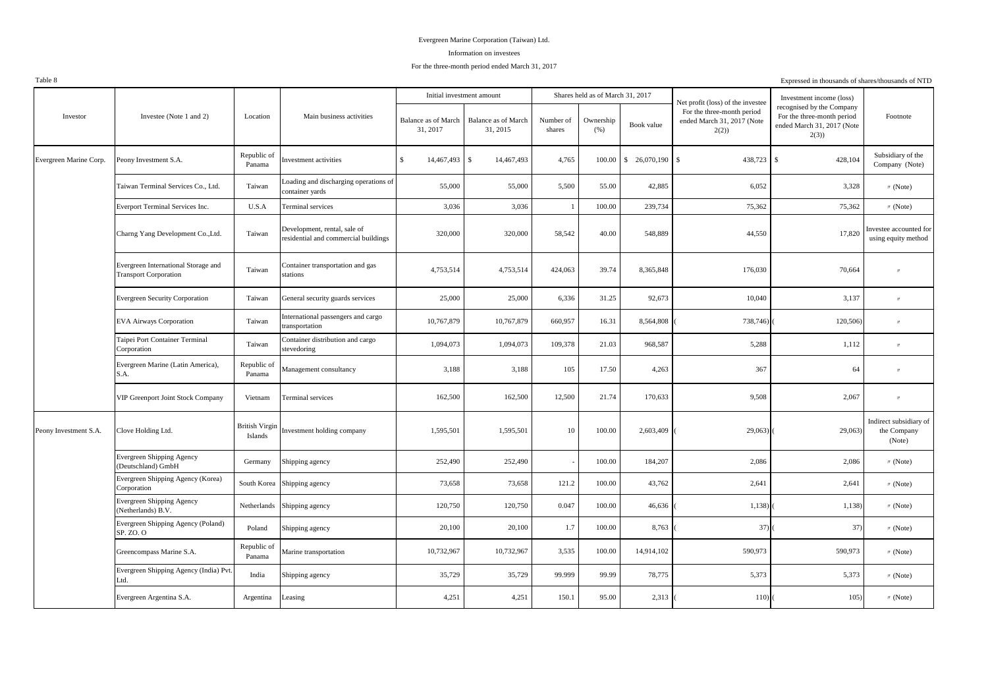#### Information on investees

#### For the three-month period ended March 31, 2017

| 100100                 |                                                                     |                                  |                                                                      |                                        |                                 |                     |                                  |               |                                                                  | Expressed in thousands or shares/thousands of <b>ATD</b>                                      |                                                 |
|------------------------|---------------------------------------------------------------------|----------------------------------|----------------------------------------------------------------------|----------------------------------------|---------------------------------|---------------------|----------------------------------|---------------|------------------------------------------------------------------|-----------------------------------------------------------------------------------------------|-------------------------------------------------|
|                        |                                                                     |                                  |                                                                      |                                        | Initial investment amount       |                     | Shares held as of March 31, 2017 |               | Net profit (loss) of the investee                                | Investment income (loss)                                                                      |                                                 |
| Investor               | Investee (Note 1 and 2)                                             | Location                         | Main business activities                                             | <b>Balance as of March</b><br>31, 2017 | Balance as of March<br>31, 2015 | Number of<br>shares | Ownership<br>(%)                 | Book value    | For the three-month period<br>ended March 31, 2017 (Note<br>2(2) | recognised by the Company<br>For the three-month period<br>ended March 31, 2017 (Note<br>2(3) | Footnote                                        |
| Evergreen Marine Corp. | Peony Investment S.A.                                               | Republic of<br>Panama            | Investment activities                                                | $\mathbb{S}$<br>14,467,493             | $\mathbb{S}$<br>14,467,493      | 4,765               | 100.00                           | \$ 26,070,190 | 438,723<br>$\overline{\mathbf{s}}$                               | 428,104<br>$\mathbf{\hat{S}}$                                                                 | Subsidiary of the<br>Company (Note)             |
|                        | Taiwan Terminal Services Co., Ltd.                                  | Taiwan                           | Loading and discharging operations of<br>container yards             | 55,000                                 | 55,000                          | 5,500               | 55.00                            | 42,885        | 6,052                                                            | 3,328                                                                                         | $\text{W}$ (Note)                               |
|                        | Everport Terminal Services Inc.                                     | U.S.A                            | Terminal services                                                    | 3,036                                  | 3,036                           | $\mathbf{1}$        | 100.00                           | 239,734       | 75,362                                                           | 75,362                                                                                        | $\prime\prime$ (Note)                           |
|                        | Charng Yang Development Co., Ltd.                                   | Taiwan                           | Development, rental, sale of<br>residential and commercial buildings | 320,000                                | 320,000                         | 58,542              | 40.00                            | 548,889       | 44,550                                                           | 17,820                                                                                        | nvestee accounted for<br>using equity method    |
|                        | Evergreen International Storage and<br><b>Transport Corporation</b> | Taiwan                           | Container transportation and gas<br>stations                         | 4,753,514                              | 4,753,514                       | 424,063             | 39.74                            | 8,365,848     | 176,030                                                          | 70,664                                                                                        |                                                 |
|                        | <b>Evergreen Security Corporation</b>                               | Taiwan                           | General security guards services                                     | 25,000                                 | 25,000                          | 6,336               | 31.25                            | 92,673        | 10,040                                                           | 3,137                                                                                         | $^{\prime\prime}$                               |
|                        | <b>EVA Airways Corporation</b>                                      | Taiwan                           | International passengers and cargo<br>transportation                 | 10,767,879                             | 10,767,879                      | 660,957             | 16.31                            | 8,564,808     | 738,746)                                                         | 120,506)                                                                                      | $^{\prime\prime}$                               |
|                        | Taipei Port Container Terminal<br>Corporation                       | Taiwan                           | Container distribution and cargo<br>stevedoring                      | 1,094,073                              | 1,094,073                       | 109,378             | 21.03                            | 968,587       | 5,288                                                            | 1,112                                                                                         | $^{\prime\prime}$                               |
|                        | Evergreen Marine (Latin America),<br>S.A.                           | Republic of<br>Panama            | Management consultancy                                               | 3,188                                  | 3,188                           | 105                 | 17.50                            | 4,263         | 367                                                              | 64                                                                                            | $^{\prime\prime}$                               |
|                        | VIP Greenport Joint Stock Company                                   | Vietnam                          | Terminal services                                                    | 162,500                                | 162,500                         | 12,500              | 21.74                            | 170,633       | 9,508                                                            | 2,067                                                                                         | $^{\prime\prime}$                               |
| Peony Investment S.A.  | Clove Holding Ltd.                                                  | <b>British Virgin</b><br>Islands | Investment holding company                                           | 1,595,501                              | 1,595,501                       | 10                  | 100.00                           | 2,603,409     | 29,063)                                                          | 29,063)                                                                                       | Indirect subsidiary of<br>the Company<br>(Note) |
|                        | Evergreen Shipping Agency<br>(Deutschland) GmbH                     | Germany                          | Shipping agency                                                      | 252,490                                | 252,490                         |                     | 100.00                           | 184,207       | 2,086                                                            | 2,086                                                                                         | $\text{M}$ (Note)                               |
|                        | Evergreen Shipping Agency (Korea)<br>Corporation                    |                                  | South Korea Shipping agency                                          | 73,658                                 | 73,658                          | 121.2               | 100.00                           | 43,762        | 2,641                                                            | 2,641                                                                                         | $\prime\prime$ (Note)                           |
|                        | Evergreen Shipping Agency<br>(Netherlands) B.V.                     | Netherlands                      | Shipping agency                                                      | 120,750                                | 120,750                         | 0.047               | 100.00                           | 46,636        | 1,138                                                            | 1,138)                                                                                        | $\text{W}$ (Note)                               |
|                        | Evergreen Shipping Agency (Poland)<br>SP. ZO. O                     | Poland                           | Shipping agency                                                      | 20,100                                 | 20,100                          | 1.7                 | 100.00                           | 8,763         | 37)                                                              | 37)                                                                                           | $\text{W}$ (Note)                               |
|                        | Greencompass Marine S.A.                                            | Republic of<br>Panama            | Marine transportation                                                | 10,732,967                             | 10,732,967                      | 3,535               | 100.00                           | 14,914,102    | 590,973                                                          | 590,973                                                                                       | $\prime\prime$ (Note)                           |
|                        | Evergreen Shipping Agency (India) Pvt.<br>Ltd.                      | India                            | Shipping agency                                                      | 35,729                                 | 35,729                          | 99.999              | 99.99                            | 78,775        | 5,373                                                            | 5,373                                                                                         | $\prime\prime$ (Note)                           |
|                        | Evergreen Argentina S.A.                                            | Argentina                        | Leasing                                                              | 4,251                                  | 4,251                           | 150.1               | 95.00                            | 2,313         | 110(                                                             | 105)                                                                                          | $\prime\prime$ (Note)                           |
|                        |                                                                     |                                  |                                                                      |                                        |                                 |                     |                                  |               |                                                                  |                                                                                               |                                                 |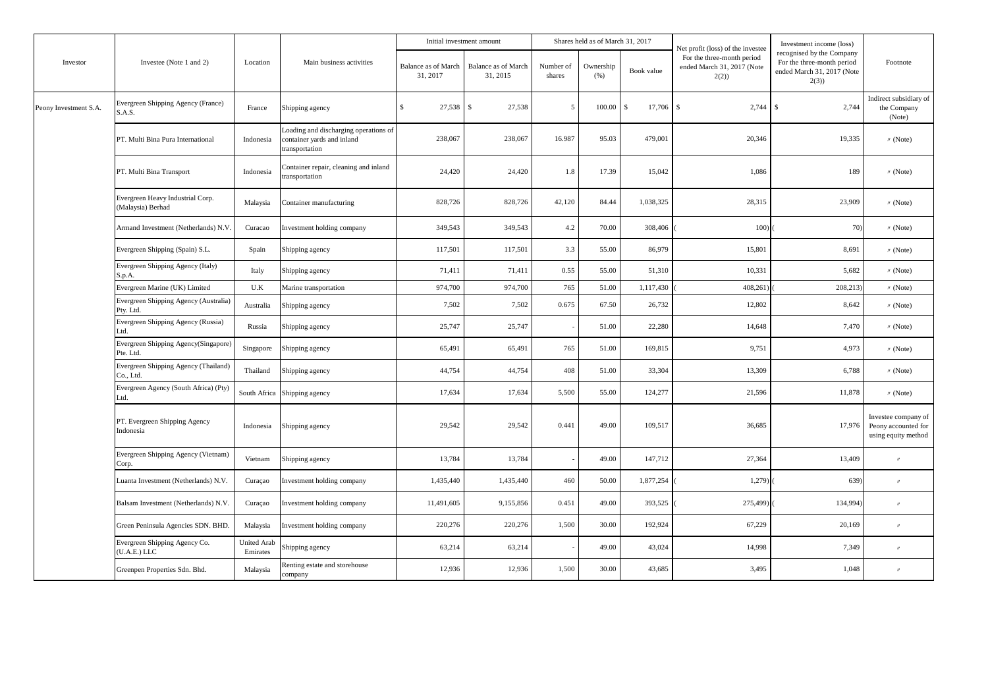|                       |                                                       |                                |                                                                                       | Initial investment amount       |                                 |                     | Shares held as of March 31, 2017 |                         |                                                                                                       | Investment income (loss)                                                                      |                                                                   |
|-----------------------|-------------------------------------------------------|--------------------------------|---------------------------------------------------------------------------------------|---------------------------------|---------------------------------|---------------------|----------------------------------|-------------------------|-------------------------------------------------------------------------------------------------------|-----------------------------------------------------------------------------------------------|-------------------------------------------------------------------|
| Investor              | Investee (Note 1 and 2)                               | Location                       | Main business activities                                                              | Balance as of March<br>31, 2017 | Balance as of March<br>31, 2015 | Number of<br>shares | Ownership<br>(% )                | Book value              | Net profit (loss) of the investee<br>For the three-month period<br>ended March 31, 2017 (Note<br>2(2) | recognised by the Company<br>For the three-month period<br>ended March 31, 2017 (Note<br>2(3) | Footnote                                                          |
| Peony Investment S.A. | Evergreen Shipping Agency (France)<br>S.A.S.          | France                         | Shipping agency                                                                       | \$.<br>27,538                   | 27,538<br>S                     | -5                  | 100.00                           | $\mathcal{S}$<br>17,706 | $\mathbb{S}$<br>2,744                                                                                 | $\mathcal{S}$<br>2,744                                                                        | Indirect subsidiary of<br>the Company<br>(Note)                   |
|                       | PT. Multi Bina Pura International                     | Indonesia                      | Loading and discharging operations of<br>container yards and inland<br>transportation | 238,067                         | 238,067                         | 16.987              | 95.03                            | 479,001                 | 20,346                                                                                                | 19,335                                                                                        | $\text{W}$ (Note)                                                 |
|                       | PT. Multi Bina Transport                              | Indonesia                      | Container repair, cleaning and inland<br>transportation                               | 24,420                          | 24,420                          | 1.8                 | 17.39                            | 15,042                  | 1,086                                                                                                 | 189                                                                                           | $\text{M}$ (Note)                                                 |
|                       | Evergreen Heavy Industrial Corp.<br>(Malaysia) Berhad | Malaysia                       | Container manufacturing                                                               | 828,726                         | 828,726                         | 42,120              | 84.44                            | 1,038,325               | 28,315                                                                                                | 23,909                                                                                        | $''$ (Note)                                                       |
|                       | Armand Investment (Netherlands) N.V                   | Curacao                        | Investment holding company                                                            | 349,543                         | 349,543                         | 4.2                 | 70.00                            | 308,406                 | 100)                                                                                                  | 70)                                                                                           | $\text{M}$ (Note)                                                 |
|                       | Evergreen Shipping (Spain) S.L.                       | Spain                          | Shipping agency                                                                       | 117,501                         | 117,501                         | 3.3                 | 55.00                            | 86,979                  | 15,801                                                                                                | 8,691                                                                                         | $\text{M}$ (Note)                                                 |
|                       | Evergreen Shipping Agency (Italy)<br>S.p.A.           | Italy                          | Shipping agency                                                                       | 71,411                          | 71,411                          | 0.55                | 55.00                            | 51,310                  | 10,331                                                                                                | 5,682                                                                                         | M(Note)                                                           |
|                       | Evergreen Marine (UK) Limited                         | U.K                            | Marine transportation                                                                 | 974,700                         | 974,700                         | 765                 | 51.00                            | 1,117,430               | 408,261                                                                                               | 208,213)                                                                                      | $\text{M}$ (Note)                                                 |
|                       | Evergreen Shipping Agency (Australia)<br>Pty. Ltd.    | Australia                      | Shipping agency                                                                       | 7,502                           | 7,502                           | 0.675               | 67.50                            | 26,732                  | 12,802                                                                                                | 8,642                                                                                         | $\text{W}$ (Note)                                                 |
|                       | Evergreen Shipping Agency (Russia)<br>Ltd.            | Russia                         | Shipping agency                                                                       | 25,747                          | 25,747                          |                     | 51.00                            | 22,280                  | 14,648                                                                                                | 7,470                                                                                         | M(Note)                                                           |
|                       | Evergreen Shipping Agency(Singapore)<br>Pte. Ltd.     | Singapore                      | Shipping agency                                                                       | 65,491                          | 65,491                          | 765                 | 51.00                            | 169,815                 | 9,751                                                                                                 | 4,973                                                                                         | $\text{M}$ (Note)                                                 |
|                       | Evergreen Shipping Agency (Thailand)<br>Co., Ltd.     | Thailand                       | Shipping agency                                                                       | 44,754                          | 44,754                          | 408                 | 51.00                            | 33,304                  | 13,309                                                                                                | 6,788                                                                                         | $\prime\prime$ (Note)                                             |
|                       | Evergreen Agency (South Africa) (Pty)<br>Ltd.         |                                | South Africa Shipping agency                                                          | 17,634                          | 17,634                          | 5,500               | 55.00                            | 124,277                 | 21,596                                                                                                | 11,878                                                                                        | $\prime\prime$ (Note)                                             |
|                       | PT. Evergreen Shipping Agency<br>Indonesia            | Indonesia                      | Shipping agency                                                                       | 29,542                          | 29,542                          | 0.441               | 49.00                            | 109,517                 | 36,685                                                                                                | 17,976                                                                                        | Investee company of<br>Peony accounted for<br>using equity method |
|                       | Evergreen Shipping Agency (Vietnam)<br>Corp.          | Vietnam                        | Shipping agency                                                                       | 13,784                          | 13,784                          |                     | 49.00                            | 147,712                 | 27,364                                                                                                | 13,409                                                                                        | $\theta$                                                          |
|                       | Luanta Investment (Netherlands) N.V.                  | Curaçao                        | Investment holding company                                                            | 1,435,440                       | 1,435,440                       | 460                 | 50.00                            | 1,877,254               | 1,279                                                                                                 | 639)                                                                                          | $^{\prime\prime}$                                                 |
|                       | Balsam Investment (Netherlands) N.V.                  | Curaçao                        | Investment holding company                                                            | 11,491,605                      | 9,155,856                       | 0.451               | 49.00                            | 393,525                 | 275,499)                                                                                              | 134,994)                                                                                      | $^{\prime\prime}$                                                 |
|                       | Green Peninsula Agencies SDN. BHD.                    | Malaysia                       | Investment holding company                                                            | 220,276                         | 220,276                         | 1,500               | 30.00                            | 192,924                 | 67,229                                                                                                | 20,169                                                                                        | $^{\prime\prime}$                                                 |
|                       | Evergreen Shipping Agency Co.<br>U.A.E.) LLC          | <b>United Arab</b><br>Emirates | Shipping agency                                                                       | 63,214                          | 63,214                          |                     | 49.00                            | 43,024                  | 14,998                                                                                                | 7,349                                                                                         | $^{\prime\prime}$                                                 |
|                       | Greenpen Properties Sdn. Bhd.                         | Malaysia                       | Renting estate and storehouse<br>company                                              | 12,936                          | 12,936                          | 1,500               | 30.00                            | 43,685                  | 3,495                                                                                                 | 1,048                                                                                         | $^{\prime\prime}$                                                 |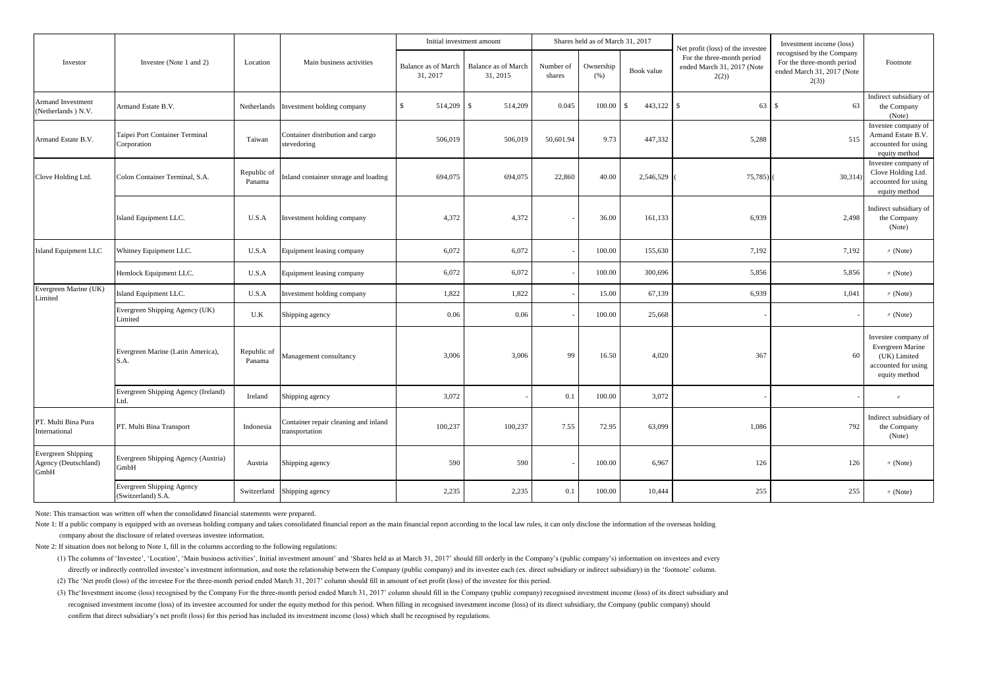|                                                           |                                                 |                       |                                                        |                                        | Initial investment amount              |                     | Shares held as of March 31, 2017 |            | Net profit (loss) of the investee                                | Investment income (loss)                                                                      |                                                                                                 |
|-----------------------------------------------------------|-------------------------------------------------|-----------------------|--------------------------------------------------------|----------------------------------------|----------------------------------------|---------------------|----------------------------------|------------|------------------------------------------------------------------|-----------------------------------------------------------------------------------------------|-------------------------------------------------------------------------------------------------|
| Investor                                                  | Investee (Note 1 and 2)                         | Location              | Main business activities                               | <b>Balance as of March</b><br>31, 2017 | <b>Balance as of March</b><br>31, 2015 | Number of<br>shares | Ownership<br>(% )                | Book value | For the three-month period<br>ended March 31, 2017 (Note<br>2(2) | recognised by the Company<br>For the three-month period<br>ended March 31, 2017 (Note<br>2(3) | Footnote                                                                                        |
| <b>Armand Investment</b><br>(Netherlands) N.V.            | Armand Estate B.V.                              | Netherlands           | Investment holding company                             | 514,209<br>£.                          | \$.<br>514,209                         | 0.045               | 100.00                           | 443,122    | 63S<br>$\mathcal{S}$                                             | 63                                                                                            | Indirect subsidiary of<br>the Company<br>(Note)                                                 |
| Armand Estate B.V.                                        | Taipei Port Container Terminal<br>Corporation   | Taiwan                | Container distribution and cargo<br>stevedoring        | 506,019                                | 506,019                                | 50,601.94           | 9.73                             | 447,332    | 5,288                                                            | 515                                                                                           | Investee company of<br>Armand Estate B.V.<br>accounted for using<br>equity method               |
| Clove Holding Ltd.                                        | Colon Container Terminal, S.A.                  | Republic of<br>Panama | nland container storage and loading                    | 694,075                                | 694,075                                | 22,860              | 40.00                            | 2,546,529  | 75,785                                                           | 30,314)                                                                                       | Investee company of<br>Clove Holding Ltd.<br>accounted for using<br>equity method               |
|                                                           | Island Equipment LLC.                           | U.S.A                 | Investment holding company                             | 4,372                                  | 4,372                                  |                     | 36.00                            | 161,133    | 6,939                                                            | 2,498                                                                                         | Indirect subsidiary of<br>the Company<br>(Note)                                                 |
| <b>Island Equipment LLC</b>                               | Whitney Equipment LLC.                          | U.S.A                 | Equipment leasing company                              | 6,072                                  | 6,072                                  |                     | 100.00                           | 155,630    | 7,192                                                            | 7,192                                                                                         | $\text{W}$ (Note)                                                                               |
|                                                           | Hemlock Equipment LLC.                          | U.S.A                 | Equipment leasing company                              | 6,072                                  | 6,072                                  |                     | 100.00                           | 300,696    | 5,856                                                            | 5,856                                                                                         | $\text{W}$ (Note)                                                                               |
| Evergreen Marine (UK)<br>Limited                          | Island Equipment LLC.                           | U.S.A                 | Investment holding company                             | 1,822                                  | 1,822                                  |                     | 15.00                            | 67,139     | 6,939                                                            | 1,041                                                                                         | $\text{W}$ (Note)                                                                               |
|                                                           | Evergreen Shipping Agency (UK)<br>Limited       | U.K                   | Shipping agency                                        | 0.06                                   | 0.06                                   |                     | 100.00                           | 25,668     |                                                                  |                                                                                               | $\prime\prime$ (Note)                                                                           |
|                                                           | Evergreen Marine (Latin America),<br>S.A.       | Republic of<br>Panama | Management consultancy                                 | 3,006                                  | 3,006                                  | 99                  | 16.50                            | 4,020      | 367                                                              | 60                                                                                            | Investee company of<br>Evergreen Marine<br>(UK) Limited<br>accounted for using<br>equity method |
|                                                           | Evergreen Shipping Agency (Ireland)<br>Ltd.     | Ireland               | Shipping agency                                        | 3,072                                  |                                        | 0.1                 | 100.00                           | 3,072      |                                                                  |                                                                                               | $^{\prime\prime}$                                                                               |
| PT. Multi Bina Pura<br>International                      | PT. Multi Bina Transport                        | Indonesia             | Container repair cleaning and inland<br>transportation | 100,237                                | 100,237                                | 7.55                | 72.95                            | 63,099     | 1,086                                                            | 792                                                                                           | Indirect subsidiary of<br>the Company<br>(Note)                                                 |
| <b>Evergreen Shipping</b><br>Agency (Deutschland)<br>GmbH | Evergreen Shipping Agency (Austria)<br>GmbH     | Austria               | Shipping agency                                        | 590                                    | 590                                    |                     | 100.00                           | 6,967      | 126                                                              | 126                                                                                           | $\text{W}$ (Note)                                                                               |
|                                                           | Evergreen Shipping Agency<br>(Switzerland) S.A. |                       | Switzerland Shipping agency                            | 2,235                                  | 2,235                                  | 0.1                 | 100.00                           | 10,444     | 255                                                              | 255                                                                                           | $\text{W}$ (Note)                                                                               |

Note: This transaction was written off when the consolidated financial statements were prepared.

Note 1: If a public company is equipped with an overseas holding company and takes consolidated financial report as the main financial report according to the local law rules, it can only disclose the information of the ov company about the disclosure of related overseas investee information.

Note 2: If situation does not belong to Note 1, fill in the columns according to the following regulations:

(1) The columns of 'Investee', 'Location', 'Main business activities', Initial investment amount' and 'Shares held as at March 31, 2017' should fill orderly in the Company's (public company's) information on investees and directly or indirectly controlled investee's investment information, and note the relationship between the Company (public company) and its investee each (ex. direct subsidiary or indirect subsidiary) in the 'footnote' col

(2) The 'Net profit (loss) of the investee For the three-month period ended March 31, 2017' column should fill in amount of net profit (loss) of the investee for this period.

(3) The'Investment income (loss) recognised by the Company For the three-month period ended March 31, 2017' column should fill in the Company (public company) recognised investment income (loss) of its direct subsidiary an recognised investment income (loss) of its investee accounted for under the equity method for this period. When filling in recognised investment income (loss) of its direct subsidiary, the Company (public company) should confirm that direct subsidiary's net profit (loss) for this period has included its investment income (loss) which shall be recognised by regulations.